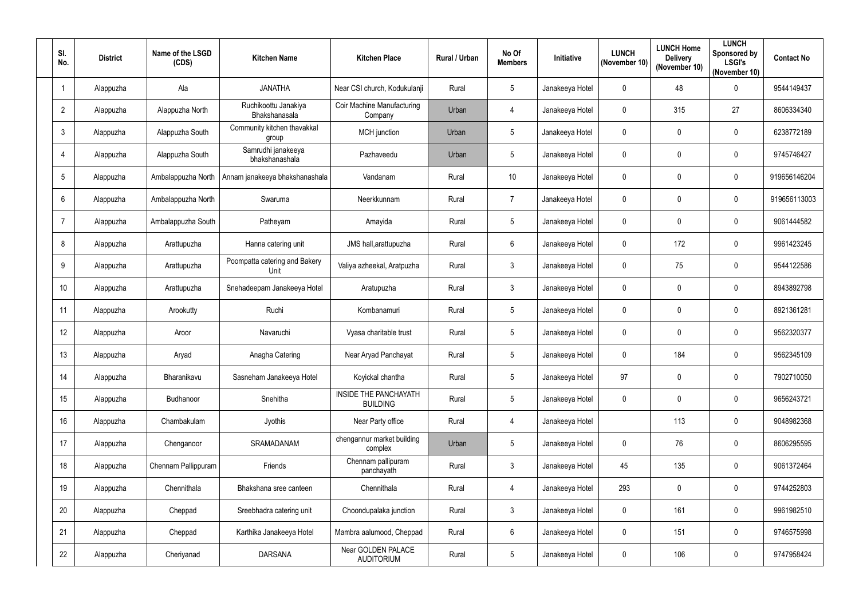| SI.<br>No.     | <b>District</b> | Name of the LSGD<br>(CDS) | <b>Kitchen Name</b>                   | <b>Kitchen Place</b>                            | Rural / Urban | No Of<br><b>Members</b> | Initiative      | <b>LUNCH</b><br>(November 10) | <b>LUNCH Home</b><br><b>Delivery</b><br>(November 10) | <b>LUNCH</b><br>Sponsored by<br><b>LSGI's</b><br>(November 10) | <b>Contact No</b> |
|----------------|-----------------|---------------------------|---------------------------------------|-------------------------------------------------|---------------|-------------------------|-----------------|-------------------------------|-------------------------------------------------------|----------------------------------------------------------------|-------------------|
|                | Alappuzha       | Ala                       | <b>JANATHA</b>                        | Near CSI church, Kodukulanji                    | Rural         | 5                       | Janakeeya Hotel | $\mathbf 0$                   | 48                                                    | $\pmb{0}$                                                      | 9544149437        |
| $\overline{2}$ | Alappuzha       | Alappuzha North           | Ruchikoottu Janakiya<br>Bhakshanasala | Coir Machine Manufacturing<br>Company           | Urban         | 4                       | Janakeeya Hotel | 0                             | 315                                                   | 27                                                             | 8606334340        |
| 3              | Alappuzha       | Alappuzha South           | Community kitchen thavakkal<br>group  | MCH junction                                    | Urban         | $5\phantom{.0}$         | Janakeeya Hotel | $\mathbf 0$                   | $\mathbf{0}$                                          | $\pmb{0}$                                                      | 6238772189        |
| 4              | Alappuzha       | Alappuzha South           | Samrudhi janakeeya<br>bhakshanashala  | Pazhaveedu                                      | Urban         | 5                       | Janakeeya Hotel | $\mathbf{0}$                  | $\mathbf 0$                                           | $\pmb{0}$                                                      | 9745746427        |
| 5              | Alappuzha       | Ambalappuzha North        | Annam janakeeya bhakshanashala        | Vandanam                                        | Rural         | 10 <sup>°</sup>         | Janakeeya Hotel | $\mathbf{0}$                  | $\mathbf 0$                                           | $\pmb{0}$                                                      | 919656146204      |
| 6              | Alappuzha       | Ambalappuzha North        | Swaruma                               | Neerkkunnam                                     | Rural         | $\overline{7}$          | Janakeeya Hotel | $\mathbf 0$                   | $\mathbf{0}$                                          | 0                                                              | 919656113003      |
|                | Alappuzha       | Ambalappuzha South        | Patheyam                              | Amayida                                         | Rural         | 5 <sup>5</sup>          | Janakeeya Hotel | 0                             | $\mathbf 0$                                           | $\mathbf 0$                                                    | 9061444582        |
| 8              | Alappuzha       | Arattupuzha               | Hanna catering unit                   | JMS hall, arattupuzha                           | Rural         | $6\overline{6}$         | Janakeeya Hotel | $\mathbf 0$                   | 172                                                   | $\pmb{0}$                                                      | 9961423245        |
| 9              | Alappuzha       | Arattupuzha               | Poompatta catering and Bakery<br>Unit | Valiya azheekal, Aratpuzha                      | Rural         | $\mathbf{3}$            | Janakeeya Hotel | $\mathbf 0$                   | 75                                                    | 0                                                              | 9544122586        |
| 10             | Alappuzha       | Arattupuzha               | Snehadeepam Janakeeya Hotel           | Aratupuzha                                      | Rural         | $\mathbf{3}$            | Janakeeya Hotel | $\mathbf 0$                   | $\mathbf{0}$                                          | 0                                                              | 8943892798        |
| 11             | Alappuzha       | Arookutty                 | Ruchi                                 | Kombanamuri                                     | Rural         | $5\phantom{.0}$         | Janakeeya Hotel | $\mathbf 0$                   | $\mathbf 0$                                           | 0                                                              | 8921361281        |
| 12             | Alappuzha       | Aroor                     | Navaruchi                             | Vyasa charitable trust                          | Rural         | 5                       | Janakeeya Hotel | $\mathbf 0$                   | $\mathbf{0}$                                          | $\pmb{0}$                                                      | 9562320377        |
| 13             | Alappuzha       | Aryad                     | Anagha Catering                       | Near Aryad Panchayat                            | Rural         | 5                       | Janakeeya Hotel | 0                             | 184                                                   | 0                                                              | 9562345109        |
| 14             | Alappuzha       | Bharanikavu               | Sasneham Janakeeya Hotel              | Koyickal chantha                                | Rural         | $5\phantom{.0}$         | Janakeeya Hotel | 97                            | $\mathbf 0$                                           | $\pmb{0}$                                                      | 7902710050        |
| 15             | Alappuzha       | Budhanoor                 | Snehitha                              | <b>INSIDE THE PANCHAYATH</b><br><b>BUILDING</b> | Rural         | $5\overline{)}$         | Janakeeya Hotel | $\mathbf 0$                   | $\pmb{0}$                                             | $\pmb{0}$                                                      | 9656243721        |
| 16             | Alappuzha       | Chambakulam               | Jyothis                               | Near Party office                               | Rural         | 4                       | Janakeeya Hotel |                               | 113                                                   | $\pmb{0}$                                                      | 9048982368        |
| 17             | Alappuzha       | Chenganoor                | SRAMADANAM                            | chengannur market building<br>complex           | Urban         | $5\phantom{.0}$         | Janakeeya Hotel | $\mathbf 0$                   | 76                                                    | $\pmb{0}$                                                      | 8606295595        |
| 18             | Alappuzha       | Chennam Pallippuram       | Friends                               | Chennam pallipuram<br>panchayath                | Rural         | $\mathbf{3}$            | Janakeeya Hotel | 45                            | 135                                                   | $\mathbf 0$                                                    | 9061372464        |
| 19             | Alappuzha       | Chennithala               | Bhakshana sree canteen                | Chennithala                                     | Rural         | $\overline{4}$          | Janakeeya Hotel | 293                           | $\mathbf 0$                                           | $\pmb{0}$                                                      | 9744252803        |
| 20             | Alappuzha       | Cheppad                   | Sreebhadra catering unit              | Choondupalaka junction                          | Rural         | $\mathbf{3}$            | Janakeeya Hotel | $\mathbf 0$                   | 161                                                   | 0                                                              | 9961982510        |
| 21             | Alappuzha       | Cheppad                   | Karthika Janakeeya Hotel              | Mambra aalumood, Cheppad                        | Rural         | $6\overline{6}$         | Janakeeya Hotel | $\mathbf{0}$                  | 151                                                   | $\pmb{0}$                                                      | 9746575998        |
| 22             | Alappuzha       | Cheriyanad                | <b>DARSANA</b>                        | Near GOLDEN PALACE<br><b>AUDITORIUM</b>         | Rural         | $5\overline{)}$         | Janakeeya Hotel | $\mathbf 0$                   | 106                                                   | $\pmb{0}$                                                      | 9747958424        |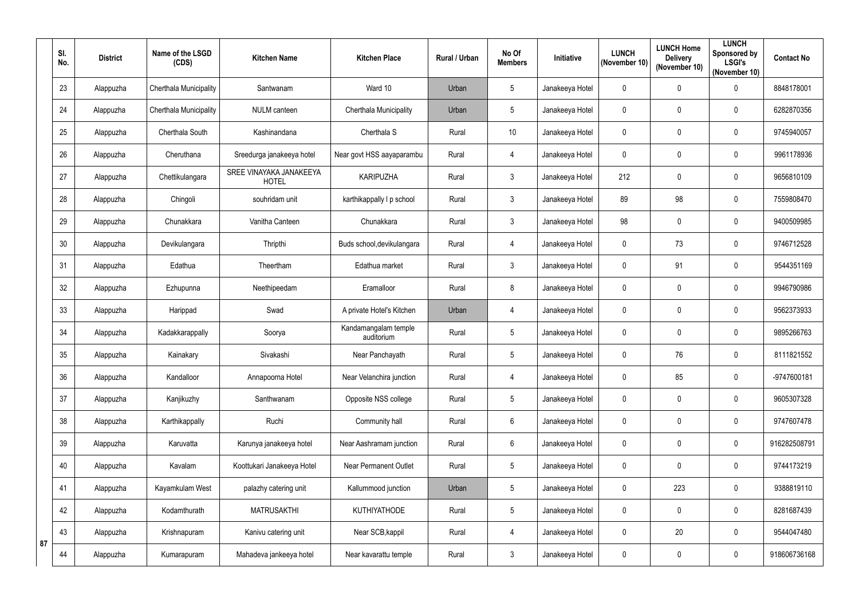|    | SI.<br>No. | <b>District</b> | Name of the LSGD<br>(CDS) | <b>Kitchen Name</b>                     | <b>Kitchen Place</b>               | Rural / Urban | No Of<br><b>Members</b> | Initiative      | <b>LUNCH</b><br>(November 10) | <b>LUNCH Home</b><br><b>Delivery</b><br>(November 10) | <b>LUNCH</b><br>Sponsored by<br><b>LSGI's</b><br>(November 10) | <b>Contact No</b> |
|----|------------|-----------------|---------------------------|-----------------------------------------|------------------------------------|---------------|-------------------------|-----------------|-------------------------------|-------------------------------------------------------|----------------------------------------------------------------|-------------------|
|    | 23         | Alappuzha       | Cherthala Municipality    | Santwanam                               | Ward 10                            | Urban         | 5                       | Janakeeya Hotel | $\mathbf 0$                   | $\mathbf 0$                                           | 0                                                              | 8848178001        |
|    | 24         | Alappuzha       | Cherthala Municipality    | <b>NULM</b> canteen                     | <b>Cherthala Municipality</b>      | Urban         | 5                       | Janakeeya Hotel | $\mathbf 0$                   | $\mathbf 0$                                           | $\pmb{0}$                                                      | 6282870356        |
|    | 25         | Alappuzha       | Cherthala South           | Kashinandana                            | Cherthala S                        | Rural         | 10                      | Janakeeya Hotel | $\mathbf 0$                   | $\mathbf 0$                                           | $\pmb{0}$                                                      | 9745940057        |
|    | 26         | Alappuzha       | Cheruthana                | Sreedurga janakeeya hotel               | Near govt HSS aayaparambu          | Rural         | $\overline{4}$          | Janakeeya Hotel | 0                             | $\mathbf 0$                                           | $\pmb{0}$                                                      | 9961178936        |
|    | 27         | Alappuzha       | Chettikulangara           | SREE VINAYAKA JANAKEEYA<br><b>HOTEL</b> | <b>KARIPUZHA</b>                   | Rural         | $\mathfrak{Z}$          | Janakeeya Hotel | 212                           | $\mathbf 0$                                           | $\pmb{0}$                                                      | 9656810109        |
|    | 28         | Alappuzha       | Chingoli                  | souhridam unit                          | karthikappally I p school          | Rural         | $\mathfrak{Z}$          | Janakeeya Hotel | 89                            | 98                                                    | 0                                                              | 7559808470        |
|    | 29         | Alappuzha       | Chunakkara                | Vanitha Canteen                         | Chunakkara                         | Rural         | $\mathbf{3}$            | Janakeeya Hotel | 98                            | $\mathbf 0$                                           | 0                                                              | 9400509985        |
|    | 30         | Alappuzha       | Devikulangara             | Thripthi                                | Buds school, devikulangara         | Rural         | $\overline{4}$          | Janakeeya Hotel | $\mathbf 0$                   | 73                                                    | $\pmb{0}$                                                      | 9746712528        |
|    | 31         | Alappuzha       | Edathua                   | Theertham                               | Edathua market                     | Rural         | 3                       | Janakeeya Hotel | $\mathbf 0$                   | 91                                                    | $\mathbf 0$                                                    | 9544351169        |
|    | 32         | Alappuzha       | Ezhupunna                 | Neethipeedam                            | Eramalloor                         | Rural         | 8                       | Janakeeya Hotel | $\mathbf 0$                   | $\mathbf{0}$                                          | $\pmb{0}$                                                      | 9946790986        |
|    | 33         | Alappuzha       | Harippad                  | Swad                                    | A private Hotel's Kitchen          | Urban         | $\overline{4}$          | Janakeeya Hotel | $\mathbf 0$                   | $\mathbf 0$                                           | $\pmb{0}$                                                      | 9562373933        |
|    | 34         | Alappuzha       | Kadakkarappally           | Soorya                                  | Kandamangalam temple<br>auditorium | Rural         | 5                       | Janakeeya Hotel | $\mathbf 0$                   | $\mathbf 0$                                           | $\pmb{0}$                                                      | 9895266763        |
|    | 35         | Alappuzha       | Kainakary                 | Sivakashi                               | Near Panchayath                    | Rural         | 5                       | Janakeeya Hotel | $\mathbf 0$                   | 76                                                    | $\mathbf 0$                                                    | 8111821552        |
|    | 36         | Alappuzha       | Kandalloor                | Annapoorna Hotel                        | Near Velanchira junction           | Rural         | $\overline{4}$          | Janakeeya Hotel | $\mathbf 0$                   | 85                                                    | 0                                                              | -9747600181       |
|    | 37         | Alappuzha       | Kanjikuzhy                | Santhwanam                              | Opposite NSS college               | Rural         | 5                       | Janakeeya Hotel | $\mathbf 0$                   | $\pmb{0}$                                             | $\pmb{0}$                                                      | 9605307328        |
|    | 38         | Alappuzha       | Karthikappally            | Ruchi                                   | Community hall                     | Rural         | $6\phantom{.0}$         | Janakeeya Hotel | $\mathbf 0$                   | $\pmb{0}$                                             | $\pmb{0}$                                                      | 9747607478        |
|    | 39         | Alappuzha       | Karuvatta                 | Karunya janakeeya hotel                 | Near Aashramam junction            | Rural         | 6                       | Janakeeya Hotel | 0                             | $\mathbf 0$                                           | $\pmb{0}$                                                      | 916282508791      |
|    | 40         | Alappuzha       | Kavalam                   | Koottukari Janakeeya Hotel              | <b>Near Permanent Outlet</b>       | Rural         | 5                       | Janakeeya Hotel | $\mathbf 0$                   | $\mathbf 0$                                           | $\pmb{0}$                                                      | 9744173219        |
|    | 41         | Alappuzha       | Kayamkulam West           | palazhy catering unit                   | Kallummood junction                | Urban         | $\sqrt{5}$              | Janakeeya Hotel | $\mathbf 0$                   | 223                                                   | $\pmb{0}$                                                      | 9388819110        |
|    | 42         | Alappuzha       | Kodamthurath              | <b>MATRUSAKTHI</b>                      | <b>KUTHIYATHODE</b>                | Rural         | 5                       | Janakeeya Hotel | $\pmb{0}$                     | $\pmb{0}$                                             | $\pmb{0}$                                                      | 8281687439        |
| 87 | 43         | Alappuzha       | Krishnapuram              | Kanivu catering unit                    | Near SCB, kappil                   | Rural         | $\overline{4}$          | Janakeeya Hotel | $\mathbf 0$                   | 20                                                    | $\pmb{0}$                                                      | 9544047480        |
|    | 44         | Alappuzha       | Kumarapuram               | Mahadeva jankeeya hotel                 | Near kavarattu temple              | Rural         | $\mathbf{3}$            | Janakeeya Hotel | $\mathbf 0$                   | $\boldsymbol{0}$                                      | $\pmb{0}$                                                      | 918606736168      |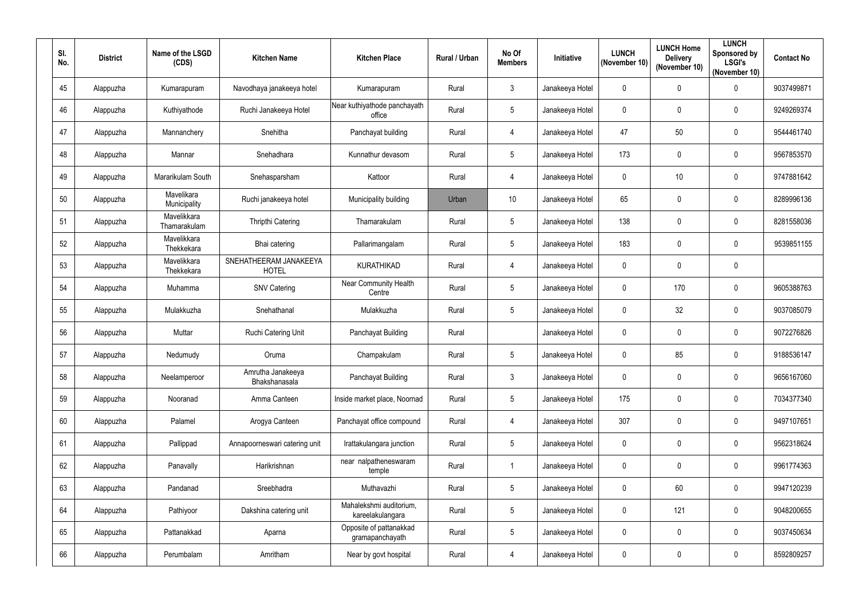| SI.<br>No. | <b>District</b> | Name of the LSGD<br>(CDS)   | <b>Kitchen Name</b>                    | <b>Kitchen Place</b>                        | <b>Rural / Urban</b> | No Of<br><b>Members</b> | Initiative      | <b>LUNCH</b><br>(November 10) | <b>LUNCH Home</b><br><b>Delivery</b><br>(November 10) | <b>LUNCH</b><br>Sponsored by<br><b>LSGI's</b><br>(November 10) | <b>Contact No</b> |
|------------|-----------------|-----------------------------|----------------------------------------|---------------------------------------------|----------------------|-------------------------|-----------------|-------------------------------|-------------------------------------------------------|----------------------------------------------------------------|-------------------|
| 45         | Alappuzha       | Kumarapuram                 | Navodhaya janakeeya hotel              | Kumarapuram                                 | Rural                | $\mathbf{3}$            | Janakeeya Hotel | $\mathbf 0$                   | $\mathbf 0$                                           | 0                                                              | 9037499871        |
| 46         | Alappuzha       | Kuthiyathode                | Ruchi Janakeeya Hotel                  | Near kuthiyathode panchayath<br>office      | Rural                | 5                       | Janakeeya Hotel | $\mathbf 0$                   | $\mathbf 0$                                           | $\mathbf 0$                                                    | 9249269374        |
| 47         | Alappuzha       | Mannanchery                 | Snehitha                               | Panchayat building                          | Rural                | $\overline{4}$          | Janakeeya Hotel | 47                            | 50                                                    | 0                                                              | 9544461740        |
| 48         | Alappuzha       | Mannar                      | Snehadhara                             | Kunnathur devasom                           | Rural                | $\sqrt{5}$              | Janakeeya Hotel | 173                           | $\mathbf 0$                                           | 0                                                              | 9567853570        |
| 49         | Alappuzha       | Mararikulam South           | Snehasparsham                          | Kattoor                                     | Rural                | $\overline{4}$          | Janakeeya Hotel | $\mathbf{0}$                  | 10 <sup>°</sup>                                       | 0                                                              | 9747881642        |
| 50         | Alappuzha       | Mavelikara<br>Municipality  | Ruchi janakeeya hotel                  | Municipality building                       | Urban                | 10                      | Janakeeya Hotel | 65                            | $\mathbf 0$                                           | $\mathbf 0$                                                    | 8289996136        |
| 51         | Alappuzha       | Mavelikkara<br>Thamarakulam | <b>Thripthi Catering</b>               | Thamarakulam                                | Rural                | $5\phantom{.0}$         | Janakeeya Hotel | 138                           | $\mathbf 0$                                           | $\mathbf 0$                                                    | 8281558036        |
| 52         | Alappuzha       | Mavelikkara<br>Thekkekara   | Bhai catering                          | Pallarimangalam                             | Rural                | $5\phantom{.0}$         | Janakeeya Hotel | 183                           | $\mathbf 0$                                           | 0                                                              | 9539851155        |
| 53         | Alappuzha       | Mavelikkara<br>Thekkekara   | SNEHATHEERAM JANAKEEYA<br><b>HOTEL</b> | <b>KURATHIKAD</b>                           | Rural                | 4                       | Janakeeya Hotel | $\mathbf 0$                   | 0                                                     | 0                                                              |                   |
| 54         | Alappuzha       | Muhamma                     | <b>SNV Catering</b>                    | <b>Near Community Health</b><br>Centre      | Rural                | $5\phantom{.0}$         | Janakeeya Hotel | $\mathbf{0}$                  | 170                                                   | 0                                                              | 9605388763        |
| 55         | Alappuzha       | Mulakkuzha                  | Snehathanal                            | Mulakkuzha                                  | Rural                | $5\phantom{.0}$         | Janakeeya Hotel | $\mathbf 0$                   | 32                                                    | $\mathbf 0$                                                    | 9037085079        |
| 56         | Alappuzha       | Muttar                      | Ruchi Catering Unit                    | Panchayat Building                          | Rural                |                         | Janakeeya Hotel | $\mathbf{0}$                  | $\mathbf 0$                                           | 0                                                              | 9072276826        |
| 57         | Alappuzha       | Nedumudy                    | Oruma                                  | Champakulam                                 | Rural                | 5                       | Janakeeya Hotel | 0                             | 85                                                    | $\mathbf 0$                                                    | 9188536147        |
| 58         | Alappuzha       | Neelamperoor                | Amrutha Janakeeya<br>Bhakshanasala     | Panchayat Building                          | Rural                | $\mathbf{3}$            | Janakeeya Hotel | $\mathbf 0$                   | $\mathbf 0$                                           | 0                                                              | 9656167060        |
| 59         | Alappuzha       | Nooranad                    | Amma Canteen                           | Inside market place, Noornad                | Rural                | $5\phantom{.0}$         | Janakeeya Hotel | 175                           | $\mathbf 0$                                           | $\pmb{0}$                                                      | 7034377340        |
| 60         | Alappuzha       | Palamel                     | Arogya Canteen                         | Panchayat office compound                   | Rural                | $\overline{4}$          | Janakeeya Hotel | 307                           | $\mathbf 0$                                           | 0                                                              | 9497107651        |
| 61         | Alappuzha       | Pallippad                   | Annapoorneswari catering unit          | Irattakulangara junction                    | Rural                | $5\phantom{.0}$         | Janakeeya Hotel | $\mathbf 0$                   | $\mathbf 0$                                           | 0                                                              | 9562318624        |
| 62         | Alappuzha       | Panavally                   | Harikrishnan                           | near nalpatheneswaram<br>temple             | Rural                | $\overline{1}$          | Janakeeya Hotel | $\mathbf 0$                   | $\mathbf 0$                                           | 0                                                              | 9961774363        |
| 63         | Alappuzha       | Pandanad                    | Sreebhadra                             | Muthavazhi                                  | Rural                | $\sqrt{5}$              | Janakeeya Hotel | $\mathbf 0$                   | 60                                                    | $\pmb{0}$                                                      | 9947120239        |
| 64         | Alappuzha       | Pathiyoor                   | Dakshina catering unit                 | Mahalekshmi auditorium,<br>kareelakulangara | Rural                | $5\phantom{.0}$         | Janakeeya Hotel | $\mathbf 0$                   | 121                                                   | 0                                                              | 9048200655        |
| 65         | Alappuzha       | Pattanakkad                 | Aparna                                 | Opposite of pattanakkad<br>gramapanchayath  | Rural                | $5\phantom{.0}$         | Janakeeya Hotel | $\mathbf 0$                   | $\mathbf 0$                                           | 0                                                              | 9037450634        |
| 66         | Alappuzha       | Perumbalam                  | Amritham                               | Near by govt hospital                       | Rural                | $\overline{4}$          | Janakeeya Hotel | $\pmb{0}$                     | $\boldsymbol{0}$                                      | 0                                                              | 8592809257        |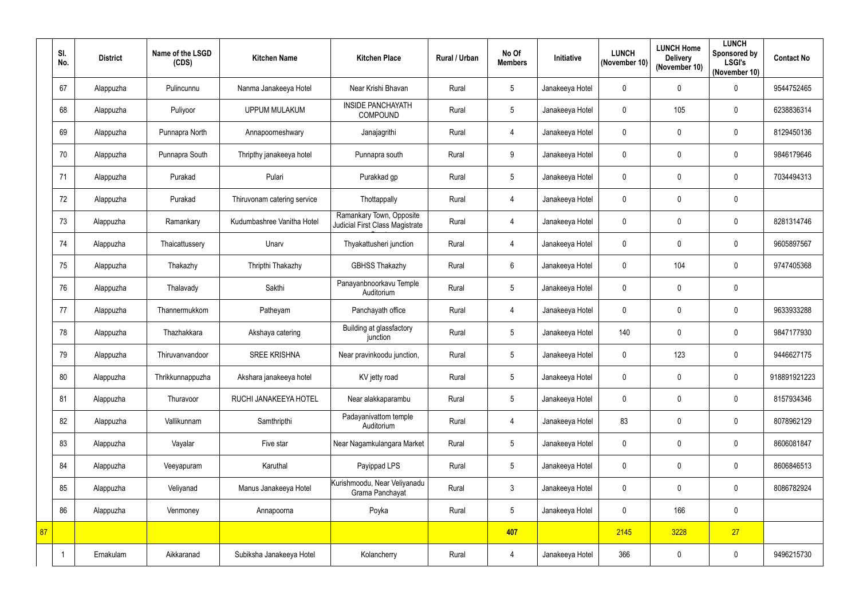|    | SI.<br>No. | <b>District</b> | Name of the LSGD<br>(CDS) | <b>Kitchen Name</b>         | <b>Kitchen Place</b>                                               | Rural / Urban | No Of<br><b>Members</b> | Initiative      | <b>LUNCH</b><br>(November 10) | <b>LUNCH Home</b><br><b>Delivery</b><br>(November 10) | <b>LUNCH</b><br><b>Sponsored by</b><br><b>LSGI's</b><br>(November 10) | <b>Contact No</b> |
|----|------------|-----------------|---------------------------|-----------------------------|--------------------------------------------------------------------|---------------|-------------------------|-----------------|-------------------------------|-------------------------------------------------------|-----------------------------------------------------------------------|-------------------|
|    | 67         | Alappuzha       | Pulincunnu                | Nanma Janakeeya Hotel       | Near Krishi Bhavan                                                 | Rural         | $5\phantom{.0}$         | Janakeeya Hotel | $\mathbf 0$                   | $\mathbf 0$                                           | $\pmb{0}$                                                             | 9544752465        |
|    | 68         | Alappuzha       | Puliyoor                  | <b>UPPUM MULAKUM</b>        | <b>INSIDE PANCHAYATH</b><br>COMPOUND                               | Rural         | $5\phantom{.0}$         | Janakeeya Hotel | $\mathbf 0$                   | 105                                                   | $\mathbf 0$                                                           | 6238836314        |
|    | 69         | Alappuzha       | Punnapra North            | Annapoorneshwary            | Janajagrithi                                                       | Rural         | 4                       | Janakeeya Hotel | $\mathbf 0$                   | $\mathbf 0$                                           | $\pmb{0}$                                                             | 8129450136        |
|    | 70         | Alappuzha       | Punnapra South            | Thripthy janakeeya hotel    | Punnapra south                                                     | Rural         | 9                       | Janakeeya Hotel | $\mathbf 0$                   | $\mathbf 0$                                           | $\pmb{0}$                                                             | 9846179646        |
|    | 71         | Alappuzha       | Purakad                   | Pulari                      | Purakkad gp                                                        | Rural         | $5\phantom{.0}$         | Janakeeya Hotel | $\mathbf 0$                   | $\mathbf 0$                                           | $\boldsymbol{0}$                                                      | 7034494313        |
|    | 72         | Alappuzha       | Purakad                   | Thiruvonam catering service | Thottappally                                                       | Rural         | 4                       | Janakeeya Hotel | $\mathbf 0$                   | $\mathbf 0$                                           | $\pmb{0}$                                                             |                   |
|    | 73         | Alappuzha       | Ramankary                 | Kudumbashree Vanitha Hotel  | Ramankary Town, Opposite<br><b>Judicial First Class Magistrate</b> | Rural         | $\overline{4}$          | Janakeeya Hotel | 0                             | $\mathbf 0$                                           | $\boldsymbol{0}$                                                      | 8281314746        |
|    | 74         | Alappuzha       | Thaicattussery            | Unarv                       | Thyakattusheri junction                                            | Rural         | $\overline{4}$          | Janakeeya Hotel | $\mathbf 0$                   | $\mathbf 0$                                           | $\pmb{0}$                                                             | 9605897567        |
|    | 75         | Alappuzha       | Thakazhy                  | Thripthi Thakazhy           | <b>GBHSS Thakazhy</b>                                              | Rural         | 6                       | Janakeeya Hotel | 0                             | 104                                                   | $\boldsymbol{0}$                                                      | 9747405368        |
|    | 76         | Alappuzha       | Thalavady                 | Sakthi                      | Panayanbnoorkavu Temple<br>Auditorium                              | Rural         | $5\phantom{.0}$         | Janakeeya Hotel | $\mathbf 0$                   | $\mathbf 0$                                           | $\pmb{0}$                                                             |                   |
|    | 77         | Alappuzha       | Thannermukkom             | Patheyam                    | Panchayath office                                                  | Rural         | 4                       | Janakeeya Hotel | $\mathbf 0$                   | $\mathbf 0$                                           | $\pmb{0}$                                                             | 9633933288        |
|    | 78         | Alappuzha       | Thazhakkara               | Akshaya catering            | Building at glassfactory<br>junction                               | Rural         | $5\phantom{.0}$         | Janakeeya Hotel | 140                           | $\mathbf 0$                                           | $\boldsymbol{0}$                                                      | 9847177930        |
|    | 79         | Alappuzha       | Thiruvanvandoor           | <b>SREE KRISHNA</b>         | Near pravinkoodu junction,                                         | Rural         | $5\phantom{.0}$         | Janakeeya Hotel | $\mathbf 0$                   | 123                                                   | 0                                                                     | 9446627175        |
|    | 80         | Alappuzha       | Thrikkunnappuzha          | Akshara janakeeya hotel     | KV jetty road                                                      | Rural         | $5\phantom{.0}$         | Janakeeya Hotel | $\mathbf 0$                   | $\mathbf 0$                                           | $\mathbf 0$                                                           | 918891921223      |
|    | 81         | Alappuzha       | Thuravoor                 | RUCHI JANAKEEYA HOTEL       | Near alakkaparambu                                                 | Rural         | $5\phantom{.0}$         | Janakeeya Hotel | $\mathbf 0$                   | $\mathbf 0$                                           | $\pmb{0}$                                                             | 8157934346        |
|    | 82         | Alappuzha       | Vallikunnam               | Samthripthi                 | Padayanivattom temple<br>Auditorium                                | Rural         | 4                       | Janakeeya Hotel | 83                            | $\mathbf 0$                                           | $\pmb{0}$                                                             | 8078962129        |
|    | 83         | Alappuzha       | Vayalar                   | Five star                   | Near Nagamkulangara Market                                         | Rural         | $5\phantom{.0}$         | Janakeeya Hotel | $\mathbf 0$                   | $\mathbf 0$                                           | $\pmb{0}$                                                             | 8606081847        |
|    | 84         | Alappuzha       | Veeyapuram                | Karuthal                    | Payippad LPS                                                       | Rural         | $5\phantom{.0}$         | Janakeeya Hotel | $\mathbf{0}$                  | $\mathbf 0$                                           | $\mathbf 0$                                                           | 8606846513        |
|    | 85         | Alappuzha       | Veliyanad                 | Manus Janakeeya Hotel       | Kurishmoodu, Near Veliyanadu<br>Grama Panchayat                    | Rural         | $\mathfrak{Z}$          | Janakeeya Hotel | $\boldsymbol{0}$              | $\mathbf 0$                                           | $\pmb{0}$                                                             | 8086782924        |
|    | 86         | Alappuzha       | Venmoney                  | Annapoorna                  | Poyka                                                              | Rural         | $5\phantom{.0}$         | Janakeeya Hotel | $\mathbf 0$                   | 166                                                   | $\pmb{0}$                                                             |                   |
| 87 |            |                 |                           |                             |                                                                    |               | 407                     |                 | 2145                          | 3228                                                  | 27                                                                    |                   |
|    | -1         | Ernakulam       | Aikkaranad                | Subiksha Janakeeya Hotel    | Kolancherry                                                        | Rural         | 4                       | Janakeeya Hotel | 366                           | $\boldsymbol{0}$                                      | $\pmb{0}$                                                             | 9496215730        |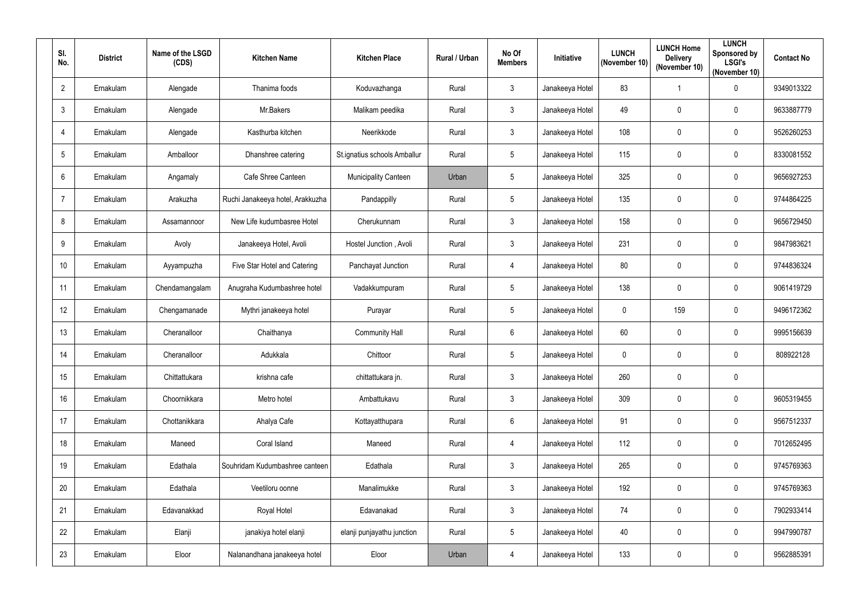| SI.<br>No.      | <b>District</b> | Name of the LSGD<br>(CDS) | <b>Kitchen Name</b>              | <b>Kitchen Place</b>         | <b>Rural / Urban</b> | No Of<br><b>Members</b> | Initiative      | <b>LUNCH</b><br>(November 10) | <b>LUNCH Home</b><br><b>Delivery</b><br>(November 10) | <b>LUNCH</b><br>Sponsored by<br><b>LSGI's</b><br>(November 10) | <b>Contact No</b> |
|-----------------|-----------------|---------------------------|----------------------------------|------------------------------|----------------------|-------------------------|-----------------|-------------------------------|-------------------------------------------------------|----------------------------------------------------------------|-------------------|
| $\overline{2}$  | Ernakulam       | Alengade                  | Thanima foods                    | Koduvazhanga                 | Rural                | $\mathbf{3}$            | Janakeeya Hotel | 83                            |                                                       | $\pmb{0}$                                                      | 9349013322        |
| $\mathfrak{Z}$  | Ernakulam       | Alengade                  | Mr.Bakers                        | Malikam peedika              | Rural                | $\mathbf{3}$            | Janakeeya Hotel | 49                            | $\mathbf 0$                                           | $\mathbf 0$                                                    | 9633887779        |
| 4               | Ernakulam       | Alengade                  | Kasthurba kitchen                | Neerikkode                   | Rural                | $\mathbf{3}$            | Janakeeya Hotel | 108                           | $\mathbf 0$                                           | $\pmb{0}$                                                      | 9526260253        |
| $5\phantom{.0}$ | Ernakulam       | Amballoor                 | Dhanshree catering               | St.ignatius schools Amballur | Rural                | $5\phantom{.0}$         | Janakeeya Hotel | 115                           | $\mathbf 0$                                           | $\mathbf 0$                                                    | 8330081552        |
| $6\phantom{1}$  | Ernakulam       | Angamaly                  | Cafe Shree Canteen               | <b>Municipality Canteen</b>  | Urban                | $5\phantom{.0}$         | Janakeeya Hotel | 325                           | $\mathbf 0$                                           | $\pmb{0}$                                                      | 9656927253        |
| $\overline{7}$  | Ernakulam       | Arakuzha                  | Ruchi Janakeeya hotel, Arakkuzha | Pandappilly                  | Rural                | $5\phantom{.0}$         | Janakeeya Hotel | 135                           | $\mathbf 0$                                           | $\mathbf 0$                                                    | 9744864225        |
| 8               | Ernakulam       | Assamannoor               | New Life kudumbasree Hotel       | Cherukunnam                  | Rural                | $\mathbf{3}$            | Janakeeya Hotel | 158                           | $\mathbf 0$                                           | $\mathbf 0$                                                    | 9656729450        |
| 9               | Ernakulam       | Avoly                     | Janakeeya Hotel, Avoli           | Hostel Junction, Avoli       | Rural                | $\mathbf{3}$            | Janakeeya Hotel | 231                           | $\mathbf 0$                                           | $\pmb{0}$                                                      | 9847983621        |
| 10 <sup>°</sup> | Ernakulam       | Ayyampuzha                | Five Star Hotel and Catering     | Panchayat Junction           | Rural                | $\overline{4}$          | Janakeeya Hotel | 80                            | $\mathbf 0$                                           | $\mathbf 0$                                                    | 9744836324        |
| 11              | Ernakulam       | Chendamangalam            | Anugraha Kudumbashree hotel      | Vadakkumpuram                | Rural                | $5\phantom{.0}$         | Janakeeya Hotel | 138                           | $\mathbf{0}$                                          | $\mathbf 0$                                                    | 9061419729        |
| 12              | Ernakulam       | Chengamanade              | Mythri janakeeya hotel           | Purayar                      | Rural                | $5\phantom{.0}$         | Janakeeya Hotel | $\mathbf 0$                   | 159                                                   | $\mathbf 0$                                                    | 9496172362        |
| 13              | Ernakulam       | Cheranalloor              | Chaithanya                       | <b>Community Hall</b>        | Rural                | $6\phantom{.}6$         | Janakeeya Hotel | 60                            | $\mathbf{0}$                                          | $\pmb{0}$                                                      | 9995156639        |
| 14              | Ernakulam       | Cheranalloor              | Adukkala                         | Chittoor                     | Rural                | $5\phantom{.0}$         | Janakeeya Hotel | 0                             | $\mathbf 0$                                           | $\mathbf 0$                                                    | 808922128         |
| 15              | Ernakulam       | Chittattukara             | krishna cafe                     | chittattukara jn.            | Rural                | $\mathbf{3}$            | Janakeeya Hotel | 260                           | $\overline{0}$                                        | $\pmb{0}$                                                      |                   |
| 16              | Ernakulam       | Choornikkara              | Metro hotel                      | Ambattukavu                  | Rural                | $\mathbf{3}$            | Janakeeya Hotel | 309                           | $\pmb{0}$                                             | $\pmb{0}$                                                      | 9605319455        |
| 17              | Ernakulam       | Chottanikkara             | Ahalya Cafe                      | Kottayatthupara              | Rural                | $6\overline{6}$         | Janakeeya Hotel | 91                            | $\pmb{0}$                                             | $\pmb{0}$                                                      | 9567512337        |
| 18              | Ernakulam       | Maneed                    | Coral Island                     | Maneed                       | Rural                | $\overline{4}$          | Janakeeya Hotel | 112                           | $\mathbf 0$                                           | $\pmb{0}$                                                      | 7012652495        |
| 19              | Ernakulam       | Edathala                  | Souhridam Kudumbashree canteen   | Edathala                     | Rural                | $\mathbf{3}$            | Janakeeya Hotel | 265                           | $\mathbf 0$                                           | $\mathbf 0$                                                    | 9745769363        |
| 20              | Ernakulam       | Edathala                  | Veetiloru oonne                  | Manalimukke                  | Rural                | $\mathbf{3}$            | Janakeeya Hotel | 192                           | $\pmb{0}$                                             | $\pmb{0}$                                                      | 9745769363        |
| 21              | Ernakulam       | Edavanakkad               | Royal Hotel                      | Edavanakad                   | Rural                | $\mathbf{3}$            | Janakeeya Hotel | 74                            | $\pmb{0}$                                             | $\mathbf 0$                                                    | 7902933414        |
| 22              | Ernakulam       | Elanji                    | janakiya hotel elanji            | elanji punjayathu junction   | Rural                | $5\phantom{.0}$         | Janakeeya Hotel | 40                            | $\mathbf 0$                                           | $\pmb{0}$                                                      | 9947990787        |
| 23              | Ernakulam       | Eloor                     | Nalanandhana janakeeya hotel     | Eloor                        | Urban                | $\overline{4}$          | Janakeeya Hotel | 133                           | $\pmb{0}$                                             | $\pmb{0}$                                                      | 9562885391        |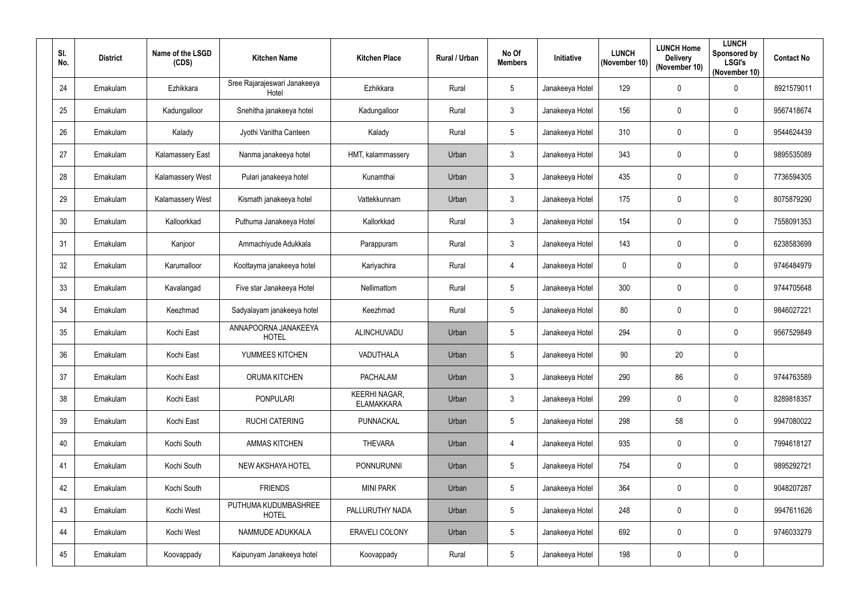| SI.<br>No. | <b>District</b> | Name of the LSGD<br>(CDS) | <b>Kitchen Name</b>                   | <b>Kitchen Place</b>               | <b>Rural / Urban</b> | No Of<br><b>Members</b> | Initiative      | <b>LUNCH</b><br>(November 10) | <b>LUNCH Home</b><br><b>Delivery</b><br>(November 10) | <b>LUNCH</b><br>Sponsored by<br><b>LSGI's</b><br>(November 10) | <b>Contact No</b> |
|------------|-----------------|---------------------------|---------------------------------------|------------------------------------|----------------------|-------------------------|-----------------|-------------------------------|-------------------------------------------------------|----------------------------------------------------------------|-------------------|
| 24         | Ernakulam       | Ezhikkara                 | Sree Rajarajeswari Janakeeya<br>Hotel | Ezhikkara                          | Rural                | $\sqrt{5}$              | Janakeeya Hotel | 129                           | $\mathbf 0$                                           | 0                                                              | 8921579011        |
| 25         | Ernakulam       | Kadungalloor              | Snehitha janakeeya hotel              | Kadungalloor                       | Rural                | $\mathbf{3}$            | Janakeeya Hotel | 156                           | $\mathbf 0$                                           | $\mathbf 0$                                                    | 9567418674        |
| 26         | Ernakulam       | Kalady                    | Jyothi Vanitha Canteen                | Kalady                             | Rural                | $5\phantom{.0}$         | Janakeeya Hotel | 310                           | $\mathbf{0}$                                          | 0                                                              | 9544624439        |
| 27         | Ernakulam       | <b>Kalamassery East</b>   | Nanma janakeeya hotel                 | HMT, kalammassery                  | Urban                | $\mathbf{3}$            | Janakeeya Hotel | 343                           | $\mathbf 0$                                           | 0                                                              | 9895535089        |
| 28         | Ernakulam       | <b>Kalamassery West</b>   | Pulari janakeeya hotel                | Kunamthai                          | Urban                | $\mathbf{3}$            | Janakeeya Hotel | 435                           | $\mathbf{0}$                                          | 0                                                              | 7736594305        |
| 29         | Ernakulam       | <b>Kalamassery West</b>   | Kismath janakeeya hotel               | Vattekkunnam                       | Urban                | $\mathbf{3}$            | Janakeeya Hotel | 175                           | $\mathbf 0$                                           | $\mathbf 0$                                                    | 8075879290        |
| 30         | Ernakulam       | Kalloorkkad               | Puthuma Janakeeya Hotel               | Kallorkkad                         | Rural                | $\mathbf{3}$            | Janakeeya Hotel | 154                           | $\mathbf 0$                                           | $\mathbf 0$                                                    | 7558091353        |
| 31         | Ernakulam       | Kanjoor                   | Ammachiyude Adukkala                  | Parappuram                         | Rural                | $\mathbf{3}$            | Janakeeya Hotel | 143                           | $\mathbf 0$                                           | 0                                                              | 6238583699        |
| 32         | Ernakulam       | Karumalloor               | Koottayma janakeeya hotel             | Kariyachira                        | Rural                | $\overline{4}$          | Janakeeya Hotel | $\mathbf 0$                   | $\mathbf 0$                                           | $\mathbf 0$                                                    | 9746484979        |
| 33         | Ernakulam       | Kavalangad                | Five star Janakeeya Hotel             | Nellimattom                        | Rural                | $5\phantom{.0}$         | Janakeeya Hotel | 300                           | $\mathbf 0$                                           | $\mathbf 0$                                                    | 9744705648        |
| 34         | Ernakulam       | Keezhmad                  | Sadyalayam janakeeya hotel            | Keezhmad                           | Rural                | $\sqrt{5}$              | Janakeeya Hotel | 80                            | 0                                                     | $\mathbf 0$                                                    | 9846027221        |
| 35         | Ernakulam       | Kochi East                | ANNAPOORNA JANAKEEYA<br><b>HOTEL</b>  | ALINCHUVADU                        | Urban                | 5                       | Janakeeya Hotel | 294                           | $\mathbf 0$                                           | 0                                                              | 9567529849        |
| 36         | Ernakulam       | Kochi East                | YUMMEES KITCHEN                       | VADUTHALA                          | Urban                | 5                       | Janakeeya Hotel | 90                            | 20                                                    | $\mathbf 0$                                                    |                   |
| 37         | Ernakulam       | Kochi East                | ORUMA KITCHEN                         | <b>PACHALAM</b>                    | Urban                | $\mathbf{3}$            | Janakeeya Hotel | 290                           | 86                                                    | 0                                                              | 9744763589        |
| 38         | Ernakulam       | Kochi East                | <b>PONPULARI</b>                      | KEERHI NAGAR,<br><b>ELAMAKKARA</b> | Urban                | $\mathbf{3}$            | Janakeeya Hotel | 299                           | $\mathbf 0$                                           | $\pmb{0}$                                                      | 8289818357        |
| 39         | Ernakulam       | Kochi East                | <b>RUCHI CATERING</b>                 | PUNNACKAL                          | Urban                | $\sqrt{5}$              | Janakeeya Hotel | 298                           | 58                                                    | 0                                                              | 9947080022        |
| 40         | Ernakulam       | Kochi South               | <b>AMMAS KITCHEN</b>                  | <b>THEVARA</b>                     | Urban                | $\overline{4}$          | Janakeeya Hotel | 935                           | $\mathbf 0$                                           | 0                                                              | 7994618127        |
| 41         | Ernakulam       | Kochi South               | NEW AKSHAYA HOTEL                     | <b>PONNURUNNI</b>                  | Urban                | $5\phantom{.0}$         | Janakeeya Hotel | 754                           | $\mathbf 0$                                           | $\mathbf 0$                                                    | 9895292721        |
| 42         | Ernakulam       | Kochi South               | <b>FRIENDS</b>                        | <b>MINI PARK</b>                   | Urban                | $\sqrt{5}$              | Janakeeya Hotel | 364                           | $\mathbf 0$                                           | $\pmb{0}$                                                      | 9048207287        |
| 43         | Ernakulam       | Kochi West                | PUTHUMA KUDUMBASHREE<br><b>HOTEL</b>  | PALLURUTHY NADA                    | Urban                | $5\phantom{.0}$         | Janakeeya Hotel | 248                           | $\mathbf 0$                                           | $\mathbf 0$                                                    | 9947611626        |
| 44         | Ernakulam       | Kochi West                | NAMMUDE ADUKKALA                      | <b>ERAVELI COLONY</b>              | Urban                | $5\phantom{.0}$         | Janakeeya Hotel | 692                           | $\mathbf 0$                                           | 0                                                              | 9746033279        |
| 45         | Ernakulam       | Koovappady                | Kaipunyam Janakeeya hotel             | Koovappady                         | Rural                | $5\phantom{.0}$         | Janakeeya Hotel | 198                           | $\pmb{0}$                                             | 0                                                              |                   |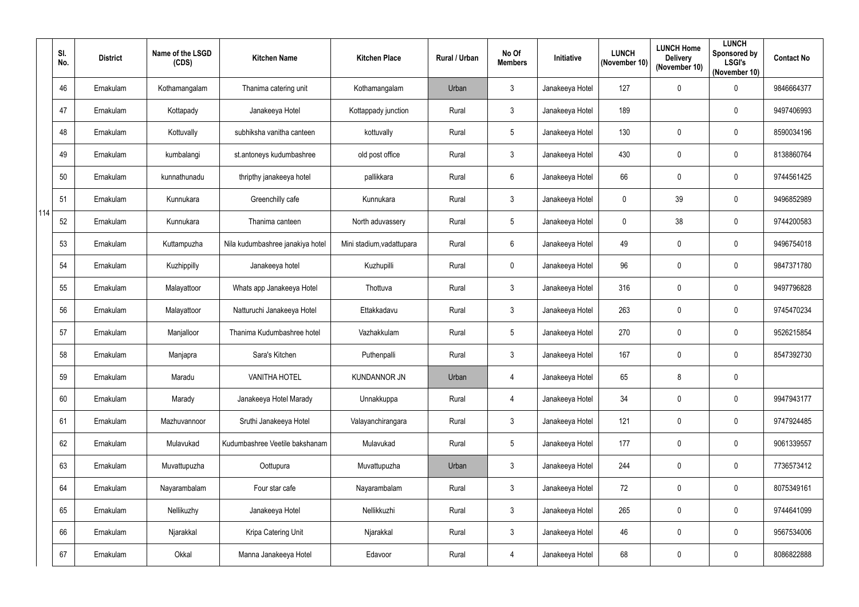|     | SI.<br>No. | <b>District</b> | Name of the LSGD<br>(CDS) | <b>Kitchen Name</b>              | <b>Kitchen Place</b>      | Rural / Urban | No Of<br><b>Members</b> | Initiative      | <b>LUNCH</b><br>(November 10) | <b>LUNCH Home</b><br><b>Delivery</b><br>(November 10) | <b>LUNCH</b><br>Sponsored by<br><b>LSGI's</b><br>(November 10) | <b>Contact No</b> |
|-----|------------|-----------------|---------------------------|----------------------------------|---------------------------|---------------|-------------------------|-----------------|-------------------------------|-------------------------------------------------------|----------------------------------------------------------------|-------------------|
|     | 46         | Ernakulam       | Kothamangalam             | Thanima catering unit            | Kothamangalam             | Urban         | $\mathfrak{Z}$          | Janakeeya Hotel | 127                           | $\mathbf 0$                                           | $\pmb{0}$                                                      | 9846664377        |
|     | 47         | Ernakulam       | Kottapady                 | Janakeeya Hotel                  | Kottappady junction       | Rural         | 3                       | Janakeeya Hotel | 189                           |                                                       | $\mathbf 0$                                                    | 9497406993        |
|     | 48         | Ernakulam       | Kottuvally                | subhiksha vanitha canteen        | kottuvally                | Rural         | 5                       | Janakeeya Hotel | 130                           | $\mathbf 0$                                           | $\mathbf 0$                                                    | 8590034196        |
|     | 49         | Ernakulam       | kumbalangi                | st.antoneys kudumbashree         | old post office           | Rural         | $\mathbf{3}$            | Janakeeya Hotel | 430                           | $\mathbf 0$                                           | $\mathbf 0$                                                    | 8138860764        |
|     | 50         | Ernakulam       | kunnathunadu              | thripthy janakeeya hotel         | pallikkara                | Rural         | $6\phantom{.}$          | Janakeeya Hotel | 66                            | $\mathbf 0$                                           | $\pmb{0}$                                                      | 9744561425        |
|     | 51         | Ernakulam       | Kunnukara                 | Greenchilly cafe                 | Kunnukara                 | Rural         | $\mathbf{3}$            | Janakeeya Hotel | $\mathbf 0$                   | 39                                                    | $\mathbf 0$                                                    | 9496852989        |
| 114 | 52         | Ernakulam       | Kunnukara                 | Thanima canteen                  | North aduvassery          | Rural         | 5                       | Janakeeya Hotel | 0                             | 38                                                    | $\mathbf 0$                                                    | 9744200583        |
|     | 53         | Ernakulam       | Kuttampuzha               | Nila kudumbashree janakiya hotel | Mini stadium, vadattupara | Rural         | $6\phantom{.}$          | Janakeeya Hotel | 49                            | $\mathbf 0$                                           | $\pmb{0}$                                                      | 9496754018        |
|     | 54         | Ernakulam       | Kuzhippilly               | Janakeeya hotel                  | Kuzhupilli                | Rural         | $\mathbf 0$             | Janakeeya Hotel | 96                            | $\boldsymbol{0}$                                      | $\mathbf 0$                                                    | 9847371780        |
|     | 55         | Ernakulam       | Malayattoor               | Whats app Janakeeya Hotel        | Thottuva                  | Rural         | $\mathfrak{Z}$          | Janakeeya Hotel | 316                           | $\mathbf 0$                                           | $\mathbf 0$                                                    | 9497796828        |
|     | 56         | Ernakulam       | Malayattoor               | Natturuchi Janakeeya Hotel       | Ettakkadavu               | Rural         | $\mathfrak{Z}$          | Janakeeya Hotel | 263                           | $\mathbf 0$                                           | $\mathbf 0$                                                    | 9745470234        |
|     | 57         | Ernakulam       | Manjalloor                | Thanima Kudumbashree hotel       | Vazhakkulam               | Rural         | 5                       | Janakeeya Hotel | 270                           | 0                                                     | $\mathbf 0$                                                    | 9526215854        |
|     | 58         | Ernakulam       | Manjapra                  | Sara's Kitchen                   | Puthenpalli               | Rural         | 3                       | Janakeeya Hotel | 167                           | $\mathbf 0$                                           | $\mathbf 0$                                                    | 8547392730        |
|     | 59         | Ernakulam       | Maradu                    | <b>VANITHA HOTEL</b>             | <b>KUNDANNOR JN</b>       | Urban         | $\overline{4}$          | Janakeeya Hotel | 65                            | 8                                                     | $\pmb{0}$                                                      |                   |
|     | 60         | Ernakulam       | Marady                    | Janakeeya Hotel Marady           | Unnakkuppa                | Rural         | $\overline{4}$          | Janakeeya Hotel | 34                            | $\pmb{0}$                                             | $\pmb{0}$                                                      | 9947943177        |
|     | 61         | Ernakulam       | Mazhuvannoor              | Sruthi Janakeeya Hotel           | Valayanchirangara         | Rural         | $\mathfrak{Z}$          | Janakeeya Hotel | 121                           | $\pmb{0}$                                             | $\pmb{0}$                                                      | 9747924485        |
|     | 62         | Ernakulam       | Mulavukad                 | Kudumbashree Veetile bakshanam   | Mulavukad                 | Rural         | 5                       | Janakeeya Hotel | 177                           | $\pmb{0}$                                             | $\pmb{0}$                                                      | 9061339557        |
|     | 63         | Ernakulam       | Muvattupuzha              | Oottupura                        | Muvattupuzha              | Urban         | $\mathfrak{Z}$          | Janakeeya Hotel | 244                           | $\mathbf 0$                                           | $\mathbf 0$                                                    | 7736573412        |
|     | 64         | Ernakulam       | Nayarambalam              | Four star cafe                   | Nayarambalam              | Rural         | $\mathfrak{Z}$          | Janakeeya Hotel | 72                            | $\pmb{0}$                                             | $\pmb{0}$                                                      | 8075349161        |
|     | 65         | Ernakulam       | Nellikuzhy                | Janakeeya Hotel                  | Nellikkuzhi               | Rural         | $\mathbf{3}$            | Janakeeya Hotel | 265                           | $\pmb{0}$                                             | $\pmb{0}$                                                      | 9744641099        |
|     | 66         | Ernakulam       | Njarakkal                 | Kripa Catering Unit              | Njarakkal                 | Rural         | $\mathfrak{Z}$          | Janakeeya Hotel | 46                            | $\overline{0}$                                        | $\pmb{0}$                                                      | 9567534006        |
|     | 67         | Ernakulam       | Okkal                     | Manna Janakeeya Hotel            | Edavoor                   | Rural         | $\overline{4}$          | Janakeeya Hotel | 68                            | $\pmb{0}$                                             | $\pmb{0}$                                                      | 8086822888        |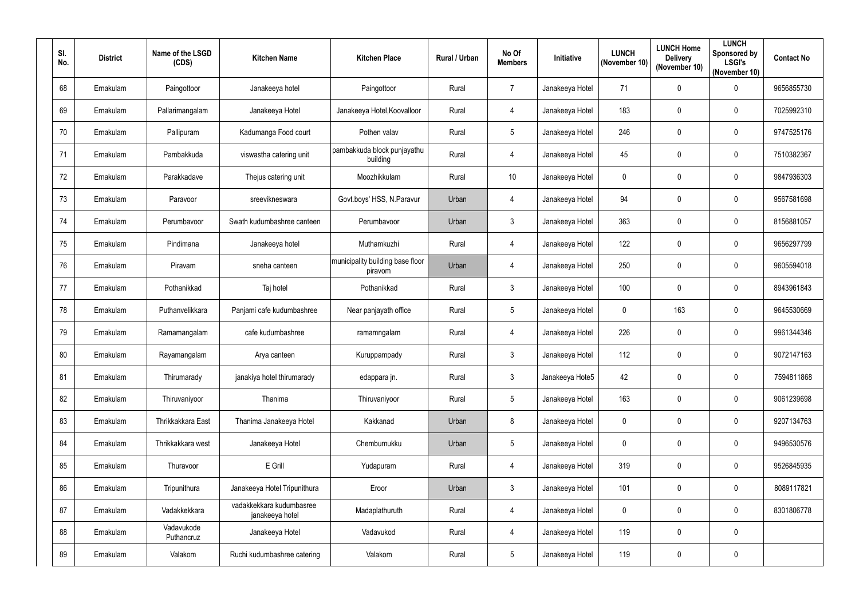| SI.<br>No. | <b>District</b> | Name of the LSGD<br>(CDS) | <b>Kitchen Name</b>                         | <b>Kitchen Place</b>                        | <b>Rural / Urban</b> | No Of<br><b>Members</b> | Initiative      | <b>LUNCH</b><br>(November 10) | <b>LUNCH Home</b><br><b>Delivery</b><br>(November 10) | <b>LUNCH</b><br>Sponsored by<br><b>LSGI's</b><br>(November 10) | <b>Contact No</b> |
|------------|-----------------|---------------------------|---------------------------------------------|---------------------------------------------|----------------------|-------------------------|-----------------|-------------------------------|-------------------------------------------------------|----------------------------------------------------------------|-------------------|
| 68         | Ernakulam       | Paingottoor               | Janakeeya hotel                             | Paingottoor                                 | Rural                | $\overline{7}$          | Janakeeya Hotel | 71                            | $\mathbf 0$                                           | $\pmb{0}$                                                      | 9656855730        |
| 69         | Ernakulam       | Pallarimangalam           | Janakeeya Hotel                             | Janakeeya Hotel, Koovalloor                 | Rural                | $\overline{4}$          | Janakeeya Hotel | 183                           | $\mathbf 0$                                           | $\mathbf 0$                                                    | 7025992310        |
| 70         | Ernakulam       | Pallipuram                | Kadumanga Food court                        | Pothen valav                                | Rural                | $5\phantom{.0}$         | Janakeeya Hotel | 246                           | $\mathbf 0$                                           | $\pmb{0}$                                                      | 9747525176        |
| 71         | Ernakulam       | Pambakkuda                | viswastha catering unit                     | pambakkuda block punjayathu<br>building     | Rural                | $\overline{4}$          | Janakeeya Hotel | 45                            | $\mathbf 0$                                           | $\mathbf 0$                                                    | 7510382367        |
| 72         | Ernakulam       | Parakkadave               | Thejus catering unit                        | Moozhikkulam                                | Rural                | 10 <sup>°</sup>         | Janakeeya Hotel | $\mathbf{0}$                  | $\mathbf{0}$                                          | $\mathbf 0$                                                    | 9847936303        |
| 73         | Ernakulam       | Paravoor                  | sreevikneswara                              | Govt.boys' HSS, N.Paravur                   | Urban                | $\overline{4}$          | Janakeeya Hotel | 94                            | $\mathbf 0$                                           | $\mathbf 0$                                                    | 9567581698        |
| 74         | Ernakulam       | Perumbavoor               | Swath kudumbashree canteen                  | Perumbavoor                                 | Urban                | $\mathbf{3}$            | Janakeeya Hotel | 363                           | $\mathbf 0$                                           | $\mathbf 0$                                                    | 8156881057        |
| 75         | Ernakulam       | Pindimana                 | Janakeeya hotel                             | Muthamkuzhi                                 | Rural                | $\overline{4}$          | Janakeeya Hotel | 122                           | $\mathbf 0$                                           | $\pmb{0}$                                                      | 9656297799        |
| 76         | Ernakulam       | Piravam                   | sneha canteen                               | municipality building base floor<br>piravom | Urban                | $\overline{4}$          | Janakeeya Hotel | 250                           | $\mathbf 0$                                           | $\mathbf 0$                                                    | 9605594018        |
| 77         | Ernakulam       | Pothanikkad               | Taj hotel                                   | Pothanikkad                                 | Rural                | $\mathbf{3}$            | Janakeeya Hotel | 100                           | $\mathbf 0$                                           | $\mathbf 0$                                                    | 8943961843        |
| 78         | Ernakulam       | Puthanvelikkara           | Panjami cafe kudumbashree                   | Near panjayath office                       | Rural                | $5\phantom{.0}$         | Janakeeya Hotel | $\mathbf 0$                   | 163                                                   | $\mathbf 0$                                                    | 9645530669        |
| 79         | Ernakulam       | Ramamangalam              | cafe kudumbashree                           | ramamngalam                                 | Rural                | $\overline{4}$          | Janakeeya Hotel | 226                           | $\mathbf 0$                                           | $\pmb{0}$                                                      | 9961344346        |
| 80         | Ernakulam       | Rayamangalam              | Arya canteen                                | Kuruppampady                                | Rural                | 3                       | Janakeeya Hotel | 112                           | $\mathbf 0$                                           | $\mathbf 0$                                                    | 9072147163        |
| 81         | Ernakulam       | Thirumarady               | janakiya hotel thirumarady                  | edappara jn.                                | Rural                | $\mathbf{3}$            | Janakeeya Hote5 | 42                            | $\mathbf 0$                                           | $\pmb{0}$                                                      | 7594811868        |
| 82         | Ernakulam       | Thiruvaniyoor             | Thanima                                     | Thiruvaniyoor                               | Rural                | $5\phantom{.0}$         | Janakeeya Hotel | 163                           | $\pmb{0}$                                             | $\pmb{0}$                                                      | 9061239698        |
| 83         | Ernakulam       | Thrikkakkara East         | Thanima Janakeeya Hotel                     | Kakkanad                                    | Urban                | 8                       | Janakeeya Hotel | $\mathbf 0$                   | $\pmb{0}$                                             | $\pmb{0}$                                                      | 9207134763        |
| 84         | Ernakulam       | Thrikkakkara west         | Janakeeya Hotel                             | Chembumukku                                 | Urban                | $5\phantom{.0}$         | Janakeeya Hotel | $\mathbf 0$                   | $\mathbf 0$                                           | $\pmb{0}$                                                      | 9496530576        |
| 85         | Ernakulam       | Thuravoor                 | E Grill                                     | Yudapuram                                   | Rural                | $\overline{4}$          | Janakeeya Hotel | 319                           | $\mathbf 0$                                           | $\mathbf 0$                                                    | 9526845935        |
| 86         | Ernakulam       | Tripunithura              | Janakeeya Hotel Tripunithura                | Eroor                                       | Urban                | $\mathbf{3}$            | Janakeeya Hotel | 101                           | $\pmb{0}$                                             | $\pmb{0}$                                                      | 8089117821        |
| 87         | Ernakulam       | Vadakkekkara              | vadakkekkara kudumbasree<br>janakeeya hotel | Madaplathuruth                              | Rural                | $\overline{4}$          | Janakeeya Hotel | $\mathbf 0$                   | $\pmb{0}$                                             | $\mathbf 0$                                                    | 8301806778        |
| 88         | Ernakulam       | Vadavukode<br>Puthancruz  | Janakeeya Hotel                             | Vadavukod                                   | Rural                | $\overline{4}$          | Janakeeya Hotel | 119                           | $\mathbf 0$                                           | $\pmb{0}$                                                      |                   |
| 89         | Ernakulam       | Valakom                   | Ruchi kudumbashree catering                 | Valakom                                     | Rural                | $5\phantom{.0}$         | Janakeeya Hotel | 119                           | $\pmb{0}$                                             | $\pmb{0}$                                                      |                   |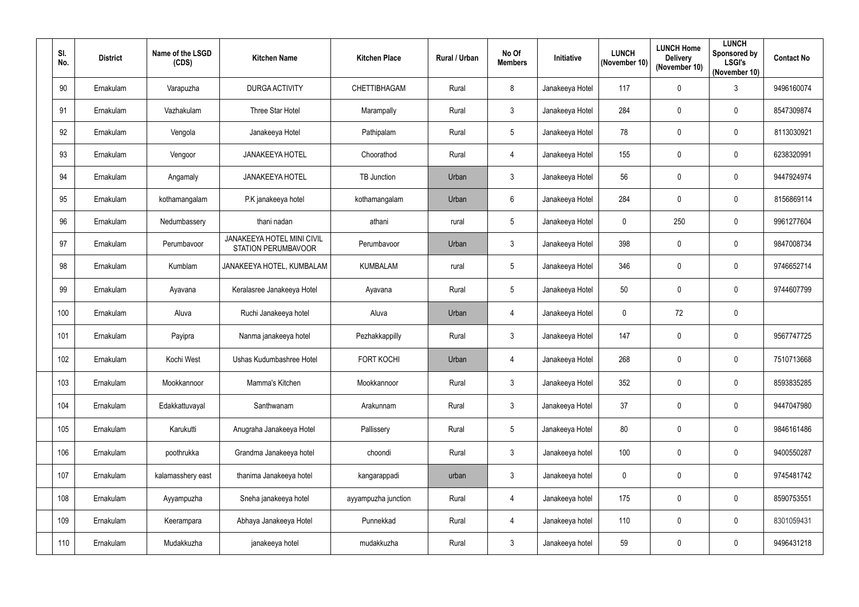| SI.<br>No. | <b>District</b> | Name of the LSGD<br>(CDS) | <b>Kitchen Name</b>                                      | <b>Kitchen Place</b> | Rural / Urban | No Of<br><b>Members</b> | Initiative      | <b>LUNCH</b><br>(November 10) | <b>LUNCH Home</b><br><b>Delivery</b><br>(November 10) | <b>LUNCH</b><br>Sponsored by<br><b>LSGI's</b><br>(November 10) | <b>Contact No</b> |
|------------|-----------------|---------------------------|----------------------------------------------------------|----------------------|---------------|-------------------------|-----------------|-------------------------------|-------------------------------------------------------|----------------------------------------------------------------|-------------------|
| 90         | Ernakulam       | Varapuzha                 | DURGA ACTIVITY                                           | CHETTIBHAGAM         | Rural         | 8                       | Janakeeya Hotel | 117                           | $\mathbf 0$                                           | $\mathfrak{Z}$                                                 | 9496160074        |
| 91         | Ernakulam       | Vazhakulam                | Three Star Hotel                                         | Marampally           | Rural         | $\mathfrak{Z}$          | Janakeeya Hotel | 284                           | $\mathbf 0$                                           | $\mathbf 0$                                                    | 8547309874        |
| 92         | Ernakulam       | Vengola                   | Janakeeya Hotel                                          | Pathipalam           | Rural         | $5\phantom{.0}$         | Janakeeya Hotel | 78                            | $\mathbf 0$                                           | $\mathbf 0$                                                    | 8113030921        |
| 93         | Ernakulam       | Vengoor                   | <b>JANAKEEYA HOTEL</b>                                   | Choorathod           | Rural         | $\overline{4}$          | Janakeeya Hotel | 155                           | $\boldsymbol{0}$                                      | $\boldsymbol{0}$                                               | 6238320991        |
| 94         | Ernakulam       | Angamaly                  | <b>JANAKEEYA HOTEL</b>                                   | <b>TB</b> Junction   | Urban         | $\mathfrak{Z}$          | Janakeeya Hotel | 56                            | $\mathbf 0$                                           | $\boldsymbol{0}$                                               | 9447924974        |
| 95         | Ernakulam       | kothamangalam             | P.K janakeeya hotel                                      | kothamangalam        | Urban         | 6                       | Janakeeya Hotel | 284                           | $\mathbf 0$                                           | $\mathbf 0$                                                    | 8156869114        |
| 96         | Ernakulam       | Nedumbassery              | thani nadan                                              | athani               | rural         | 5                       | Janakeeya Hotel | $\mathbf{0}$                  | 250                                                   | $\mathbf 0$                                                    | 9961277604        |
| 97         | Ernakulam       | Perumbavoor               | <b>JANAKEEYA HOTEL MINI CIVIL</b><br>STATION PERUMBAVOOR | Perumbavoor          | Urban         | $\mathbf{3}$            | Janakeeya Hotel | 398                           | $\boldsymbol{0}$                                      | $\boldsymbol{0}$                                               | 9847008734        |
| 98         | Ernakulam       | Kumblam                   | JANAKEEYA HOTEL, KUMBALAM                                | <b>KUMBALAM</b>      | rural         | 5                       | Janakeeya Hotel | 346                           | $\boldsymbol{0}$                                      | $\mathbf 0$                                                    | 9746652714        |
| 99         | Ernakulam       | Ayavana                   | Keralasree Janakeeya Hotel                               | Ayavana              | Rural         | 5                       | Janakeeya Hotel | 50                            | $\mathbf 0$                                           | $\mathbf 0$                                                    | 9744607799        |
| 100        | Ernakulam       | Aluva                     | Ruchi Janakeeya hotel                                    | Aluva                | Urban         | 4                       | Janakeeya Hotel | $\mathbf 0$                   | 72                                                    | $\pmb{0}$                                                      |                   |
| 101        | Ernakulam       | Payipra                   | Nanma janakeeya hotel                                    | Pezhakkappilly       | Rural         | $\mathfrak{Z}$          | Janakeeya Hotel | 147                           | $\boldsymbol{0}$                                      | $\boldsymbol{0}$                                               | 9567747725        |
| 102        | Ernakulam       | Kochi West                | Ushas Kudumbashree Hotel                                 | FORT KOCHI           | Urban         | 4                       | Janakeeya Hotel | 268                           | $\mathbf 0$                                           | 0                                                              | 7510713668        |
| 103        | Ernakulam       | Mookkannoor               | Mamma's Kitchen                                          | Mookkannoor          | Rural         | $\mathfrak{Z}$          | Janakeeya Hotel | 352                           | $\pmb{0}$                                             | $\pmb{0}$                                                      | 8593835285        |
| 104        | Ernakulam       | Edakkattuvayal            | Santhwanam                                               | Arakunnam            | Rural         | $\mathfrak{Z}$          | Janakeeya Hotel | 37                            | $\boldsymbol{0}$                                      | $\mathbf 0$                                                    | 9447047980        |
| 105        | Ernakulam       | Karukutti                 | Anugraha Janakeeya Hotel                                 | Pallissery           | Rural         | 5                       | Janakeeya Hotel | 80                            | $\overline{0}$                                        | $\boldsymbol{0}$                                               | 9846161486        |
| 106        | Ernakulam       | poothrukka                | Grandma Janakeeya hotel                                  | choondi              | Rural         | $\mathbf{3}$            | Janakeeya hotel | 100                           | $\boldsymbol{0}$                                      | $\mathbf 0$                                                    | 9400550287        |
| 107        | Ernakulam       | kalamasshery east         | thanima Janakeeya hotel                                  | kangarappadi         | urban         | $\mathbf{3}$            | Janakeeya hotel | $\mathbf 0$                   | $\mathbf 0$                                           | $\mathbf 0$                                                    | 9745481742        |
| 108        | Ernakulam       | Ayyampuzha                | Sneha janakeeya hotel                                    | ayyampuzha junction  | Rural         | $\overline{4}$          | Janakeeya hotel | 175                           | $\pmb{0}$                                             | $\pmb{0}$                                                      | 8590753551        |
| 109        | Ernakulam       | Keerampara                | Abhaya Janakeeya Hotel                                   | Punnekkad            | Rural         | $\overline{4}$          | Janakeeya hotel | 110                           | $\boldsymbol{0}$                                      | $\boldsymbol{0}$                                               | 8301059431        |
| 110        | Ernakulam       | Mudakkuzha                | janakeeya hotel                                          | mudakkuzha           | Rural         | $\mathbf{3}$            | Janakeeya hotel | 59                            | $\pmb{0}$                                             | $\boldsymbol{0}$                                               | 9496431218        |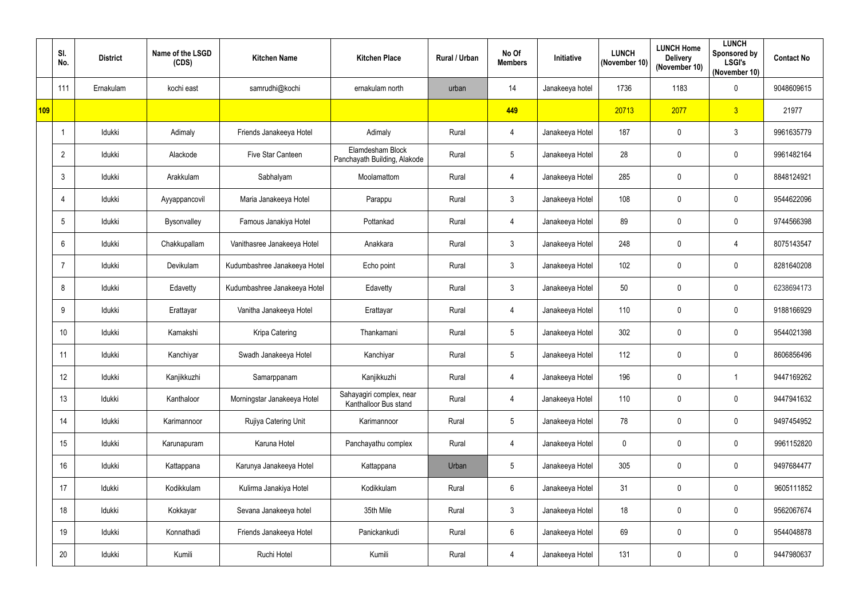|     | SI.<br>No.      | <b>District</b> | Name of the LSGD<br>(CDS) | <b>Kitchen Name</b>          | <b>Kitchen Place</b>                              | Rural / Urban | No Of<br><b>Members</b> | Initiative      | <b>LUNCH</b><br>(November 10) | <b>LUNCH Home</b><br><b>Delivery</b><br>(November 10) | <b>LUNCH</b><br>Sponsored by<br><b>LSGI's</b><br>(November 10) | <b>Contact No</b> |
|-----|-----------------|-----------------|---------------------------|------------------------------|---------------------------------------------------|---------------|-------------------------|-----------------|-------------------------------|-------------------------------------------------------|----------------------------------------------------------------|-------------------|
|     | 111             | Ernakulam       | kochi east                | samrudhi@kochi               | ernakulam north                                   | urban         | 14                      | Janakeeya hotel | 1736                          | 1183                                                  | $\pmb{0}$                                                      | 9048609615        |
| 109 |                 |                 |                           |                              |                                                   |               | 449                     |                 | 20713                         | 2077                                                  | 3 <sup>1</sup>                                                 | 21977             |
|     |                 | Idukki          | Adimaly                   | Friends Janakeeya Hotel      | Adimaly                                           | Rural         | $\overline{4}$          | Janakeeya Hotel | 187                           | $\mathbf 0$                                           | $\mathbf{3}$                                                   | 9961635779        |
|     | 2               | Idukki          | Alackode                  | Five Star Canteen            | Elamdesham Block<br>Panchayath Building, Alakode  | Rural         | 5                       | Janakeeya Hotel | 28                            | $\mathbf 0$                                           | $\pmb{0}$                                                      | 9961482164        |
|     | 3               | Idukki          | Arakkulam                 | Sabhalyam                    | Moolamattom                                       | Rural         | $\overline{4}$          | Janakeeya Hotel | 285                           | $\mathbf{0}$                                          | $\mathbf 0$                                                    | 8848124921        |
|     | 4               | Idukki          | Ayyappancovil             | Maria Janakeeya Hotel        | Parappu                                           | Rural         | $\mathfrak{Z}$          | Janakeeya Hotel | 108                           | $\mathbf 0$                                           | $\mathbf 0$                                                    | 9544622096        |
|     | 5               | Idukki          | Bysonvalley               | Famous Janakiya Hotel        | Pottankad                                         | Rural         | $\overline{4}$          | Janakeeya Hotel | 89                            | $\mathbf 0$                                           | $\mathbf 0$                                                    | 9744566398        |
|     | $6\phantom{.}6$ | Idukki          | Chakkupallam              | Vanithasree Janakeeya Hotel  | Anakkara                                          | Rural         | $\mathfrak{Z}$          | Janakeeya Hotel | 248                           | $\pmb{0}$                                             | 4                                                              | 8075143547        |
|     | 7               | Idukki          | Devikulam                 | Kudumbashree Janakeeya Hotel | Echo point                                        | Rural         | $\mathbf{3}$            | Janakeeya Hotel | 102                           | $\mathbf{0}$                                          | $\mathbf 0$                                                    | 8281640208        |
|     | 8               | Idukki          | Edavetty                  | Kudumbashree Janakeeya Hotel | Edavetty                                          | Rural         | $\mathbf{3}$            | Janakeeya Hotel | 50                            | $\mathbf 0$                                           | $\mathbf 0$                                                    | 6238694173        |
|     | 9               | Idukki          | Erattayar                 | Vanitha Janakeeya Hotel      | Erattayar                                         | Rural         | $\overline{4}$          | Janakeeya Hotel | 110                           | $\mathbf 0$                                           | $\pmb{0}$                                                      | 9188166929        |
|     | 10              | Idukki          | Kamakshi                  | Kripa Catering               | Thankamani                                        | Rural         | 5                       | Janakeeya Hotel | 302                           | 0                                                     | $\mathbf 0$                                                    | 9544021398        |
|     | 11              | Idukki          | Kanchiyar                 | Swadh Janakeeya Hotel        | Kanchiyar                                         | Rural         | 5                       | Janakeeya Hotel | 112                           | $\mathbf 0$                                           | $\mathbf 0$                                                    | 8606856496        |
|     | 12              | Idukki          | Kanjikkuzhi               | Samarppanam                  | Kanjikkuzhi                                       | Rural         | $\overline{4}$          | Janakeeya Hotel | 196                           | $\mathbf 0$                                           |                                                                | 9447169262        |
|     | 13              | Idukki          | Kanthaloor                | Morningstar Janakeeya Hotel  | Sahayagiri complex, near<br>Kanthalloor Bus stand | Rural         | $\overline{4}$          | Janakeeya Hotel | 110                           | $\pmb{0}$                                             | $\pmb{0}$                                                      | 9447941632        |
|     | 14              | Idukki          | Karimannoor               | Rujiya Catering Unit         | Karimannoor                                       | Rural         | 5                       | Janakeeya Hotel | 78                            | $\pmb{0}$                                             | $\pmb{0}$                                                      | 9497454952        |
|     | 15              | Idukki          | Karunapuram               | Karuna Hotel                 | Panchayathu complex                               | Rural         | $\overline{4}$          | Janakeeya Hotel | $\mathbf 0$                   | $\mathbf 0$                                           | $\pmb{0}$                                                      | 9961152820        |
|     | 16              | Idukki          | Kattappana                | Karunya Janakeeya Hotel      | Kattappana                                        | Urban         | 5                       | Janakeeya Hotel | 305                           | $\mathbf 0$                                           | $\mathbf 0$                                                    | 9497684477        |
|     | 17              | Idukki          | Kodikkulam                | Kulirma Janakiya Hotel       | Kodikkulam                                        | Rural         | $6\phantom{.0}$         | Janakeeya Hotel | 31                            | $\pmb{0}$                                             | $\pmb{0}$                                                      | 9605111852        |
|     | 18              | Idukki          | Kokkayar                  | Sevana Janakeeya hotel       | 35th Mile                                         | Rural         | $3\overline{3}$         | Janakeeya Hotel | 18                            | $\pmb{0}$                                             | $\mathbf 0$                                                    | 9562067674        |
|     | 19              | Idukki          | Konnathadi                | Friends Janakeeya Hotel      | Panickankudi                                      | Rural         | 6 <sup>1</sup>          | Janakeeya Hotel | 69                            | $\mathbf 0$                                           | $\mathbf 0$                                                    | 9544048878        |
|     | 20              | Idukki          | Kumili                    | Ruchi Hotel                  | Kumili                                            | Rural         | $\overline{4}$          | Janakeeya Hotel | 131                           | $\mathbf 0$                                           | $\pmb{0}$                                                      | 9447980637        |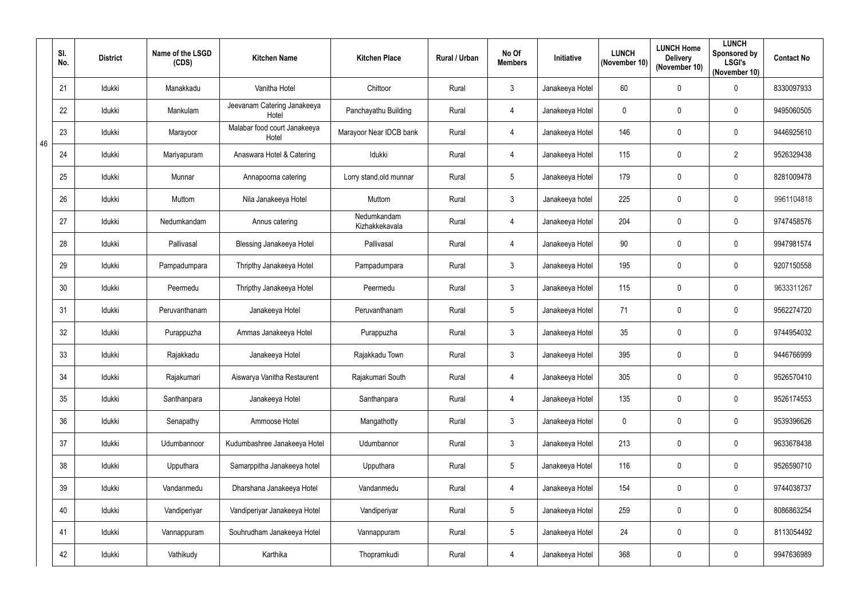|    | SI.<br>No. | <b>District</b> | Name of the LSGD<br>(CDS) | <b>Kitchen Name</b>                   | <b>Kitchen Place</b>          | Rural / Urban | No Of<br><b>Members</b> | Initiative      | <b>LUNCH</b><br>(November 10) | <b>LUNCH Home</b><br><b>Delivery</b><br>(November 10) | <b>LUNCH</b><br>Sponsored by<br><b>LSGI's</b><br>(November 10) | <b>Contact No</b> |
|----|------------|-----------------|---------------------------|---------------------------------------|-------------------------------|---------------|-------------------------|-----------------|-------------------------------|-------------------------------------------------------|----------------------------------------------------------------|-------------------|
|    | 21         | Idukki          | Manakkadu                 | Vanitha Hotel                         | Chittoor                      | Rural         | 3                       | Janakeeya Hotel | 60                            | $\mathbf 0$                                           | $\pmb{0}$                                                      | 8330097933        |
|    | 22         | Idukki          | Mankulam                  | Jeevanam Catering Janakeeya<br>Hotel  | Panchayathu Building          | Rural         | $\overline{4}$          | Janakeeya Hotel | $\mathbf 0$                   | $\mathbf 0$                                           | $\mathbf 0$                                                    | 9495060505        |
| 46 | 23         | Idukki          | Marayoor                  | Malabar food court Janakeeya<br>Hotel | Marayoor Near IDCB bank       | Rural         | $\overline{4}$          | Janakeeya Hotel | 146                           | $\mathbf 0$                                           | $\mathbf 0$                                                    | 9446925610        |
|    | 24         | Idukki          | Mariyapuram               | Anaswara Hotel & Catering             | Idukki                        | Rural         | $\overline{4}$          | Janakeeya Hotel | 115                           | $\mathbf 0$                                           | $\overline{2}$                                                 | 9526329438        |
|    | 25         | Idukki          | Munnar                    | Annapoorna catering                   | Lorry stand, old munnar       | Rural         | 5                       | Janakeeya Hotel | 179                           | $\mathbf{0}$                                          | $\pmb{0}$                                                      | 8281009478        |
|    | 26         | Idukki          | Muttom                    | Nila Janakeeya Hotel                  | Muttom                        | Rural         | $\mathbf{3}$            | Janakeeya hotel | 225                           | $\mathbf 0$                                           | $\mathbf 0$                                                    | 9961104818        |
|    | 27         | Idukki          | Nedumkandam               | Annus catering                        | Nedumkandam<br>Kizhakkekavala | Rural         | $\overline{4}$          | Janakeeya Hotel | 204                           | $\mathbf 0$                                           | $\mathbf 0$                                                    | 9747458576        |
|    | 28         | Idukki          | Pallivasal                | <b>Blessing Janakeeya Hotel</b>       | Pallivasal                    | Rural         | $\overline{4}$          | Janakeeya Hotel | 90                            | $\mathbf 0$                                           | $\pmb{0}$                                                      | 9947981574        |
|    | 29         | Idukki          | Pampadumpara              | Thripthy Janakeeya Hotel              | Pampadumpara                  | Rural         | 3                       | Janakeeya Hotel | 195                           | 0                                                     | $\mathbf 0$                                                    | 9207150558        |
|    | 30         | Idukki          | Peermedu                  | Thripthy Janakeeya Hotel              | Peermedu                      | Rural         | $\mathbf{3}$            | Janakeeya Hotel | 115                           | $\mathbf 0$                                           | $\mathbf 0$                                                    | 9633311267        |
|    | 31         | Idukki          | Peruvanthanam             | Janakeeya Hotel                       | Peruvanthanam                 | Rural         | 5                       | Janakeeya Hotel | 71                            | $\mathbf 0$                                           | $\mathbf 0$                                                    | 9562274720        |
|    | 32         | Idukki          | Purappuzha                | Ammas Janakeeya Hotel                 | Purappuzha                    | Rural         | 3                       | Janakeeya Hotel | 35                            | $\mathbf 0$                                           | $\mathbf 0$                                                    | 9744954032        |
|    | 33         | Idukki          | Rajakkadu                 | Janakeeya Hotel                       | Rajakkadu Town                | Rural         | 3                       | Janakeeya Hotel | 395                           | $\mathbf 0$                                           | $\mathbf 0$                                                    | 9446766999        |
|    | 34         | Idukki          | Rajakumari                | Aiswarya Vanitha Restaurent           | Rajakumari South              | Rural         | $\overline{4}$          | Janakeeya Hotel | 305                           | $\mathbf 0$                                           | $\pmb{0}$                                                      | 9526570410        |
|    | 35         | Idukki          | Santhanpara               | Janakeeya Hotel                       | Santhanpara                   | Rural         | $\overline{4}$          | Janakeeya Hotel | 135                           | $\mathbf 0$                                           | $\pmb{0}$                                                      | 9526174553        |
|    | 36         | Idukki          | Senapathy                 | Ammoose Hotel                         | Mangathotty                   | Rural         | $\mathfrak{Z}$          | Janakeeya Hotel | $\mathbf{0}$                  | $\mathbf 0$                                           | $\pmb{0}$                                                      | 9539396626        |
|    | 37         | Idukki          | Udumbannoor               | Kudumbashree Janakeeya Hotel          | Udumbannor                    | Rural         | $\mathfrak{Z}$          | Janakeeya Hotel | 213                           | $\mathbf 0$                                           | $\pmb{0}$                                                      | 9633678438        |
|    | 38         | Idukki          | Upputhara                 | Samarppitha Janakeeya hotel           | Upputhara                     | Rural         | 5                       | Janakeeya Hotel | 116                           | $\mathbf 0$                                           | $\mathbf 0$                                                    | 9526590710        |
|    | 39         | Idukki          | Vandanmedu                | Dharshana Janakeeya Hotel             | Vandanmedu                    | Rural         | $\overline{4}$          | Janakeeya Hotel | 154                           | $\mathbf 0$                                           | $\pmb{0}$                                                      | 9744038737        |
|    | 40         | Idukki          | Vandiperiyar              | Vandiperiyar Janakeeya Hotel          | Vandiperiyar                  | Rural         | 5                       | Janakeeya Hotel | 259                           | $\mathbf 0$                                           | $\pmb{0}$                                                      | 8086863254        |
|    | 41         | Idukki          | Vannappuram               | Souhrudham Janakeeya Hotel            | Vannappuram                   | Rural         | 5                       | Janakeeya Hotel | 24                            | $\mathbf 0$                                           | $\mathbf 0$                                                    | 8113054492        |
|    | 42         | Idukki          | Vathikudy                 | Karthika                              | Thopramkudi                   | Rural         | $\overline{4}$          | Janakeeya Hotel | 368                           | $\boldsymbol{0}$                                      | $\pmb{0}$                                                      | 9947636989        |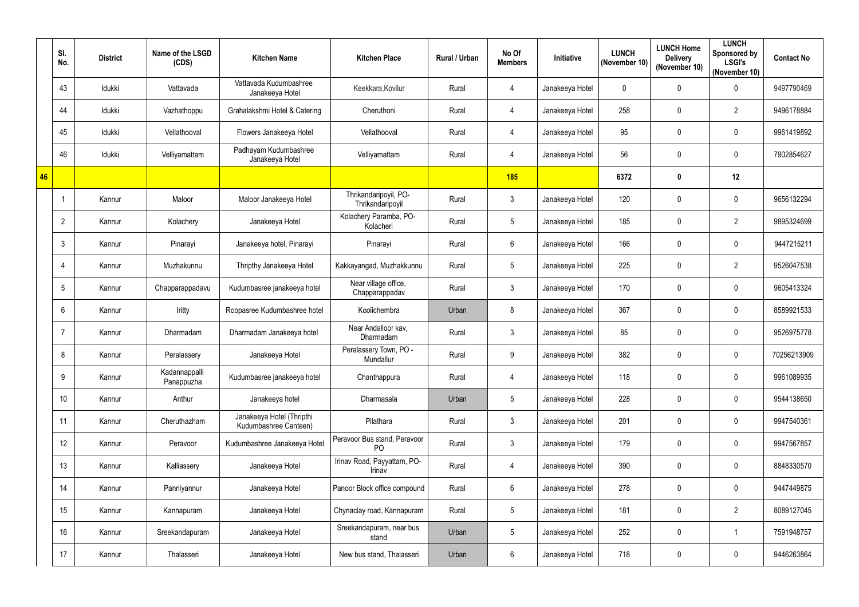|    | SI.<br>No. | <b>District</b> | Name of the LSGD<br>(CDS)   | <b>Kitchen Name</b>                                | <b>Kitchen Place</b>                           | Rural / Urban | No Of<br><b>Members</b> | Initiative      | <b>LUNCH</b><br>(November 10) | <b>LUNCH Home</b><br><b>Delivery</b><br>(November 10) | <b>LUNCH</b><br>Sponsored by<br><b>LSGI's</b><br>(November 10) | <b>Contact No</b> |
|----|------------|-----------------|-----------------------------|----------------------------------------------------|------------------------------------------------|---------------|-------------------------|-----------------|-------------------------------|-------------------------------------------------------|----------------------------------------------------------------|-------------------|
|    | 43         | Idukki          | Vattavada                   | Vattavada Kudumbashree<br>Janakeeya Hotel          | Keekkara, Kovilur                              | Rural         | $\overline{4}$          | Janakeeya Hotel | $\mathbf 0$                   | $\mathbf 0$                                           | $\pmb{0}$                                                      | 9497790469        |
|    | 44         | Idukki          | Vazhathoppu                 | Grahalakshmi Hotel & Catering                      | Cheruthoni                                     | Rural         | $\overline{4}$          | Janakeeya Hotel | 258                           | $\mathbf 0$                                           | $\overline{2}$                                                 | 9496178884        |
|    | 45         | Idukki          | Vellathooval                | Flowers Janakeeya Hotel                            | Vellathooval                                   | Rural         | $\overline{4}$          | Janakeeya Hotel | 95                            | $\mathbf 0$                                           | $\pmb{0}$                                                      | 9961419892        |
|    | 46         | Idukki          | Velliyamattam               | Padhayam Kudumbashree<br>Janakeeya Hotel           | Velliyamattam                                  | Rural         | $\overline{4}$          | Janakeeya Hotel | 56                            | $\mathbf 0$                                           | 0                                                              | 7902854627        |
| 46 |            |                 |                             |                                                    |                                                |               | <b>185</b>              |                 | 6372                          | $\mathbf 0$                                           | 12                                                             |                   |
|    |            | Kannur          | Maloor                      | Maloor Janakeeya Hotel                             | Thrikandaripoyil, PO-<br>Thrikandaripoyil      | Rural         | $\mathbf{3}$            | Janakeeya Hotel | 120                           | $\mathbf 0$                                           | $\pmb{0}$                                                      | 9656132294        |
|    | 2          | Kannur          | Kolachery                   | Janakeeya Hotel                                    | Kolachery Paramba, PO-<br>Kolacheri            | Rural         | 5                       | Janakeeya Hotel | 185                           | $\mathbf 0$                                           | $\overline{2}$                                                 | 9895324699        |
|    | 3          | Kannur          | Pinarayi                    | Janakeeya hotel, Pinarayi                          | Pinarayi                                       | Rural         | 6                       | Janakeeya Hotel | 166                           | $\mathbf 0$                                           | $\pmb{0}$                                                      | 9447215211        |
|    | 4          | Kannur          | Muzhakunnu                  | Thripthy Janakeeya Hotel                           | Kakkayangad, Muzhakkunnu                       | Rural         | 5                       | Janakeeya Hotel | 225                           | $\mathbf 0$                                           | $\overline{2}$                                                 | 9526047538        |
|    | 5          | Kannur          | Chapparappadavu             | Kudumbasree janakeeya hotel                        | Near village office,<br>Chapparappadav         | Rural         | $\mathfrak{Z}$          | Janakeeya Hotel | 170                           | $\mathbf 0$                                           | 0                                                              | 9605413324        |
|    | 6          | Kannur          | Iritty                      | Roopasree Kudumbashree hotel                       | Koolichembra                                   | Urban         | 8                       | Janakeeya Hotel | 367                           | $\mathbf 0$                                           | $\pmb{0}$                                                      | 8589921533        |
|    |            | Kannur          | Dharmadam                   | Dharmadam Janakeeya hotel                          | Near Andalloor kav,<br>Dharmadam               | Rural         | 3                       | Janakeeya Hotel | 85                            | $\mathbf 0$                                           | $\pmb{0}$                                                      | 9526975778        |
|    | 8          | Kannur          | Peralassery                 | Janakeeya Hotel                                    | Peralassery Town, PO -<br>Mundallur            | Rural         | 9                       | Janakeeya Hotel | 382                           | $\mathbf 0$                                           | 0                                                              | 70256213909       |
|    | 9          | Kannur          | Kadannappalli<br>Panappuzha | Kudumbasree janakeeya hotel                        | Chanthappura                                   | Rural         | $\overline{4}$          | Janakeeya Hotel | 118                           | $\mathbf 0$                                           | $\pmb{0}$                                                      | 9961089935        |
|    | 10         | Kannur          | Anthur                      | Janakeeya hotel                                    | Dharmasala                                     | Urban         | 5                       | Janakeeya Hotel | 228                           | $\pmb{0}$                                             | $\pmb{0}$                                                      | 9544138650        |
|    | 11         | Kannur          | Cheruthazham                | Janakeeya Hotel (Thripthi<br>Kudumbashree Canteen) | Pilathara                                      | Rural         | $\mathfrak{Z}$          | Janakeeya Hotel | 201                           | $\pmb{0}$                                             | $\pmb{0}$                                                      | 9947540361        |
|    | 12         | Kannur          | Peravoor                    | Kudumbashree Janakeeya Hotel                       | Peravoor Bus stand, Peravoor<br>P <sub>O</sub> | Rural         | $\mathfrak{Z}$          | Janakeeya Hotel | 179                           | $\mathbf 0$                                           | $\pmb{0}$                                                      | 9947567857        |
|    | 13         | Kannur          | Kalliassery                 | Janakeeya Hotel                                    | Irinav Road, Payyattam, PO-<br>Irinav          | Rural         | $\overline{4}$          | Janakeeya Hotel | 390                           | $\mathbf 0$                                           | $\mathbf 0$                                                    | 8848330570        |
|    | 14         | Kannur          | Panniyannur                 | Janakeeya Hotel                                    | Panoor Block office compound                   | Rural         | $6\phantom{.0}$         | Janakeeya Hotel | 278                           | $\mathbf 0$                                           | $\pmb{0}$                                                      | 9447449875        |
|    | 15         | Kannur          | Kannapuram                  | Janakeeya Hotel                                    | Chynaclay road, Kannapuram                     | Rural         | 5                       | Janakeeya Hotel | 181                           | $\pmb{0}$                                             | $\overline{2}$                                                 | 8089127045        |
|    | 16         | Kannur          | Sreekandapuram              | Janakeeya Hotel                                    | Sreekandapuram, near bus<br>stand              | Urban         | 5                       | Janakeeya Hotel | 252                           | $\bf{0}$                                              | $\mathbf{1}$                                                   | 7591948757        |
|    | 17         | Kannur          | Thalasseri                  | Janakeeya Hotel                                    | New bus stand, Thalasseri                      | Urban         | $6\phantom{.0}$         | Janakeeya Hotel | 718                           | $\boldsymbol{0}$                                      | $\pmb{0}$                                                      | 9446263864        |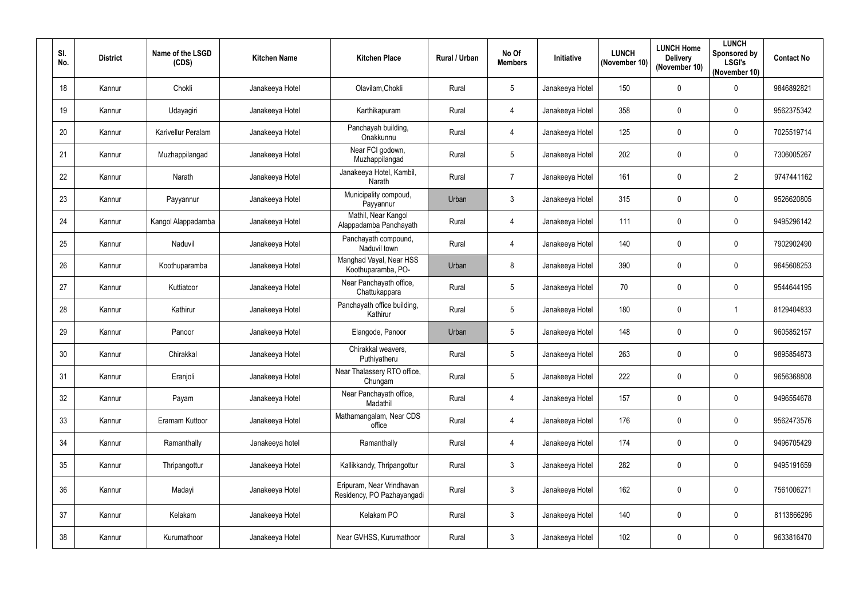| SI.<br>No. | <b>District</b> | Name of the LSGD<br>(CDS) | <b>Kitchen Name</b> | <b>Kitchen Place</b>                                    | Rural / Urban | No Of<br><b>Members</b> | Initiative      | <b>LUNCH</b><br>(November 10) | <b>LUNCH Home</b><br><b>Delivery</b><br>(November 10) | <b>LUNCH</b><br>Sponsored by<br><b>LSGI's</b><br>(November 10) | <b>Contact No</b> |
|------------|-----------------|---------------------------|---------------------|---------------------------------------------------------|---------------|-------------------------|-----------------|-------------------------------|-------------------------------------------------------|----------------------------------------------------------------|-------------------|
| 18         | Kannur          | Chokli                    | Janakeeya Hotel     | Olavilam, Chokli                                        | Rural         | 5                       | Janakeeya Hotel | 150                           | $\mathbf 0$                                           | $\pmb{0}$                                                      | 9846892821        |
| 19         | Kannur          | Udayagiri                 | Janakeeya Hotel     | Karthikapuram                                           | Rural         | 4                       | Janakeeya Hotel | 358                           | $\mathbf 0$                                           | 0                                                              | 9562375342        |
| 20         | Kannur          | Karivellur Peralam        | Janakeeya Hotel     | Panchayah building,<br>Onakkunnu                        | Rural         | $\overline{4}$          | Janakeeya Hotel | 125                           | $\mathbf 0$                                           | $\pmb{0}$                                                      | 7025519714        |
| 21         | Kannur          | Muzhappilangad            | Janakeeya Hotel     | Near FCI godown,<br>Muzhappilangad                      | Rural         | 5                       | Janakeeya Hotel | 202                           | $\mathbf 0$                                           | $\pmb{0}$                                                      | 7306005267        |
| 22         | Kannur          | Narath                    | Janakeeya Hotel     | Janakeeya Hotel, Kambil,<br>Narath                      | Rural         | $\overline{7}$          | Janakeeya Hotel | 161                           | $\mathbf 0$                                           | $\overline{2}$                                                 | 9747441162        |
| 23         | Kannur          | Payyannur                 | Janakeeya Hotel     | Municipality compoud,<br>Payyannur                      | Urban         | $\mathfrak{Z}$          | Janakeeya Hotel | 315                           | $\pmb{0}$                                             | 0                                                              | 9526620805        |
| 24         | Kannur          | Kangol Alappadamba        | Janakeeya Hotel     | Mathil, Near Kangol<br>Alappadamba Panchayath           | Rural         | $\overline{4}$          | Janakeeya Hotel | 111                           | $\mathbf 0$                                           | 0                                                              | 9495296142        |
| 25         | Kannur          | Naduvil                   | Janakeeya Hotel     | Panchayath compound,<br>Naduvil town                    | Rural         | $\overline{4}$          | Janakeeya Hotel | 140                           | $\pmb{0}$                                             | $\pmb{0}$                                                      | 7902902490        |
| 26         | Kannur          | Koothuparamba             | Janakeeya Hotel     | Manghad Vayal, Near HSS<br>Koothuparamba, PO-           | Urban         | 8                       | Janakeeya Hotel | 390                           | $\mathbf 0$                                           | $\mathbf 0$                                                    | 9645608253        |
| 27         | Kannur          | Kuttiatoor                | Janakeeya Hotel     | Near Panchayath office,<br>Chattukappara                | Rural         | 5                       | Janakeeya Hotel | 70                            | $\pmb{0}$                                             | $\mathbf 0$                                                    | 9544644195        |
| 28         | Kannur          | Kathirur                  | Janakeeya Hotel     | Panchayath office building,<br>Kathirur                 | Rural         | 5                       | Janakeeya Hotel | 180                           | $\mathbf 0$                                           | 1                                                              | 8129404833        |
| 29         | Kannur          | Panoor                    | Janakeeya Hotel     | Elangode, Panoor                                        | Urban         | 5                       | Janakeeya Hotel | 148                           | $\mathbf 0$                                           | 0                                                              | 9605852157        |
| 30         | Kannur          | Chirakkal                 | Janakeeya Hotel     | Chirakkal weavers,<br>Puthiyatheru                      | Rural         | 5                       | Janakeeya Hotel | 263                           | $\mathbf{0}$                                          | 0                                                              | 9895854873        |
| 31         | Kannur          | Eranjoli                  | Janakeeya Hotel     | Near Thalassery RTO office,<br>Chungam                  | Rural         | 5                       | Janakeeya Hotel | 222                           | $\mathbf 0$                                           | $\pmb{0}$                                                      | 9656368808        |
| 32         | Kannur          | Payam                     | Janakeeya Hotel     | Near Panchayath office,<br>Madathil                     | Rural         | $\overline{4}$          | Janakeeya Hotel | 157                           | $\mathbf 0$                                           | $\pmb{0}$                                                      | 9496554678        |
| 33         | Kannur          | Eramam Kuttoor            | Janakeeya Hotel     | Mathamangalam, Near CDS<br>office                       | Rural         | $\overline{4}$          | Janakeeya Hotel | 176                           | $\mathbf 0$                                           | $\pmb{0}$                                                      | 9562473576        |
| 34         | Kannur          | Ramanthally               | Janakeeya hotel     | Ramanthally                                             | Rural         | $\overline{4}$          | Janakeeya Hotel | 174                           | $\pmb{0}$                                             | $\pmb{0}$                                                      | 9496705429        |
| 35         | Kannur          | Thripangottur             | Janakeeya Hotel     | Kallikkandy, Thripangottur                              | Rural         | $\mathbf{3}$            | Janakeeya Hotel | 282                           | $\mathbf 0$                                           | $\pmb{0}$                                                      | 9495191659        |
| 36         | Kannur          | Madayi                    | Janakeeya Hotel     | Eripuram, Near Vrindhavan<br>Residency, PO Pazhayangadi | Rural         | $\mathfrak{Z}$          | Janakeeya Hotel | 162                           | $\mathbf 0$                                           | $\pmb{0}$                                                      | 7561006271        |
| 37         | Kannur          | Kelakam                   | Janakeeya Hotel     | Kelakam PO                                              | Rural         | $\mathbf{3}$            | Janakeeya Hotel | 140                           | $\mathbf 0$                                           | $\mathbf 0$                                                    | 8113866296        |
| 38         | Kannur          | Kurumathoor               | Janakeeya Hotel     | Near GVHSS, Kurumathoor                                 | Rural         | $\mathfrak{Z}$          | Janakeeya Hotel | 102                           | $\boldsymbol{0}$                                      | $\pmb{0}$                                                      | 9633816470        |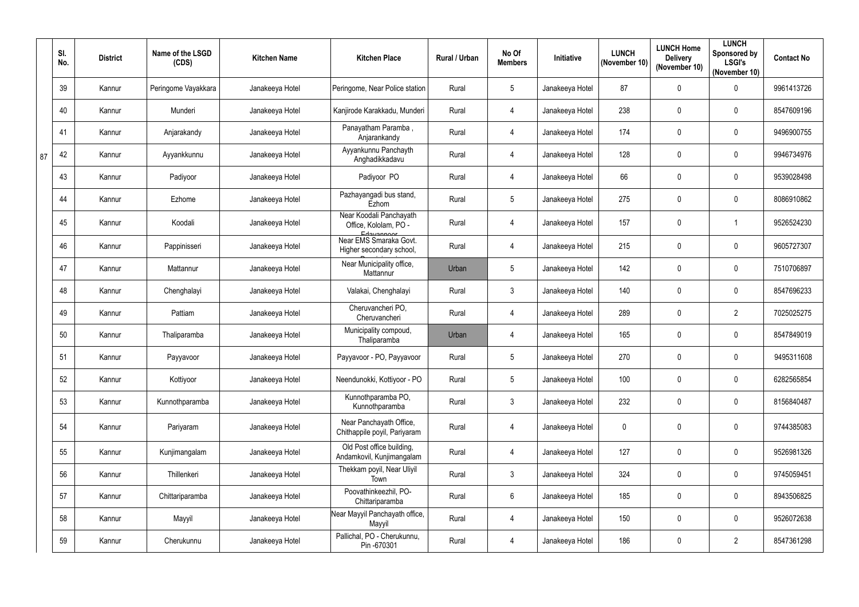|    | SI.<br>No. | <b>District</b> | Name of the LSGD<br>(CDS) | <b>Kitchen Name</b> | <b>Kitchen Place</b>                                           | <b>Rural / Urban</b> | No Of<br><b>Members</b> | Initiative      | <b>LUNCH</b><br>(November 10) | <b>LUNCH Home</b><br><b>Delivery</b><br>(November 10) | <b>LUNCH</b><br>Sponsored by<br><b>LSGI's</b><br>(November 10) | <b>Contact No</b> |
|----|------------|-----------------|---------------------------|---------------------|----------------------------------------------------------------|----------------------|-------------------------|-----------------|-------------------------------|-------------------------------------------------------|----------------------------------------------------------------|-------------------|
|    | 39         | Kannur          | Peringome Vayakkara       | Janakeeya Hotel     | Peringome, Near Police station                                 | Rural                | 5                       | Janakeeya Hotel | 87                            | $\mathbf 0$                                           | $\pmb{0}$                                                      | 9961413726        |
|    | 40         | Kannur          | Munderi                   | Janakeeya Hotel     | Kanjirode Karakkadu, Munderi                                   | Rural                | 4                       | Janakeeya Hotel | 238                           | $\mathbf 0$                                           | $\mathbf 0$                                                    | 8547609196        |
|    | 41         | Kannur          | Anjarakandy               | Janakeeya Hotel     | Panayatham Paramba,<br>Anjarankandy                            | Rural                | $\overline{4}$          | Janakeeya Hotel | 174                           | $\mathbf 0$                                           | $\pmb{0}$                                                      | 9496900755        |
| 87 | 42         | Kannur          | Ayyankkunnu               | Janakeeya Hotel     | Ayyankunnu Panchayth<br>Anghadikkadavu                         | Rural                | $\overline{4}$          | Janakeeya Hotel | 128                           | $\mathbf 0$                                           | $\pmb{0}$                                                      | 9946734976        |
|    | 43         | Kannur          | Padiyoor                  | Janakeeya Hotel     | Padiyoor PO                                                    | Rural                | $\overline{4}$          | Janakeeya Hotel | 66                            | $\mathbf 0$                                           | $\pmb{0}$                                                      | 9539028498        |
|    | 44         | Kannur          | Ezhome                    | Janakeeya Hotel     | Pazhayangadi bus stand,<br>Ezhom                               | Rural                | $5\phantom{.0}$         | Janakeeya Hotel | 275                           | $\mathbf 0$                                           | $\pmb{0}$                                                      | 8086910862        |
|    | 45         | Kannur          | Koodali                   | Janakeeya Hotel     | Near Koodali Panchayath<br>Office, Kololam, PO -<br>Edayannoor | Rural                | 4                       | Janakeeya Hotel | 157                           | $\mathbf 0$                                           | 1                                                              | 9526524230        |
|    | 46         | Kannur          | Pappinisseri              | Janakeeya Hotel     | Near EMS Smaraka Govt.<br>Higher secondary school,             | Rural                | $\overline{4}$          | Janakeeya Hotel | 215                           | $\mathbf 0$                                           | $\pmb{0}$                                                      | 9605727307        |
|    | 47         | Kannur          | Mattannur                 | Janakeeya Hotel     | Near Municipality office,<br>Mattannur                         | Urban                | $5\phantom{.0}$         | Janakeeya Hotel | 142                           | $\mathbf 0$                                           | $\pmb{0}$                                                      | 7510706897        |
|    | 48         | Kannur          | Chenghalayi               | Janakeeya Hotel     | Valakai, Chenghalayi                                           | Rural                | $\mathfrak{Z}$          | Janakeeya Hotel | 140                           | $\mathbf 0$                                           | $\boldsymbol{0}$                                               | 8547696233        |
|    | 49         | Kannur          | Pattiam                   | Janakeeya Hotel     | Cheruvancheri PO,<br>Cheruvancheri                             | Rural                | $\overline{4}$          | Janakeeya Hotel | 289                           | $\mathbf 0$                                           | $\overline{2}$                                                 | 7025025275        |
|    | 50         | Kannur          | Thaliparamba              | Janakeeya Hotel     | Municipality compoud,<br>Thaliparamba                          | Urban                | 4                       | Janakeeya Hotel | 165                           | $\mathbf 0$                                           | $\boldsymbol{0}$                                               | 8547849019        |
|    | 51         | Kannur          | Payyavoor                 | Janakeeya Hotel     | Payyavoor - PO, Payyavoor                                      | Rural                | 5                       | Janakeeya Hotel | 270                           | $\mathbf 0$                                           | $\mathbf{0}$                                                   | 9495311608        |
|    | 52         | Kannur          | Kottiyoor                 | Janakeeya Hotel     | Neendunokki, Kottiyoor - PO                                    | Rural                | $\sqrt{5}$              | Janakeeya Hotel | 100                           | $\mathbf 0$                                           | $\pmb{0}$                                                      | 6282565854        |
|    | 53         | Kannur          | Kunnothparamba            | Janakeeya Hotel     | Kunnothparamba PO,<br>Kunnothparamba                           | Rural                | $3\overline{3}$         | Janakeeya Hotel | 232                           | $\mathbf 0$                                           | $\pmb{0}$                                                      | 8156840487        |
|    | 54         | Kannur          | Pariyaram                 | Janakeeya Hotel     | Near Panchayath Office,<br>Chithappile poyil, Pariyaram        | Rural                | $\overline{4}$          | Janakeeya Hotel | 0                             | $\mathbf 0$                                           | $\pmb{0}$                                                      | 9744385083        |
|    | 55         | Kannur          | Kunjimangalam             | Janakeeya Hotel     | Old Post office building,<br>Andamkovil, Kunjimangalam         | Rural                | $\overline{4}$          | Janakeeya Hotel | 127                           | $\pmb{0}$                                             | $\pmb{0}$                                                      | 9526981326        |
|    | 56         | Kannur          | Thillenkeri               | Janakeeya Hotel     | Thekkam poyil, Near Uliyil<br>Town                             | Rural                | 3 <sup>1</sup>          | Janakeeya Hotel | 324                           | $\mathbf 0$                                           | $\pmb{0}$                                                      | 9745059451        |
|    | 57         | Kannur          | Chittariparamba           | Janakeeya Hotel     | Poovathinkeezhil, PO-<br>Chittariparamba                       | Rural                | $6\phantom{.0}$         | Janakeeya Hotel | 185                           | $\bf{0}$                                              | $\pmb{0}$                                                      | 8943506825        |
|    | 58         | Kannur          | Mayyil                    | Janakeeya Hotel     | Near Mayyil Panchayath office,<br>Mayyil                       | Rural                | $\overline{4}$          | Janakeeya Hotel | 150                           | $\mathbf 0$                                           | $\pmb{0}$                                                      | 9526072638        |
|    | 59         | Kannur          | Cherukunnu                | Janakeeya Hotel     | Pallichal, PO - Cherukunnu,<br>Pin-670301                      | Rural                | $\overline{4}$          | Janakeeya Hotel | 186                           | $\boldsymbol{0}$                                      | $\overline{2}$                                                 | 8547361298        |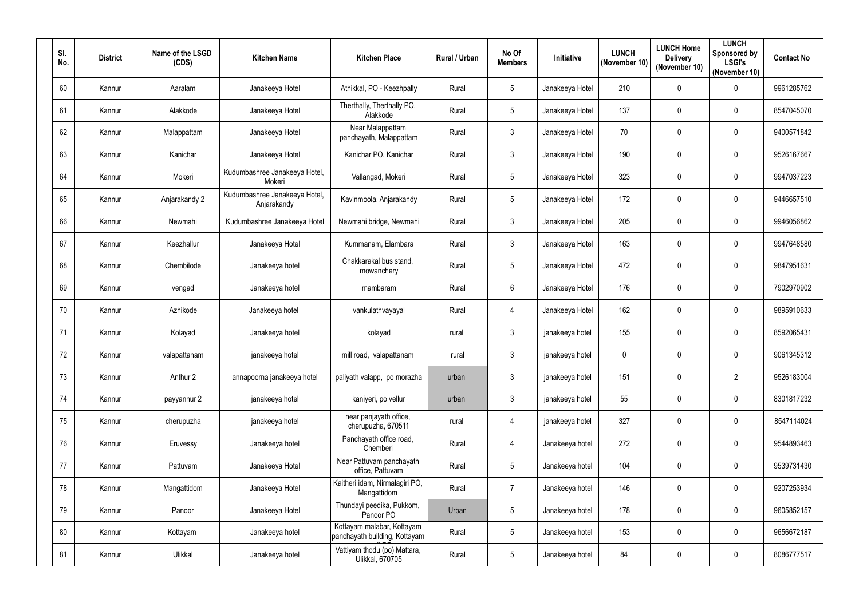| SI.<br>No. | <b>District</b> | Name of the LSGD<br>(CDS) | <b>Kitchen Name</b>                          | <b>Kitchen Place</b>                                        | Rural / Urban | No Of<br><b>Members</b> | Initiative      | <b>LUNCH</b><br>(November 10) | <b>LUNCH Home</b><br><b>Delivery</b><br>(November 10) | <b>LUNCH</b><br>Sponsored by<br><b>LSGI's</b><br>(November 10) | <b>Contact No</b> |
|------------|-----------------|---------------------------|----------------------------------------------|-------------------------------------------------------------|---------------|-------------------------|-----------------|-------------------------------|-------------------------------------------------------|----------------------------------------------------------------|-------------------|
| 60         | Kannur          | Aaralam                   | Janakeeya Hotel                              | Athikkal, PO - Keezhpally                                   | Rural         | 5                       | Janakeeya Hotel | 210                           | $\mathbf 0$                                           | $\pmb{0}$                                                      | 9961285762        |
| 61         | Kannur          | Alakkode                  | Janakeeya Hotel                              | Therthally, Therthally PO,<br>Alakkode                      | Rural         | 5                       | Janakeeya Hotel | 137                           | $\boldsymbol{0}$                                      | 0                                                              | 8547045070        |
| 62         | Kannur          | Malappattam               | Janakeeya Hotel                              | Near Malappattam<br>panchayath, Malappattam                 | Rural         | $\mathfrak{Z}$          | Janakeeya Hotel | 70                            | $\mathbf 0$                                           | $\pmb{0}$                                                      | 9400571842        |
| 63         | Kannur          | Kanichar                  | Janakeeya Hotel                              | Kanichar PO, Kanichar                                       | Rural         | $\mathbf{3}$            | Janakeeya Hotel | 190                           | $\mathbf 0$                                           | $\pmb{0}$                                                      | 9526167667        |
| 64         | Kannur          | Mokeri                    | Kudumbashree Janakeeya Hotel,<br>Mokeri      | Vallangad, Mokeri                                           | Rural         | $5\phantom{.0}$         | Janakeeya Hotel | 323                           | $\mathbf{0}$                                          | $\pmb{0}$                                                      | 9947037223        |
| 65         | Kannur          | Anjarakandy 2             | Kudumbashree Janakeeya Hotel,<br>Anjarakandy | Kavinmoola, Anjarakandy                                     | Rural         | $5\phantom{.0}$         | Janakeeya Hotel | 172                           | $\mathbf 0$                                           | 0                                                              | 9446657510        |
| 66         | Kannur          | Newmahi                   | Kudumbashree Janakeeya Hotel                 | Newmahi bridge, Newmahi                                     | Rural         | $\mathbf{3}$            | Janakeeya Hotel | 205                           | $\mathbf 0$                                           | $\mathbf 0$                                                    | 9946056862        |
| 67         | Kannur          | Keezhallur                | Janakeeya Hotel                              | Kummanam, Elambara                                          | Rural         | $\mathbf{3}$            | Janakeeya Hotel | 163                           | $\mathbf 0$                                           | $\pmb{0}$                                                      | 9947648580        |
| 68         | Kannur          | Chembilode                | Janakeeya hotel                              | Chakkarakal bus stand,<br>mowanchery                        | Rural         | $5\phantom{.0}$         | Janakeeya Hotel | 472                           | $\mathbf 0$                                           | 0                                                              | 9847951631        |
| 69         | Kannur          | vengad                    | Janakeeya hotel                              | mambaram                                                    | Rural         | $6\overline{6}$         | Janakeeya Hotel | 176                           | $\mathbf{0}$                                          | 0                                                              | 7902970902        |
| 70         | Kannur          | Azhikode                  | Janakeeya hotel                              | vankulathvayayal                                            | Rural         | 4                       | Janakeeya Hotel | 162                           | $\mathbf 0$                                           | 0                                                              | 9895910633        |
| 71         | Kannur          | Kolayad                   | Janakeeya hotel                              | kolayad                                                     | rural         | $\mathbf{3}$            | janakeeya hotel | 155                           | $\mathbf 0$                                           | $\pmb{0}$                                                      | 8592065431        |
| 72         | Kannur          | valapattanam              | janakeeya hotel                              | mill road, valapattanam                                     | rural         | 3                       | janakeeya hotel | 0                             | $\mathbf 0$                                           | $\mathbf 0$                                                    | 9061345312        |
| 73         | Kannur          | Anthur 2                  | annapoorna janakeeya hotel                   | paliyath valapp, po morazha                                 | urban         | $\mathbf{3}$            | janakeeya hotel | 151                           | $\mathbf 0$                                           | $\overline{2}$                                                 | 9526183004        |
| 74         | Kannur          | payyannur 2               | janakeeya hotel                              | kaniyeri, po vellur                                         | urban         | $\mathfrak{Z}$          | janakeeya hotel | 55                            | $\pmb{0}$                                             | $\pmb{0}$                                                      | 8301817232        |
| 75         | Kannur          | cherupuzha                | janakeeya hotel                              | near panjayath office,<br>cherupuzha, 670511                | rural         | $\overline{4}$          | janakeeya hotel | 327                           | $\pmb{0}$                                             | $\pmb{0}$                                                      | 8547114024        |
| 76         | Kannur          | Eruvessy                  | Janakeeya hotel                              | Panchayath office road,<br>Chemberi                         | Rural         | $\overline{4}$          | Janakeeya hotel | 272                           | $\mathbf 0$                                           | $\pmb{0}$                                                      | 9544893463        |
| 77         | Kannur          | Pattuvam                  | Janakeeya Hotel                              | Near Pattuvam panchayath<br>office, Pattuvam                | Rural         | $5\phantom{.0}$         | Janakeeya hotel | 104                           | $\mathbf 0$                                           | $\mathbf 0$                                                    | 9539731430        |
| 78         | Kannur          | Mangattidom               | Janakeeya Hotel                              | Kaitheri idam, Nirmalagiri PO,<br>Mangattidom               | Rural         | $\overline{7}$          | Janakeeya hotel | 146                           | $\pmb{0}$                                             | $\pmb{0}$                                                      | 9207253934        |
| 79         | Kannur          | Panoor                    | Janakeeya Hotel                              | Thundayi peedika, Pukkom,<br>Panoor PO                      | Urban         | 5 <sup>5</sup>          | Janakeeya hotel | 178                           | $\pmb{0}$                                             | 0                                                              | 9605852157        |
| 80         | Kannur          | Kottayam                  | Janakeeya hotel                              | Kottayam malabar, Kottayam<br>panchayath building, Kottayam | Rural         | $5\phantom{.0}$         | Janakeeya hotel | 153                           | $\mathbf 0$                                           | $\pmb{0}$                                                      | 9656672187        |
| 81         | Kannur          | Ulikkal                   | Janakeeya hotel                              | Vattiyam thodu (po) Mattara,<br><b>Ulikkal, 670705</b>      | Rural         | $5\overline{)}$         | Janakeeya hotel | 84                            | $\pmb{0}$                                             | $\pmb{0}$                                                      | 8086777517        |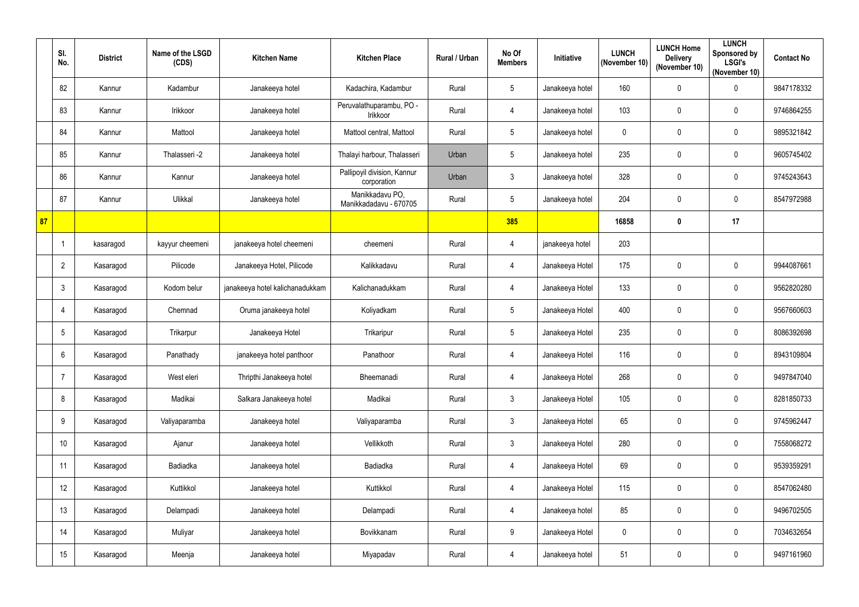|    | SI.<br>No.     | <b>District</b> | Name of the LSGD<br>(CDS) | <b>Kitchen Name</b>             | <b>Kitchen Place</b>                       | <b>Rural / Urban</b> | No Of<br><b>Members</b> | Initiative      | <b>LUNCH</b><br>(November 10) | <b>LUNCH Home</b><br><b>Delivery</b><br>(November 10) | <b>LUNCH</b><br>Sponsored by<br><b>LSGI's</b><br>(November 10) | <b>Contact No</b> |
|----|----------------|-----------------|---------------------------|---------------------------------|--------------------------------------------|----------------------|-------------------------|-----------------|-------------------------------|-------------------------------------------------------|----------------------------------------------------------------|-------------------|
|    | 82             | Kannur          | Kadambur                  | Janakeeya hotel                 | Kadachira, Kadambur                        | Rural                | $5\phantom{.0}$         | Janakeeya hotel | 160                           | $\mathbf 0$                                           | $\boldsymbol{0}$                                               | 9847178332        |
|    | 83             | Kannur          | Irikkoor                  | Janakeeya hotel                 | Peruvalathuparambu, PO -<br>Irikkoor       | Rural                | $\overline{4}$          | Janakeeya hotel | 103                           | $\mathbf 0$                                           | $\pmb{0}$                                                      | 9746864255        |
|    | 84             | Kannur          | Mattool                   | Janakeeya hotel                 | Mattool central, Mattool                   | Rural                | $5\phantom{.0}$         | Janakeeya hotel | 0                             | $\mathbf 0$                                           | $\mathbf 0$                                                    | 9895321842        |
|    | 85             | Kannur          | Thalasseri -2             | Janakeeya hotel                 | Thalayi harbour, Thalasseri                | Urban                | $\sqrt{5}$              | Janakeeya hotel | 235                           | $\mathbf 0$                                           | $\boldsymbol{0}$                                               | 9605745402        |
|    | 86             | Kannur          | Kannur                    | Janakeeya hotel                 | Pallipoyil division, Kannur<br>corporation | Urban                | 3                       | Janakeeya hotel | 328                           | $\boldsymbol{0}$                                      | $\mathbf 0$                                                    | 9745243643        |
|    | 87             | Kannur          | Ulikkal                   | Janakeeya hotel                 | Manikkadavu PO,<br>Manikkadadavu - 670705  | Rural                | $5\phantom{.0}$         | Janakeeya hotel | 204                           | $\pmb{0}$                                             | $\boldsymbol{0}$                                               | 8547972988        |
| 87 |                |                 |                           |                                 |                                            |                      | 385                     |                 | 16858                         | $\boldsymbol{0}$                                      | 17                                                             |                   |
|    |                | kasaragod       | kayyur cheemeni           | janakeeya hotel cheemeni        | cheemeni                                   | Rural                | $\overline{4}$          | janakeeya hotel | 203                           |                                                       |                                                                |                   |
|    | $\overline{2}$ | Kasaragod       | Pilicode                  | Janakeeya Hotel, Pilicode       | Kalikkadavu                                | Rural                | 4                       | Janakeeya Hotel | 175                           | $\mathbf 0$                                           | $\boldsymbol{0}$                                               | 9944087661        |
|    | $\mathbf{3}$   | Kasaragod       | Kodom belur               | janakeeya hotel kalichanadukkam | Kalichanadukkam                            | Rural                | 4                       | Janakeeya Hotel | 133                           | $\mathbf 0$                                           | $\mathbf 0$                                                    | 9562820280        |
|    | $\overline{4}$ | Kasaragod       | Chemnad                   | Oruma janakeeya hotel           | Koliyadkam                                 | Rural                | $5\phantom{.0}$         | Janakeeya Hotel | 400                           | $\mathbf 0$                                           | $\mathbf 0$                                                    | 9567660603        |
|    | -5             | Kasaragod       | Trikarpur                 | Janakeeya Hotel                 | Trikaripur                                 | Rural                | $5\phantom{.0}$         | Janakeeya Hotel | 235                           | $\mathbf 0$                                           | $\pmb{0}$                                                      | 8086392698        |
|    | 6              | Kasaragod       | Panathady                 | janakeeya hotel panthoor        | Panathoor                                  | Rural                | 4                       | Janakeeya Hotel | 116                           | $\mathbf 0$                                           | $\boldsymbol{0}$                                               | 8943109804        |
|    | $\overline{7}$ | Kasaragod       | West eleri                | Thripthi Janakeeya hotel        | Bheemanadi                                 | Rural                | $\overline{4}$          | Janakeeya Hotel | 268                           | $\mathbf 0$                                           | $\mathbf 0$                                                    | 9497847040        |
|    | 8              | Kasaragod       | Madikai                   | Salkara Janakeeya hotel         | Madikai                                    | Rural                | $\mathbf{3}$            | Janakeeya Hotel | 105                           | $\mathbf 0$                                           | $\mathbf 0$                                                    | 8281850733        |
|    | 9              | Kasaragod       | Valiyaparamba             | Janakeeya hotel                 | Valiyaparamba                              | Rural                | $\mathfrak{Z}$          | Janakeeya Hotel | 65                            | $\mathbf 0$                                           | $\mathbf 0$                                                    | 9745962447        |
|    | 10             | Kasaragod       | Ajanur                    | Janakeeya hotel                 | Vellikkoth                                 | Rural                | $\mathfrak{Z}$          | Janakeeya Hotel | 280                           | $\mathbf 0$                                           | $\mathbf 0$                                                    | 7558068272        |
|    | 11             | Kasaragod       | Badiadka                  | Janakeeya hotel                 | Badiadka                                   | Rural                | $\overline{4}$          | Janakeeya Hotel | 69                            | $\mathbf 0$                                           | $\boldsymbol{0}$                                               | 9539359291        |
|    | 12             | Kasaragod       | Kuttikkol                 | Janakeeya hotel                 | Kuttikkol                                  | Rural                | $\overline{4}$          | Janakeeya Hotel | 115                           | $\pmb{0}$                                             | $\pmb{0}$                                                      | 8547062480        |
|    | 13             | Kasaragod       | Delampadi                 | Janakeeya hotel                 | Delampadi                                  | Rural                | $\overline{4}$          | Janakeeya hotel | 85                            | $\mathbf 0$                                           | $\mathbf 0$                                                    | 9496702505        |
|    | 14             | Kasaragod       | Muliyar                   | Janakeeya hotel                 | Bovikkanam                                 | Rural                | $9\phantom{.0}$         | Janakeeya Hotel | $\mathbf{0}$                  | $\mathbf 0$                                           | $\mathbf 0$                                                    | 7034632654        |
|    | 15             | Kasaragod       | Meenja                    | Janakeeya hotel                 | Miyapadav                                  | Rural                | $\overline{4}$          | Janakeeya hotel | 51                            | $\bm{0}$                                              | $\boldsymbol{0}$                                               | 9497161960        |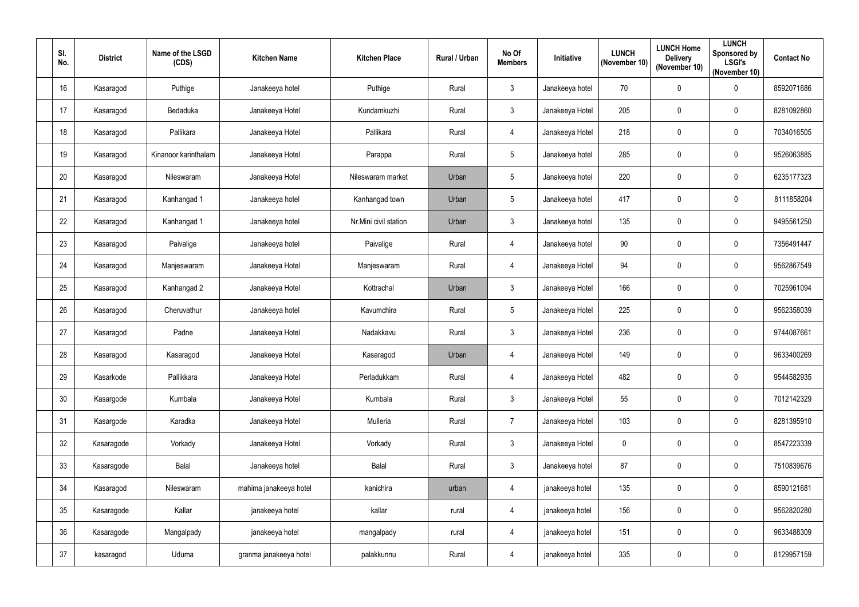| SI.<br>No. | <b>District</b> | Name of the LSGD<br>(CDS) | <b>Kitchen Name</b>    | <b>Kitchen Place</b>  | Rural / Urban | No Of<br><b>Members</b> | Initiative      | <b>LUNCH</b><br>(November 10) | <b>LUNCH Home</b><br><b>Delivery</b><br>(November 10) | <b>LUNCH</b><br>Sponsored by<br><b>LSGI's</b><br>(November 10) | <b>Contact No</b> |
|------------|-----------------|---------------------------|------------------------|-----------------------|---------------|-------------------------|-----------------|-------------------------------|-------------------------------------------------------|----------------------------------------------------------------|-------------------|
| 16         | Kasaragod       | Puthige                   | Janakeeya hotel        | Puthige               | Rural         | $\mathfrak{Z}$          | Janakeeya hotel | 70                            | $\boldsymbol{0}$                                      | $\pmb{0}$                                                      | 8592071686        |
| 17         | Kasaragod       | Bedaduka                  | Janakeeya Hotel        | Kundamkuzhi           | Rural         | $\mathbf{3}$            | Janakeeya Hotel | 205                           | $\boldsymbol{0}$                                      | $\pmb{0}$                                                      | 8281092860        |
| 18         | Kasaragod       | Pallikara                 | Janakeeya Hotel        | Pallikara             | Rural         | 4                       | Janakeeya Hotel | 218                           | $\boldsymbol{0}$                                      | $\pmb{0}$                                                      | 7034016505        |
| 19         | Kasaragod       | Kinanoor karinthalam      | Janakeeya Hotel        | Parappa               | Rural         | $5\phantom{.0}$         | Janakeeya hotel | 285                           | $\boldsymbol{0}$                                      | $\pmb{0}$                                                      | 9526063885        |
| 20         | Kasaragod       | Nileswaram                | Janakeeya Hotel        | Nileswaram market     | Urban         | $5\phantom{.0}$         | Janakeeya hotel | 220                           | $\boldsymbol{0}$                                      | $\pmb{0}$                                                      | 6235177323        |
| 21         | Kasaragod       | Kanhangad 1               | Janakeeya hotel        | Kanhangad town        | Urban         | $5\phantom{.0}$         | Janakeeya hotel | 417                           | $\boldsymbol{0}$                                      | $\pmb{0}$                                                      | 8111858204        |
| 22         | Kasaragod       | Kanhangad 1               | Janakeeya hotel        | Nr.Mini civil station | Urban         | $\mathbf{3}$            | Janakeeya hotel | 135                           | $\boldsymbol{0}$                                      | $\pmb{0}$                                                      | 9495561250        |
| 23         | Kasaragod       | Paivalige                 | Janakeeya hotel        | Paivalige             | Rural         | 4                       | Janakeeya hotel | 90                            | $\boldsymbol{0}$                                      | $\pmb{0}$                                                      | 7356491447        |
| 24         | Kasaragod       | Manjeswaram               | Janakeeya Hotel        | Manjeswaram           | Rural         | $\overline{4}$          | Janakeeya Hotel | 94                            | $\mathbf 0$                                           | $\pmb{0}$                                                      | 9562867549        |
| 25         | Kasaragod       | Kanhangad 2               | Janakeeya Hotel        | Kottrachal            | Urban         | $\mathfrak{Z}$          | Janakeeya Hotel | 166                           | $\boldsymbol{0}$                                      | $\pmb{0}$                                                      | 7025961094        |
| 26         | Kasaragod       | Cheruvathur               | Janakeeya hotel        | Kavumchira            | Rural         | $5\phantom{.0}$         | Janakeeya Hotel | 225                           | $\boldsymbol{0}$                                      | $\pmb{0}$                                                      | 9562358039        |
| 27         | Kasaragod       | Padne                     | Janakeeya Hotel        | Nadakkavu             | Rural         | $\mathfrak{Z}$          | Janakeeya Hotel | 236                           | $\boldsymbol{0}$                                      | $\pmb{0}$                                                      | 9744087661        |
| 28         | Kasaragod       | Kasaragod                 | Janakeeya Hotel        | Kasaragod             | Urban         | 4                       | Janakeeya Hotel | 149                           | 0                                                     | $\boldsymbol{0}$                                               | 9633400269        |
| 29         | Kasarkode       | Pallikkara                | Janakeeya Hotel        | Perladukkam           | Rural         | $\overline{4}$          | Janakeeya Hotel | 482                           | $\mathbf 0$                                           | $\pmb{0}$                                                      | 9544582935        |
| 30         | Kasargode       | Kumbala                   | Janakeeya Hotel        | Kumbala               | Rural         | $\mathfrak{Z}$          | Janakeeya Hotel | 55                            | $\mathbf 0$                                           | $\mathbf 0$                                                    | 7012142329        |
| 31         | Kasargode       | Karadka                   | Janakeeya Hotel        | Mulleria              | Rural         | $\overline{7}$          | Janakeeya Hotel | 103                           | $\mathbf 0$                                           | $\pmb{0}$                                                      | 8281395910        |
| 32         | Kasaragode      | Vorkady                   | Janakeeya Hotel        | Vorkady               | Rural         | $\mathfrak{Z}$          | Janakeeya Hotel | $\mathbf 0$                   | $\mathbf 0$                                           | $\pmb{0}$                                                      | 8547223339        |
| 33         | Kasaragode      | Balal                     | Janakeeya hotel        | Balal                 | Rural         | $\mathfrak{Z}$          | Janakeeya hotel | 87                            | $\mathbf 0$                                           | $\mathbf 0$                                                    | 7510839676        |
| 34         | Kasaragod       | Nileswaram                | mahima janakeeya hotel | kanichira             | urban         | $\overline{4}$          | janakeeya hotel | 135                           | $\mathbf 0$                                           | $\mathbf 0$                                                    | 8590121681        |
| 35         | Kasaragode      | Kallar                    | janakeeya hotel        | kallar                | rural         | $\overline{4}$          | janakeeya hotel | 156                           | $\pmb{0}$                                             | $\mathbf 0$                                                    | 9562820280        |
| 36         | Kasaragode      | Mangalpady                | janakeeya hotel        | mangalpady            | rural         | 4                       | janakeeya hotel | 151                           | $\boldsymbol{0}$                                      | $\pmb{0}$                                                      | 9633488309        |
| 37         | kasaragod       | Uduma                     | granma janakeeya hotel | palakkunnu            | Rural         | 4                       | janakeeya hotel | 335                           | $\boldsymbol{0}$                                      | $\pmb{0}$                                                      | 8129957159        |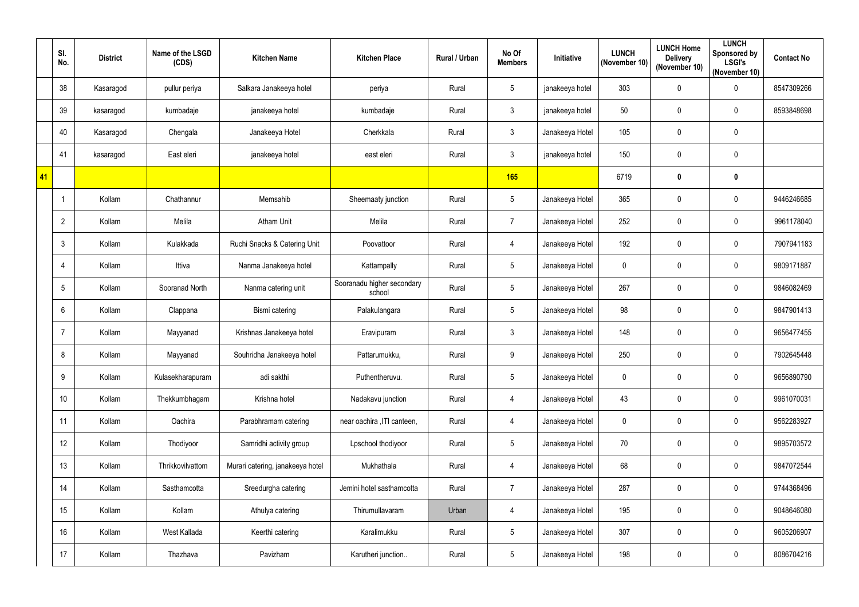|    | SI.<br>No.      | <b>District</b> | Name of the LSGD<br>(CDS) | <b>Kitchen Name</b>              | <b>Kitchen Place</b>                 | Rural / Urban | No Of<br><b>Members</b> | Initiative      | <b>LUNCH</b><br>(November 10) | <b>LUNCH Home</b><br><b>Delivery</b><br>(November 10) | <b>LUNCH</b><br>Sponsored by<br><b>LSGI's</b><br>(November 10) | <b>Contact No</b> |
|----|-----------------|-----------------|---------------------------|----------------------------------|--------------------------------------|---------------|-------------------------|-----------------|-------------------------------|-------------------------------------------------------|----------------------------------------------------------------|-------------------|
|    | 38              | Kasaragod       | pullur periya             | Salkara Janakeeya hotel          | periya                               | Rural         | 5                       | janakeeya hotel | 303                           | $\mathbf 0$                                           | $\pmb{0}$                                                      | 8547309266        |
|    | 39              | kasaragod       | kumbadaje                 | janakeeya hotel                  | kumbadaje                            | Rural         | 3                       | janakeeya hotel | 50                            | $\mathbf 0$                                           | $\pmb{0}$                                                      | 8593848698        |
|    | 40              | Kasaragod       | Chengala                  | Janakeeya Hotel                  | Cherkkala                            | Rural         | $\mathbf{3}$            | Janakeeya Hotel | 105                           | $\mathbf 0$                                           | $\pmb{0}$                                                      |                   |
|    | 41              | kasaragod       | East eleri                | janakeeya hotel                  | east eleri                           | Rural         | 3                       | janakeeya hotel | 150                           | $\mathbf 0$                                           | $\pmb{0}$                                                      |                   |
| 41 |                 |                 |                           |                                  |                                      |               | 165                     |                 | 6719                          | $\boldsymbol{0}$                                      | $\pmb{0}$                                                      |                   |
|    |                 | Kollam          | Chathannur                | Memsahib                         | Sheemaaty junction                   | Rural         | $5\phantom{.0}$         | Janakeeya Hotel | 365                           | $\mathbf 0$                                           | $\pmb{0}$                                                      | 9446246685        |
|    | $\overline{2}$  | Kollam          | Melila                    | <b>Atham Unit</b>                | Melila                               | Rural         | $\overline{7}$          | Janakeeya Hotel | 252                           | $\mathbf 0$                                           | $\boldsymbol{0}$                                               | 9961178040        |
|    | $\mathfrak{Z}$  | Kollam          | Kulakkada                 | Ruchi Snacks & Catering Unit     | Poovattoor                           | Rural         | $\overline{4}$          | Janakeeya Hotel | 192                           | $\pmb{0}$                                             | $\pmb{0}$                                                      | 7907941183        |
|    | 4               | Kollam          | Ittiva                    | Nanma Janakeeya hotel            | Kattampally                          | Rural         | $5\phantom{.0}$         | Janakeeya Hotel | $\mathbf 0$                   | $\mathbf 0$                                           | $\boldsymbol{0}$                                               | 9809171887        |
|    | $5\phantom{.0}$ | Kollam          | Sooranad North            | Nanma catering unit              | Sooranadu higher secondary<br>school | Rural         | $5\phantom{.0}$         | Janakeeya Hotel | 267                           | $\mathbf 0$                                           | $\pmb{0}$                                                      | 9846082469        |
|    | 6               | Kollam          | Clappana                  | Bismi catering                   | Palakulangara                        | Rural         | 5                       | Janakeeya Hotel | 98                            | $\mathbf 0$                                           | $\pmb{0}$                                                      | 9847901413        |
|    | 7               | Kollam          | Mayyanad                  | Krishnas Janakeeya hotel         | Eravipuram                           | Rural         | $\mathfrak{Z}$          | Janakeeya Hotel | 148                           | $\mathbf 0$                                           | $\pmb{0}$                                                      | 9656477455        |
|    | 8               | Kollam          | Mayyanad                  | Souhridha Janakeeya hotel        | Pattarumukku,                        | Rural         | 9                       | Janakeeya Hotel | 250                           | $\mathbf 0$                                           | $\pmb{0}$                                                      | 7902645448        |
|    | 9               | Kollam          | Kulasekharapuram          | adi sakthi                       | Puthentheruvu.                       | Rural         | 5                       | Janakeeya Hotel | 0                             | $\mathbf 0$                                           | $\pmb{0}$                                                      | 9656890790        |
|    | 10 <sup>°</sup> | Kollam          | Thekkumbhagam             | Krishna hotel                    | Nadakavu junction                    | Rural         | $\overline{4}$          | Janakeeya Hotel | 43                            | $\pmb{0}$                                             | $\pmb{0}$                                                      | 9961070031        |
|    | 11              | Kollam          | Oachira                   | Parabhramam catering             | near oachira , ITI canteen,          | Rural         | $\overline{4}$          | Janakeeya Hotel | 0                             | $\pmb{0}$                                             | $\pmb{0}$                                                      | 9562283927        |
|    | 12              | Kollam          | Thodiyoor                 | Samridhi activity group          | Lpschool thodiyoor                   | Rural         | $5\phantom{.0}$         | Janakeeya Hotel | 70                            | $\mathbf 0$                                           | $\pmb{0}$                                                      | 9895703572        |
|    | 13              | Kollam          | Thrikkovilvattom          | Murari catering, janakeeya hotel | Mukhathala                           | Rural         | $\overline{4}$          | Janakeeya Hotel | 68                            | $\mathbf 0$                                           | $\mathbf 0$                                                    | 9847072544        |
|    | 14              | Kollam          | Sasthamcotta              | Sreedurgha catering              | Jemini hotel sasthamcotta            | Rural         | $\overline{7}$          | Janakeeya Hotel | 287                           | $\pmb{0}$                                             | $\pmb{0}$                                                      | 9744368496        |
|    | 15              | Kollam          | Kollam                    | Athulya catering                 | Thirumullavaram                      | Urban         | $\overline{4}$          | Janakeeya Hotel | 195                           | $\pmb{0}$                                             | $\pmb{0}$                                                      | 9048646080        |
|    | 16              | Kollam          | West Kallada              | Keerthi catering                 | Karalimukku                          | Rural         | $5\phantom{.0}$         | Janakeeya Hotel | 307                           | $\mathbf 0$                                           | $\pmb{0}$                                                      | 9605206907        |
|    | 17              | Kollam          | Thazhava                  | Pavizham                         | Karutheri junction                   | Rural         | $5\phantom{.0}$         | Janakeeya Hotel | 198                           | $\boldsymbol{0}$                                      | $\pmb{0}$                                                      | 8086704216        |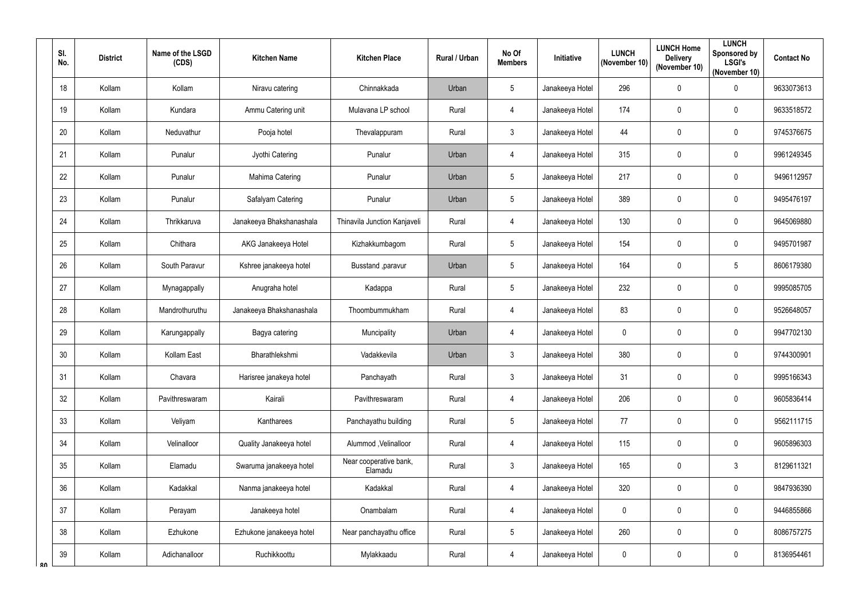| SI.<br>No. | <b>District</b> | Name of the LSGD<br>(CDS) | <b>Kitchen Name</b>      | <b>Kitchen Place</b>              | Rural / Urban | No Of<br><b>Members</b> | Initiative      | <b>LUNCH</b><br>(November 10) | <b>LUNCH Home</b><br><b>Delivery</b><br>(November 10) | <b>LUNCH</b><br>Sponsored by<br><b>LSGI's</b><br>(November 10) | <b>Contact No</b> |
|------------|-----------------|---------------------------|--------------------------|-----------------------------------|---------------|-------------------------|-----------------|-------------------------------|-------------------------------------------------------|----------------------------------------------------------------|-------------------|
| 18         | Kollam          | Kollam                    | Niravu catering          | Chinnakkada                       | Urban         | 5                       | Janakeeya Hotel | 296                           | $\mathbf 0$                                           | $\pmb{0}$                                                      | 9633073613        |
| 19         | Kollam          | Kundara                   | Ammu Catering unit       | Mulavana LP school                | Rural         | $\overline{4}$          | Janakeeya Hotel | 174                           | $\mathbf 0$                                           | $\pmb{0}$                                                      | 9633518572        |
| 20         | Kollam          | Neduvathur                | Pooja hotel              | Thevalappuram                     | Rural         | $\mathfrak{Z}$          | Janakeeya Hotel | 44                            | $\mathbf 0$                                           | $\pmb{0}$                                                      | 9745376675        |
| 21         | Kollam          | Punalur                   | Jyothi Catering          | Punalur                           | Urban         | $\overline{4}$          | Janakeeya Hotel | 315                           | $\mathbf 0$                                           | $\pmb{0}$                                                      | 9961249345        |
| 22         | Kollam          | Punalur                   | Mahima Catering          | Punalur                           | Urban         | 5                       | Janakeeya Hotel | 217                           | $\mathbf 0$                                           | $\pmb{0}$                                                      | 9496112957        |
| 23         | Kollam          | Punalur                   | Safalyam Catering        | Punalur                           | Urban         | 5                       | Janakeeya Hotel | 389                           | $\mathbf 0$                                           | 0                                                              | 9495476197        |
| 24         | Kollam          | Thrikkaruva               | Janakeeya Bhakshanashala | Thinavila Junction Kanjaveli      | Rural         | $\overline{4}$          | Janakeeya Hotel | 130                           | $\mathbf 0$                                           | 0                                                              | 9645069880        |
| 25         | Kollam          | Chithara                  | AKG Janakeeya Hotel      | Kizhakkumbagom                    | Rural         | 5                       | Janakeeya Hotel | 154                           | $\mathbf 0$                                           | $\pmb{0}$                                                      | 9495701987        |
| 26         | Kollam          | South Paravur             | Kshree janakeeya hotel   | Busstand, paravur                 | Urban         | 5                       | Janakeeya Hotel | 164                           | $\mathbf 0$                                           | $\sqrt{5}$                                                     | 8606179380        |
| 27         | Kollam          | Mynagappally              | Anugraha hotel           | Kadappa                           | Rural         | 5                       | Janakeeya Hotel | 232                           | $\mathbf 0$                                           | $\pmb{0}$                                                      | 9995085705        |
| 28         | Kollam          | Mandrothuruthu            | Janakeeya Bhakshanashala | Thoombummukham                    | Rural         | $\overline{4}$          | Janakeeya Hotel | 83                            | $\mathbf 0$                                           | $\pmb{0}$                                                      | 9526648057        |
| 29         | Kollam          | Karungappally             | Bagya catering           | Muncipality                       | Urban         | $\overline{4}$          | Janakeeya Hotel | $\mathbf{0}$                  | $\mathbf 0$                                           | $\pmb{0}$                                                      | 9947702130        |
| 30         | Kollam          | Kollam East               | Bharathlekshmi           | Vadakkevila                       | Urban         | 3                       | Janakeeya Hotel | 380                           | $\mathbf{0}$                                          | $\mathbf 0$                                                    | 9744300901        |
| 31         | Kollam          | Chavara                   | Harisree janakeya hotel  | Panchayath                        | Rural         | $\mathfrak{Z}$          | Janakeeya Hotel | 31                            | $\mathbf 0$                                           | $\mathbf 0$                                                    | 9995166343        |
| 32         | Kollam          | Pavithreswaram            | Kairali                  | Pavithreswaram                    | Rural         | $\overline{4}$          | Janakeeya Hotel | 206                           | $\pmb{0}$                                             | $\pmb{0}$                                                      | 9605836414        |
| 33         | Kollam          | Veliyam                   | Kantharees               | Panchayathu building              | Rural         | 5                       | Janakeeya Hotel | 77                            | $\boldsymbol{0}$                                      | $\pmb{0}$                                                      | 9562111715        |
| 34         | Kollam          | Velinalloor               | Quality Janakeeya hotel  | Alummod, Velinalloor              | Rural         | $\overline{4}$          | Janakeeya Hotel | 115                           | $\mathbf 0$                                           | $\pmb{0}$                                                      | 9605896303        |
| 35         | Kollam          | Elamadu                   | Swaruma janakeeya hotel  | Near cooperative bank,<br>Elamadu | Rural         | $\mathfrak{Z}$          | Janakeeya Hotel | 165                           | $\mathbf 0$                                           | $\mathfrak{Z}$                                                 | 8129611321        |
| 36         | Kollam          | Kadakkal                  | Nanma janakeeya hotel    | Kadakkal                          | Rural         | $\overline{4}$          | Janakeeya Hotel | 320                           | $\pmb{0}$                                             | $\pmb{0}$                                                      | 9847936390        |
| 37         | Kollam          | Perayam                   | Janakeeya hotel          | Onambalam                         | Rural         | $\overline{4}$          | Janakeeya Hotel | $\mathbf 0$                   | $\pmb{0}$                                             | $\mathbf 0$                                                    | 9446855866        |
| 38         | Kollam          | Ezhukone                  | Ezhukone janakeeya hotel | Near panchayathu office           | Rural         | 5                       | Janakeeya Hotel | 260                           | $\pmb{0}$                                             | $\pmb{0}$                                                      | 8086757275        |
| 39<br>ጸበ   | Kollam          | Adichanalloor             | Ruchikkoottu             | Mylakkaadu                        | Rural         | $\overline{4}$          | Janakeeya Hotel | $\mathbf 0$                   | $\mathbf 0$                                           | $\pmb{0}$                                                      | 8136954461        |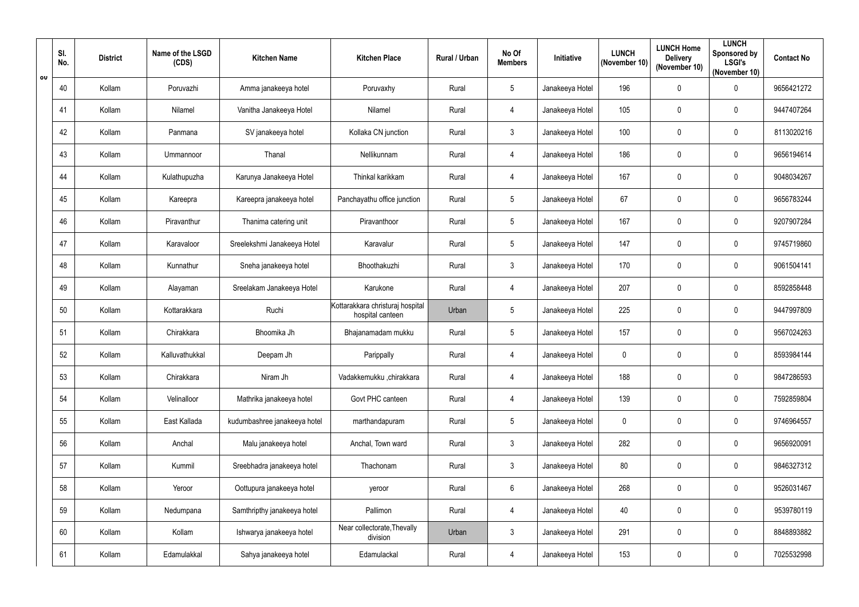|                         | SI.<br>No. | <b>District</b> | Name of the LSGD<br>(CDS) | <b>Kitchen Name</b>          | <b>Kitchen Place</b>                                 | Rural / Urban | No Of<br><b>Members</b> | Initiative      | <b>LUNCH</b><br>(November 10) | <b>LUNCH Home</b><br><b>Delivery</b><br>(November 10) | <b>LUNCH</b><br>Sponsored by<br><b>LSGI's</b><br>(November 10) | <b>Contact No</b> |
|-------------------------|------------|-----------------|---------------------------|------------------------------|------------------------------------------------------|---------------|-------------------------|-----------------|-------------------------------|-------------------------------------------------------|----------------------------------------------------------------|-------------------|
| $\overline{\mathsf{u}}$ | 40         | Kollam          | Poruvazhi                 | Amma janakeeya hotel         | Poruvaxhy                                            | Rural         | 5                       | Janakeeya Hotel | 196                           | $\mathbf 0$                                           | $\pmb{0}$                                                      | 9656421272        |
|                         | 41         | Kollam          | Nilamel                   | Vanitha Janakeeya Hotel      | Nilamel                                              | Rural         | $\overline{4}$          | Janakeeya Hotel | 105                           | $\mathbf 0$                                           | 0                                                              | 9447407264        |
|                         | 42         | Kollam          | Panmana                   | SV janakeeya hotel           | Kollaka CN junction                                  | Rural         | $\mathbf{3}$            | Janakeeya Hotel | 100                           | $\mathbf 0$                                           | $\pmb{0}$                                                      | 8113020216        |
|                         | 43         | Kollam          | Ummannoor                 | Thanal                       | Nellikunnam                                          | Rural         | $\overline{4}$          | Janakeeya Hotel | 186                           | $\mathbf 0$                                           | 0                                                              | 9656194614        |
|                         | 44         | Kollam          | Kulathupuzha              | Karunya Janakeeya Hotel      | Thinkal karikkam                                     | Rural         | $\overline{4}$          | Janakeeya Hotel | 167                           | $\mathbf 0$                                           | $\pmb{0}$                                                      | 9048034267        |
|                         | 45         | Kollam          | Kareepra                  | Kareepra janakeeya hotel     | Panchayathu office junction                          | Rural         | 5                       | Janakeeya Hotel | 67                            | $\mathbf 0$                                           | $\pmb{0}$                                                      | 9656783244        |
|                         | 46         | Kollam          | Piravanthur               | Thanima catering unit        | Piravanthoor                                         | Rural         | 5                       | Janakeeya Hotel | 167                           | $\mathbf 0$                                           | 0                                                              | 9207907284        |
|                         | 47         | Kollam          | Karavaloor                | Sreelekshmi Janakeeya Hotel  | Karavalur                                            | Rural         | $\overline{5}$          | Janakeeya Hotel | 147                           | $\mathbf 0$                                           | $\pmb{0}$                                                      | 9745719860        |
|                         | 48         | Kollam          | Kunnathur                 | Sneha janakeeya hotel        | Bhoothakuzhi                                         | Rural         | 3                       | Janakeeya Hotel | 170                           | $\mathbf 0$                                           | 0                                                              | 9061504141        |
|                         | 49         | Kollam          | Alayaman                  | Sreelakam Janakeeya Hotel    | Karukone                                             | Rural         | $\overline{4}$          | Janakeeya Hotel | 207                           | $\mathbf 0$                                           | 0                                                              | 8592858448        |
|                         | 50         | Kollam          | Kottarakkara              | Ruchi                        | Kottarakkara christuraj hospital<br>hospital canteen | Urban         | 5                       | Janakeeya Hotel | 225                           | $\mathbf 0$                                           | $\pmb{0}$                                                      | 9447997809        |
|                         | 51         | Kollam          | Chirakkara                | Bhoomika Jh                  | Bhajanamadam mukku                                   | Rural         | 5                       | Janakeeya Hotel | 157                           | $\mathbf 0$                                           | $\pmb{0}$                                                      | 9567024263        |
|                         | 52         | Kollam          | Kalluvathukkal            | Deepam Jh                    | Parippally                                           | Rural         | 4                       | Janakeeya Hotel | $\mathbf 0$                   | 0                                                     | $\mathbf 0$                                                    | 8593984144        |
|                         | 53         | Kollam          | Chirakkara                | Niram Jh                     | Vadakkemukku ,chirakkara                             | Rural         | $\overline{4}$          | Janakeeya Hotel | 188                           | $\mathbf 0$                                           | $\pmb{0}$                                                      | 9847286593        |
|                         | 54         | Kollam          | Velinalloor               | Mathrika janakeeya hotel     | Govt PHC canteen                                     | Rural         | $\overline{4}$          | Janakeeya Hotel | 139                           | $\pmb{0}$                                             | $\pmb{0}$                                                      | 7592859804        |
|                         | 55         | Kollam          | East Kallada              | kudumbashree janakeeya hotel | marthandapuram                                       | Rural         | 5                       | Janakeeya Hotel | $\mathbf 0$                   | $\pmb{0}$                                             | $\pmb{0}$                                                      | 9746964557        |
|                         | 56         | Kollam          | Anchal                    | Malu janakeeya hotel         | Anchal, Town ward                                    | Rural         | $\mathfrak{Z}$          | Janakeeya Hotel | 282                           | $\mathbf 0$                                           | $\pmb{0}$                                                      | 9656920091        |
|                         | 57         | Kollam          | Kummil                    | Sreebhadra janakeeya hotel   | Thachonam                                            | Rural         | $\mathfrak{Z}$          | Janakeeya Hotel | 80                            | $\mathbf 0$                                           | $\mathbf 0$                                                    | 9846327312        |
|                         | 58         | Kollam          | Yeroor                    | Oottupura janakeeya hotel    | yeroor                                               | Rural         | $6\phantom{.0}$         | Janakeeya Hotel | 268                           | $\boldsymbol{0}$                                      | $\pmb{0}$                                                      | 9526031467        |
|                         | 59         | Kollam          | Nedumpana                 | Samthripthy janakeeya hotel  | Pallimon                                             | Rural         | $\overline{4}$          | Janakeeya Hotel | 40                            | $\pmb{0}$                                             | $\pmb{0}$                                                      | 9539780119        |
|                         | 60         | Kollam          | Kollam                    | Ishwarya janakeeya hotel     | Near collectorate, Thevally<br>division              | Urban         | $\mathfrak{Z}$          | Janakeeya Hotel | 291                           | $\mathbf 0$                                           | $\pmb{0}$                                                      | 8848893882        |
|                         | 61         | Kollam          | Edamulakkal               | Sahya janakeeya hotel        | Edamulackal                                          | Rural         | $\overline{4}$          | Janakeeya Hotel | 153                           | $\boldsymbol{0}$                                      | $\pmb{0}$                                                      | 7025532998        |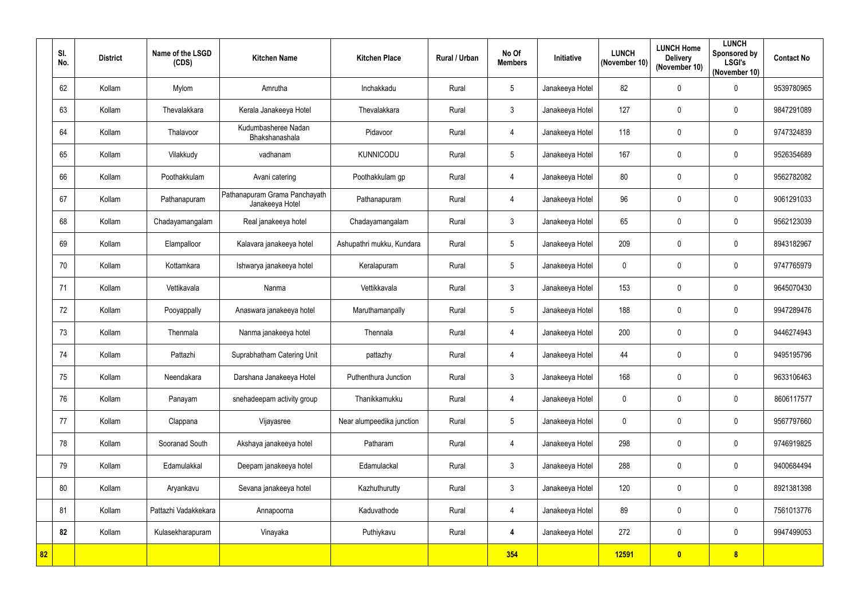|    | SI.<br>No. | <b>District</b> | Name of the LSGD<br>(CDS) | <b>Kitchen Name</b>                              | <b>Kitchen Place</b>      | Rural / Urban | No Of<br><b>Members</b> | Initiative      | <b>LUNCH</b><br>(November 10) | <b>LUNCH Home</b><br><b>Delivery</b><br>(November 10) | <b>LUNCH</b><br><b>Sponsored by</b><br><b>LSGI's</b><br>(November 10) | <b>Contact No</b> |
|----|------------|-----------------|---------------------------|--------------------------------------------------|---------------------------|---------------|-------------------------|-----------------|-------------------------------|-------------------------------------------------------|-----------------------------------------------------------------------|-------------------|
|    | 62         | Kollam          | Mylom                     | Amrutha                                          | Inchakkadu                | Rural         | $5\phantom{.0}$         | Janakeeya Hotel | 82                            | $\mathbf 0$                                           | $\pmb{0}$                                                             | 9539780965        |
|    | 63         | Kollam          | Thevalakkara              | Kerala Janakeeya Hotel                           | Thevalakkara              | Rural         | $\mathfrak{Z}$          | Janakeeya Hotel | 127                           | $\mathbf 0$                                           | $\pmb{0}$                                                             | 9847291089        |
|    | 64         | Kollam          | Thalavoor                 | Kudumbasheree Nadan<br>Bhakshanashala            | Pidavoor                  | Rural         | 4                       | Janakeeya Hotel | 118                           | $\mathbf 0$                                           | $\pmb{0}$                                                             | 9747324839        |
|    | 65         | Kollam          | Vilakkudy                 | vadhanam                                         | <b>KUNNICODU</b>          | Rural         | $5\phantom{.0}$         | Janakeeya Hotel | 167                           | $\mathbf 0$                                           | $\pmb{0}$                                                             | 9526354689        |
|    | 66         | Kollam          | Poothakkulam              | Avani catering                                   | Poothakkulam gp           | Rural         | $\overline{4}$          | Janakeeya Hotel | 80                            | $\mathbf 0$                                           | $\pmb{0}$                                                             | 9562782082        |
|    | 67         | Kollam          | Pathanapuram              | Pathanapuram Grama Panchayath<br>Janakeeya Hotel | Pathanapuram              | Rural         | $\overline{4}$          | Janakeeya Hotel | 96                            | $\mathbf 0$                                           | $\boldsymbol{0}$                                                      | 9061291033        |
|    | 68         | Kollam          | Chadayamangalam           | Real janakeeya hotel                             | Chadayamangalam           | Rural         | $\mathbf{3}$            | Janakeeya Hotel | 65                            | $\mathbf 0$                                           | $\boldsymbol{0}$                                                      | 9562123039        |
|    | 69         | Kollam          | Elampalloor               | Kalavara janakeeya hotel                         | Ashupathri mukku, Kundara | Rural         | $5\phantom{.0}$         | Janakeeya Hotel | 209                           | $\mathbf 0$                                           | $\pmb{0}$                                                             | 8943182967        |
|    | 70         | Kollam          | Kottamkara                | Ishwarya janakeeya hotel                         | Keralapuram               | Rural         | 5                       | Janakeeya Hotel | 0                             | $\mathbf 0$                                           | $\boldsymbol{0}$                                                      | 9747765979        |
|    | 71         | Kollam          | Vettikavala               | Nanma                                            | Vettikkavala              | Rural         | $\mathbf{3}$            | Janakeeya Hotel | 153                           | $\mathbf 0$                                           | $\boldsymbol{0}$                                                      | 9645070430        |
|    | 72         | Kollam          | Pooyappally               | Anaswara janakeeya hotel                         | Maruthamanpally           | Rural         | $5\phantom{.0}$         | Janakeeya Hotel | 188                           | $\boldsymbol{0}$                                      | $\pmb{0}$                                                             | 9947289476        |
|    | 73         | Kollam          | Thenmala                  | Nanma janakeeya hotel                            | Thennala                  | Rural         | $\overline{4}$          | Janakeeya Hotel | 200                           | $\mathbf 0$                                           | $\boldsymbol{0}$                                                      | 9446274943        |
|    | 74         | Kollam          | Pattazhi                  | Suprabhatham Catering Unit                       | pattazhy                  | Rural         | 4                       | Janakeeya Hotel | 44                            | $\mathbf 0$                                           | $\boldsymbol{0}$                                                      | 9495195796        |
|    | 75         | Kollam          | Neendakara                | Darshana Janakeeya Hotel                         | Puthenthura Junction      | Rural         | 3 <sup>1</sup>          | Janakeeya Hotel | 168                           | $\mathbf 0$                                           | $\pmb{0}$                                                             | 9633106463        |
|    | 76         | Kollam          | Panayam                   | snehadeepam activity group                       | Thanikkamukku             | Rural         | $\overline{4}$          | Janakeeya Hotel | $\mathbf 0$                   | $\mathbf 0$                                           | $\pmb{0}$                                                             | 8606117577        |
|    | 77         | Kollam          | Clappana                  | Vijayasree                                       | Near alumpeedika junction | Rural         | $5\phantom{.0}$         | Janakeeya Hotel | $\mathbf 0$                   | $\mathbf 0$                                           | $\mathbf 0$                                                           | 9567797660        |
|    | 78         | Kollam          | Sooranad South            | Akshaya janakeeya hotel                          | Patharam                  | Rural         | $\overline{4}$          | Janakeeya Hotel | 298                           | $\mathbf 0$                                           | $\mathbf 0$                                                           | 9746919825        |
|    | 79         | Kollam          | Edamulakkal               | Deepam janakeeya hotel                           | Edamulackal               | Rural         | $\mathfrak{Z}$          | Janakeeya Hotel | 288                           | $\mathbf 0$                                           | $\pmb{0}$                                                             | 9400684494        |
|    | 80         | Kollam          | Aryankavu                 | Sevana janakeeya hotel                           | Kazhuthurutty             | Rural         | $\mathfrak{Z}$          | Janakeeya Hotel | 120                           | $\mathbf 0$                                           | $\pmb{0}$                                                             | 8921381398        |
|    | 81         | Kollam          | Pattazhi Vadakkekara      | Annapoorna                                       | Kaduvathode               | Rural         | $\overline{4}$          | Janakeeya Hotel | 89                            | $\mathbf 0$                                           | $\mathbf 0$                                                           | 7561013776        |
|    | 82         | Kollam          | Kulasekharapuram          | Vinayaka                                         | Puthiykavu                | Rural         | 4                       | Janakeeya Hotel | 272                           | $\mathbf 0$                                           | $\mathbf 0$                                                           | 9947499053        |
| 82 |            |                 |                           |                                                  |                           |               | 354                     |                 | 12591                         | $\bullet$                                             | $\boldsymbol{8}$                                                      |                   |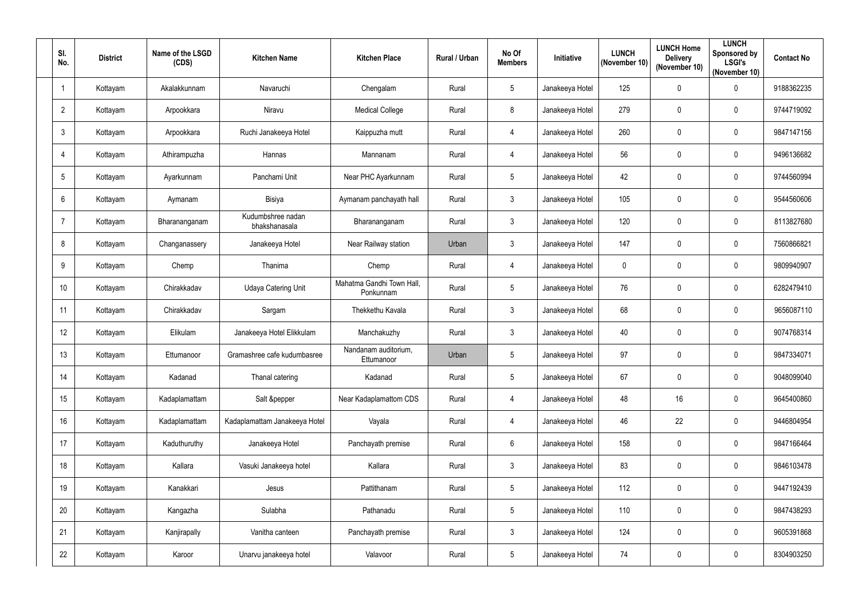| SI.<br>No.     | <b>District</b> | Name of the LSGD<br>(CDS) | <b>Kitchen Name</b>                | <b>Kitchen Place</b>                   | Rural / Urban | No Of<br><b>Members</b> | Initiative      | <b>LUNCH</b><br>(November 10) | <b>LUNCH Home</b><br><b>Delivery</b><br>(November 10) | <b>LUNCH</b><br>Sponsored by<br><b>LSGI's</b><br>(November 10) | <b>Contact No</b> |
|----------------|-----------------|---------------------------|------------------------------------|----------------------------------------|---------------|-------------------------|-----------------|-------------------------------|-------------------------------------------------------|----------------------------------------------------------------|-------------------|
|                | Kottayam        | Akalakkunnam              | Navaruchi                          | Chengalam                              | Rural         | $5\phantom{.0}$         | Janakeeya Hotel | 125                           | $\mathbf 0$                                           | $\pmb{0}$                                                      | 9188362235        |
| $\overline{2}$ | Kottayam        | Arpookkara                | Niravu                             | <b>Medical College</b>                 | Rural         | 8                       | Janakeeya Hotel | 279                           | $\mathbf 0$                                           | $\pmb{0}$                                                      | 9744719092        |
| $\mathbf{3}$   | Kottayam        | Arpookkara                | Ruchi Janakeeya Hotel              | Kaippuzha mutt                         | Rural         | 4                       | Janakeeya Hotel | 260                           | $\mathbf 0$                                           | $\pmb{0}$                                                      | 9847147156        |
| 4              | Kottayam        | Athirampuzha              | Hannas                             | Mannanam                               | Rural         | $\overline{4}$          | Janakeeya Hotel | 56                            | $\mathbf 0$                                           | $\pmb{0}$                                                      | 9496136682        |
| 5              | Kottayam        | Ayarkunnam                | Panchami Unit                      | Near PHC Ayarkunnam                    | Rural         | $5\phantom{.0}$         | Janakeeya Hotel | 42                            | $\mathbf 0$                                           | $\pmb{0}$                                                      | 9744560994        |
| 6              | Kottayam        | Aymanam                   | Bisiya                             | Aymanam panchayath hall                | Rural         | $\mathfrak{Z}$          | Janakeeya Hotel | 105                           | $\mathbf 0$                                           | 0                                                              | 9544560606        |
|                | Kottayam        | Bharananganam             | Kudumbshree nadan<br>bhakshanasala | Bharananganam                          | Rural         | $\mathbf{3}$            | Janakeeya Hotel | 120                           | $\mathbf 0$                                           | $\mathbf 0$                                                    | 8113827680        |
| 8              | Kottayam        | Changanassery             | Janakeeya Hotel                    | Near Railway station                   | Urban         | $\mathbf{3}$            | Janakeeya Hotel | 147                           | $\mathbf 0$                                           | $\pmb{0}$                                                      | 7560866821        |
| 9              | Kottayam        | Chemp                     | Thanima                            | Chemp                                  | Rural         | 4                       | Janakeeya Hotel | $\mathbf 0$                   | $\mathbf 0$                                           | 0                                                              | 9809940907        |
| 10             | Kottayam        | Chirakkadav               | <b>Udaya Catering Unit</b>         | Mahatma Gandhi Town Hall,<br>Ponkunnam | Rural         | $5\phantom{.0}$         | Janakeeya Hotel | 76                            | $\mathbf 0$                                           | $\pmb{0}$                                                      | 6282479410        |
| 11             | Kottayam        | Chirakkadav               | Sargam                             | Thekkethu Kavala                       | Rural         | $\mathbf{3}$            | Janakeeya Hotel | 68                            | $\mathbf 0$                                           | $\pmb{0}$                                                      | 9656087110        |
| 12             | Kottayam        | Elikulam                  | Janakeeya Hotel Elikkulam          | Manchakuzhy                            | Rural         | $\mathbf{3}$            | Janakeeya Hotel | 40                            | $\mathbf 0$                                           | $\pmb{0}$                                                      | 9074768314        |
| 13             | Kottayam        | Ettumanoor                | Gramashree cafe kudumbasree        | Nandanam auditorium,<br>Ettumanoor     | Urban         | 5                       | Janakeeya Hotel | 97                            | $\mathbf{0}$                                          | 0                                                              | 9847334071        |
| 14             | Kottayam        | Kadanad                   | Thanal catering                    | Kadanad                                | Rural         | $5\phantom{.0}$         | Janakeeya Hotel | 67                            | $\mathbf 0$                                           | $\pmb{0}$                                                      | 9048099040        |
| 15             | Kottayam        | Kadaplamattam             | Salt &pepper                       | Near Kadaplamattom CDS                 | Rural         | $\overline{4}$          | Janakeeya Hotel | 48                            | 16                                                    | $\pmb{0}$                                                      | 9645400860        |
| 16             | Kottayam        | Kadaplamattam             | Kadaplamattam Janakeeya Hotel      | Vayala                                 | Rural         | 4                       | Janakeeya Hotel | 46                            | 22                                                    | $\pmb{0}$                                                      | 9446804954        |
| 17             | Kottayam        | Kaduthuruthy              | Janakeeya Hotel                    | Panchayath premise                     | Rural         | $6\overline{6}$         | Janakeeya Hotel | 158                           | $\pmb{0}$                                             | $\pmb{0}$                                                      | 9847166464        |
| 18             | Kottayam        | Kallara                   | Vasuki Janakeeya hotel             | Kallara                                | Rural         | $\mathbf{3}$            | Janakeeya Hotel | 83                            | $\mathbf 0$                                           | $\pmb{0}$                                                      | 9846103478        |
| 19             | Kottayam        | Kanakkari                 | Jesus                              | Pattithanam                            | Rural         | $5\phantom{.0}$         | Janakeeya Hotel | 112                           | $\pmb{0}$                                             | $\pmb{0}$                                                      | 9447192439        |
| 20             | Kottayam        | Kangazha                  | Sulabha                            | Pathanadu                              | Rural         | $5\phantom{.0}$         | Janakeeya Hotel | 110                           | $\mathbf 0$                                           | $\mathbf 0$                                                    | 9847438293        |
| 21             | Kottayam        | Kanjirapally              | Vanitha canteen                    | Panchayath premise                     | Rural         | $\mathbf{3}$            | Janakeeya Hotel | 124                           | $\mathbf 0$                                           | $\pmb{0}$                                                      | 9605391868        |
| 22             | Kottayam        | Karoor                    | Unarvu janakeeya hotel             | Valavoor                               | Rural         | $5\phantom{.0}$         | Janakeeya Hotel | 74                            | $\boldsymbol{0}$                                      | $\pmb{0}$                                                      | 8304903250        |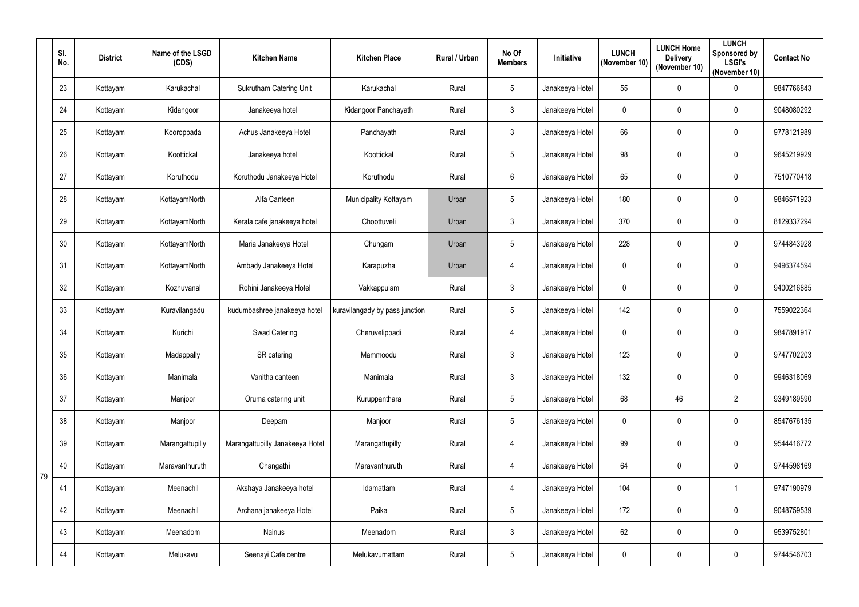|    | SI.<br>No. | <b>District</b> | Name of the LSGD<br>(CDS) | <b>Kitchen Name</b>             | <b>Kitchen Place</b>           | Rural / Urban | No Of<br><b>Members</b> | Initiative      | <b>LUNCH</b><br>(November 10) | <b>LUNCH Home</b><br><b>Delivery</b><br>(November 10) | <b>LUNCH</b><br>Sponsored by<br><b>LSGI's</b><br>(November 10) | <b>Contact No</b> |
|----|------------|-----------------|---------------------------|---------------------------------|--------------------------------|---------------|-------------------------|-----------------|-------------------------------|-------------------------------------------------------|----------------------------------------------------------------|-------------------|
|    | 23         | Kottayam        | Karukachal                | <b>Sukrutham Catering Unit</b>  | Karukachal                     | Rural         | 5                       | Janakeeya Hotel | 55                            | $\mathbf 0$                                           | $\pmb{0}$                                                      | 9847766843        |
|    | 24         | Kottayam        | Kidangoor                 | Janakeeya hotel                 | Kidangoor Panchayath           | Rural         | $\mathfrak{Z}$          | Janakeeya Hotel | $\mathbf 0$                   | $\mathbf 0$                                           | $\pmb{0}$                                                      | 9048080292        |
|    | 25         | Kottayam        | Kooroppada                | Achus Janakeeya Hotel           | Panchayath                     | Rural         | $\mathbf{3}$            | Janakeeya Hotel | 66                            | $\mathbf 0$                                           | $\pmb{0}$                                                      | 9778121989        |
|    | 26         | Kottayam        | Koottickal                | Janakeeya hotel                 | Koottickal                     | Rural         | 5                       | Janakeeya Hotel | 98                            | $\mathbf 0$                                           | $\pmb{0}$                                                      | 9645219929        |
|    | 27         | Kottayam        | Koruthodu                 | Koruthodu Janakeeya Hotel       | Koruthodu                      | Rural         | 6                       | Janakeeya Hotel | 65                            | $\mathbf 0$                                           | $\pmb{0}$                                                      | 7510770418        |
|    | 28         | Kottayam        | KottayamNorth             | Alfa Canteen                    | Municipality Kottayam          | Urban         | 5                       | Janakeeya Hotel | 180                           | $\mathbf 0$                                           | $\boldsymbol{0}$                                               | 9846571923        |
|    | 29         | Kottayam        | KottayamNorth             | Kerala cafe janakeeya hotel     | Choottuveli                    | Urban         | $\mathbf{3}$            | Janakeeya Hotel | 370                           | $\mathbf 0$                                           | $\boldsymbol{0}$                                               | 8129337294        |
|    | 30         | Kottayam        | KottayamNorth             | Maria Janakeeya Hotel           | Chungam                        | Urban         | 5                       | Janakeeya Hotel | 228                           | $\mathbf 0$                                           | $\pmb{0}$                                                      | 9744843928        |
|    | 31         | Kottayam        | KottayamNorth             | Ambady Janakeeya Hotel          | Karapuzha                      | Urban         | $\overline{4}$          | Janakeeya Hotel | 0                             | $\mathbf 0$                                           | $\boldsymbol{0}$                                               | 9496374594        |
|    | 32         | Kottayam        | Kozhuvanal                | Rohini Janakeeya Hotel          | Vakkappulam                    | Rural         | $\mathfrak{Z}$          | Janakeeya Hotel | $\mathbf 0$                   | $\mathbf 0$                                           | $\pmb{0}$                                                      | 9400216885        |
|    | 33         | Kottayam        | Kuravilangadu             | kudumbashree janakeeya hotel    | kuravilangady by pass junction | Rural         | 5                       | Janakeeya Hotel | 142                           | $\mathbf 0$                                           | $\pmb{0}$                                                      | 7559022364        |
|    | 34         | Kottayam        | Kurichi                   | <b>Swad Catering</b>            | Cheruvelippadi                 | Rural         | $\overline{4}$          | Janakeeya Hotel | $\mathbf 0$                   | $\mathbf 0$                                           | $\pmb{0}$                                                      | 9847891917        |
|    | 35         | Kottayam        | Madappally                | SR catering                     | Mammoodu                       | Rural         | 3                       | Janakeeya Hotel | 123                           | $\mathbf 0$                                           | $\mathbf 0$                                                    | 9747702203        |
|    | 36         | Kottayam        | Manimala                  | Vanitha canteen                 | Manimala                       | Rural         | $\mathfrak{Z}$          | Janakeeya Hotel | 132                           | $\mathbf 0$                                           | $\pmb{0}$                                                      | 9946318069        |
|    | 37         | Kottayam        | Manjoor                   | Oruma catering unit             | Kuruppanthara                  | Rural         | $5\phantom{.0}$         | Janakeeya Hotel | 68                            | 46                                                    | $\overline{2}$                                                 | 9349189590        |
|    | 38         | Kottayam        | Manjoor                   | Deepam                          | Manjoor                        | Rural         | $5\phantom{.0}$         | Janakeeya Hotel | 0                             | $\mathbf 0$                                           | $\pmb{0}$                                                      | 8547676135        |
|    | 39         | Kottayam        | Marangattupilly           | Marangattupilly Janakeeya Hotel | Marangattupilly                | Rural         | $\overline{4}$          | Janakeeya Hotel | 99                            | $\mathbf 0$                                           | $\pmb{0}$                                                      | 9544416772        |
| 79 | 40         | Kottayam        | Maravanthuruth            | Changathi                       | Maravanthuruth                 | Rural         | $\overline{4}$          | Janakeeya Hotel | 64                            | $\mathbf 0$                                           | $\mathbf 0$                                                    | 9744598169        |
|    | 41         | Kottayam        | Meenachil                 | Akshaya Janakeeya hotel         | Idamattam                      | Rural         | $\overline{4}$          | Janakeeya Hotel | 104                           | $\pmb{0}$                                             | $\mathbf{1}$                                                   | 9747190979        |
|    | 42         | Kottayam        | Meenachil                 | Archana janakeeya Hotel         | Paika                          | Rural         | $\sqrt{5}$              | Janakeeya Hotel | 172                           | $\pmb{0}$                                             | $\mathbf 0$                                                    | 9048759539        |
|    | 43         | Kottayam        | Meenadom                  | Nainus                          | Meenadom                       | Rural         | $\mathfrak{Z}$          | Janakeeya Hotel | 62                            | $\pmb{0}$                                             | $\pmb{0}$                                                      | 9539752801        |
|    | 44         | Kottayam        | Melukavu                  | Seenayi Cafe centre             | Melukavumattam                 | Rural         | $5\phantom{.0}$         | Janakeeya Hotel | $\pmb{0}$                     | $\boldsymbol{0}$                                      | $\pmb{0}$                                                      | 9744546703        |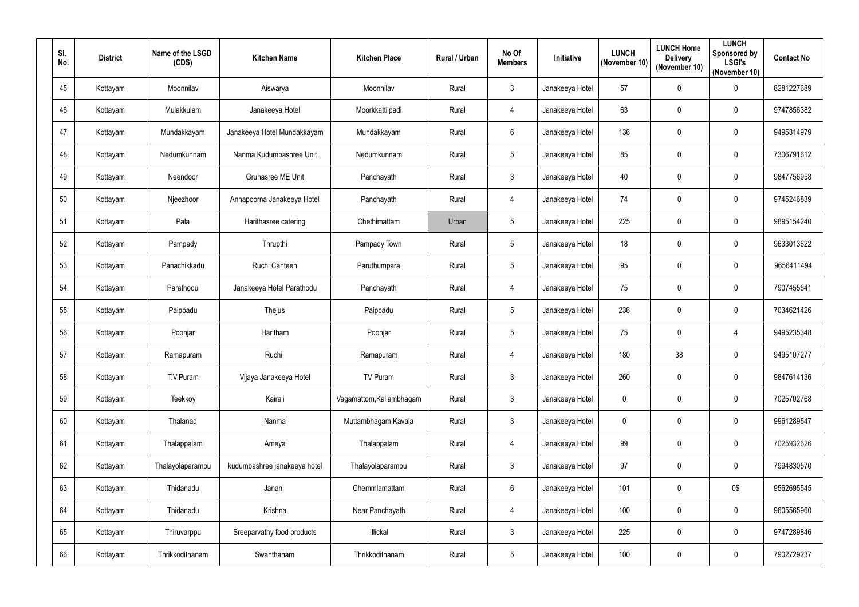| SI.<br>No. | <b>District</b> | Name of the LSGD<br>(CDS) | <b>Kitchen Name</b>          | <b>Kitchen Place</b>     | Rural / Urban | No Of<br><b>Members</b> | Initiative      | <b>LUNCH</b><br>(November 10) | <b>LUNCH Home</b><br><b>Delivery</b><br>(November 10) | <b>LUNCH</b><br>Sponsored by<br><b>LSGI's</b><br>(November 10) | <b>Contact No</b> |
|------------|-----------------|---------------------------|------------------------------|--------------------------|---------------|-------------------------|-----------------|-------------------------------|-------------------------------------------------------|----------------------------------------------------------------|-------------------|
| 45         | Kottayam        | Moonnilav                 | Aiswarya                     | Moonnilav                | Rural         | $\mathbf{3}$            | Janakeeya Hotel | 57                            | $\mathbf 0$                                           | $\pmb{0}$                                                      | 8281227689        |
| 46         | Kottayam        | Mulakkulam                | Janakeeya Hotel              | Moorkkattilpadi          | Rural         | 4                       | Janakeeya Hotel | 63                            | $\mathbf 0$                                           | 0                                                              | 9747856382        |
| 47         | Kottayam        | Mundakkayam               | Janakeeya Hotel Mundakkayam  | Mundakkayam              | Rural         | $6\overline{6}$         | Janakeeya Hotel | 136                           | $\mathbf 0$                                           | $\pmb{0}$                                                      | 9495314979        |
| 48         | Kottayam        | Nedumkunnam               | Nanma Kudumbashree Unit      | Nedumkunnam              | Rural         | $5\phantom{.0}$         | Janakeeya Hotel | 85                            | $\mathbf 0$                                           | $\pmb{0}$                                                      | 7306791612        |
| 49         | Kottayam        | Neendoor                  | Gruhasree ME Unit            | Panchayath               | Rural         | $\mathbf{3}$            | Janakeeya Hotel | 40                            | $\mathbf 0$                                           | $\pmb{0}$                                                      | 9847756958        |
| 50         | Kottayam        | Njeezhoor                 | Annapoorna Janakeeya Hotel   | Panchayath               | Rural         | $\overline{4}$          | Janakeeya Hotel | 74                            | $\mathbf 0$                                           | 0                                                              | 9745246839        |
| 51         | Kottayam        | Pala                      | Harithasree catering         | Chethimattam             | Urban         | $5\overline{)}$         | Janakeeya Hotel | 225                           | $\mathbf 0$                                           | $\mathbf 0$                                                    | 9895154240        |
| 52         | Kottayam        | Pampady                   | Thrupthi                     | Pampady Town             | Rural         | $5\phantom{.0}$         | Janakeeya Hotel | 18                            | $\mathbf 0$                                           | $\pmb{0}$                                                      | 9633013622        |
| 53         | Kottayam        | Panachikkadu              | Ruchi Canteen                | Paruthumpara             | Rural         | 5 <sup>5</sup>          | Janakeeya Hotel | 95                            | $\mathbf 0$                                           | 0                                                              | 9656411494        |
| 54         | Kottayam        | Parathodu                 | Janakeeya Hotel Parathodu    | Panchayath               | Rural         | 4                       | Janakeeya Hotel | 75                            | $\mathbf 0$                                           | $\pmb{0}$                                                      | 7907455541        |
| 55         | Kottayam        | Paippadu                  | Thejus                       | Paippadu                 | Rural         | $5\phantom{.0}$         | Janakeeya Hotel | 236                           | $\mathbf 0$                                           | $\pmb{0}$                                                      | 7034621426        |
| 56         | Kottayam        | Poonjar                   | Haritham                     | Poonjar                  | Rural         | $5\phantom{.0}$         | Janakeeya Hotel | 75                            | $\mathbf 0$                                           | 4                                                              | 9495235348        |
| 57         | Kottayam        | Ramapuram                 | Ruchi                        | Ramapuram                | Rural         | 4                       | Janakeeya Hotel | 180                           | 38                                                    | 0                                                              | 9495107277        |
| 58         | Kottayam        | T.V.Puram                 | Vijaya Janakeeya Hotel       | TV Puram                 | Rural         | $\mathbf{3}$            | Janakeeya Hotel | 260                           | $\overline{0}$                                        | $\pmb{0}$                                                      | 9847614136        |
| 59         | Kottayam        | Teekkoy                   | Kairali                      | Vagamattom, Kallambhagam | Rural         | 3                       | Janakeeya Hotel | $\mathbf 0$                   | $\pmb{0}$                                             | $\pmb{0}$                                                      | 7025702768        |
| 60         | Kottayam        | Thalanad                  | Nanma                        | Muttambhagam Kavala      | Rural         | $\mathfrak{Z}$          | Janakeeya Hotel | $\mathbf 0$                   | $\pmb{0}$                                             | $\pmb{0}$                                                      | 9961289547        |
| 61         | Kottayam        | Thalappalam               | Ameya                        | Thalappalam              | Rural         | $\overline{4}$          | Janakeeya Hotel | 99                            | $\mathbf 0$                                           | $\pmb{0}$                                                      | 7025932626        |
| 62         | Kottayam        | Thalayolaparambu          | kudumbashree janakeeya hotel | Thalayolaparambu         | Rural         | $\mathbf{3}$            | Janakeeya Hotel | 97                            | $\mathbf 0$                                           | $\mathbf 0$                                                    | 7994830570        |
| 63         | Kottayam        | Thidanadu                 | Janani                       | Chemmlamattam            | Rural         | $6\overline{6}$         | Janakeeya Hotel | 101                           | $\pmb{0}$                                             | 0\$                                                            | 9562695545        |
| 64         | Kottayam        | Thidanadu                 | Krishna                      | Near Panchayath          | Rural         | $\overline{4}$          | Janakeeya Hotel | 100                           | $\pmb{0}$                                             | $\mathbf 0$                                                    | 9605565960        |
| 65         | Kottayam        | Thiruvarppu               | Sreeparvathy food products   | Illickal                 | Rural         | $\mathbf{3}$            | Janakeeya Hotel | 225                           | $\mathbf 0$                                           | $\pmb{0}$                                                      | 9747289846        |
| 66         | Kottayam        | Thrikkodithanam           | Swanthanam                   | Thrikkodithanam          | Rural         | $5\phantom{.0}$         | Janakeeya Hotel | 100                           | $\pmb{0}$                                             | $\pmb{0}$                                                      | 7902729237        |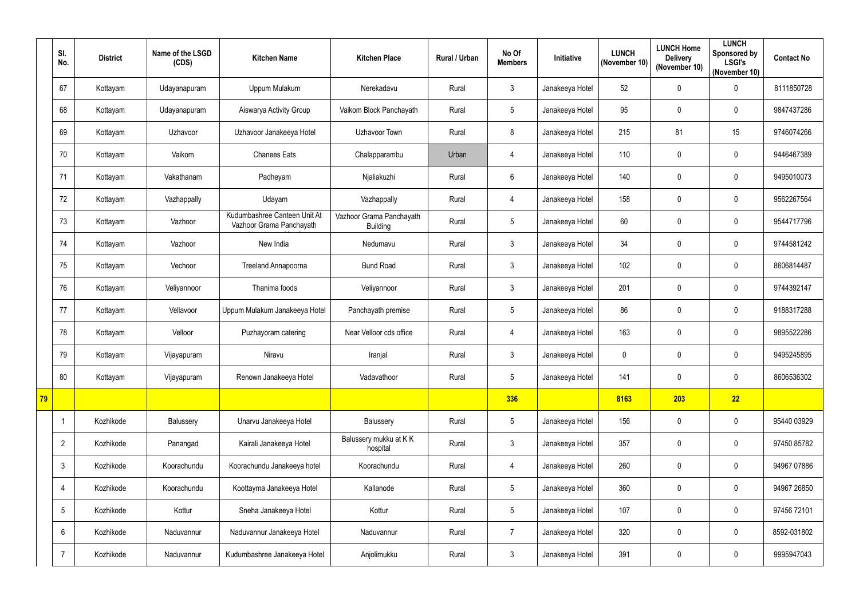|    | SI.<br>No.      | <b>District</b> | Name of the LSGD<br>(CDS) | <b>Kitchen Name</b>                                      | <b>Kitchen Place</b>                        | Rural / Urban | No Of<br><b>Members</b> | Initiative      | <b>LUNCH</b><br>(November 10) | <b>LUNCH Home</b><br><b>Delivery</b><br>(November 10) | <b>LUNCH</b><br>Sponsored by<br><b>LSGI's</b><br>(November 10) | <b>Contact No</b> |
|----|-----------------|-----------------|---------------------------|----------------------------------------------------------|---------------------------------------------|---------------|-------------------------|-----------------|-------------------------------|-------------------------------------------------------|----------------------------------------------------------------|-------------------|
|    | 67              | Kottayam        | Udayanapuram              | Uppum Mulakum                                            | Nerekadavu                                  | Rural         | $\mathfrak{Z}$          | Janakeeya Hotel | 52                            | $\mathbf 0$                                           | $\pmb{0}$                                                      | 8111850728        |
|    | 68              | Kottayam        | Udayanapuram              | Aiswarya Activity Group                                  | Vaikom Block Panchayath                     | Rural         | $5\phantom{.0}$         | Janakeeya Hotel | 95                            | $\mathbf 0$                                           | $\boldsymbol{0}$                                               | 9847437286        |
|    | 69              | Kottayam        | Uzhavoor                  | Uzhavoor Janakeeya Hotel                                 | Uzhavoor Town                               | Rural         | 8                       | Janakeeya Hotel | 215                           | 81                                                    | 15                                                             | 9746074266        |
|    | 70              | Kottayam        | Vaikom                    | <b>Chanees Eats</b>                                      | Chalapparambu                               | Urban         | 4                       | Janakeeya Hotel | 110                           | $\mathbf 0$                                           | $\boldsymbol{0}$                                               | 9446467389        |
|    | 71              | Kottayam        | Vakathanam                | Padheyam                                                 | Njaliakuzhi                                 | Rural         | $6\phantom{.}$          | Janakeeya Hotel | 140                           | $\mathbf 0$                                           | $\pmb{0}$                                                      | 9495010073        |
|    | 72              | Kottayam        | Vazhappally               | Udayam                                                   | Vazhappally                                 | Rural         | 4                       | Janakeeya Hotel | 158                           | $\mathbf 0$                                           | $\pmb{0}$                                                      | 9562267564        |
|    | 73              | Kottayam        | Vazhoor                   | Kudumbashree Canteen Unit At<br>Vazhoor Grama Panchayath | Vazhoor Grama Panchayath<br><b>Building</b> | Rural         | $5\phantom{.0}$         | Janakeeya Hotel | 60                            | $\mathbf 0$                                           | $\boldsymbol{0}$                                               | 9544717796        |
|    | 74              | Kottayam        | Vazhoor                   | New India                                                | Nedumavu                                    | Rural         | $\mathbf{3}$            | Janakeeya Hotel | 34                            | $\boldsymbol{0}$                                      | $\pmb{0}$                                                      | 9744581242        |
|    | 75              | Kottayam        | Vechoor                   | Treeland Annapoorna                                      | <b>Bund Road</b>                            | Rural         | $\mathfrak{Z}$          | Janakeeya Hotel | 102                           | $\mathbf 0$                                           | $\boldsymbol{0}$                                               | 8606814487        |
|    | 76              | Kottayam        | Veliyannoor               | Thanima foods                                            | Veliyannoor                                 | Rural         | $\mathfrak{Z}$          | Janakeeya Hotel | 201                           | $\mathbf 0$                                           | $\pmb{0}$                                                      | 9744392147        |
|    | 77              | Kottayam        | Vellavoor                 | Uppum Mulakum Janakeeya Hotel                            | Panchayath premise                          | Rural         | $5\phantom{.0}$         | Janakeeya Hotel | 86                            | $\mathbf 0$                                           | $\boldsymbol{0}$                                               | 9188317288        |
|    | 78              | Kottayam        | Velloor                   | Puzhayoram catering                                      | Near Velloor cds office                     | Rural         | 4                       | Janakeeya Hotel | 163                           | $\mathbf 0$                                           | $\boldsymbol{0}$                                               | 9895522286        |
|    | 79              | Kottayam        | Vijayapuram               | Niravu                                                   | Iranjal                                     | Rural         | $\mathfrak{Z}$          | Janakeeya Hotel | 0                             | $\mathbf 0$                                           | 0                                                              | 9495245895        |
|    | 80              | Kottayam        | Vijayapuram               | Renown Janakeeya Hotel                                   | Vadavathoor                                 | Rural         | $5\phantom{.0}$         | Janakeeya Hotel | 141                           | $\boldsymbol{0}$                                      | $\pmb{0}$                                                      | 8606536302        |
| 79 |                 |                 |                           |                                                          |                                             |               | 336                     |                 | 8163                          | 203                                                   | 22                                                             |                   |
|    | $\mathbf 1$     | Kozhikode       | Balussery                 | Unarvu Janakeeya Hotel                                   | Balussery                                   | Rural         | $5\overline{)}$         | Janakeeya Hotel | 156                           | $\mathbf 0$                                           | $\pmb{0}$                                                      | 95440 03929       |
|    | $\overline{2}$  | Kozhikode       | Panangad                  | Kairali Janakeeya Hotel                                  | Balussery mukku at KK<br>hospital           | Rural         | $\mathbf{3}$            | Janakeeya Hotel | 357                           | $\mathbf 0$                                           | $\mathbf 0$                                                    | 97450 85782       |
|    | $\mathfrak{Z}$  | Kozhikode       | Koorachundu               | Koorachundu Janakeeya hotel                              | Koorachundu                                 | Rural         | $\overline{4}$          | Janakeeya Hotel | 260                           | $\mathbf 0$                                           | $\mathbf 0$                                                    | 94967 07886       |
|    | 4               | Kozhikode       | Koorachundu               | Koottayma Janakeeya Hotel                                | Kallanode                                   | Rural         | $5\phantom{.0}$         | Janakeeya Hotel | 360                           | $\mathbf 0$                                           | $\mathbf 0$                                                    | 94967 26850       |
|    | 5               | Kozhikode       | Kottur                    | Sneha Janakeeya Hotel                                    | Kottur                                      | Rural         | $5\phantom{.0}$         | Janakeeya Hotel | 107                           | $\mathbf 0$                                           | $\mathbf 0$                                                    | 97456 72101       |
|    | $6\overline{6}$ | Kozhikode       | Naduvannur                | Naduvannur Janakeeya Hotel                               | Naduvannur                                  | Rural         | $\overline{7}$          | Janakeeya Hotel | 320                           | $\mathbf 0$                                           | $\pmb{0}$                                                      | 8592-031802       |
|    | 7               | Kozhikode       | Naduvannur                | Kudumbashree Janakeeya Hotel                             | Anjolimukku                                 | Rural         | $\mathfrak{Z}$          | Janakeeya Hotel | 391                           | $\boldsymbol{0}$                                      | $\pmb{0}$                                                      | 9995947043        |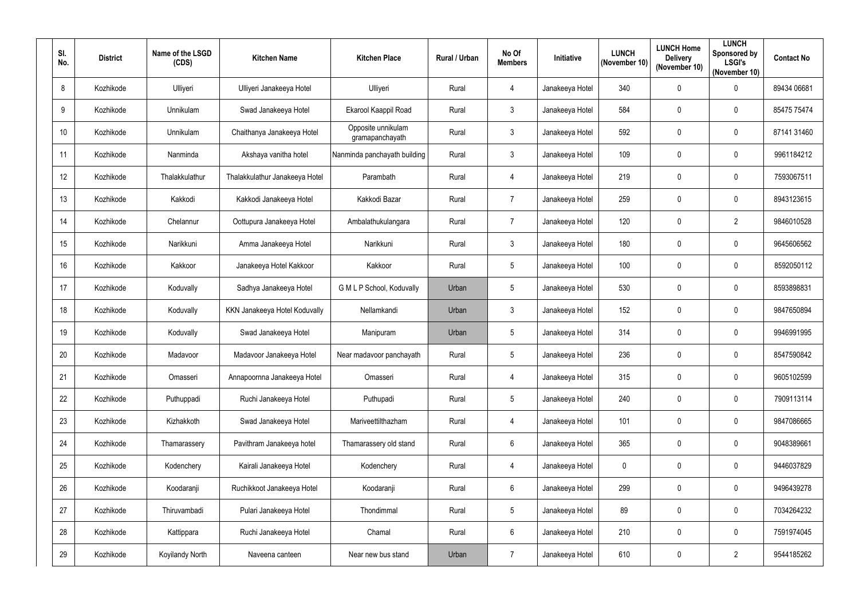| SI.<br>No.      | <b>District</b> | Name of the LSGD<br>(CDS) | <b>Kitchen Name</b>            | <b>Kitchen Place</b>                  | <b>Rural / Urban</b> | No Of<br><b>Members</b> | Initiative      | <b>LUNCH</b><br>(November 10) | <b>LUNCH Home</b><br><b>Delivery</b><br>(November 10) | <b>LUNCH</b><br>Sponsored by<br><b>LSGI's</b><br>(November 10) | <b>Contact No</b> |
|-----------------|-----------------|---------------------------|--------------------------------|---------------------------------------|----------------------|-------------------------|-----------------|-------------------------------|-------------------------------------------------------|----------------------------------------------------------------|-------------------|
| 8               | Kozhikode       | Ulliyeri                  | Ulliyeri Janakeeya Hotel       | Ulliyeri                              | Rural                | $\overline{4}$          | Janakeeya Hotel | 340                           | $\mathbf 0$                                           | $\pmb{0}$                                                      | 89434 06681       |
| 9               | Kozhikode       | Unnikulam                 | Swad Janakeeya Hotel           | Ekarool Kaappil Road                  | Rural                | $\mathbf{3}$            | Janakeeya Hotel | 584                           | $\mathbf 0$                                           | $\mathbf 0$                                                    | 85475 75474       |
| 10 <sup>°</sup> | Kozhikode       | Unnikulam                 | Chaithanya Janakeeya Hotel     | Opposite unnikulam<br>gramapanchayath | Rural                | $\mathbf{3}$            | Janakeeya Hotel | 592                           | $\mathbf 0$                                           | $\pmb{0}$                                                      | 87141 31460       |
| 11              | Kozhikode       | Nanminda                  | Akshaya vanitha hotel          | Nanminda panchayath building          | Rural                | $\mathbf{3}$            | Janakeeya Hotel | 109                           | $\mathbf 0$                                           | $\mathbf 0$                                                    | 9961184212        |
| 12              | Kozhikode       | Thalakkulathur            | Thalakkulathur Janakeeya Hotel | Parambath                             | Rural                | $\overline{4}$          | Janakeeya Hotel | 219                           | $\mathbf 0$                                           | $\mathbf 0$                                                    | 7593067511        |
| 13              | Kozhikode       | Kakkodi                   | Kakkodi Janakeeya Hotel        | Kakkodi Bazar                         | Rural                | $\overline{7}$          | Janakeeya Hotel | 259                           | $\mathbf 0$                                           | $\mathbf 0$                                                    | 8943123615        |
| 14              | Kozhikode       | Chelannur                 | Oottupura Janakeeya Hotel      | Ambalathukulangara                    | Rural                | $\overline{7}$          | Janakeeya Hotel | 120                           | $\mathbf 0$                                           | $\overline{2}$                                                 | 9846010528        |
| 15              | Kozhikode       | Narikkuni                 | Amma Janakeeya Hotel           | Narikkuni                             | Rural                | $\mathbf{3}$            | Janakeeya Hotel | 180                           | $\mathbf 0$                                           | $\pmb{0}$                                                      | 9645606562        |
| 16              | Kozhikode       | Kakkoor                   | Janakeeya Hotel Kakkoor        | Kakkoor                               | Rural                | $5\phantom{.0}$         | Janakeeya Hotel | 100                           | $\mathbf 0$                                           | $\mathbf 0$                                                    | 8592050112        |
| 17              | Kozhikode       | Koduvally                 | Sadhya Janakeeya Hotel         | G M L P School, Koduvally             | Urban                | $\overline{5}$          | Janakeeya Hotel | 530                           | $\mathbf 0$                                           | $\mathbf 0$                                                    | 8593898831        |
| 18              | Kozhikode       | Koduvally                 | KKN Janakeeya Hotel Koduvally  | Nellamkandi                           | Urban                | $\mathbf{3}$            | Janakeeya Hotel | 152                           | $\mathbf 0$                                           | $\mathbf 0$                                                    | 9847650894        |
| 19              | Kozhikode       | Koduvally                 | Swad Janakeeya Hotel           | Manipuram                             | Urban                | $\overline{5}$          | Janakeeya Hotel | 314                           | 0                                                     | $\pmb{0}$                                                      | 9946991995        |
| 20              | Kozhikode       | Madavoor                  | Madavoor Janakeeya Hotel       | Near madavoor panchayath              | Rural                | 5                       | Janakeeya Hotel | 236                           | $\mathbf 0$                                           | $\mathbf 0$                                                    | 8547590842        |
| 21              | Kozhikode       | Omasseri                  | Annapoornna Janakeeya Hotel    | Omasseri                              | Rural                | $\overline{4}$          | Janakeeya Hotel | 315                           | $\mathbf 0$                                           | $\pmb{0}$                                                      | 9605102599        |
| 22              | Kozhikode       | Puthuppadi                | Ruchi Janakeeya Hotel          | Puthupadi                             | Rural                | $5\phantom{.0}$         | Janakeeya Hotel | 240                           | $\pmb{0}$                                             | $\pmb{0}$                                                      | 7909113114        |
| 23              | Kozhikode       | Kizhakkoth                | Swad Janakeeya Hotel           | Mariveettilthazham                    | Rural                | $\overline{4}$          | Janakeeya Hotel | 101                           | $\pmb{0}$                                             | $\pmb{0}$                                                      | 9847086665        |
| 24              | Kozhikode       | Thamarassery              | Pavithram Janakeeya hotel      | Thamarassery old stand                | Rural                | $6\phantom{.}6$         | Janakeeya Hotel | 365                           | $\mathbf 0$                                           | $\pmb{0}$                                                      | 9048389661        |
| 25              | Kozhikode       | Kodenchery                | Kairali Janakeeya Hotel        | Kodenchery                            | Rural                | $\overline{4}$          | Janakeeya Hotel | $\mathbf 0$                   | $\mathbf 0$                                           | $\mathbf 0$                                                    | 9446037829        |
| 26              | Kozhikode       | Koodaranji                | Ruchikkoot Janakeeya Hotel     | Koodaranji                            | Rural                | $6\phantom{.}6$         | Janakeeya Hotel | 299                           | $\mathbf 0$                                           | $\pmb{0}$                                                      | 9496439278        |
| 27              | Kozhikode       | Thiruvambadi              | Pulari Janakeeya Hotel         | Thondimmal                            | Rural                | $5\phantom{.0}$         | Janakeeya Hotel | 89                            | $\pmb{0}$                                             | $\mathbf 0$                                                    | 7034264232        |
| 28              | Kozhikode       | Kattippara                | Ruchi Janakeeya Hotel          | Chamal                                | Rural                | $6\overline{6}$         | Janakeeya Hotel | 210                           | $\mathbf 0$                                           | $\pmb{0}$                                                      | 7591974045        |
| 29              | Kozhikode       | Koyilandy North           | Naveena canteen                | Near new bus stand                    | Urban                | $\overline{7}$          | Janakeeya Hotel | 610                           | $\pmb{0}$                                             | $\overline{2}$                                                 | 9544185262        |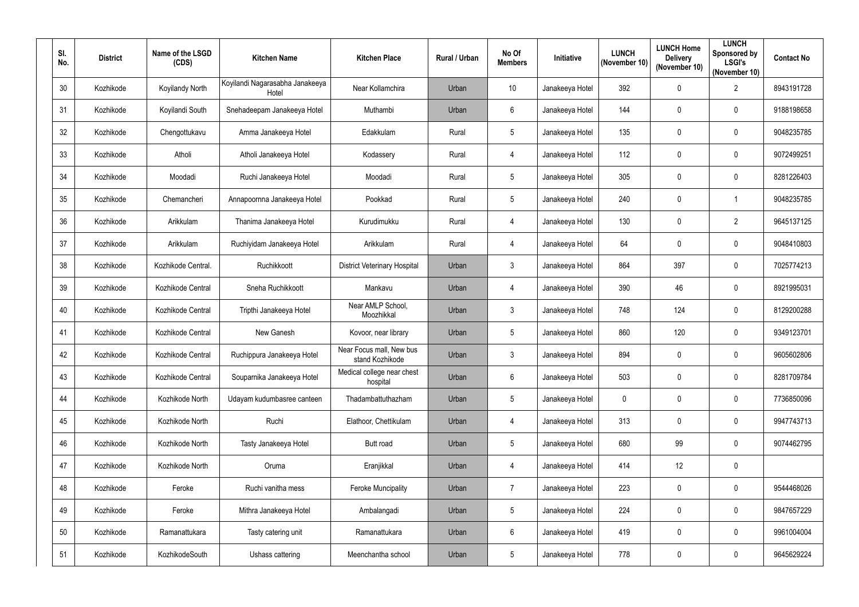| SI.<br>No. | <b>District</b> | Name of the LSGD<br>(CDS) | <b>Kitchen Name</b>                      | <b>Kitchen Place</b>                        | <b>Rural / Urban</b> | No Of<br><b>Members</b> | Initiative      | <b>LUNCH</b><br>(November 10) | <b>LUNCH Home</b><br><b>Delivery</b><br>(November 10) | <b>LUNCH</b><br>Sponsored by<br><b>LSGI's</b><br>(November 10) | <b>Contact No</b> |
|------------|-----------------|---------------------------|------------------------------------------|---------------------------------------------|----------------------|-------------------------|-----------------|-------------------------------|-------------------------------------------------------|----------------------------------------------------------------|-------------------|
| 30         | Kozhikode       | Koyilandy North           | Koyilandi Nagarasabha Janakeeya<br>Hotel | Near Kollamchira                            | Urban                | 10 <sup>°</sup>         | Janakeeya Hotel | 392                           | $\mathbf 0$                                           | $\overline{2}$                                                 | 8943191728        |
| 31         | Kozhikode       | Koyilandi South           | Snehadeepam Janakeeya Hotel              | Muthambi                                    | Urban                | $6\phantom{.}6$         | Janakeeya Hotel | 144                           | $\boldsymbol{0}$                                      | $\mathbf 0$                                                    | 9188198658        |
| 32         | Kozhikode       | Chengottukavu             | Amma Janakeeya Hotel                     | Edakkulam                                   | Rural                | $5\phantom{.0}$         | Janakeeya Hotel | 135                           | $\mathbf 0$                                           | $\pmb{0}$                                                      | 9048235785        |
| 33         | Kozhikode       | Atholi                    | Atholi Janakeeya Hotel                   | Kodassery                                   | Rural                | $\overline{4}$          | Janakeeya Hotel | 112                           | $\mathbf 0$                                           | $\mathbf 0$                                                    | 9072499251        |
| 34         | Kozhikode       | Moodadi                   | Ruchi Janakeeya Hotel                    | Moodadi                                     | Rural                | $5\phantom{.0}$         | Janakeeya Hotel | 305                           | $\mathbf 0$                                           | $\pmb{0}$                                                      | 8281226403        |
| 35         | Kozhikode       | Chemancheri               | Annapoornna Janakeeya Hotel              | Pookkad                                     | Rural                | $5\phantom{.0}$         | Janakeeya Hotel | 240                           | $\mathbf 0$                                           | -1                                                             | 9048235785        |
| 36         | Kozhikode       | Arikkulam                 | Thanima Janakeeya Hotel                  | Kurudimukku                                 | Rural                | 4                       | Janakeeya Hotel | 130                           | $\mathbf 0$                                           | $\overline{2}$                                                 | 9645137125        |
| 37         | Kozhikode       | Arikkulam                 | Ruchiyidam Janakeeya Hotel               | Arikkulam                                   | Rural                | $\overline{4}$          | Janakeeya Hotel | 64                            | $\mathbf 0$                                           | $\pmb{0}$                                                      | 9048410803        |
| 38         | Kozhikode       | Kozhikode Central.        | Ruchikkoott                              | <b>District Veterinary Hospital</b>         | Urban                | $\mathbf{3}$            | Janakeeya Hotel | 864                           | 397                                                   | $\mathbf 0$                                                    | 7025774213        |
| 39         | Kozhikode       | Kozhikode Central         | Sneha Ruchikkoott                        | Mankavu                                     | Urban                | 4                       | Janakeeya Hotel | 390                           | 46                                                    | $\pmb{0}$                                                      | 8921995031        |
| 40         | Kozhikode       | Kozhikode Central         | Tripthi Janakeeya Hotel                  | Near AMLP School,<br>Moozhikkal             | Urban                | $\mathbf{3}$            | Janakeeya Hotel | 748                           | 124                                                   | $\pmb{0}$                                                      | 8129200288        |
| 41         | Kozhikode       | Kozhikode Central         | New Ganesh                               | Kovoor, near library                        | Urban                | $\overline{5}$          | Janakeeya Hotel | 860                           | 120                                                   | $\pmb{0}$                                                      | 9349123701        |
| 42         | Kozhikode       | Kozhikode Central         | Ruchippura Janakeeya Hotel               | Near Focus mall, New bus<br>stand Kozhikode | Urban                | 3                       | Janakeeya Hotel | 894                           | $\mathbf 0$                                           | $\mathbf 0$                                                    | 9605602806        |
| 43         | Kozhikode       | Kozhikode Central         | Souparnika Janakeeya Hotel               | Medical college near chest<br>hospital      | Urban                | 6                       | Janakeeya Hotel | 503                           | $\overline{0}$                                        | $\pmb{0}$                                                      | 8281709784        |
| 44         | Kozhikode       | Kozhikode North           | Udayam kudumbasree canteen               | Thadambattuthazham                          | Urban                | $\sqrt{5}$              | Janakeeya Hotel | $\mathbf 0$                   | $\pmb{0}$                                             | $\pmb{0}$                                                      | 7736850096        |
| 45         | Kozhikode       | Kozhikode North           | Ruchi                                    | Elathoor, Chettikulam                       | Urban                | $\overline{4}$          | Janakeeya Hotel | 313                           | $\boldsymbol{0}$                                      | $\pmb{0}$                                                      | 9947743713        |
| 46         | Kozhikode       | Kozhikode North           | Tasty Janakeeya Hotel                    | <b>Butt road</b>                            | Urban                | $5\phantom{.0}$         | Janakeeya Hotel | 680                           | 99                                                    | $\pmb{0}$                                                      | 9074462795        |
| 47         | Kozhikode       | Kozhikode North           | Oruma                                    | Eranjikkal                                  | Urban                | $\overline{4}$          | Janakeeya Hotel | 414                           | 12                                                    | $\pmb{0}$                                                      |                   |
| 48         | Kozhikode       | Feroke                    | Ruchi vanitha mess                       | Feroke Muncipality                          | Urban                | $\overline{7}$          | Janakeeya Hotel | 223                           | $\boldsymbol{0}$                                      | $\pmb{0}$                                                      | 9544468026        |
| 49         | Kozhikode       | Feroke                    | Mithra Janakeeya Hotel                   | Ambalangadi                                 | Urban                | $5\phantom{.0}$         | Janakeeya Hotel | 224                           | $\boldsymbol{0}$                                      | $\pmb{0}$                                                      | 9847657229        |
| 50         | Kozhikode       | Ramanattukara             | Tasty catering unit                      | Ramanattukara                               | Urban                | $6\overline{6}$         | Janakeeya Hotel | 419                           | $\overline{0}$                                        | $\pmb{0}$                                                      | 9961004004        |
| 51         | Kozhikode       | KozhikodeSouth            | Ushass cattering                         | Meenchantha school                          | Urban                | $5\phantom{.0}$         | Janakeeya Hotel | 778                           | $\pmb{0}$                                             | $\pmb{0}$                                                      | 9645629224        |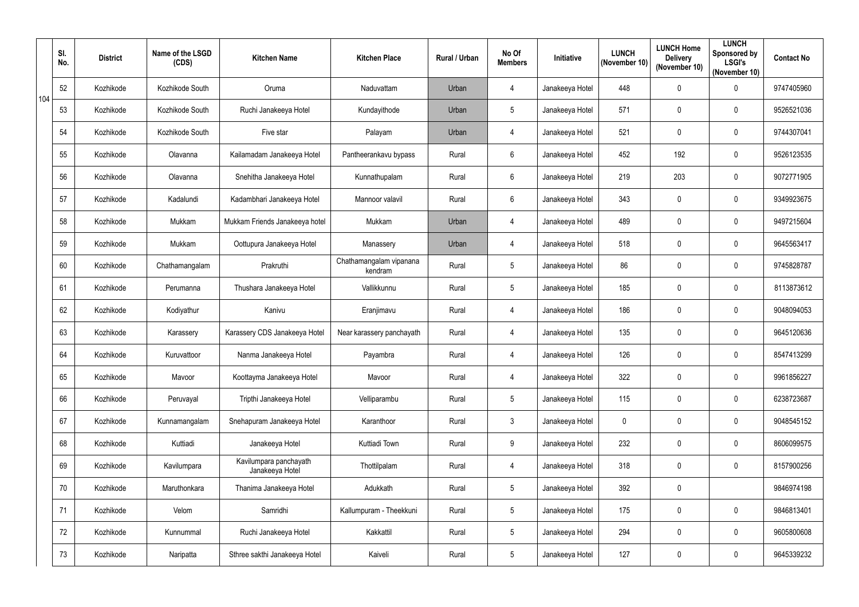|     | SI.<br>No. | <b>District</b> | Name of the LSGD<br>(CDS) | <b>Kitchen Name</b>                       | <b>Kitchen Place</b>               | Rural / Urban | No Of<br><b>Members</b> | Initiative      | <b>LUNCH</b><br>(November 10) | <b>LUNCH Home</b><br><b>Delivery</b><br>(November 10) | <b>LUNCH</b><br>Sponsored by<br><b>LSGI's</b><br>(November 10) | <b>Contact No</b> |
|-----|------------|-----------------|---------------------------|-------------------------------------------|------------------------------------|---------------|-------------------------|-----------------|-------------------------------|-------------------------------------------------------|----------------------------------------------------------------|-------------------|
| 104 | 52         | Kozhikode       | Kozhikode South           | Oruma                                     | Naduvattam                         | Urban         | $\overline{4}$          | Janakeeya Hotel | 448                           | $\mathbf 0$                                           | $\pmb{0}$                                                      | 9747405960        |
|     | 53         | Kozhikode       | Kozhikode South           | Ruchi Janakeeya Hotel                     | Kundayithode                       | Urban         | 5                       | Janakeeya Hotel | 571                           | $\mathbf 0$                                           | 0                                                              | 9526521036        |
|     | 54         | Kozhikode       | Kozhikode South           | Five star                                 | Palayam                            | Urban         | $\overline{4}$          | Janakeeya Hotel | 521                           | $\mathbf 0$                                           | $\pmb{0}$                                                      | 9744307041        |
|     | 55         | Kozhikode       | Olavanna                  | Kailamadam Janakeeya Hotel                | Pantheerankavu bypass              | Rural         | $6\phantom{.}$          | Janakeeya Hotel | 452                           | 192                                                   | $\pmb{0}$                                                      | 9526123535        |
|     | 56         | Kozhikode       | Olavanna                  | Snehitha Janakeeya Hotel                  | Kunnathupalam                      | Rural         | $6\phantom{.}$          | Janakeeya Hotel | 219                           | 203                                                   | $\pmb{0}$                                                      | 9072771905        |
|     | 57         | Kozhikode       | Kadalundi                 | Kadambhari Janakeeya Hotel                | Mannoor valavil                    | Rural         | $6\phantom{.}$          | Janakeeya Hotel | 343                           | $\mathbf 0$                                           | 0                                                              | 9349923675        |
|     | 58         | Kozhikode       | Mukkam                    | Mukkam Friends Janakeeya hotel            | Mukkam                             | Urban         | $\overline{4}$          | Janakeeya Hotel | 489                           | $\mathbf 0$                                           | $\mathbf 0$                                                    | 9497215604        |
|     | 59         | Kozhikode       | Mukkam                    | Oottupura Janakeeya Hotel                 | Manassery                          | Urban         | $\overline{4}$          | Janakeeya Hotel | 518                           | $\mathbf 0$                                           | $\pmb{0}$                                                      | 9645563417        |
|     | 60         | Kozhikode       | Chathamangalam            | Prakruthi                                 | Chathamangalam vipanana<br>kendram | Rural         | 5                       | Janakeeya Hotel | 86                            | $\mathbf 0$                                           | 0                                                              | 9745828787        |
|     | 61         | Kozhikode       | Perumanna                 | Thushara Janakeeya Hotel                  | Vallikkunnu                        | Rural         | 5                       | Janakeeya Hotel | 185                           | $\mathbf{0}$                                          | $\pmb{0}$                                                      | 8113873612        |
|     | 62         | Kozhikode       | Kodiyathur                | Kanivu                                    | Eranjimavu                         | Rural         | $\overline{4}$          | Janakeeya Hotel | 186                           | $\mathbf 0$                                           | 0                                                              | 9048094053        |
|     | 63         | Kozhikode       | Karassery                 | Karassery CDS Janakeeya Hotel             | Near karassery panchayath          | Rural         | $\overline{4}$          | Janakeeya Hotel | 135                           | $\mathbf 0$                                           | $\pmb{0}$                                                      | 9645120636        |
|     | 64         | Kozhikode       | Kuruvattoor               | Nanma Janakeeya Hotel                     | Payambra                           | Rural         | 4                       | Janakeeya Hotel | 126                           | $\mathbf{0}$                                          | $\mathbf 0$                                                    | 8547413299        |
|     | 65         | Kozhikode       | Mavoor                    | Koottayma Janakeeya Hotel                 | Mavoor                             | Rural         | $\overline{4}$          | Janakeeya Hotel | 322                           | $\overline{0}$                                        | $\pmb{0}$                                                      | 9961856227        |
|     | 66         | Kozhikode       | Peruvayal                 | Tripthi Janakeeya Hotel                   | Velliparambu                       | Rural         | 5                       | Janakeeya Hotel | 115                           | $\pmb{0}$                                             | $\pmb{0}$                                                      | 6238723687        |
|     | 67         | Kozhikode       | Kunnamangalam             | Snehapuram Janakeeya Hotel                | Karanthoor                         | Rural         | $\mathfrak{Z}$          | Janakeeya Hotel | $\mathbf 0$                   | $\pmb{0}$                                             | $\pmb{0}$                                                      | 9048545152        |
|     | 68         | Kozhikode       | Kuttiadi                  | Janakeeya Hotel                           | Kuttiadi Town                      | Rural         | 9                       | Janakeeya Hotel | 232                           | $\mathbf 0$                                           | $\pmb{0}$                                                      | 8606099575        |
|     | 69         | Kozhikode       | Kavilumpara               | Kavilumpara panchayath<br>Janakeeya Hotel | Thottilpalam                       | Rural         | $\overline{4}$          | Janakeeya Hotel | 318                           | $\mathbf 0$                                           | $\mathbf 0$                                                    | 8157900256        |
|     | 70         | Kozhikode       | Maruthonkara              | Thanima Janakeeya Hotel                   | Adukkath                           | Rural         | 5                       | Janakeeya Hotel | 392                           | $\pmb{0}$                                             |                                                                | 9846974198        |
|     | 71         | Kozhikode       | Velom                     | Samridhi                                  | Kallumpuram - Theekkuni            | Rural         | 5                       | Janakeeya Hotel | 175                           | $\pmb{0}$                                             | 0                                                              | 9846813401        |
|     | 72         | Kozhikode       | Kunnummal                 | Ruchi Janakeeya Hotel                     | Kakkattil                          | Rural         | 5                       | Janakeeya Hotel | 294                           | $\mathbf 0$                                           | $\pmb{0}$                                                      | 9605800608        |
|     | 73         | Kozhikode       | Naripatta                 | Sthree sakthi Janakeeya Hotel             | Kaiveli                            | Rural         | 5                       | Janakeeya Hotel | 127                           | $\boldsymbol{0}$                                      | $\pmb{0}$                                                      | 9645339232        |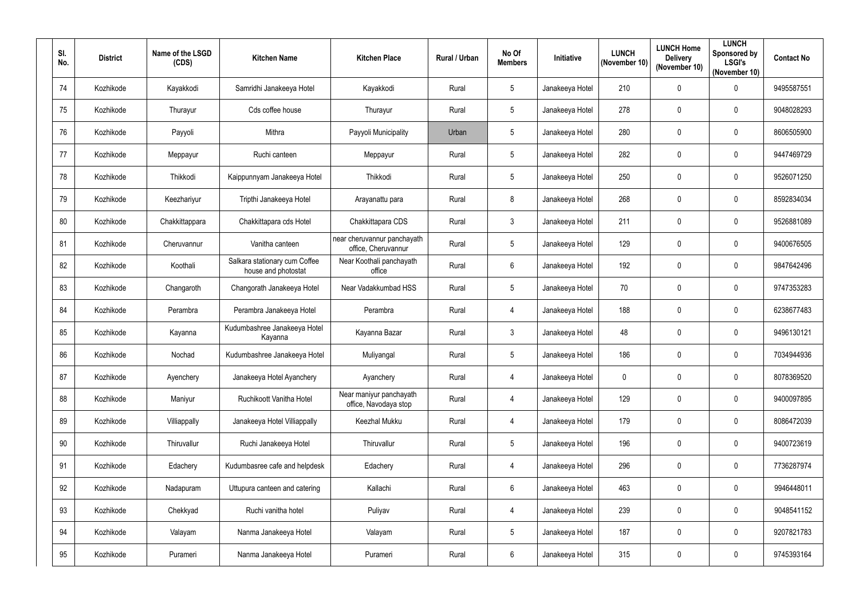| SI.<br>No.      | <b>District</b> | Name of the LSGD<br>(CDS) | <b>Kitchen Name</b>                                  | <b>Kitchen Place</b>                               | <b>Rural / Urban</b> | No Of<br><b>Members</b> | Initiative      | <b>LUNCH</b><br>(November 10) | <b>LUNCH Home</b><br><b>Delivery</b><br>(November 10) | <b>LUNCH</b><br>Sponsored by<br><b>LSGI's</b><br>(November 10) | <b>Contact No</b> |
|-----------------|-----------------|---------------------------|------------------------------------------------------|----------------------------------------------------|----------------------|-------------------------|-----------------|-------------------------------|-------------------------------------------------------|----------------------------------------------------------------|-------------------|
| 74              | Kozhikode       | Kayakkodi                 | Samridhi Janakeeya Hotel                             | Kayakkodi                                          | Rural                | 5                       | Janakeeya Hotel | 210                           | $\mathbf 0$                                           | $\pmb{0}$                                                      | 9495587551        |
| 75              | Kozhikode       | Thurayur                  | Cds coffee house                                     | Thurayur                                           | Rural                | $\sqrt{5}$              | Janakeeya Hotel | 278                           | $\mathbf 0$                                           | $\mathbf 0$                                                    | 9048028293        |
| 76              | Kozhikode       | Payyoli                   | Mithra                                               | Payyoli Municipality                               | Urban                | $5\phantom{.0}$         | Janakeeya Hotel | 280                           | $\mathbf 0$                                           | $\pmb{0}$                                                      | 8606505900        |
| 77              | Kozhikode       | Meppayur                  | Ruchi canteen                                        | Meppayur                                           | Rural                | $5\phantom{.0}$         | Janakeeya Hotel | 282                           | $\mathbf 0$                                           | $\mathbf 0$                                                    | 9447469729        |
| 78              | Kozhikode       | Thikkodi                  | Kaippunnyam Janakeeya Hotel                          | Thikkodi                                           | Rural                | $5\phantom{.0}$         | Janakeeya Hotel | 250                           | $\mathbf 0$                                           | $\mathbf 0$                                                    | 9526071250        |
| 79              | Kozhikode       | Keezhariyur               | Tripthi Janakeeya Hotel                              | Arayanattu para                                    | Rural                | 8                       | Janakeeya Hotel | 268                           | $\mathbf 0$                                           | $\mathbf 0$                                                    | 8592834034        |
| 80              | Kozhikode       | Chakkittappara            | Chakkittapara cds Hotel                              | Chakkittapara CDS                                  | Rural                | $\mathbf{3}$            | Janakeeya Hotel | 211                           | $\mathbf 0$                                           | $\mathbf 0$                                                    | 9526881089        |
| 81              | Kozhikode       | Cheruvannur               | Vanitha canteen                                      | near cheruvannur panchayath<br>office, Cheruvannur | Rural                | $5\phantom{.0}$         | Janakeeya Hotel | 129                           | $\mathbf 0$                                           | $\pmb{0}$                                                      | 9400676505        |
| 82              | Kozhikode       | Koothali                  | Salkara stationary cum Coffee<br>house and photostat | Near Koothali panchayath<br>office                 | Rural                | $6\phantom{.}6$         | Janakeeya Hotel | 192                           | $\mathbf{0}$                                          | $\mathbf 0$                                                    | 9847642496        |
| 83              | Kozhikode       | Changaroth                | Changorath Janakeeya Hotel                           | Near Vadakkumbad HSS                               | Rural                | $5\phantom{.0}$         | Janakeeya Hotel | 70                            | $\mathbf{0}$                                          | $\mathbf 0$                                                    | 9747353283        |
| 84              | Kozhikode       | Perambra                  | Perambra Janakeeya Hotel                             | Perambra                                           | Rural                | $\overline{4}$          | Janakeeya Hotel | 188                           | $\mathbf 0$                                           | $\mathbf 0$                                                    | 6238677483        |
| 85              | Kozhikode       | Kayanna                   | Kudumbashree Janakeeya Hotel<br>Kayanna              | Kayanna Bazar                                      | Rural                | $\mathbf{3}$            | Janakeeya Hotel | 48                            | $\mathbf{0}$                                          | $\mathbf 0$                                                    | 9496130121        |
| 86              | Kozhikode       | Nochad                    | Kudumbashree Janakeeya Hotel                         | Muliyangal                                         | Rural                | 5                       | Janakeeya Hotel | 186                           | $\mathbf 0$                                           | $\mathbf 0$                                                    | 7034944936        |
| 87              | Kozhikode       | Ayenchery                 | Janakeeya Hotel Ayanchery                            | Ayanchery                                          | Rural                | $\overline{4}$          | Janakeeya Hotel | $\mathbf{0}$                  | $\mathbf 0$                                           | $\pmb{0}$                                                      | 8078369520        |
| 88              | Kozhikode       | Maniyur                   | Ruchikoott Vanitha Hotel                             | Near maniyur panchayath<br>office, Navodaya stop   | Rural                | $\overline{4}$          | Janakeeya Hotel | 129                           | $\pmb{0}$                                             | $\pmb{0}$                                                      | 9400097895        |
| 89              | Kozhikode       | Villiappally              | Janakeeya Hotel Villiappally                         | Keezhal Mukku                                      | Rural                | $\overline{4}$          | Janakeeya Hotel | 179                           | $\pmb{0}$                                             | $\pmb{0}$                                                      | 8086472039        |
| 90 <sup>°</sup> | Kozhikode       | Thiruvallur               | Ruchi Janakeeya Hotel                                | Thiruvallur                                        | Rural                | $5\phantom{.0}$         | Janakeeya Hotel | 196                           | $\mathbf 0$                                           | $\pmb{0}$                                                      | 9400723619        |
| 91              | Kozhikode       | Edachery                  | Kudumbasree cafe and helpdesk                        | Edachery                                           | Rural                | $\overline{4}$          | Janakeeya Hotel | 296                           | $\mathbf 0$                                           | $\mathbf 0$                                                    | 7736287974        |
| 92              | Kozhikode       | Nadapuram                 | Uttupura canteen and catering                        | Kallachi                                           | Rural                | $6\phantom{.}6$         | Janakeeya Hotel | 463                           | $\pmb{0}$                                             | $\pmb{0}$                                                      | 9946448011        |
| 93              | Kozhikode       | Chekkyad                  | Ruchi vanitha hotel                                  | Puliyav                                            | Rural                | $\overline{4}$          | Janakeeya Hotel | 239                           | $\pmb{0}$                                             | $\mathbf 0$                                                    | 9048541152        |
| 94              | Kozhikode       | Valayam                   | Nanma Janakeeya Hotel                                | Valayam                                            | Rural                | $5\phantom{.0}$         | Janakeeya Hotel | 187                           | $\mathbf 0$                                           | $\pmb{0}$                                                      | 9207821783        |
| 95              | Kozhikode       | Purameri                  | Nanma Janakeeya Hotel                                | Purameri                                           | Rural                | $6\overline{6}$         | Janakeeya Hotel | 315                           | $\pmb{0}$                                             | $\pmb{0}$                                                      | 9745393164        |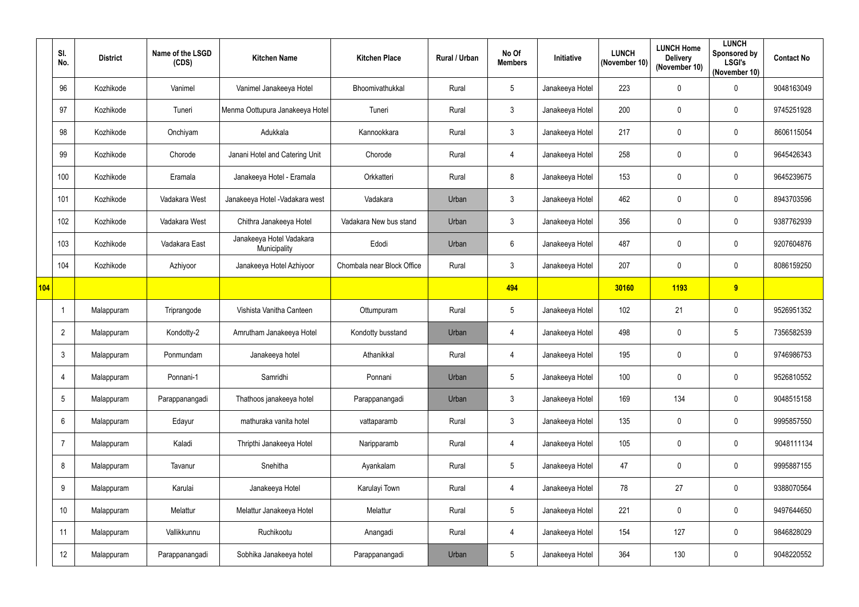|     | SI.<br>No.      | <b>District</b> | Name of the LSGD<br>(CDS) | <b>Kitchen Name</b>                      | <b>Kitchen Place</b>       | Rural / Urban | No Of<br><b>Members</b> | Initiative      | <b>LUNCH</b><br>(November 10) | <b>LUNCH Home</b><br><b>Delivery</b><br>(November 10) | <b>LUNCH</b><br>Sponsored by<br><b>LSGI's</b><br>(November 10) | <b>Contact No</b> |
|-----|-----------------|-----------------|---------------------------|------------------------------------------|----------------------------|---------------|-------------------------|-----------------|-------------------------------|-------------------------------------------------------|----------------------------------------------------------------|-------------------|
|     | 96              | Kozhikode       | Vanimel                   | Vanimel Janakeeya Hotel                  | Bhoomivathukkal            | Rural         | 5                       | Janakeeya Hotel | 223                           | $\mathbf 0$                                           | $\pmb{0}$                                                      | 9048163049        |
|     | 97              | Kozhikode       | Tuneri                    | Menma Oottupura Janakeeya Hotel          | Tuneri                     | Rural         | 3                       | Janakeeya Hotel | 200                           | $\mathbf 0$                                           | $\pmb{0}$                                                      | 9745251928        |
|     | 98              | Kozhikode       | Onchiyam                  | Adukkala                                 | Kannookkara                | Rural         | $\mathbf{3}$            | Janakeeya Hotel | 217                           | $\mathbf 0$                                           | $\pmb{0}$                                                      | 8606115054        |
|     | 99              | Kozhikode       | Chorode                   | Janani Hotel and Catering Unit           | Chorode                    | Rural         | $\overline{4}$          | Janakeeya Hotel | 258                           | $\mathbf 0$                                           | $\mathbf 0$                                                    | 9645426343        |
|     | 100             | Kozhikode       | Eramala                   | Janakeeya Hotel - Eramala                | Orkkatteri                 | Rural         | 8                       | Janakeeya Hotel | 153                           | $\mathbf 0$                                           | $\pmb{0}$                                                      | 9645239675        |
|     | 101             | Kozhikode       | Vadakara West             | Janakeeya Hotel - Vadakara west          | Vadakara                   | Urban         | $\mathfrak{Z}$          | Janakeeya Hotel | 462                           | $\mathbf 0$                                           | $\pmb{0}$                                                      | 8943703596        |
|     | 102             | Kozhikode       | Vadakara West             | Chithra Janakeeya Hotel                  | Vadakara New bus stand     | Urban         | $\mathfrak{Z}$          | Janakeeya Hotel | 356                           | $\mathbf 0$                                           | $\mathbf 0$                                                    | 9387762939        |
|     | 103             | Kozhikode       | Vadakara East             | Janakeeya Hotel Vadakara<br>Municipality | Edodi                      | Urban         | 6                       | Janakeeya Hotel | 487                           | $\mathbf 0$                                           | $\pmb{0}$                                                      | 9207604876        |
|     | 104             | Kozhikode       | Azhiyoor                  | Janakeeya Hotel Azhiyoor                 | Chombala near Block Office | Rural         | 3                       | Janakeeya Hotel | 207                           | $\mathbf 0$                                           | $\boldsymbol{0}$                                               | 8086159250        |
| 104 |                 |                 |                           |                                          |                            |               | 494                     |                 | 30160                         | 1193                                                  | 9                                                              |                   |
|     |                 | Malappuram      | Triprangode               | Vishista Vanitha Canteen                 | Ottumpuram                 | Rural         | 5                       | Janakeeya Hotel | 102                           | 21                                                    | $\pmb{0}$                                                      | 9526951352        |
|     | $\overline{2}$  | Malappuram      | Kondotty-2                | Amrutham Janakeeya Hotel                 | Kondotty busstand          | Urban         | $\overline{4}$          | Janakeeya Hotel | 498                           | $\mathbf 0$                                           | $5\phantom{.0}$                                                | 7356582539        |
|     | 3               | Malappuram      | Ponmundam                 | Janakeeya hotel                          | Athanikkal                 | Rural         | 4                       | Janakeeya Hotel | 195                           | $\mathbf 0$                                           | $\boldsymbol{0}$                                               | 9746986753        |
|     | 4               | Malappuram      | Ponnani-1                 | Samridhi                                 | Ponnani                    | Urban         | $5\phantom{.0}$         | Janakeeya Hotel | 100                           | $\bf{0}$                                              | $\pmb{0}$                                                      | 9526810552        |
|     | $5\phantom{.0}$ | Malappuram      | Parappanangadi            | Thathoos janakeeya hotel                 | Parappanangadi             | Urban         | $\mathfrak{Z}$          | Janakeeya Hotel | 169                           | 134                                                   | $\pmb{0}$                                                      | 9048515158        |
|     | 6               | Malappuram      | Edayur                    | mathuraka vanita hotel                   | vattaparamb                | Rural         | $\mathfrak{Z}$          | Janakeeya Hotel | 135                           | $\mathbf 0$                                           | $\mathbf 0$                                                    | 9995857550        |
|     | $\overline{7}$  | Malappuram      | Kaladi                    | Thripthi Janakeeya Hotel                 | Naripparamb                | Rural         | $\overline{4}$          | Janakeeya Hotel | 105                           | $\pmb{0}$                                             | $\pmb{0}$                                                      | 9048111134        |
|     | 8               | Malappuram      | Tavanur                   | Snehitha                                 | Ayankalam                  | Rural         | $5\phantom{.0}$         | Janakeeya Hotel | 47                            | $\mathbf 0$                                           | $\mathbf 0$                                                    | 9995887155        |
|     | 9               | Malappuram      | Karulai                   | Janakeeya Hotel                          | Karulayi Town              | Rural         | $\overline{4}$          | Janakeeya Hotel | 78                            | 27                                                    | $\pmb{0}$                                                      | 9388070564        |
|     | 10 <sup>°</sup> | Malappuram      | Melattur                  | Melattur Janakeeya Hotel                 | Melattur                   | Rural         | $5\phantom{.0}$         | Janakeeya Hotel | 221                           | $\pmb{0}$                                             | $\mathbf 0$                                                    | 9497644650        |
|     | 11              | Malappuram      | Vallikkunnu               | Ruchikootu                               | Anangadi                   | Rural         | $\overline{4}$          | Janakeeya Hotel | 154                           | 127                                                   | $\mathbf 0$                                                    | 9846828029        |
|     | 12              | Malappuram      | Parappanangadi            | Sobhika Janakeeya hotel                  | Parappanangadi             | Urban         | $5\phantom{.0}$         | Janakeeya Hotel | 364                           | 130                                                   | $\pmb{0}$                                                      | 9048220552        |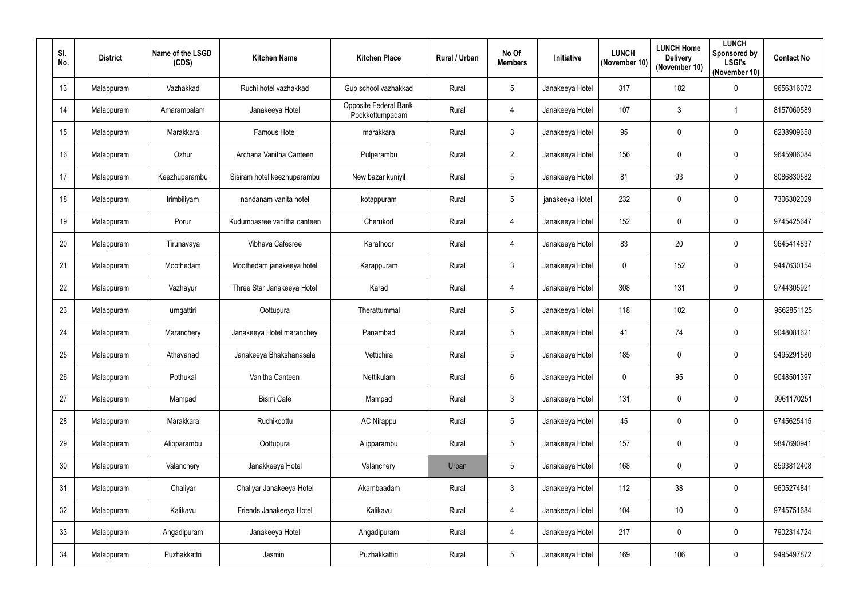| SI.<br>No. | <b>District</b> | Name of the LSGD<br>(CDS) | <b>Kitchen Name</b>         | <b>Kitchen Place</b>                     | <b>Rural / Urban</b> | No Of<br><b>Members</b> | Initiative      | <b>LUNCH</b><br>(November 10) | <b>LUNCH Home</b><br><b>Delivery</b><br>(November 10) | <b>LUNCH</b><br>Sponsored by<br><b>LSGI's</b><br>(November 10) | <b>Contact No</b> |
|------------|-----------------|---------------------------|-----------------------------|------------------------------------------|----------------------|-------------------------|-----------------|-------------------------------|-------------------------------------------------------|----------------------------------------------------------------|-------------------|
| 13         | Malappuram      | Vazhakkad                 | Ruchi hotel vazhakkad       | Gup school vazhakkad                     | Rural                | $\overline{5}$          | Janakeeya Hotel | 317                           | 182                                                   | $\pmb{0}$                                                      | 9656316072        |
| 14         | Malappuram      | Amarambalam               | Janakeeya Hotel             | Opposite Federal Bank<br>Pookkottumpadam | Rural                | 4                       | Janakeeya Hotel | 107                           | $\mathbf{3}$                                          | 1                                                              | 8157060589        |
| 15         | Malappuram      | Marakkara                 | <b>Famous Hotel</b>         | marakkara                                | Rural                | $\mathbf{3}$            | Janakeeya Hotel | 95                            | $\mathbf 0$                                           | $\pmb{0}$                                                      | 6238909658        |
| 16         | Malappuram      | Ozhur                     | Archana Vanitha Canteen     | Pulparambu                               | Rural                | $\overline{2}$          | Janakeeya Hotel | 156                           | $\mathbf 0$                                           | $\mathbf 0$                                                    | 9645906084        |
| 17         | Malappuram      | Keezhuparambu             | Sisiram hotel keezhuparambu | New bazar kuniyil                        | Rural                | $5\phantom{.0}$         | Janakeeya Hotel | 81                            | 93                                                    | $\mathbf 0$                                                    | 8086830582        |
| 18         | Malappuram      | Irimbiliyam               | nandanam vanita hotel       | kotappuram                               | Rural                | $5\phantom{.0}$         | janakeeya Hotel | 232                           | $\mathbf 0$                                           | $\mathbf 0$                                                    | 7306302029        |
| 19         | Malappuram      | Porur                     | Kudumbasree vanitha canteen | Cherukod                                 | Rural                | 4                       | Janakeeya Hotel | 152                           | $\mathbf 0$                                           | $\mathbf 0$                                                    | 9745425647        |
| 20         | Malappuram      | Tirunavaya                | Vibhava Cafesree            | Karathoor                                | Rural                | $\overline{4}$          | Janakeeya Hotel | 83                            | 20                                                    | $\pmb{0}$                                                      | 9645414837        |
| 21         | Malappuram      | Moothedam                 | Moothedam janakeeya hotel   | Karappuram                               | Rural                | $\mathfrak{Z}$          | Janakeeya Hotel | $\mathbf 0$                   | 152                                                   | $\mathbf 0$                                                    | 9447630154        |
| 22         | Malappuram      | Vazhayur                  | Three Star Janakeeya Hotel  | Karad                                    | Rural                | 4                       | Janakeeya Hotel | 308                           | 131                                                   | $\mathbf 0$                                                    | 9744305921        |
| 23         | Malappuram      | urngattiri                | Oottupura                   | Therattummal                             | Rural                | $5\phantom{.0}$         | Janakeeya Hotel | 118                           | 102                                                   | $\mathbf 0$                                                    | 9562851125        |
| 24         | Malappuram      | Maranchery                | Janakeeya Hotel maranchey   | Panambad                                 | Rural                | $5\phantom{.0}$         | Janakeeya Hotel | 41                            | 74                                                    | $\pmb{0}$                                                      | 9048081621        |
| 25         | Malappuram      | Athavanad                 | Janakeeya Bhakshanasala     | Vettichira                               | Rural                | 5                       | Janakeeya Hotel | 185                           | $\mathbf 0$                                           | $\mathbf 0$                                                    | 9495291580        |
| 26         | Malappuram      | Pothukal                  | Vanitha Canteen             | Nettikulam                               | Rural                | $6\overline{6}$         | Janakeeya Hotel | $\mathbf{0}$                  | 95                                                    | $\pmb{0}$                                                      | 9048501397        |
| 27         | Malappuram      | Mampad                    | Bismi Cafe                  | Mampad                                   | Rural                | $\mathbf{3}$            | Janakeeya Hotel | 131                           | $\mathbf 0$                                           | $\pmb{0}$                                                      | 9961170251        |
| 28         | Malappuram      | Marakkara                 | Ruchikoottu                 | <b>AC Nirappu</b>                        | Rural                | $5\,$                   | Janakeeya Hotel | 45                            | $\pmb{0}$                                             | $\pmb{0}$                                                      | 9745625415        |
| 29         | Malappuram      | Alipparambu               | Oottupura                   | Alipparambu                              | Rural                | $5\phantom{.0}$         | Janakeeya Hotel | 157                           | $\mathbf 0$                                           | $\mathbf 0$                                                    | 9847690941        |
| 30         | Malappuram      | Valanchery                | Janakkeeya Hotel            | Valanchery                               | Urban                | $5\phantom{.0}$         | Janakeeya Hotel | 168                           | $\mathbf 0$                                           | $\mathbf 0$                                                    | 8593812408        |
| 31         | Malappuram      | Chaliyar                  | Chaliyar Janakeeya Hotel    | Akambaadam                               | Rural                | $\mathbf{3}$            | Janakeeya Hotel | 112                           | 38                                                    | $\pmb{0}$                                                      | 9605274841        |
| 32         | Malappuram      | Kalikavu                  | Friends Janakeeya Hotel     | Kalikavu                                 | Rural                | $\overline{4}$          | Janakeeya Hotel | 104                           | 10 <sup>°</sup>                                       | $\mathbf 0$                                                    | 9745751684        |
| 33         | Malappuram      | Angadipuram               | Janakeeya Hotel             | Angadipuram                              | Rural                | $\overline{4}$          | Janakeeya Hotel | 217                           | $\mathbf 0$                                           | $\pmb{0}$                                                      | 7902314724        |
| 34         | Malappuram      | Puzhakkattri              | Jasmin                      | Puzhakkattiri                            | Rural                | $5\phantom{.0}$         | Janakeeya Hotel | 169                           | 106                                                   | $\pmb{0}$                                                      | 9495497872        |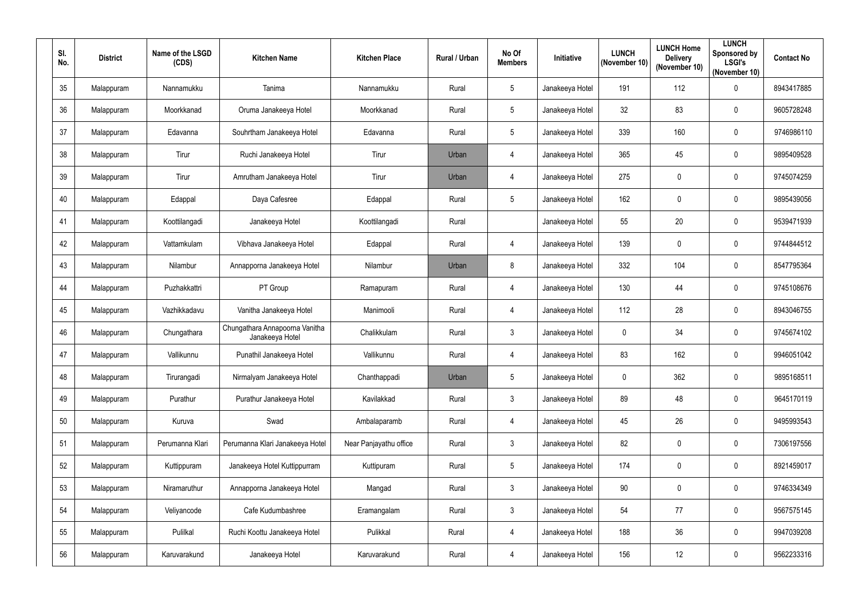| SI.<br>No. | <b>District</b> | Name of the LSGD<br>(CDS) | <b>Kitchen Name</b>                               | <b>Kitchen Place</b>   | <b>Rural / Urban</b> | No Of<br><b>Members</b> | Initiative      | <b>LUNCH</b><br>(November 10) | <b>LUNCH Home</b><br><b>Delivery</b><br>(November 10) | <b>LUNCH</b><br>Sponsored by<br><b>LSGI's</b><br>(November 10) | <b>Contact No</b> |
|------------|-----------------|---------------------------|---------------------------------------------------|------------------------|----------------------|-------------------------|-----------------|-------------------------------|-------------------------------------------------------|----------------------------------------------------------------|-------------------|
| 35         | Malappuram      | Nannamukku                | Tanima                                            | Nannamukku             | Rural                | 5                       | Janakeeya Hotel | 191                           | 112                                                   | $\pmb{0}$                                                      | 8943417885        |
| 36         | Malappuram      | Moorkkanad                | Oruma Janakeeya Hotel                             | Moorkkanad             | Rural                | 5                       | Janakeeya Hotel | 32                            | 83                                                    | $\mathbf 0$                                                    | 9605728248        |
| 37         | Malappuram      | Edavanna                  | Souhrtham Janakeeya Hotel                         | Edavanna               | Rural                | $5\phantom{.0}$         | Janakeeya Hotel | 339                           | 160                                                   | $\pmb{0}$                                                      | 9746986110        |
| 38         | Malappuram      | Tirur                     | Ruchi Janakeeya Hotel                             | Tirur                  | Urban                | $\overline{4}$          | Janakeeya Hotel | 365                           | 45                                                    | $\mathbf 0$                                                    | 9895409528        |
| 39         | Malappuram      | Tirur                     | Amrutham Janakeeya Hotel                          | Tirur                  | Urban                | $\overline{4}$          | Janakeeya Hotel | 275                           | $\mathbf 0$                                           | $\mathbf 0$                                                    | 9745074259        |
| 40         | Malappuram      | Edappal                   | Daya Cafesree                                     | Edappal                | Rural                | $5\phantom{.0}$         | Janakeeya Hotel | 162                           | $\mathbf 0$                                           | $\mathbf 0$                                                    | 9895439056        |
| 41         | Malappuram      | Koottilangadi             | Janakeeya Hotel                                   | Koottilangadi          | Rural                |                         | Janakeeya Hotel | 55                            | 20                                                    | $\mathbf 0$                                                    | 9539471939        |
| 42         | Malappuram      | Vattamkulam               | Vibhava Janakeeya Hotel                           | Edappal                | Rural                | $\overline{4}$          | Janakeeya Hotel | 139                           | $\mathbf 0$                                           | $\pmb{0}$                                                      | 9744844512        |
| 43         | Malappuram      | Nilambur                  | Annapporna Janakeeya Hotel                        | Nilambur               | Urban                | 8                       | Janakeeya Hotel | 332                           | 104                                                   | $\mathbf 0$                                                    | 8547795364        |
| 44         | Malappuram      | Puzhakkattri              | PT Group                                          | Ramapuram              | Rural                | $\overline{4}$          | Janakeeya Hotel | 130                           | 44                                                    | $\mathbf 0$                                                    | 9745108676        |
| 45         | Malappuram      | Vazhikkadavu              | Vanitha Janakeeya Hotel                           | Manimooli              | Rural                | $\overline{4}$          | Janakeeya Hotel | 112                           | 28                                                    | $\mathbf 0$                                                    | 8943046755        |
| 46         | Malappuram      | Chungathara               | Chungathara Annapoorna Vanitha<br>Janakeeya Hotel | Chalikkulam            | Rural                | $\mathbf{3}$            | Janakeeya Hotel | $\mathbf 0$                   | 34                                                    | $\pmb{0}$                                                      | 9745674102        |
| 47         | Malappuram      | Vallikunnu                | Punathil Janakeeya Hotel                          | Vallikunnu             | Rural                | 4                       | Janakeeya Hotel | 83                            | 162                                                   | $\mathbf 0$                                                    | 9946051042        |
| 48         | Malappuram      | Tirurangadi               | Nirmalyam Janakeeya Hotel                         | Chanthappadi           | Urban                | $5\phantom{.0}$         | Janakeeya Hotel | $\mathbf 0$                   | 362                                                   | $\pmb{0}$                                                      | 9895168511        |
| 49         | Malappuram      | Purathur                  | Purathur Janakeeya Hotel                          | Kavilakkad             | Rural                | $\mathbf{3}$            | Janakeeya Hotel | 89                            | 48                                                    | $\pmb{0}$                                                      | 9645170119        |
| 50         | Malappuram      | Kuruva                    | Swad                                              | Ambalaparamb           | Rural                | $\overline{4}$          | Janakeeya Hotel | 45                            | 26                                                    | $\pmb{0}$                                                      | 9495993543        |
| 51         | Malappuram      | Perumanna Klari           | Perumanna Klari Janakeeya Hotel                   | Near Panjayathu office | Rural                | $\mathbf{3}$            | Janakeeya Hotel | 82                            | $\mathbf 0$                                           | $\pmb{0}$                                                      | 7306197556        |
| 52         | Malappuram      | Kuttippuram               | Janakeeya Hotel Kuttippurram                      | Kuttipuram             | Rural                | $5\phantom{.0}$         | Janakeeya Hotel | 174                           | $\mathbf 0$                                           | $\mathbf 0$                                                    | 8921459017        |
| 53         | Malappuram      | Niramaruthur              | Annapporna Janakeeya Hotel                        | Mangad                 | Rural                | $\mathbf{3}$            | Janakeeya Hotel | 90                            | $\pmb{0}$                                             | $\pmb{0}$                                                      | 9746334349        |
| 54         | Malappuram      | Veliyancode               | Cafe Kudumbashree                                 | Eramangalam            | Rural                | $\mathbf{3}$            | Janakeeya Hotel | 54                            | 77                                                    | $\pmb{0}$                                                      | 9567575145        |
| 55         | Malappuram      | Pulilkal                  | Ruchi Koottu Janakeeya Hotel                      | Pulikkal               | Rural                | $\overline{4}$          | Janakeeya Hotel | 188                           | 36                                                    | $\pmb{0}$                                                      | 9947039208        |
| 56         | Malappuram      | Karuvarakund              | Janakeeya Hotel                                   | Karuvarakund           | Rural                | $\overline{4}$          | Janakeeya Hotel | 156                           | 12 <sup>°</sup>                                       | $\pmb{0}$                                                      | 9562233316        |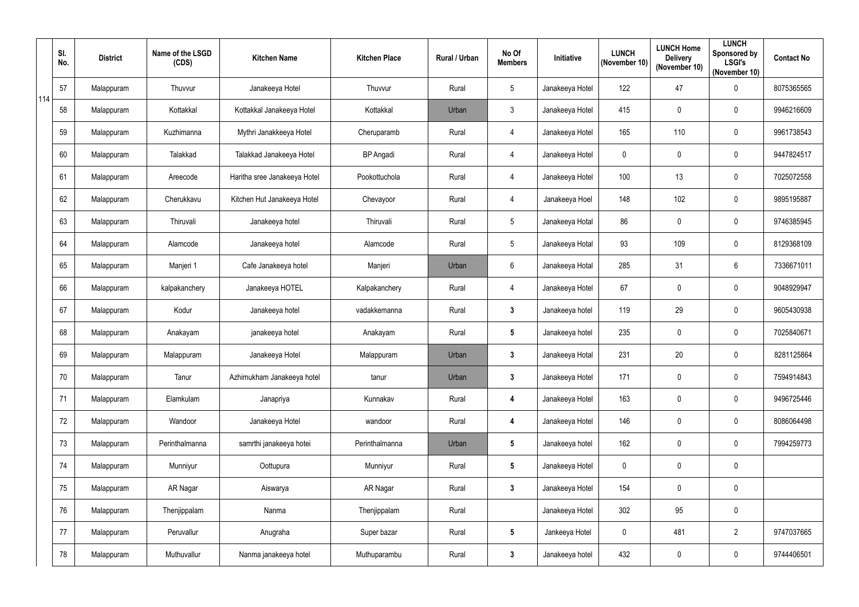|     | SI.<br>No. | <b>District</b> | Name of the LSGD<br>(CDS) | <b>Kitchen Name</b>          | <b>Kitchen Place</b> | Rural / Urban | No Of<br><b>Members</b> | Initiative      | <b>LUNCH</b><br>(November 10) | <b>LUNCH Home</b><br><b>Delivery</b><br>(November 10) | <b>LUNCH</b><br>Sponsored by<br><b>LSGI's</b><br>(November 10) | <b>Contact No</b> |
|-----|------------|-----------------|---------------------------|------------------------------|----------------------|---------------|-------------------------|-----------------|-------------------------------|-------------------------------------------------------|----------------------------------------------------------------|-------------------|
| 114 | 57         | Malappuram      | Thuvvur                   | Janakeeya Hotel              | Thuvvur              | Rural         | 5                       | Janakeeya Hotel | 122                           | 47                                                    | $\pmb{0}$                                                      | 8075365565        |
|     | 58         | Malappuram      | Kottakkal                 | Kottakkal Janakeeya Hotel    | Kottakkal            | Urban         | $\mathbf{3}$            | Janakeeya Hotel | 415                           | $\mathbf 0$                                           | $\pmb{0}$                                                      | 9946216609        |
|     | 59         | Malappuram      | Kuzhimanna                | Mythri Janakkeeya Hotel      | Cheruparamb          | Rural         | $\overline{4}$          | Janakeeya Hotel | 165                           | 110                                                   | $\pmb{0}$                                                      | 9961738543        |
|     | 60         | Malappuram      | Talakkad                  | Talakkad Janakeeya Hotel     | <b>BP</b> Angadi     | Rural         | $\overline{4}$          | Janakeeya Hotel | $\pmb{0}$                     | $\mathbf 0$                                           | $\pmb{0}$                                                      | 9447824517        |
|     | 61         | Malappuram      | Areecode                  | Haritha sree Janakeeya Hotel | Pookottuchola        | Rural         | $\overline{4}$          | Janakeeya Hotel | 100                           | 13                                                    | 0                                                              | 7025072558        |
|     | 62         | Malappuram      | Cherukkavu                | Kitchen Hut Janakeeya Hotel  | Chevayoor            | Rural         | $\overline{4}$          | Janakeeya Hoel  | 148                           | 102                                                   | $\pmb{0}$                                                      | 9895195887        |
|     | 63         | Malappuram      | Thiruvali                 | Janakeeya hotel              | Thiruvali            | Rural         | 5                       | Janakeeya Hotal | 86                            | $\mathbf 0$                                           | 0                                                              | 9746385945        |
|     | 64         | Malappuram      | Alamcode                  | Janakeeya hotel              | Alamcode             | Rural         | 5                       | Janakeeya Hotal | 93                            | 109                                                   | $\pmb{0}$                                                      | 8129368109        |
|     | 65         | Malappuram      | Manjeri 1                 | Cafe Janakeeya hotel         | Manjeri              | Urban         | 6                       | Janakeeya Hotal | 285                           | 31                                                    | 6                                                              | 7336671011        |
|     | 66         | Malappuram      | kalpakanchery             | Janakeeya HOTEL              | Kalpakanchery        | Rural         | $\overline{4}$          | Janakeeya Hotel | 67                            | $\mathbf 0$                                           | $\pmb{0}$                                                      | 9048929947        |
|     | 67         | Malappuram      | Kodur                     | Janakeeya hotel              | vadakkemanna         | Rural         | $\mathbf{3}$            | Janakeeya hotel | 119                           | 29                                                    | $\pmb{0}$                                                      | 9605430938        |
|     | 68         | Malappuram      | Anakayam                  | janakeeya hotel              | Anakayam             | Rural         | $5\phantom{.0}$         | Janakeeya hotel | 235                           | $\mathbf 0$                                           | $\pmb{0}$                                                      | 7025840671        |
|     | 69         | Malappuram      | Malappuram                | Janakeeya Hotel              | Malappuram           | Urban         | 3                       | Janakeeya Hotal | 231                           | 20                                                    | 0                                                              | 8281125864        |
|     | 70         | Malappuram      | Tanur                     | Azhimukham Janakeeya hotel   | tanur                | Urban         | $\mathbf{3}$            | Janakeeya Hotel | 171                           | $\boldsymbol{0}$                                      | $\pmb{0}$                                                      | 7594914843        |
|     | 71         | Malappuram      | Elamkulam                 | Janapriya                    | Kunnakav             | Rural         | $\overline{\mathbf{4}}$ | Janakeeya Hotel | 163                           | $\pmb{0}$                                             | $\pmb{0}$                                                      | 9496725446        |
|     | 72         | Malappuram      | Wandoor                   | Janakeeya Hotel              | wandoor              | Rural         | 4                       | Janakeeya Hotel | 146                           | $\pmb{0}$                                             | $\pmb{0}$                                                      | 8086064498        |
|     | 73         | Malappuram      | Perinthalmanna            | samrthi janakeeya hotei      | Perinthalmanna       | Urban         | $5\phantom{.0}$         | Janakeeya hotel | 162                           | $\boldsymbol{0}$                                      | $\pmb{0}$                                                      | 7994259773        |
|     | 74         | Malappuram      | Munniyur                  | Oottupura                    | Munniyur             | Rural         | $5\phantom{.0}$         | Janakeeya Hotel | $\mathbf 0$                   | $\mathbf 0$                                           | $\pmb{0}$                                                      |                   |
|     | 75         | Malappuram      | AR Nagar                  | Aiswarya                     | AR Nagar             | Rural         | $3\phantom{a}$          | Janakeeya Hotel | 154                           | $\boldsymbol{0}$                                      | $\pmb{0}$                                                      |                   |
|     | 76         | Malappuram      | Thenjippalam              | Nanma                        | Thenjippalam         | Rural         |                         | Janakeeya Hotel | 302                           | 95                                                    | $\pmb{0}$                                                      |                   |
|     | 77         | Malappuram      | Peruvallur                | Anugraha                     | Super bazar          | Rural         | $5\phantom{.0}$         | Jankeeya Hotel  | $\mathbf 0$                   | 481                                                   | $\overline{2}$                                                 | 9747037665        |
|     | 78         | Malappuram      | Muthuvallur               | Nanma janakeeya hotel        | Muthuparambu         | Rural         | $\mathbf{3}$            | Janakeeya hotel | 432                           | $\boldsymbol{0}$                                      | $\pmb{0}$                                                      | 9744406501        |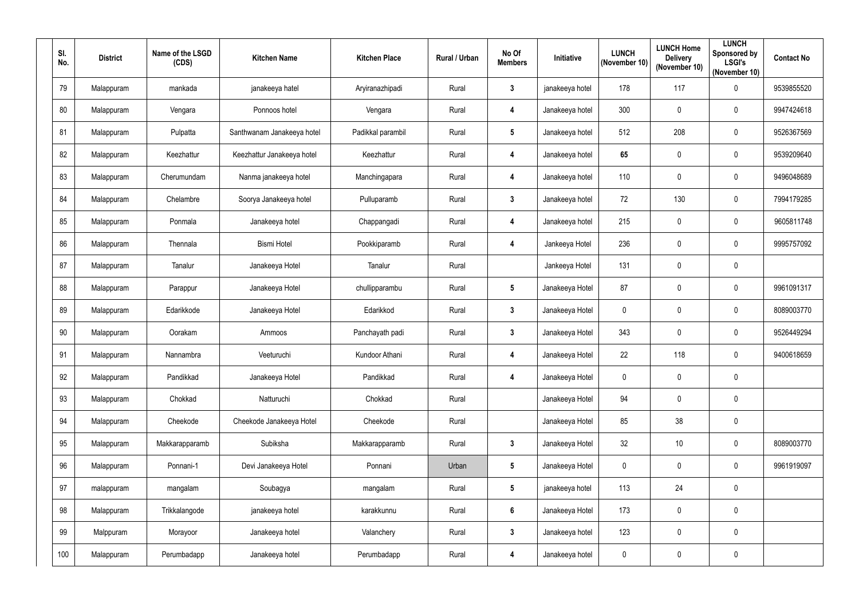| SI.<br>No. | <b>District</b> | Name of the LSGD<br>(CDS) | <b>Kitchen Name</b>        | <b>Kitchen Place</b> | Rural / Urban | No Of<br><b>Members</b> | Initiative      | <b>LUNCH</b><br>(November 10) | <b>LUNCH Home</b><br><b>Delivery</b><br>(November 10) | <b>LUNCH</b><br><b>Sponsored by</b><br><b>LSGI's</b><br>(November 10) | <b>Contact No</b> |
|------------|-----------------|---------------------------|----------------------------|----------------------|---------------|-------------------------|-----------------|-------------------------------|-------------------------------------------------------|-----------------------------------------------------------------------|-------------------|
| 79         | Malappuram      | mankada                   | janakeeya hatel            | Aryiranazhipadi      | Rural         | $\mathbf{3}$            | janakeeya hotel | 178                           | 117                                                   | $\pmb{0}$                                                             | 9539855520        |
| 80         | Malappuram      | Vengara                   | Ponnoos hotel              | Vengara              | Rural         | 4                       | Janakeeya hotel | 300                           | 0                                                     | $\mathbf 0$                                                           | 9947424618        |
| 81         | Malappuram      | Pulpatta                  | Santhwanam Janakeeya hotel | Padikkal parambil    | Rural         | $5\phantom{.0}$         | Janakeeya hotel | 512                           | 208                                                   | $\pmb{0}$                                                             | 9526367569        |
| 82         | Malappuram      | Keezhattur                | Keezhattur Janakeeya hotel | Keezhattur           | Rural         | $\boldsymbol{4}$        | Janakeeya hotel | 65                            | $\mathbf 0$                                           | $\pmb{0}$                                                             | 9539209640        |
| 83         | Malappuram      | Cherumundam               | Nanma janakeeya hotel      | Manchingapara        | Rural         | $\overline{4}$          | Janakeeya hotel | 110                           | $\mathbf 0$                                           | $\pmb{0}$                                                             | 9496048689        |
| 84         | Malappuram      | Chelambre                 | Soorya Janakeeya hotel     | Pulluparamb          | Rural         | $\mathbf{3}$            | Janakeeya hotel | 72                            | 130                                                   | $\pmb{0}$                                                             | 7994179285        |
| 85         | Malappuram      | Ponmala                   | Janakeeya hotel            | Chappangadi          | Rural         | $\overline{4}$          | Janakeeya hotel | 215                           | $\mathbf 0$                                           | $\pmb{0}$                                                             | 9605811748        |
| 86         | Malappuram      | Thennala                  | <b>Bismi Hotel</b>         | Pookkiparamb         | Rural         | $\overline{4}$          | Jankeeya Hotel  | 236                           | $\pmb{0}$                                             | $\pmb{0}$                                                             | 9995757092        |
| 87         | Malappuram      | Tanalur                   | Janakeeya Hotel            | Tanalur              | Rural         |                         | Jankeeya Hotel  | 131                           | $\mathbf 0$                                           | $\pmb{0}$                                                             |                   |
| 88         | Malappuram      | Parappur                  | Janakeeya Hotel            | chullipparambu       | Rural         | $5\phantom{.0}$         | Janakeeya Hotel | 87                            | $\mathbf 0$                                           | $\pmb{0}$                                                             | 9961091317        |
| 89         | Malappuram      | Edarikkode                | Janakeeya Hotel            | Edarikkod            | Rural         | $\mathbf{3}$            | Janakeeya Hotel | $\mathbf 0$                   | $\mathbf 0$                                           | $\pmb{0}$                                                             | 8089003770        |
| 90         | Malappuram      | Oorakam                   | Ammoos                     | Panchayath padi      | Rural         | $\mathbf{3}$            | Janakeeya Hotel | 343                           | $\mathbf 0$                                           | $\mathbf 0$                                                           | 9526449294        |
| 91         | Malappuram      | Nannambra                 | Veeturuchi                 | Kundoor Athani       | Rural         | $\overline{4}$          | Janakeeya Hotel | 22                            | 118                                                   | $\mathbf 0$                                                           | 9400618659        |
| 92         | Malappuram      | Pandikkad                 | Janakeeya Hotel            | Pandikkad            | Rural         | $\overline{\mathbf{4}}$ | Janakeeya Hotel | $\mathbf 0$                   | $\mathbf 0$                                           | $\pmb{0}$                                                             |                   |
| 93         | Malappuram      | Chokkad                   | Natturuchi                 | Chokkad              | Rural         |                         | Janakeeya Hotel | 94                            | $\pmb{0}$                                             | $\pmb{0}$                                                             |                   |
| 94         | Malappuram      | Cheekode                  | Cheekode Janakeeya Hotel   | Cheekode             | Rural         |                         | Janakeeya Hotel | 85                            | 38                                                    | $\pmb{0}$                                                             |                   |
| 95         | Malappuram      | Makkarapparamb            | Subiksha                   | Makkarapparamb       | Rural         | $\mathbf{3}$            | Janakeeya Hotel | 32                            | 10 <sup>°</sup>                                       | $\pmb{0}$                                                             | 8089003770        |
| 96         | Malappuram      | Ponnani-1                 | Devi Janakeeya Hotel       | Ponnani              | Urban         | $5\phantom{.0}$         | Janakeeya Hotel | $\mathbf 0$                   | $\mathbf 0$                                           | $\mathbf 0$                                                           | 9961919097        |
| 97         | malappuram      | mangalam                  | Soubagya                   | mangalam             | Rural         | $5\phantom{.0}$         | janakeeya hotel | 113                           | 24                                                    | $\pmb{0}$                                                             |                   |
| 98         | Malappuram      | Trikkalangode             | janakeeya hotel            | karakkunnu           | Rural         | $6\overline{6}$         | Janakeeya Hotel | 173                           | $\mathbf 0$                                           | $\pmb{0}$                                                             |                   |
| 99         | Malppuram       | Morayoor                  | Janakeeya hotel            | Valanchery           | Rural         | $\mathbf{3}$            | Janakeeya hotel | 123                           | $\mathbf 0$                                           | $\pmb{0}$                                                             |                   |
| 100        | Malappuram      | Perumbadapp               | Janakeeya hotel            | Perumbadapp          | Rural         | $\overline{\mathbf{4}}$ | Janakeeya hotel | $\mathbf 0$                   | $\pmb{0}$                                             | $\pmb{0}$                                                             |                   |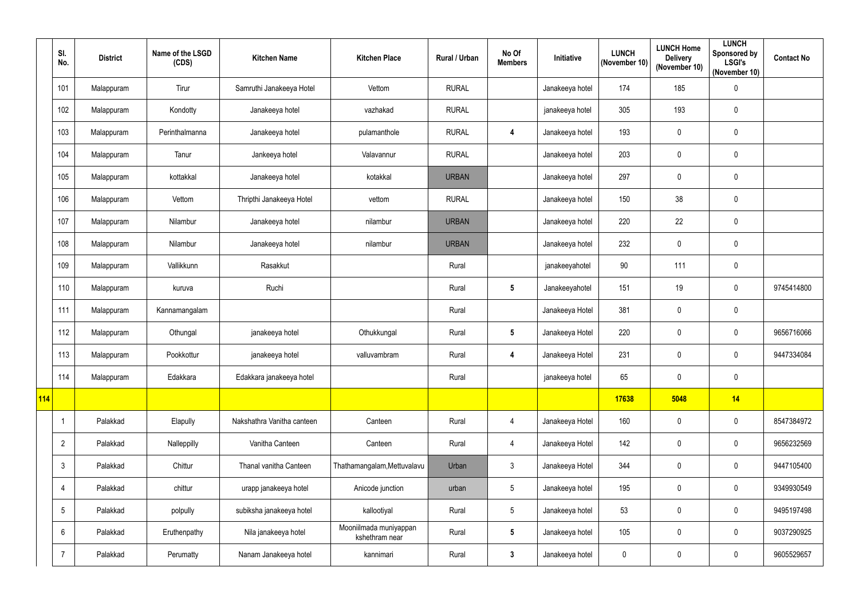|     | SI.<br>No.      | <b>District</b> | Name of the LSGD<br>(CDS) | <b>Kitchen Name</b>        | <b>Kitchen Place</b>                     | Rural / Urban | No Of<br><b>Members</b> | Initiative      | <b>LUNCH</b><br>(November 10) | <b>LUNCH Home</b><br><b>Delivery</b><br>(November 10) | <b>LUNCH</b><br>Sponsored by<br><b>LSGI's</b><br>(November 10) | <b>Contact No</b> |
|-----|-----------------|-----------------|---------------------------|----------------------------|------------------------------------------|---------------|-------------------------|-----------------|-------------------------------|-------------------------------------------------------|----------------------------------------------------------------|-------------------|
|     | 101             | Malappuram      | Tirur                     | Samruthi Janakeeya Hotel   | Vettom                                   | <b>RURAL</b>  |                         | Janakeeya hotel | 174                           | 185                                                   | $\pmb{0}$                                                      |                   |
|     | 102             | Malappuram      | Kondotty                  | Janakeeya hotel            | vazhakad                                 | <b>RURAL</b>  |                         | janakeeya hotel | 305                           | 193                                                   | 0                                                              |                   |
|     | 103             | Malappuram      | Perinthalmanna            | Janakeeya hotel            | pulamanthole                             | <b>RURAL</b>  | 4                       | Janakeeya hotel | 193                           | $\mathbf 0$                                           | $\pmb{0}$                                                      |                   |
|     | 104             | Malappuram      | Tanur                     | Jankeeya hotel             | Valavannur                               | <b>RURAL</b>  |                         | Janakeeya hotel | 203                           | $\mathbf 0$                                           | 0                                                              |                   |
|     | 105             | Malappuram      | kottakkal                 | Janakeeya hotel            | kotakkal                                 | <b>URBAN</b>  |                         | Janakeeya hotel | 297                           | $\mathbf 0$                                           | 0                                                              |                   |
|     | 106             | Malappuram      | Vettom                    | Thripthi Janakeeya Hotel   | vettom                                   | <b>RURAL</b>  |                         | Janakeeya hotel | 150                           | 38                                                    | 0                                                              |                   |
|     | 107             | Malappuram      | Nilambur                  | Janakeeya hotel            | nilambur                                 | <b>URBAN</b>  |                         | Janakeeya hotel | 220                           | 22                                                    | $\mathbf 0$                                                    |                   |
|     | 108             | Malappuram      | Nilambur                  | Janakeeya hotel            | nilambur                                 | <b>URBAN</b>  |                         | Janakeeya hotel | 232                           | $\pmb{0}$                                             | $\pmb{0}$                                                      |                   |
|     | 109             | Malappuram      | Vallikkunn                | Rasakkut                   |                                          | Rural         |                         | janakeeyahotel  | 90                            | 111                                                   | 0                                                              |                   |
|     | 110             | Malappuram      | kuruva                    | Ruchi                      |                                          | Rural         | $5\overline{)}$         | Janakeeyahotel  | 151                           | 19                                                    | 0                                                              | 9745414800        |
|     | 111             | Malappuram      | Kannamangalam             |                            |                                          | Rural         |                         | Janakeeya Hotel | 381                           | $\mathbf 0$                                           | 0                                                              |                   |
|     | 112             | Malappuram      | Othungal                  | janakeeya hotel            | Othukkungal                              | Rural         | $5\phantom{.0}$         | Janakeeya Hotel | 220                           | $\mathbf 0$                                           | 0                                                              | 9656716066        |
|     | 113             | Malappuram      | Pookkottur                | janakeeya hotel            | valluvambram                             | Rural         | 4                       | Janakeeya Hotel | 231                           | $\mathbf 0$                                           | 0                                                              | 9447334084        |
|     | 114             | Malappuram      | Edakkara                  | Edakkara janakeeya hotel   |                                          | Rural         |                         | janakeeya hotel | 65                            | $\overline{0}$                                        | 0                                                              |                   |
| 114 |                 |                 |                           |                            |                                          |               |                         |                 | 17638                         | 5048                                                  | 14                                                             |                   |
|     | $\overline{1}$  | Palakkad        | Elapully                  | Nakshathra Vanitha canteen | Canteen                                  | Rural         | $\overline{4}$          | Janakeeya Hotel | 160                           | $\mathbf 0$                                           | $\pmb{0}$                                                      | 8547384972        |
|     | $\overline{2}$  | Palakkad        | Nalleppilly               | Vanitha Canteen            | Canteen                                  | Rural         | $\overline{4}$          | Janakeeya Hotel | 142                           | $\mathbf 0$                                           | $\pmb{0}$                                                      | 9656232569        |
|     | $\mathfrak{Z}$  | Palakkad        | Chittur                   | Thanal vanitha Canteen     | Thathamangalam, Mettuvalavu              | Urban         | $\mathfrak{Z}$          | Janakeeya Hotel | 344                           | $\mathbf 0$                                           | $\mathbf 0$                                                    | 9447105400        |
|     | $\overline{4}$  | Palakkad        | chittur                   | urapp janakeeya hotel      | Anicode junction                         | urban         | $5\phantom{.0}$         | Janakeeya hotel | 195                           | $\pmb{0}$                                             | $\pmb{0}$                                                      | 9349930549        |
|     | 5               | Palakkad        | polpully                  | subiksha janakeeya hotel   | kallootiyal                              | Rural         | $5\phantom{.0}$         | Janakeeya hotel | 53                            | $\pmb{0}$                                             | 0                                                              | 9495197498        |
|     | $6\phantom{.}6$ | Palakkad        | Eruthenpathy              | Nila janakeeya hotel       | Mooniilmada muniyappan<br>kshethram near | Rural         | $5\phantom{.0}$         | Janakeeya hotel | 105                           | $\mathbf 0$                                           | 0                                                              | 9037290925        |
|     | $\overline{7}$  | Palakkad        | Perumatty                 | Nanam Janakeeya hotel      | kannimari                                | Rural         | $\mathbf{3}$            | Janakeeya hotel | $\pmb{0}$                     | $\pmb{0}$                                             | 0                                                              | 9605529657        |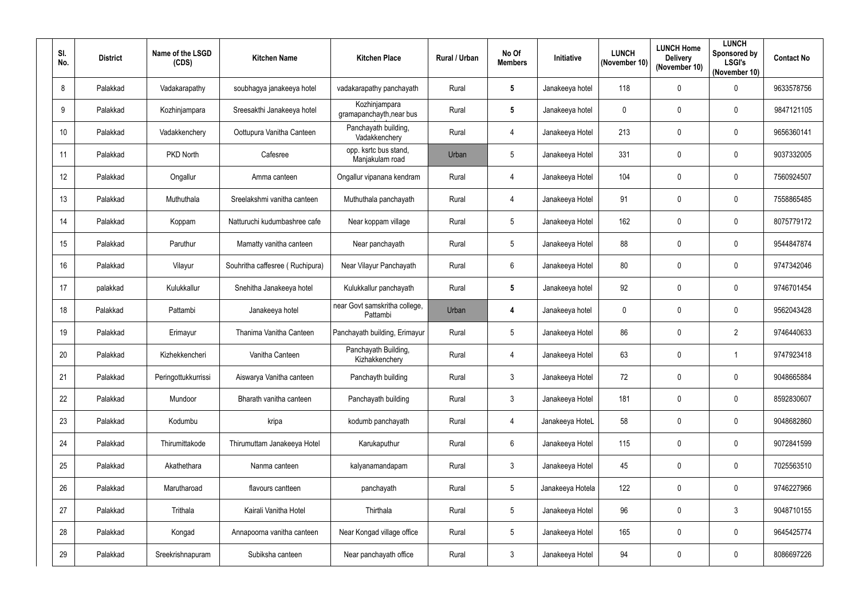| SI.<br>No. | <b>District</b> | Name of the LSGD<br>(CDS) | <b>Kitchen Name</b>             | <b>Kitchen Place</b>                      | Rural / Urban | No Of<br><b>Members</b> | Initiative       | <b>LUNCH</b><br>(November 10) | <b>LUNCH Home</b><br><b>Delivery</b><br>(November 10) | <b>LUNCH</b><br>Sponsored by<br><b>LSGI's</b><br>(November 10) | <b>Contact No</b> |
|------------|-----------------|---------------------------|---------------------------------|-------------------------------------------|---------------|-------------------------|------------------|-------------------------------|-------------------------------------------------------|----------------------------------------------------------------|-------------------|
| 8          | Palakkad        | Vadakarapathy             | soubhagya janakeeya hotel       | vadakarapathy panchayath                  | Rural         | $5\phantom{.0}$         | Janakeeya hotel  | 118                           | $\mathbf 0$                                           | $\pmb{0}$                                                      | 9633578756        |
| 9          | Palakkad        | Kozhinjampara             | Sreesakthi Janakeeya hotel      | Kozhinjampara<br>gramapanchayth, near bus | Rural         | $5\phantom{.0}$         | Janakeeya hotel  | 0                             | $\mathbf 0$                                           | 0                                                              | 9847121105        |
| 10         | Palakkad        | Vadakkenchery             | Oottupura Vanitha Canteen       | Panchayath building,<br>Vadakkenchery     | Rural         | $\overline{4}$          | Janakeeya Hotel  | 213                           | $\mathbf 0$                                           | $\pmb{0}$                                                      | 9656360141        |
| 11         | Palakkad        | <b>PKD North</b>          | Cafesree                        | opp. ksrtc bus stand,<br>Manjakulam road  | Urban         | 5                       | Janakeeya Hotel  | 331                           | $\mathbf 0$                                           | $\pmb{0}$                                                      | 9037332005        |
| 12         | Palakkad        | Ongallur                  | Amma canteen                    | Ongallur vipanana kendram                 | Rural         | 4                       | Janakeeya Hotel  | 104                           | $\mathbf{0}$                                          | 0                                                              | 7560924507        |
| 13         | Palakkad        | Muthuthala                | Sreelakshmi vanitha canteen     | Muthuthala panchayath                     | Rural         | $\overline{4}$          | Janakeeya Hotel  | 91                            | $\mathbf{0}$                                          | 0                                                              | 7558865485        |
| 14         | Palakkad        | Koppam                    | Natturuchi kudumbashree cafe    | Near koppam village                       | Rural         | $5\overline{)}$         | Janakeeya Hotel  | 162                           | $\mathbf 0$                                           | $\mathbf 0$                                                    | 8075779172        |
| 15         | Palakkad        | Paruthur                  | Mamatty vanitha canteen         | Near panchayath                           | Rural         | $5\phantom{.0}$         | Janakeeya Hotel  | 88                            | $\mathbf 0$                                           | $\pmb{0}$                                                      | 9544847874        |
| 16         | Palakkad        | Vilayur                   | Souhritha caffesree (Ruchipura) | Near Vilayur Panchayath                   | Rural         | $6\overline{6}$         | Janakeeya Hotel  | 80                            | $\mathbf 0$                                           | 0                                                              | 9747342046        |
| 17         | palakkad        | Kulukkallur               | Snehitha Janakeeya hotel        | Kulukkallur panchayath                    | Rural         | $5\phantom{.0}$         | Janakeeya hotel  | 92                            | $\mathbf{0}$                                          | 0                                                              | 9746701454        |
| 18         | Palakkad        | Pattambi                  | Janakeeya hotel                 | near Govt samskritha college,<br>Pattambi | Urban         | 4                       | Janakeeya hotel  | $\mathbf 0$                   | $\mathbf 0$                                           | 0                                                              | 9562043428        |
| 19         | Palakkad        | Erimayur                  | Thanima Vanitha Canteen         | Panchayath building, Erimayur             | Rural         | 5                       | Janakeeya Hotel  | 86                            | $\mathbf{0}$                                          | $\overline{2}$                                                 | 9746440633        |
| 20         | Palakkad        | Kizhekkencheri            | Vanitha Canteen                 | Panchayath Building,<br>Kizhakkenchery    | Rural         | 4                       | Janakeeya Hotel  | 63                            | $\mathbf 0$                                           | -1                                                             | 9747923418        |
| 21         | Palakkad        | Peringottukkurrissi       | Aiswarya Vanitha canteen        | Panchayth building                        | Rural         | $\mathbf{3}$            | Janakeeya Hotel  | 72                            | $\overline{0}$                                        | $\pmb{0}$                                                      | 9048665884        |
| 22         | Palakkad        | Mundoor                   | Bharath vanitha canteen         | Panchayath building                       | Rural         | $\mathbf{3}$            | Janakeeya Hotel  | 181                           | $\pmb{0}$                                             | $\pmb{0}$                                                      | 8592830607        |
| 23         | Palakkad        | Kodumbu                   | kripa                           | kodumb panchayath                         | Rural         | 4                       | Janakeeya HoteL  | 58                            | $\pmb{0}$                                             | $\pmb{0}$                                                      | 9048682860        |
| 24         | Palakkad        | Thirumittakode            | Thirumuttam Janakeeya Hotel     | Karukaputhur                              | Rural         | $6\overline{6}$         | Janakeeya Hotel  | 115                           | $\mathbf 0$                                           | $\pmb{0}$                                                      | 9072841599        |
| 25         | Palakkad        | Akathethara               | Nanma canteen                   | kalyanamandapam                           | Rural         | $\mathbf{3}$            | Janakeeya Hotel  | 45                            | $\mathbf 0$                                           | $\mathbf 0$                                                    | 7025563510        |
| 26         | Palakkad        | Marutharoad               | flavours cantteen               | panchayath                                | Rural         | $5\phantom{.0}$         | Janakeeya Hotela | 122                           | $\mathbf 0$                                           | $\pmb{0}$                                                      | 9746227966        |
| 27         | Palakkad        | Trithala                  | Kairali Vanitha Hotel           | Thirthala                                 | Rural         | $5\phantom{.0}$         | Janakeeya Hotel  | 96                            | $\pmb{0}$                                             | $\mathfrak{Z}$                                                 | 9048710155        |
| 28         | Palakkad        | Kongad                    | Annapoorna vanitha canteen      | Near Kongad village office                | Rural         | $5\phantom{.0}$         | Janakeeya Hotel  | 165                           | $\overline{0}$                                        | $\pmb{0}$                                                      | 9645425774        |
| 29         | Palakkad        | Sreekrishnapuram          | Subiksha canteen                | Near panchayath office                    | Rural         | $\mathbf{3}$            | Janakeeya Hotel  | 94                            | $\boldsymbol{0}$                                      | $\pmb{0}$                                                      | 8086697226        |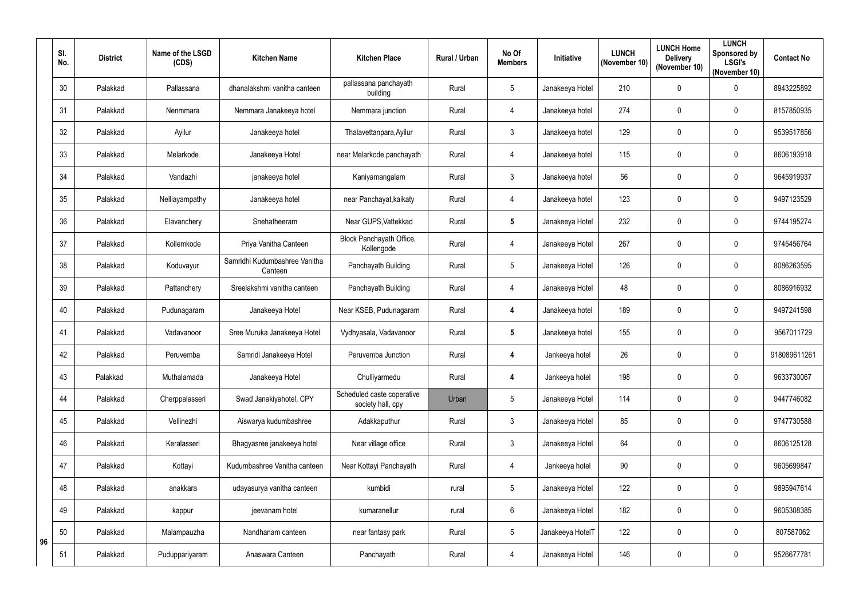|    | SI.<br>No. | <b>District</b> | Name of the LSGD<br>(CDS) | <b>Kitchen Name</b>                      | <b>Kitchen Place</b>                            | Rural / Urban | No Of<br><b>Members</b> | Initiative       | <b>LUNCH</b><br>(November 10) | <b>LUNCH Home</b><br><b>Delivery</b><br>(November 10) | <b>LUNCH</b><br>Sponsored by<br><b>LSGI's</b><br>(November 10) | <b>Contact No</b> |
|----|------------|-----------------|---------------------------|------------------------------------------|-------------------------------------------------|---------------|-------------------------|------------------|-------------------------------|-------------------------------------------------------|----------------------------------------------------------------|-------------------|
|    | 30         | Palakkad        | Pallassana                | dhanalakshmi vanitha canteen             | pallassana panchayath<br>building               | Rural         | 5                       | Janakeeya Hotel  | 210                           | $\mathbf 0$                                           | $\pmb{0}$                                                      | 8943225892        |
|    | 31         | Palakkad        | Nenmmara                  | Nemmara Janakeeya hotel                  | Nemmara junction                                | Rural         | $\overline{4}$          | Janakeeya hotel  | 274                           | $\mathbf 0$                                           | $\pmb{0}$                                                      | 8157850935        |
|    | 32         | Palakkad        | Ayilur                    | Janakeeya hotel                          | Thalavettanpara, Ayilur                         | Rural         | $\mathfrak{Z}$          | Janakeeya hotel  | 129                           | $\mathbf 0$                                           | $\pmb{0}$                                                      | 9539517856        |
|    | 33         | Palakkad        | Melarkode                 | Janakeeya Hotel                          | near Melarkode panchayath                       | Rural         | $\overline{4}$          | Janakeeya hotel  | 115                           | $\mathbf 0$                                           | $\boldsymbol{0}$                                               | 8606193918        |
|    | 34         | Palakkad        | Vandazhi                  | janakeeya hotel                          | Kaniyamangalam                                  | Rural         | $\mathfrak{B}$          | Janakeeya hotel  | 56                            | $\mathbf 0$                                           | $\pmb{0}$                                                      | 9645919937        |
|    | 35         | Palakkad        | Nelliayampathy            | Janakeeya hotel                          | near Panchayat, kaikaty                         | Rural         | $\overline{4}$          | Janakeeya hotel  | 123                           | $\mathbf 0$                                           | $\pmb{0}$                                                      | 9497123529        |
|    | 36         | Palakkad        | Elavanchery               | Snehatheeram                             | Near GUPS, Vattekkad                            | Rural         | $5\phantom{.0}$         | Janakeeya Hotel  | 232                           | $\mathbf 0$                                           | $\boldsymbol{0}$                                               | 9744195274        |
|    | 37         | Palakkad        | Kollemkode                | Priya Vanitha Canteen                    | Block Panchayath Office,<br>Kollengode          | Rural         | $\overline{4}$          | Janakeeya Hotel  | 267                           | $\mathbf 0$                                           | $\pmb{0}$                                                      | 9745456764        |
|    | 38         | Palakkad        | Koduvayur                 | Samridhi Kudumbashree Vanitha<br>Canteen | Panchayath Building                             | Rural         | 5                       | Janakeeya Hotel  | 126                           | $\mathbf 0$                                           | $\boldsymbol{0}$                                               | 8086263595        |
|    | 39         | Palakkad        | Pattanchery               | Sreelakshmi vanitha canteen              | Panchayath Building                             | Rural         | $\overline{4}$          | Janakeeya Hotel  | 48                            | $\mathbf 0$                                           | $\boldsymbol{0}$                                               | 8086916932        |
|    | 40         | Palakkad        | Pudunagaram               | Janakeeya Hotel                          | Near KSEB, Pudunagaram                          | Rural         | 4                       | Janakeeya hotel  | 189                           | $\mathbf 0$                                           | $\boldsymbol{0}$                                               | 9497241598        |
|    | 41         | Palakkad        | Vadavanoor                | Sree Muruka Janakeeya Hotel              | Vydhyasala, Vadavanoor                          | Rural         | 5                       | Janakeeya hotel  | 155                           | $\mathbf 0$                                           | $\pmb{0}$                                                      | 9567011729        |
|    | 42         | Palakkad        | Peruvemba                 | Samridi Janakeeya Hotel                  | Peruvemba Junction                              | Rural         | 4                       | Jankeeya hotel   | 26                            | $\mathbf 0$                                           | 0                                                              | 918089611261      |
|    | 43         | Palakkad        | Muthalamada               | Janakeeya Hotel                          | Chulliyarmedu                                   | Rural         | 4                       | Jankeeya hotel   | 198                           | $\mathbf 0$                                           | $\pmb{0}$                                                      | 9633730067        |
|    | 44         | Palakkad        | Cherppalasseri            | Swad Janakiyahotel, CPY                  | Scheduled caste coperative<br>society hall, cpy | Urban         | $\overline{5}$          | Janakeeya Hotel  | 114                           | $\pmb{0}$                                             | $\pmb{0}$                                                      | 9447746082        |
|    | 45         | Palakkad        | Vellinezhi                | Aiswarya kudumbashree                    | Adakkaputhur                                    | Rural         | $\mathfrak{Z}$          | Janakeeya Hotel  | 85                            | $\mathbf 0$                                           | $\pmb{0}$                                                      | 9747730588        |
|    | 46         | Palakkad        | Keralasseri               | Bhagyasree janakeeya hotel               | Near village office                             | Rural         | $\mathfrak{Z}$          | Janakeeya Hotel  | 64                            | $\mathbf 0$                                           | $\pmb{0}$                                                      | 8606125128        |
|    | 47         | Palakkad        | Kottayi                   | Kudumbashree Vanitha canteen             | Near Kottayi Panchayath                         | Rural         | $\overline{4}$          | Jankeeya hotel   | 90 <sup>°</sup>               | $\mathbf 0$                                           | $\mathbf 0$                                                    | 9605699847        |
|    | 48         | Palakkad        | anakkara                  | udayasurya vanitha canteen               | kumbidi                                         | rural         | 5                       | Janakeeya Hotel  | 122                           | $\pmb{0}$                                             | $\pmb{0}$                                                      | 9895947614        |
|    | 49         | Palakkad        | kappur                    | jeevanam hotel                           | kumaranellur                                    | rural         | $6\phantom{.0}$         | Janakeeya Hotel  | 182                           | $\pmb{0}$                                             | $\pmb{0}$                                                      | 9605308385        |
| 96 | 50         | Palakkad        | Malampauzha               | Nandhanam canteen                        | near fantasy park                               | Rural         | $5\phantom{.0}$         | Janakeeya HotelT | 122                           | $\mathbf 0$                                           | $\pmb{0}$                                                      | 807587062         |
|    | 51         | Palakkad        | Puduppariyaram            | Anaswara Canteen                         | Panchayath                                      | Rural         | $\overline{4}$          | Janakeeya Hotel  | 146                           | $\boldsymbol{0}$                                      | $\pmb{0}$                                                      | 9526677781        |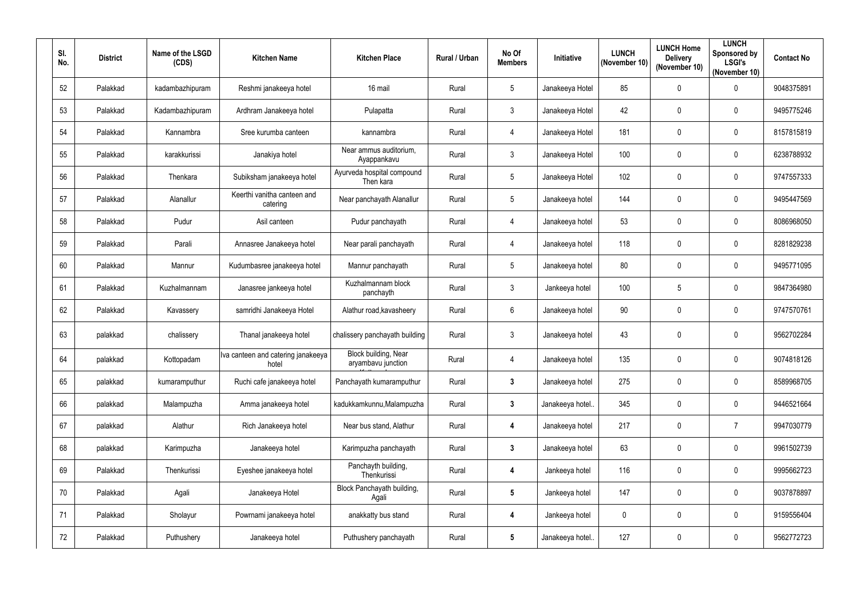| SI.<br>No. | <b>District</b> | Name of the LSGD<br>(CDS) | <b>Kitchen Name</b>                         | <b>Kitchen Place</b>                       | Rural / Urban | No Of<br><b>Members</b> | Initiative      | <b>LUNCH</b><br>(November 10) | <b>LUNCH Home</b><br><b>Delivery</b><br>(November 10) | <b>LUNCH</b><br>Sponsored by<br><b>LSGI's</b><br>(November 10) | <b>Contact No</b> |
|------------|-----------------|---------------------------|---------------------------------------------|--------------------------------------------|---------------|-------------------------|-----------------|-------------------------------|-------------------------------------------------------|----------------------------------------------------------------|-------------------|
| 52         | Palakkad        | kadambazhipuram           | Reshmi janakeeya hotel                      | 16 mail                                    | Rural         | 5                       | Janakeeya Hotel | 85                            | $\mathbf{0}$                                          | 0                                                              | 9048375891        |
| 53         | Palakkad        | Kadambazhipuram           | Ardhram Janakeeya hotel                     | Pulapatta                                  | Rural         | $\mathbf{3}$            | Janakeeya Hotel | 42                            | $\mathbf{0}$                                          | 0                                                              | 9495775246        |
| 54         | Palakkad        | Kannambra                 | Sree kurumba canteen                        | kannambra                                  | Rural         | 4                       | Janakeeya Hotel | 181                           | $\mathbf 0$                                           | $\pmb{0}$                                                      | 8157815819        |
| 55         | Palakkad        | karakkurissi              | Janakiya hotel                              | Near ammus auditorium.<br>Ayappankavu      | Rural         | $\mathbf{3}$            | Janakeeya Hotel | 100                           | $\mathbf 0$                                           | $\pmb{0}$                                                      | 6238788932        |
| 56         | Palakkad        | Thenkara                  | Subiksham janakeeya hotel                   | Ayurveda hospital compound<br>Then kara    | Rural         | $5\phantom{.0}$         | Janakeeya Hotel | 102                           | $\mathbf{0}$                                          | 0                                                              | 9747557333        |
| 57         | Palakkad        | Alanallur                 | Keerthi vanitha canteen and<br>catering     | Near panchayath Alanallur                  | Rural         | $5\phantom{.0}$         | Janakeeya hotel | 144                           | $\mathbf 0$                                           | $\pmb{0}$                                                      | 9495447569        |
| 58         | Palakkad        | Pudur                     | Asil canteen                                | Pudur panchayath                           | Rural         | 4                       | Janakeeya hotel | 53                            | $\mathbf 0$                                           | 0                                                              | 8086968050        |
| 59         | Palakkad        | Parali                    | Annasree Janakeeya hotel                    | Near parali panchayath                     | Rural         | 4                       | Janakeeya hotel | 118                           | $\mathbf 0$                                           | $\pmb{0}$                                                      | 8281829238        |
| 60         | Palakkad        | Mannur                    | Kudumbasree janakeeya hotel                 | Mannur panchayath                          | Rural         | 5 <sup>5</sup>          | Janakeeya hotel | 80                            | $\mathbf 0$                                           | 0                                                              | 9495771095        |
| 61         | Palakkad        | Kuzhalmannam              | Janasree jankeeya hotel                     | Kuzhalmannam block<br>panchayth            | Rural         | $\mathbf{3}$            | Jankeeya hotel  | 100                           | 5                                                     | 0                                                              | 9847364980        |
| 62         | Palakkad        | Kavassery                 | samridhi Janakeeya Hotel                    | Alathur road, kavasheery                   | Rural         | $6\overline{6}$         | Janakeeya hotel | 90                            | $\mathbf 0$                                           | $\pmb{0}$                                                      | 9747570761        |
| 63         | palakkad        | chalissery                | Thanal janakeeya hotel                      | chalissery panchayath building             | Rural         | $\mathbf{3}$            | Janakeeya hotel | 43                            | $\mathbf 0$                                           | 0                                                              | 9562702284        |
| 64         | palakkad        | Kottopadam                | Iva canteen and catering janakeeya<br>hotel | Block building, Near<br>aryambavu junction | Rural         | 4                       | Janakeeya hotel | 135                           | $\mathbf 0$                                           | 0                                                              | 9074818126        |
| 65         | palakkad        | kumaramputhur             | Ruchi cafe janakeeya hotel                  | Panchayath kumaramputhur                   | Rural         | $\mathbf{3}$            | Janakeeya hotel | 275                           | $\pmb{0}$                                             | $\pmb{0}$                                                      | 8589968705        |
| 66         | palakkad        | Malampuzha                | Amma janakeeya hotel                        | kadukkamkunnu, Malampuzha                  | Rural         | $\mathbf{3}$            | Janakeeya hotel | 345                           | $\mathbf 0$                                           | $\pmb{0}$                                                      | 9446521664        |
| 67         | palakkad        | Alathur                   | Rich Janakeeya hotel                        | Near bus stand, Alathur                    | Rural         | $\overline{\mathbf{4}}$ | Janakeeya hotel | 217                           | $\pmb{0}$                                             | $\overline{7}$                                                 | 9947030779        |
| 68         | palakkad        | Karimpuzha                | Janakeeya hotel                             | Karimpuzha panchayath                      | Rural         | $\mathbf{3}$            | Janakeeya hotel | 63                            | $\overline{0}$                                        | $\mathbf 0$                                                    | 9961502739        |
| 69         | Palakkad        | Thenkurissi               | Eyeshee janakeeya hotel                     | Panchayth building,<br>Thenkurissi         | Rural         | $\overline{\mathbf{4}}$ | Jankeeya hotel  | 116                           | $\mathbf 0$                                           | $\pmb{0}$                                                      | 9995662723        |
| 70         | Palakkad        | Agali                     | Janakeeya Hotel                             | Block Panchayath building,<br>Agali        | Rural         | $5\phantom{.0}$         | Jankeeya hotel  | 147                           | $\mathbf 0$                                           | $\pmb{0}$                                                      | 9037878897        |
| 71         | Palakkad        | Sholayur                  | Powrnami janakeeya hotel                    | anakkatty bus stand                        | Rural         | 4                       | Jankeeya hotel  | $\mathbf{0}$                  | $\overline{0}$                                        | $\pmb{0}$                                                      | 9159556404        |
| 72         | Palakkad        | Puthushery                | Janakeeya hotel                             | Puthushery panchayath                      | Rural         | $5\phantom{.0}$         | Janakeeya hotel | 127                           | $\boldsymbol{0}$                                      | $\pmb{0}$                                                      | 9562772723        |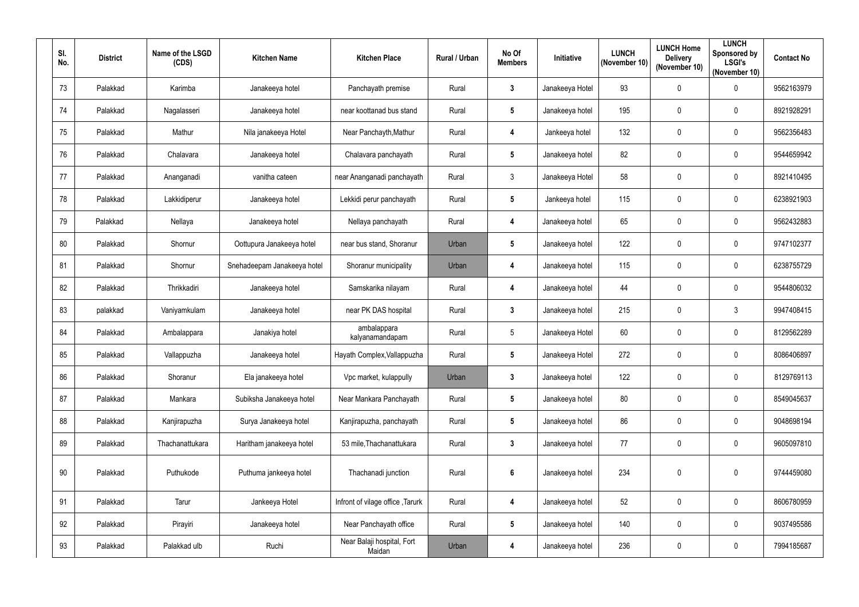| SI. | No.    | <b>District</b> | Name of the LSGD<br>(CDS) | <b>Kitchen Name</b>         | <b>Kitchen Place</b>                 | <b>Rural / Urban</b> | No Of<br><b>Members</b> | Initiative      | <b>LUNCH</b><br>(November 10) | <b>LUNCH Home</b><br><b>Delivery</b><br>(November 10) | <b>LUNCH</b><br>Sponsored by<br><b>LSGI's</b><br>(November 10) | <b>Contact No</b> |
|-----|--------|-----------------|---------------------------|-----------------------------|--------------------------------------|----------------------|-------------------------|-----------------|-------------------------------|-------------------------------------------------------|----------------------------------------------------------------|-------------------|
|     | 73     | Palakkad        | Karimba                   | Janakeeya hotel             | Panchayath premise                   | Rural                | $\boldsymbol{3}$        | Janakeeya Hotel | 93                            | $\mathbf 0$                                           | $\pmb{0}$                                                      | 9562163979        |
|     | 74     | Palakkad        | Nagalasseri               | Janakeeya hotel             | near koottanad bus stand             | Rural                | 5                       | Janakeeya hotel | 195                           | $\mathbf 0$                                           | $\mathbf 0$                                                    | 8921928291        |
|     | 75     | Palakkad        | Mathur                    | Nila janakeeya Hotel        | Near Panchayth, Mathur               | Rural                | $\overline{4}$          | Jankeeya hotel  | 132                           | $\mathbf 0$                                           | $\pmb{0}$                                                      | 9562356483        |
|     | 76     | Palakkad        | Chalavara                 | Janakeeya hotel             | Chalavara panchayath                 | Rural                | $\sqrt{5}$              | Janakeeya hotel | 82                            | $\mathbf 0$                                           | $\pmb{0}$                                                      | 9544659942        |
|     | 77     | Palakkad        | Ananganadi                | vanitha cateen              | near Ananganadi panchayath           | Rural                | $\mathbf{3}$            | Janakeeya Hotel | 58                            | $\mathbf 0$                                           | $\pmb{0}$                                                      | 8921410495        |
|     | 78     | Palakkad        | Lakkidiperur              | Janakeeya hotel             | Lekkidi perur panchayath             | Rural                | $5\phantom{.0}$         | Jankeeya hotel  | 115                           | $\mathbf 0$                                           | $\mathbf 0$                                                    | 6238921903        |
|     | 79     | Palakkad        | Nellaya                   | Janakeeya hotel             | Nellaya panchayath                   | Rural                | 4                       | Janakeeya hotel | 65                            | $\mathbf 0$                                           | $\mathbf 0$                                                    | 9562432883        |
|     | 80     | Palakkad        | Shornur                   | Oottupura Janakeeya hotel   | near bus stand, Shoranur             | Urban                | $5\phantom{.0}$         | Janakeeya hotel | 122                           | $\mathbf 0$                                           | $\pmb{0}$                                                      | 9747102377        |
|     | 81     | Palakkad        | Shornur                   | Snehadeepam Janakeeya hotel | Shoranur municipality                | Urban                | 4                       | Janakeeya hotel | 115                           | $\mathbf 0$                                           | $\mathbf 0$                                                    | 6238755729        |
|     | 82     | Palakkad        | Thrikkadiri               | Janakeeya hotel             | Samskarika nilayam                   | Rural                | $\overline{4}$          | Janakeeya hotel | 44                            | $\mathbf{0}$                                          | $\pmb{0}$                                                      | 9544806032        |
|     | 83     | palakkad        | Vaniyamkulam              | Janakeeya hotel             | near PK DAS hospital                 | Rural                | $\boldsymbol{3}$        | Janakeeya hotel | 215                           | $\mathbf 0$                                           | 3                                                              | 9947408415        |
|     | 84     | Palakkad        | Ambalappara               | Janakiya hotel              | ambalappara<br>kalyanamandapam       | Rural                | $5\phantom{.0}$         | Janakeeya Hotel | 60                            | $\mathbf 0$                                           | $\pmb{0}$                                                      | 8129562289        |
|     | 85     | Palakkad        | Vallappuzha               | Janakeeya hotel             | Hayath Complex, Vallappuzha          | Rural                | 5                       | Janakeeya Hotel | 272                           | $\mathbf 0$                                           | $\mathbf 0$                                                    | 8086406897        |
|     | 86     | Palakkad        | Shoranur                  | Ela janakeeya hotel         | Vpc market, kulappully               | Urban                | $\mathbf{3}$            | Janakeeya hotel | 122                           | $\overline{0}$                                        | $\pmb{0}$                                                      | 8129769113        |
|     | 87     | Palakkad        | Mankara                   | Subiksha Janakeeya hotel    | Near Mankara Panchayath              | Rural                | $5\phantom{1}$          | Janakeeya hotel | 80                            | $\pmb{0}$                                             | $\pmb{0}$                                                      | 8549045637        |
|     | 88     | Palakkad        | Kanjirapuzha              | Surya Janakeeya hotel       | Kanjirapuzha, panchayath             | Rural                | $5\phantom{1}$          | Janakeeya hotel | 86                            | $\pmb{0}$                                             | $\pmb{0}$                                                      | 9048698194        |
|     | 89     | Palakkad        | Thachanattukara           | Haritham janakeeya hotel    | 53 mile, Thachanattukara             | Rural                | $\mathbf{3}$            | Janakeeya hotel | 77                            | $\mathbf 0$                                           | $\pmb{0}$                                                      | 9605097810        |
|     | $90\,$ | Palakkad        | Puthukode                 | Puthuma jankeeya hotel      | Thachanadi junction                  | Rural                | $6\phantom{.}6$         | Janakeeya hotel | 234                           | $\pmb{0}$                                             | $\pmb{0}$                                                      | 9744459080        |
|     | 91     | Palakkad        | Tarur                     | Jankeeya Hotel              | Infront of vilage office, Tarurk     | Rural                | $\boldsymbol{4}$        | Janakeeya hotel | 52                            | $\mathbf 0$                                           | $\mathbf 0$                                                    | 8606780959        |
|     | 92     | Palakkad        | Pirayiri                  | Janakeeya hotel             | Near Panchayath office               | Rural                | $5\phantom{.0}$         | Janakeeya hotel | 140                           | $\mathbf 0$                                           | $\pmb{0}$                                                      | 9037495586        |
|     | 93     | Palakkad        | Palakkad ulb              | Ruchi                       | Near Balaji hospital, Fort<br>Maidan | Urban                | 4                       | Janakeeya hotel | 236                           | $\boldsymbol{0}$                                      | $\pmb{0}$                                                      | 7994185687        |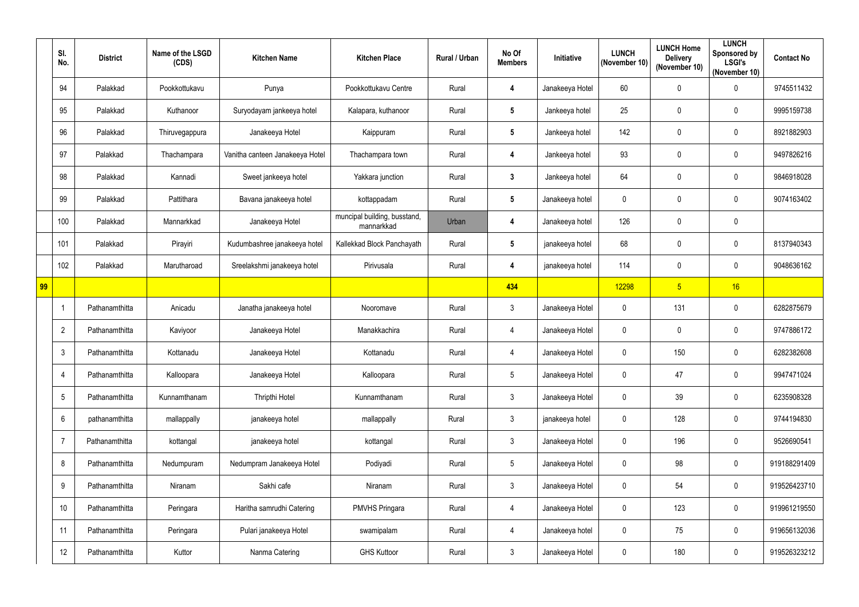|              | SI.<br>No.     | <b>District</b> | Name of the LSGD<br>(CDS) | <b>Kitchen Name</b>             | <b>Kitchen Place</b>                       | <b>Rural / Urban</b> | No Of<br><b>Members</b> | Initiative      | <b>LUNCH</b><br>(November 10) | <b>LUNCH Home</b><br><b>Delivery</b><br>(November 10) | <b>LUNCH</b><br>Sponsored by<br><b>LSGI's</b><br>(November 10) | <b>Contact No</b> |
|--------------|----------------|-----------------|---------------------------|---------------------------------|--------------------------------------------|----------------------|-------------------------|-----------------|-------------------------------|-------------------------------------------------------|----------------------------------------------------------------|-------------------|
|              | 94             | Palakkad        | Pookkottukavu             | Punya                           | Pookkottukavu Centre                       | Rural                | 4                       | Janakeeya Hotel | 60                            | $\mathbf 0$                                           | $\boldsymbol{0}$                                               | 9745511432        |
|              | 95             | Palakkad        | Kuthanoor                 | Suryodayam jankeeya hotel       | Kalapara, kuthanoor                        | Rural                | $5\phantom{1}$          | Jankeeya hotel  | 25                            | $\mathbf 0$                                           | $\pmb{0}$                                                      | 9995159738        |
|              | 96             | Palakkad        | Thiruvegappura            | Janakeeya Hotel                 | Kaippuram                                  | Rural                | $5\phantom{.0}$         | Jankeeya hotel  | 142                           | $\mathbf 0$                                           | $\pmb{0}$                                                      | 8921882903        |
|              | 97             | Palakkad        | Thachampara               | Vanitha canteen Janakeeya Hotel | Thachampara town                           | Rural                | 4                       | Jankeeya hotel  | 93                            | $\mathbf 0$                                           | $\pmb{0}$                                                      | 9497826216        |
|              | 98             | Palakkad        | Kannadi                   | Sweet jankeeya hotel            | Yakkara junction                           | Rural                | $\boldsymbol{3}$        | Jankeeya hotel  | 64                            | $\mathbf 0$                                           | $\pmb{0}$                                                      | 9846918028        |
|              | 99             | Palakkad        | Pattithara                | Bavana janakeeya hotel          | kottappadam                                | Rural                | $5\phantom{.0}$         | Janakeeya hotel | 0                             | $\mathbf 0$                                           | $\mathbf 0$                                                    | 9074163402        |
|              | 100            | Palakkad        | Mannarkkad                | Janakeeya Hotel                 | muncipal building, busstand,<br>mannarkkad | Urban                | 4                       | Janakeeya hotel | 126                           | $\mathbf 0$                                           | $\mathbf 0$                                                    |                   |
|              | 101            | Palakkad        | Pirayiri                  | Kudumbashree janakeeya hotel    | Kallekkad Block Panchayath                 | Rural                | $5\phantom{.0}$         | janakeeya hotel | 68                            | $\mathbf 0$                                           | $\pmb{0}$                                                      | 8137940343        |
|              | 102            | Palakkad        | Marutharoad               | Sreelakshmi janakeeya hotel     | Pirivusala                                 | Rural                | 4                       | janakeeya hotel | 114                           | $\mathbf 0$                                           | $\pmb{0}$                                                      | 9048636162        |
| $\boxed{99}$ |                |                 |                           |                                 |                                            |                      | 434                     |                 | 12298                         | 5 <sub>5</sub>                                        | 16                                                             |                   |
|              | 1              | Pathanamthitta  | Anicadu                   | Janatha janakeeya hotel         | Nooromave                                  | Rural                | $\mathfrak{Z}$          | Janakeeya Hotel | 0                             | 131                                                   | $\mathbf 0$                                                    | 6282875679        |
|              | $\overline{2}$ | Pathanamthitta  | Kaviyoor                  | Janakeeya Hotel                 | Manakkachira                               | Rural                | $\overline{4}$          | Janakeeya Hotel | $\mathbf 0$                   | $\mathbf 0$                                           | $\pmb{0}$                                                      | 9747886172        |
|              | $\mathfrak{Z}$ | Pathanamthitta  | Kottanadu                 | Janakeeya Hotel                 | Kottanadu                                  | Rural                | 4                       | Janakeeya Hotel | 0                             | 150                                                   | $\mathbf 0$                                                    | 6282382608        |
|              | 4              | Pathanamthitta  | Kalloopara                | Janakeeya Hotel                 | Kalloopara                                 | Rural                | $5\phantom{.0}$         | Janakeeya Hotel | $\mathbf 0$                   | 47                                                    | $\pmb{0}$                                                      | 9947471024        |
|              | 5              | Pathanamthitta  | Kunnamthanam              | Thripthi Hotel                  | Kunnamthanam                               | Rural                | $\mathfrak{Z}$          | Janakeeya Hotel | $\mathbf 0$                   | 39                                                    | $\pmb{0}$                                                      | 6235908328        |
|              | 6              | pathanamthitta  | mallappally               | janakeeya hotel                 | mallappally                                | Rural                | $\mathfrak{Z}$          | janakeeya hotel | 0                             | 128                                                   | $\pmb{0}$                                                      | 9744194830        |
|              | 7              | Pathanamthitta  | kottangal                 | janakeeya hotel                 | kottangal                                  | Rural                | $\mathbf{3}$            | Janakeeya Hotel | 0                             | 196                                                   | $\pmb{0}$                                                      | 9526690541        |
|              | 8              | Pathanamthitta  | Nedumpuram                | Nedumpram Janakeeya Hotel       | Podiyadi                                   | Rural                | $5\phantom{.0}$         | Janakeeya Hotel | $\boldsymbol{0}$              | 98                                                    | $\mathbf 0$                                                    | 919188291409      |
|              | 9              | Pathanamthitta  | Niranam                   | Sakhi cafe                      | Niranam                                    | Rural                | $\mathfrak{Z}$          | Janakeeya Hotel | $\mathbf 0$                   | 54                                                    | $\pmb{0}$                                                      | 919526423710      |
|              | 10             | Pathanamthitta  | Peringara                 | Haritha samrudhi Catering       | <b>PMVHS Pringara</b>                      | Rural                | $\overline{4}$          | Janakeeya Hotel | $\boldsymbol{0}$              | 123                                                   | $\mathbf 0$                                                    | 919961219550      |
|              | 11             | Pathanamthitta  | Peringara                 | Pulari janakeeya Hotel          | swamipalam                                 | Rural                | $\overline{4}$          | Janakeeya hotel | 0                             | 75                                                    | $\pmb{0}$                                                      | 919656132036      |
|              | 12             | Pathanamthitta  | Kuttor                    | Nanma Catering                  | <b>GHS Kuttoor</b>                         | Rural                | $\mathfrak{Z}$          | Janakeeya Hotel | 0                             | 180                                                   | $\pmb{0}$                                                      | 919526323212      |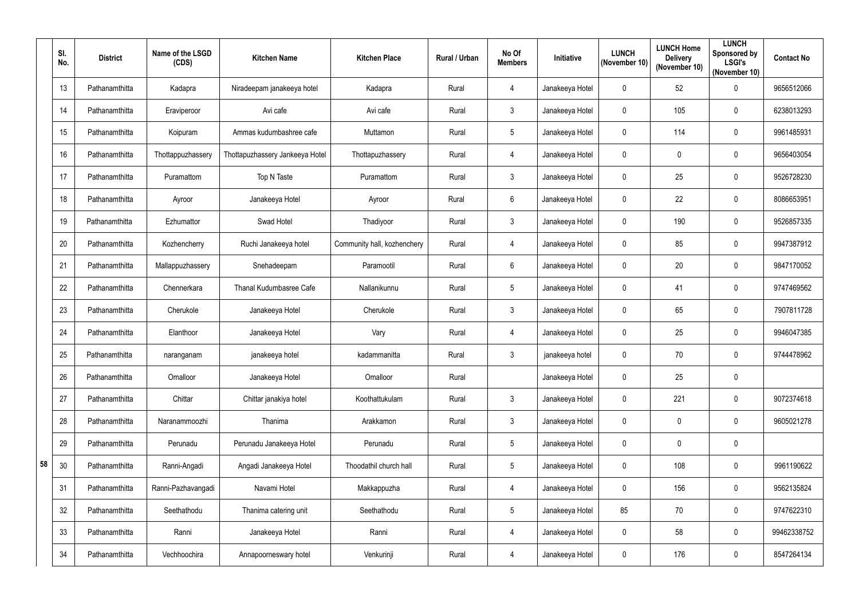|    | SI.<br>No. | <b>District</b> | Name of the LSGD<br>(CDS) | <b>Kitchen Name</b>             | <b>Kitchen Place</b>        | Rural / Urban | No Of<br><b>Members</b> | Initiative      | <b>LUNCH</b><br>(November 10) | <b>LUNCH Home</b><br><b>Delivery</b><br>(November 10) | <b>LUNCH</b><br>Sponsored by<br><b>LSGI's</b><br>(November 10) | <b>Contact No</b> |
|----|------------|-----------------|---------------------------|---------------------------------|-----------------------------|---------------|-------------------------|-----------------|-------------------------------|-------------------------------------------------------|----------------------------------------------------------------|-------------------|
|    | 13         | Pathanamthitta  | Kadapra                   | Niradeepam janakeeya hotel      | Kadapra                     | Rural         | $\overline{4}$          | Janakeeya Hotel | $\mathbf 0$                   | 52                                                    | $\pmb{0}$                                                      | 9656512066        |
|    | 14         | Pathanamthitta  | Eraviperoor               | Avi cafe                        | Avi cafe                    | Rural         | 3                       | Janakeeya Hotel | 0                             | 105                                                   | $\boldsymbol{0}$                                               | 6238013293        |
|    | 15         | Pathanamthitta  | Koipuram                  | Ammas kudumbashree cafe         | Muttamon                    | Rural         | 5                       | Janakeeya Hotel | $\Omega$                      | 114                                                   | $\pmb{0}$                                                      | 9961485931        |
|    | 16         | Pathanamthitta  | Thottappuzhassery         | Thottapuzhassery Jankeeya Hotel | Thottapuzhassery            | Rural         | $\overline{4}$          | Janakeeya Hotel | 0                             | $\mathbf 0$                                           | $\boldsymbol{0}$                                               | 9656403054        |
|    | 17         | Pathanamthitta  | Puramattom                | Top N Taste                     | Puramattom                  | Rural         | 3                       | Janakeeya Hotel | $\mathbf 0$                   | 25                                                    | $\pmb{0}$                                                      | 9526728230        |
|    | 18         | Pathanamthitta  | Ayroor                    | Janakeeya Hotel                 | Ayroor                      | Rural         | 6                       | Janakeeya Hotel | 0                             | 22                                                    | $\pmb{0}$                                                      | 8086653951        |
|    | 19         | Pathanamthitta  | Ezhumattor                | Swad Hotel                      | Thadiyoor                   | Rural         | $\mathfrak{Z}$          | Janakeeya Hotel | 0                             | 190                                                   | $\boldsymbol{0}$                                               | 9526857335        |
|    | 20         | Pathanamthitta  | Kozhencherry              | Ruchi Janakeeya hotel           | Community hall, kozhenchery | Rural         | $\overline{4}$          | Janakeeya Hotel | $\mathbf 0$                   | 85                                                    | $\pmb{0}$                                                      | 9947387912        |
|    | 21         | Pathanamthitta  | Mallappuzhassery          | Snehadeepam                     | Paramootil                  | Rural         | 6                       | Janakeeya Hotel | 0                             | 20                                                    | $\boldsymbol{0}$                                               | 9847170052        |
|    | 22         | Pathanamthitta  | Chennerkara               | <b>Thanal Kudumbasree Cafe</b>  | Nallanikunnu                | Rural         | 5                       | Janakeeya Hotel | $\mathbf 0$                   | 41                                                    | $\boldsymbol{0}$                                               | 9747469562        |
|    | 23         | Pathanamthitta  | Cherukole                 | Janakeeya Hotel                 | Cherukole                   | Rural         | 3                       | Janakeeya Hotel | $\mathbf 0$                   | 65                                                    | $\boldsymbol{0}$                                               | 7907811728        |
|    | 24         | Pathanamthitta  | Elanthoor                 | Janakeeya Hotel                 | Vary                        | Rural         | $\overline{4}$          | Janakeeya Hotel | 0                             | 25                                                    | $\pmb{0}$                                                      | 9946047385        |
|    | 25         | Pathanamthitta  | naranganam                | janakeeya hotel                 | kadammanitta                | Rural         | 3                       | janakeeya hotel | 0                             | 70                                                    | 0                                                              | 9744478962        |
|    | 26         | Pathanamthitta  | Omalloor                  | Janakeeya Hotel                 | Omalloor                    | Rural         |                         | Janakeeya Hotel | 0                             | 25                                                    | $\pmb{0}$                                                      |                   |
|    | 27         | Pathanamthitta  | Chittar                   | Chittar janakiya hotel          | Koothattukulam              | Rural         | $\mathfrak{Z}$          | Janakeeya Hotel | $\mathbf 0$                   | 221                                                   | $\pmb{0}$                                                      | 9072374618        |
|    | 28         | Pathanamthitta  | Naranammoozhi             | Thanima                         | Arakkamon                   | Rural         | $\mathfrak{Z}$          | Janakeeya Hotel | 0                             | $\pmb{0}$                                             | $\pmb{0}$                                                      | 9605021278        |
|    | 29         | Pathanamthitta  | Perunadu                  | Perunadu Janakeeya Hotel        | Perunadu                    | Rural         | $5\phantom{.0}$         | Janakeeya Hotel | $\boldsymbol{0}$              | $\mathbf 0$                                           | $\pmb{0}$                                                      |                   |
| 58 | 30         | Pathanamthitta  | Ranni-Angadi              | Angadi Janakeeya Hotel          | Thoodathil church hall      | Rural         | $5\phantom{.0}$         | Janakeeya Hotel | $\mathbf 0$                   | 108                                                   | $\pmb{0}$                                                      | 9961190622        |
|    | 31         | Pathanamthitta  | Ranni-Pazhavangadi        | Navami Hotel                    | Makkappuzha                 | Rural         | $\overline{4}$          | Janakeeya Hotel | 0                             | 156                                                   | $\pmb{0}$                                                      | 9562135824        |
|    | 32         | Pathanamthitta  | Seethathodu               | Thanima catering unit           | Seethathodu                 | Rural         | 5                       | Janakeeya Hotel | 85                            | 70                                                    | $\pmb{0}$                                                      | 9747622310        |
|    | 33         | Pathanamthitta  | Ranni                     | Janakeeya Hotel                 | Ranni                       | Rural         | $\overline{4}$          | Janakeeya Hotel | 0                             | 58                                                    | $\pmb{0}$                                                      | 99462338752       |
|    | 34         | Pathanamthitta  | Vechhoochira              | Annapoorneswary hotel           | Venkurinji                  | Rural         | $\overline{4}$          | Janakeeya Hotel | $\pmb{0}$                     | 176                                                   | $\pmb{0}$                                                      | 8547264134        |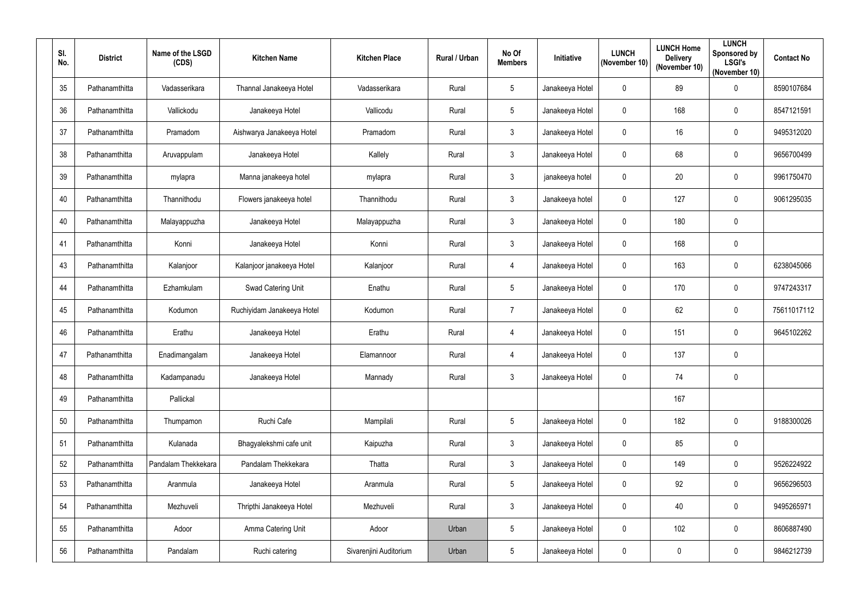| SI.<br>No. | <b>District</b> | Name of the LSGD<br>(CDS) | <b>Kitchen Name</b>        | <b>Kitchen Place</b>   | Rural / Urban | No Of<br><b>Members</b> | Initiative      | <b>LUNCH</b><br>(November 10) | <b>LUNCH Home</b><br><b>Delivery</b><br>(November 10) | <b>LUNCH</b><br><b>Sponsored by</b><br><b>LSGI's</b><br>(November 10) | <b>Contact No</b> |
|------------|-----------------|---------------------------|----------------------------|------------------------|---------------|-------------------------|-----------------|-------------------------------|-------------------------------------------------------|-----------------------------------------------------------------------|-------------------|
| 35         | Pathanamthitta  | Vadasserikara             | Thannal Janakeeya Hotel    | Vadasserikara          | Rural         | 5                       | Janakeeya Hotel | $\mathbf 0$                   | 89                                                    | $\pmb{0}$                                                             | 8590107684        |
| 36         | Pathanamthitta  | Vallickodu                | Janakeeya Hotel            | Vallicodu              | Rural         | $5\phantom{.0}$         | Janakeeya Hotel | 0                             | 168                                                   | $\mathbf 0$                                                           | 8547121591        |
| 37         | Pathanamthitta  | Pramadom                  | Aishwarya Janakeeya Hotel  | Pramadom               | Rural         | $\mathbf{3}$            | Janakeeya Hotel | $\mathbf 0$                   | 16                                                    | $\pmb{0}$                                                             | 9495312020        |
| 38         | Pathanamthitta  | Aruvappulam               | Janakeeya Hotel            | Kallely                | Rural         | $\mathbf{3}$            | Janakeeya Hotel | $\mathbf{0}$                  | 68                                                    | $\pmb{0}$                                                             | 9656700499        |
| 39         | Pathanamthitta  | mylapra                   | Manna janakeeya hotel      | mylapra                | Rural         | $\mathbf{3}$            | janakeeya hotel | $\mathbf 0$                   | 20                                                    | $\mathbf 0$                                                           | 9961750470        |
| 40         | Pathanamthitta  | Thannithodu               | Flowers janakeeya hotel    | Thannithodu            | Rural         | $\mathbf{3}$            | Janakeeya hotel | 0                             | 127                                                   | $\pmb{0}$                                                             | 9061295035        |
| 40         | Pathanamthitta  | Malayappuzha              | Janakeeya Hotel            | Malayappuzha           | Rural         | $\mathbf{3}$            | Janakeeya Hotel | $\mathbf 0$                   | 180                                                   | $\pmb{0}$                                                             |                   |
| 41         | Pathanamthitta  | Konni                     | Janakeeya Hotel            | Konni                  | Rural         | $\mathbf{3}$            | Janakeeya Hotel | $\mathbf 0$                   | 168                                                   | $\pmb{0}$                                                             |                   |
| 43         | Pathanamthitta  | Kalanjoor                 | Kalanjoor janakeeya Hotel  | Kalanjoor              | Rural         | $\overline{4}$          | Janakeeya Hotel | 0                             | 163                                                   | $\mathbf 0$                                                           | 6238045066        |
| 44         | Pathanamthitta  | Ezhamkulam                | Swad Catering Unit         | Enathu                 | Rural         | $5\phantom{.0}$         | Janakeeya Hotel | $\mathbf 0$                   | 170                                                   | $\pmb{0}$                                                             | 9747243317        |
| 45         | Pathanamthitta  | Kodumon                   | Ruchiyidam Janakeeya Hotel | Kodumon                | Rural         | $\overline{7}$          | Janakeeya Hotel | $\mathbf 0$                   | 62                                                    | $\pmb{0}$                                                             | 75611017112       |
| 46         | Pathanamthitta  | Erathu                    | Janakeeya Hotel            | Erathu                 | Rural         | $\overline{4}$          | Janakeeya Hotel | $\mathbf 0$                   | 151                                                   | $\mathbf 0$                                                           | 9645102262        |
| 47         | Pathanamthitta  | Enadimangalam             | Janakeeya Hotel            | Elamannoor             | Rural         | $\overline{4}$          | Janakeeya Hotel | 0                             | 137                                                   | $\pmb{0}$                                                             |                   |
| 48         | Pathanamthitta  | Kadampanadu               | Janakeeya Hotel            | Mannady                | Rural         | $\mathbf{3}$            | Janakeeya Hotel | $\mathbf 0$                   | 74                                                    | $\mathbf 0$                                                           |                   |
| 49         | Pathanamthitta  | Pallickal                 |                            |                        |               |                         |                 |                               | 167                                                   |                                                                       |                   |
| 50         | Pathanamthitta  | Thumpamon                 | Ruchi Cafe                 | Mampilali              | Rural         | $5\phantom{.0}$         | Janakeeya Hotel | $\mathbf 0$                   | 182                                                   | $\mathbf 0$                                                           | 9188300026        |
| 51         | Pathanamthitta  | Kulanada                  | Bhagyalekshmi cafe unit    | Kaipuzha               | Rural         | $\mathbf{3}$            | Janakeeya Hotel | $\mathbf 0$                   | 85                                                    | $\pmb{0}$                                                             |                   |
| 52         | Pathanamthitta  | Pandalam Thekkekara       | Pandalam Thekkekara        | Thatta                 | Rural         | $\mathbf{3}$            | Janakeeya Hotel | $\mathbf 0$                   | 149                                                   | $\pmb{0}$                                                             | 9526224922        |
| 53         | Pathanamthitta  | Aranmula                  | Janakeeya Hotel            | Aranmula               | Rural         | $5\phantom{.0}$         | Janakeeya Hotel | $\mathbf 0$                   | 92                                                    | $\mathbf 0$                                                           | 9656296503        |
| 54         | Pathanamthitta  | Mezhuveli                 | Thripthi Janakeeya Hotel   | Mezhuveli              | Rural         | $\mathbf{3}$            | Janakeeya Hotel | $\mathbf 0$                   | 40                                                    | $\pmb{0}$                                                             | 9495265971        |
| 55         | Pathanamthitta  | Adoor                     | Amma Catering Unit         | Adoor                  | Urban         | $5\phantom{.0}$         | Janakeeya Hotel | $\mathbf 0$                   | 102                                                   | $\pmb{0}$                                                             | 8606887490        |
| 56         | Pathanamthitta  | Pandalam                  | Ruchi catering             | Sivarenjini Auditorium | Urban         | $\sqrt{5}$              | Janakeeya Hotel | $\mathbf 0$                   | $\mathbf 0$                                           | $\pmb{0}$                                                             | 9846212739        |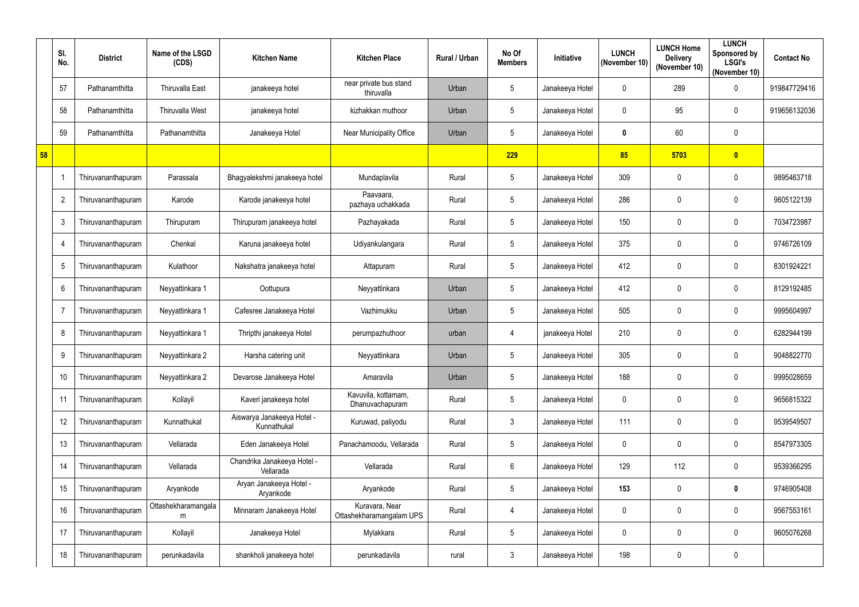|    | SI.<br>No.      | <b>District</b>    | Name of the LSGD<br>(CDS) | <b>Kitchen Name</b>                       | <b>Kitchen Place</b>                       | Rural / Urban | No Of<br><b>Members</b> | Initiative      | <b>LUNCH</b><br>(November 10) | <b>LUNCH Home</b><br><b>Delivery</b><br>(November 10) | <b>LUNCH</b><br>Sponsored by<br><b>LSGI's</b><br>(November 10) | <b>Contact No</b> |
|----|-----------------|--------------------|---------------------------|-------------------------------------------|--------------------------------------------|---------------|-------------------------|-----------------|-------------------------------|-------------------------------------------------------|----------------------------------------------------------------|-------------------|
|    | 57              | Pathanamthitta     | <b>Thiruvalla East</b>    | janakeeya hotel                           | near private bus stand<br>thiruvalla       | Urban         | 5                       | Janakeeya Hotel | $\mathbf 0$                   | 289                                                   | $\pmb{0}$                                                      | 919847729416      |
|    | 58              | Pathanamthitta     | Thiruvalla West           | janakeeya hotel                           | kizhakkan muthoor                          | Urban         | 5                       | Janakeeya Hotel | 0                             | 95                                                    | $\pmb{0}$                                                      | 919656132036      |
|    | 59              | Pathanamthitta     | Pathanamthitta            | Janakeeya Hotel                           | Near Municipality Office                   | Urban         | 5                       | Janakeeya Hotel | $\mathbf{0}$                  | 60                                                    | $\pmb{0}$                                                      |                   |
| 58 |                 |                    |                           |                                           |                                            |               | 229                     |                 | 85                            | 5703                                                  | $\boldsymbol{0}$                                               |                   |
|    |                 | Thiruvananthapuram | Parassala                 | Bhagyalekshmi janakeeya hotel             | Mundaplavila                               | Rural         | 5                       | Janakeeya Hotel | 309                           | $\mathbf 0$                                           | $\pmb{0}$                                                      | 9895463718        |
|    | $\overline{2}$  | Thiruvananthapuram | Karode                    | Karode janakeeya hotel                    | Paavaara,<br>pazhaya uchakkada             | Rural         | $5\phantom{.0}$         | Janakeeya Hotel | 286                           | $\boldsymbol{0}$                                      | $\pmb{0}$                                                      | 9605122139        |
|    | 3               | Thiruvananthapuram | Thirupuram                | Thirupuram janakeeya hotel                | Pazhayakada                                | Rural         | 5                       | Janakeeya Hotel | 150                           | $\boldsymbol{0}$                                      | $\pmb{0}$                                                      | 7034723987        |
|    | 4               | Thiruvananthapuram | Chenkal                   | Karuna janakeeya hotel                    | Udiyankulangara                            | Rural         | 5                       | Janakeeya Hotel | 375                           | $\mathbf 0$                                           | $\pmb{0}$                                                      | 9746726109        |
|    | $5\phantom{.0}$ | Thiruvananthapuram | Kulathoor                 | Nakshatra janakeeya hotel                 | Attapuram                                  | Rural         | 5                       | Janakeeya Hotel | 412                           | $\mathbf 0$                                           | $\boldsymbol{0}$                                               | 8301924221        |
|    | 6               | Thiruvananthapuram | Neyyattinkara 1           | Oottupura                                 | Neyyattinkara                              | Urban         | 5                       | Janakeeya Hotel | 412                           | $\mathbf 0$                                           | $\pmb{0}$                                                      | 8129192485        |
|    | 7               | Thiruvananthapuram | Neyyattinkara 1           | Cafesree Janakeeya Hotel                  | Vazhimukku                                 | Urban         | 5                       | Janakeeya Hotel | 505                           | $\mathbf 0$                                           | $\pmb{0}$                                                      | 9995604997        |
|    | 8               | Thiruvananthapuram | Neyyattinkara 1           | Thripthi janakeeya Hotel                  | perumpazhuthoor                            | urban         | 4                       | janakeeya Hotel | 210                           | $\boldsymbol{0}$                                      | $\boldsymbol{0}$                                               | 6282944199        |
|    | 9               | Thiruvananthapuram | Neyyattinkara 2           | Harsha catering unit                      | Neyyattinkara                              | Urban         | 5                       | Janakeeya Hotel | 305                           | 0                                                     | 0                                                              | 9048822770        |
|    | 10              | Thiruvananthapuram | Neyyattinkara 2           | Devarose Janakeeya Hotel                  | Amaravila                                  | Urban         | 5                       | Janakeeya Hotel | 188                           | $\boldsymbol{0}$                                      | $\pmb{0}$                                                      | 9995028659        |
|    | 11              | Thiruvananthapuram | Kollayil                  | Kaveri janakeeya hotel                    | Kavuvila, kottamam,<br>Dhanuvachapuram     | Rural         | 5                       | Janakeeya Hotel | 0                             | $\mathbf 0$                                           | $\pmb{0}$                                                      | 9656815322        |
|    | 12              | Thiruvananthapuram | Kunnathukal               | Aiswarya Janakeeya Hotel -<br>Kunnathukal | Kuruwad, paliyodu                          | Rural         | $\mathfrak{Z}$          | Janakeeya Hotel | 111                           | $\mathbf 0$                                           | $\pmb{0}$                                                      | 9539549507        |
|    | 13              | Thiruvananthapuram | Vellarada                 | Eden Janakeeya Hotel                      | Panachamoodu, Vellarada                    | Rural         | 5                       | Janakeeya Hotel | $\mathbf{0}$                  | $\mathbf 0$                                           | $\pmb{0}$                                                      | 8547973305        |
|    | 14              | Thiruvananthapuram | Vellarada                 | Chandrika Janakeeya Hotel -<br>Vellarada  | Vellarada                                  | Rural         | 6                       | Janakeeya Hotel | 129                           | 112                                                   | $\pmb{0}$                                                      | 9539366295        |
|    | 15              | Thiruvananthapuram | Aryankode                 | Aryan Janakeeya Hotel -<br>Aryankode      | Aryankode                                  | Rural         | 5 <sup>5</sup>          | Janakeeya Hotel | 153                           | $\mathbf 0$                                           | $\pmb{0}$                                                      | 9746905408        |
|    | 16              | Thiruvananthapuram | Ottashekharamangala<br>m  | Minnaram Janakeeya Hotel                  | Kuravara, Near<br>Ottashekharamangalam UPS | Rural         | 4                       | Janakeeya Hotel | $\mathbf{0}$                  | $\mathbf 0$                                           | $\pmb{0}$                                                      | 9567553161        |
|    | 17              | Thiruvananthapuram | Kollayil                  | Janakeeya Hotel                           | Mylakkara                                  | Rural         | 5                       | Janakeeya Hotel | $\mathbf 0$                   | $\boldsymbol{0}$                                      | $\pmb{0}$                                                      | 9605076268        |
|    | 18              | Thiruvananthapuram | perunkadavila             | shankholi janakeeya hotel                 | perunkadavila                              | rural         | $\mathfrak{Z}$          | Janakeeya Hotel | 198                           | $\boldsymbol{0}$                                      | $\pmb{0}$                                                      |                   |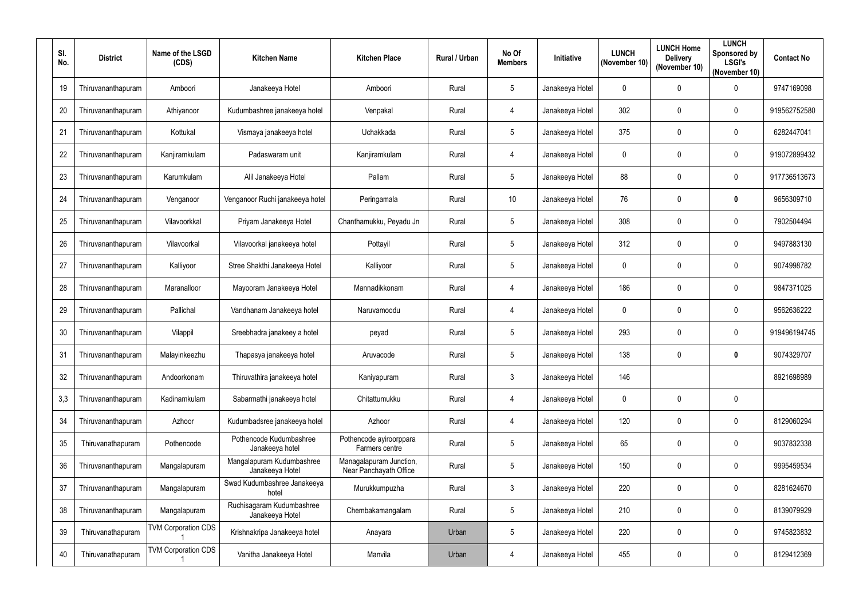| SI.<br>No. | <b>District</b>    | Name of the LSGD<br>(CDS)  | <b>Kitchen Name</b>                          | <b>Kitchen Place</b>                              | Rural / Urban | No Of<br><b>Members</b> | Initiative      | <b>LUNCH</b><br>(November 10) | <b>LUNCH Home</b><br><b>Delivery</b><br>(November 10) | <b>LUNCH</b><br>Sponsored by<br><b>LSGI's</b><br>(November 10) | <b>Contact No</b> |
|------------|--------------------|----------------------------|----------------------------------------------|---------------------------------------------------|---------------|-------------------------|-----------------|-------------------------------|-------------------------------------------------------|----------------------------------------------------------------|-------------------|
| 19         | Thiruvananthapuram | Amboori                    | Janakeeya Hotel                              | Amboori                                           | Rural         | 5                       | Janakeeya Hotel | 0                             | 0                                                     | $\pmb{0}$                                                      | 9747169098        |
| 20         | Thiruvananthapuram | Athiyanoor                 | Kudumbashree janakeeya hotel                 | Venpakal                                          | Rural         | 4                       | Janakeeya Hotel | 302                           | $\mathbf 0$                                           | $\mathbf 0$                                                    | 919562752580      |
| 21         | Thiruvananthapuram | Kottukal                   | Vismaya janakeeya hotel                      | Uchakkada                                         | Rural         | $\overline{5}$          | Janakeeya Hotel | 375                           | $\mathbf{0}$                                          | $\mathbf 0$                                                    | 6282447041        |
| 22         | Thiruvananthapuram | Kanjiramkulam              | Padaswaram unit                              | Kanjiramkulam                                     | Rural         | $\overline{4}$          | Janakeeya Hotel | $\mathbf 0$                   | $\mathbf 0$                                           | $\mathbf 0$                                                    | 919072899432      |
| 23         | Thiruvananthapuram | Karumkulam                 | Alil Janakeeya Hotel                         | Pallam                                            | Rural         | $\overline{5}$          | Janakeeya Hotel | 88                            | $\mathbf 0$                                           | $\pmb{0}$                                                      | 917736513673      |
| 24         | Thiruvananthapuram | Venganoor                  | Venganoor Ruchi janakeeya hotel              | Peringamala                                       | Rural         | 10 <sup>°</sup>         | Janakeeya Hotel | 76                            | $\mathbf 0$                                           | $\mathbf 0$                                                    | 9656309710        |
| 25         | Thiruvananthapuram | Vilavoorkkal               | Priyam Janakeeya Hotel                       | Chanthamukku, Peyadu Jn                           | Rural         | $5\phantom{.0}$         | Janakeeya Hotel | 308                           | $\mathbf 0$                                           | $\mathbf 0$                                                    | 7902504494        |
| 26         | Thiruvananthapuram | Vilavoorkal                | Vilavoorkal janakeeya hotel                  | Pottayil                                          | Rural         | $5\phantom{.0}$         | Janakeeya Hotel | 312                           | $\mathbf 0$                                           | $\pmb{0}$                                                      | 9497883130        |
| 27         | Thiruvananthapuram | Kalliyoor                  | Stree Shakthi Janakeeya Hotel                | Kalliyoor                                         | Rural         | 5                       | Janakeeya Hotel | $\mathbf 0$                   | $\mathbf 0$                                           | $\mathbf 0$                                                    | 9074998782        |
| 28         | Thiruvananthapuram | Maranalloor                | Mayooram Janakeeya Hotel                     | Mannadikkonam                                     | Rural         | 4                       | Janakeeya Hotel | 186                           | 0                                                     | $\mathbf 0$                                                    | 9847371025        |
| 29         | Thiruvananthapuram | Pallichal                  | Vandhanam Janakeeya hotel                    | Naruvamoodu                                       | Rural         | -4                      | Janakeeya Hotel | $\mathbf 0$                   | $\mathbf 0$                                           | $\mathbf 0$                                                    | 9562636222        |
| 30         | Thiruvananthapuram | Vilappil                   | Sreebhadra janakeey a hotel                  | peyad                                             | Rural         | 5                       | Janakeeya Hotel | 293                           | $\mathbf 0$                                           | $\pmb{0}$                                                      | 919496194745      |
| 31         | Thiruvananthapuram | Malayinkeezhu              | Thapasya janakeeya hotel                     | Aruvacode                                         | Rural         | 5                       | Janakeeya Hotel | 138                           | 0                                                     | 0                                                              | 9074329707        |
| 32         | Thiruvananthapuram | Andoorkonam                | Thiruvathira janakeeya hotel                 | Kaniyapuram                                       | Rural         | $\mathbf{3}$            | Janakeeya Hotel | 146                           |                                                       |                                                                | 8921698989        |
| 3,3        | Thiruvananthapuram | Kadinamkulam               | Sabarmathi janakeeya hotel                   | Chitattumukku                                     | Rural         | $\overline{4}$          | Janakeeya Hotel | $\mathbf 0$                   | $\mathbf 0$                                           | $\pmb{0}$                                                      |                   |
| 34         | Thiruvananthapuram | Azhoor                     | Kudumbadsree janakeeya hotel                 | Azhoor                                            | Rural         | 4                       | Janakeeya Hotel | 120                           | $\mathbf 0$                                           | $\pmb{0}$                                                      | 8129060294        |
| 35         | Thiruvanathapuram  | Pothencode                 | Pothencode Kudumbashree<br>Janakeeya hotel   | Pothencode ayiroorppara<br>Farmers centre         | Rural         | $5\phantom{.0}$         | Janakeeya Hotel | 65                            | $\mathbf 0$                                           | $\mathbf 0$                                                    | 9037832338        |
| 36         | Thiruvananthapuram | Mangalapuram               | Mangalapuram Kudumbashree<br>Janakeeya Hotel | Managalapuram Junction,<br>Near Panchayath Office | Rural         | $5\phantom{.0}$         | Janakeeya Hotel | 150                           | $\mathbf 0$                                           | $\pmb{0}$                                                      | 9995459534        |
| 37         | Thiruvananthapuram | Mangalapuram               | Swad Kudumbashree Janakeeya<br>hotel         | Murukkumpuzha                                     | Rural         | $\mathbf{3}$            | Janakeeya Hotel | 220                           | $\mathbf 0$                                           | $\pmb{0}$                                                      | 8281624670        |
| 38         | Thiruvananthapuram | Mangalapuram               | Ruchisagaram Kudumbashree<br>Janakeeya Hotel | Chembakamangalam                                  | Rural         | 5                       | Janakeeya Hotel | 210                           | $\mathbf 0$                                           | $\mathbf 0$                                                    | 8139079929        |
| 39         | Thiruvanathapuram  | <b>TVM Corporation CDS</b> | Krishnakripa Janakeeya hotel                 | Anayara                                           | Urban         | $5\phantom{.0}$         | Janakeeya Hotel | 220                           | $\mathbf 0$                                           | $\pmb{0}$                                                      | 9745823832        |
| 40         | Thiruvanathapuram  | <b>TVM Corporation CDS</b> | Vanitha Janakeeya Hotel                      | Manvila                                           | Urban         | $\overline{4}$          | Janakeeya Hotel | 455                           | $\boldsymbol{0}$                                      | $\mathbf 0$                                                    | 8129412369        |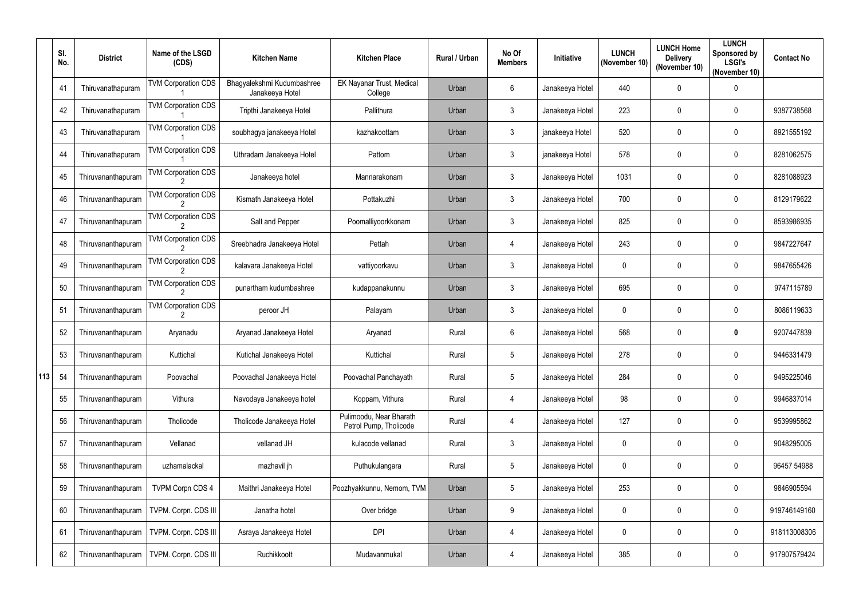|     | SI.<br>No. | <b>District</b>    | Name of the LSGD<br>(CDS)       | <b>Kitchen Name</b>                           | <b>Kitchen Place</b>                              | Rural / Urban | No Of<br><b>Members</b> | Initiative      | <b>LUNCH</b><br>(November 10) | <b>LUNCH Home</b><br><b>Delivery</b><br>(November 10) | <b>LUNCH</b><br>Sponsored by<br><b>LSGI's</b><br>(November 10) | <b>Contact No</b> |
|-----|------------|--------------------|---------------------------------|-----------------------------------------------|---------------------------------------------------|---------------|-------------------------|-----------------|-------------------------------|-------------------------------------------------------|----------------------------------------------------------------|-------------------|
|     | 41         | Thiruvanathapuram  | <b>TVM Corporation CDS</b>      | Bhagyalekshmi Kudumbashree<br>Janakeeya Hotel | EK Nayanar Trust, Medical<br>College              | Urban         | 6                       | Janakeeya Hotel | 440                           | $\overline{0}$                                        | $\pmb{0}$                                                      |                   |
|     | 42         | Thiruvanathapuram  | <b>TVM Corporation CDS</b>      | Tripthi Janakeeya Hotel                       | Pallithura                                        | Urban         | $\mathfrak{Z}$          | Janakeeya Hotel | 223                           | $\mathbf 0$                                           | $\boldsymbol{0}$                                               | 9387738568        |
|     | 43         | Thiruvanathapuram  | <b>TVM Corporation CDS</b>      | soubhagya janakeeya Hotel                     | kazhakoottam                                      | Urban         | $\mathfrak{Z}$          | janakeeya Hotel | 520                           | $\mathbf 0$                                           | $\pmb{0}$                                                      | 8921555192        |
|     | 44         | Thiruvanathapuram  | <b>TVM Corporation CDS</b>      | Uthradam Janakeeya Hotel                      | Pattom                                            | Urban         | $\mathfrak{Z}$          | janakeeya Hotel | 578                           | $\mathbf 0$                                           | $\boldsymbol{0}$                                               | 8281062575        |
|     | 45         | Thiruvananthapuram | <b>TVM Corporation CDS</b>      | Janakeeya hotel                               | Mannarakonam                                      | Urban         | 3                       | Janakeeya Hotel | 1031                          | $\mathbf 0$                                           | $\pmb{0}$                                                      | 8281088923        |
|     | 46         | Thiruvananthapuram | <b>TVM Corporation CDS</b>      | Kismath Janakeeya Hotel                       | Pottakuzhi                                        | Urban         | $\mathbf{3}$            | Janakeeya Hotel | 700                           | $\mathbf 0$                                           | 0                                                              | 8129179622        |
|     | 47         | Thiruvananthapuram | <b>TVM Corporation CDS</b>      | Salt and Pepper                               | Poomalliyoorkkonam                                | Urban         | $\mathbf{3}$            | Janakeeya Hotel | 825                           | $\overline{0}$                                        | $\boldsymbol{0}$                                               | 8593986935        |
|     | 48         | Thiruvananthapuram | <b>TVM Corporation CDS</b>      | Sreebhadra Janakeeya Hotel                    | Pettah                                            | Urban         | 4                       | Janakeeya Hotel | 243                           | $\mathbf 0$                                           | 0                                                              | 9847227647        |
|     | 49         | Thiruvananthapuram | <b>TVM Corporation CDS</b>      | kalavara Janakeeya Hotel                      | vattiyoorkavu                                     | Urban         | $\mathfrak{Z}$          | Janakeeya Hotel | $\mathbf 0$                   | 0                                                     | $\boldsymbol{0}$                                               | 9847655426        |
|     | 50         | Thiruvananthapuram | <b>TVM Corporation CDS</b>      | punartham kudumbashree                        | kudappanakunnu                                    | Urban         | $\mathbf{3}$            | Janakeeya Hotel | 695                           | $\mathbf 0$                                           | $\boldsymbol{0}$                                               | 9747115789        |
|     | 51         | Thiruvananthapuram | <b>TVM Corporation CDS</b><br>2 | peroor JH                                     | Palayam                                           | Urban         | $\mathfrak{Z}$          | Janakeeya Hotel | $\mathbf 0$                   | $\overline{0}$                                        | $\boldsymbol{0}$                                               | 8086119633        |
|     | 52         | Thiruvananthapuram | Aryanadu                        | Aryanad Janakeeya Hotel                       | Aryanad                                           | Rural         | $6\phantom{.}$          | Janakeeya Hotel | 568                           | $\mathbf 0$                                           | $\boldsymbol{0}$                                               | 9207447839        |
|     | 53         | Thiruvananthapuram | Kuttichal                       | Kutichal Janakeeya Hotel                      | Kuttichal                                         | Rural         | 5                       | Janakeeya Hotel | 278                           | $\mathbf 0$                                           | 0                                                              | 9446331479        |
| 113 | 54         | Thiruvananthapuram | Poovachal                       | Poovachal Janakeeya Hotel                     | Poovachal Panchayath                              | Rural         | $5\phantom{.0}$         | Janakeeya Hotel | 284                           | $\boldsymbol{0}$                                      | $\pmb{0}$                                                      | 9495225046        |
|     | 55         | Thiruvananthapuram | Vithura                         | Navodaya Janakeeya hotel                      | Koppam, Vithura                                   | Rural         | 4                       | Janakeeya Hotel | 98                            | $\mathbf 0$                                           | $\pmb{0}$                                                      | 9946837014        |
|     | 56         | Thiruvananthapuram | Tholicode                       | Tholicode Janakeeya Hotel                     | Pulimoodu, Near Bharath<br>Petrol Pump, Tholicode | Rural         | 4                       | Janakeeya Hotel | 127                           | $\mathbf 0$                                           | $\pmb{0}$                                                      | 9539995862        |
|     | 57         | Thiruvananthapuram | Vellanad                        | vellanad JH                                   | kulacode vellanad                                 | Rural         | $\mathbf{3}$            | Janakeeya Hotel | $\mathbf 0$                   | $\mathbf 0$                                           | $\pmb{0}$                                                      | 9048295005        |
|     | 58         | Thiruvananthapuram | uzhamalackal                    | mazhavil jh                                   | Puthukulangara                                    | Rural         | $5\phantom{.0}$         | Janakeeya Hotel | $\mathbf 0$                   | $\mathbf 0$                                           | $\pmb{0}$                                                      | 96457 54988       |
|     | 59         | Thiruvananthapuram | <b>TVPM Corpn CDS 4</b>         | Maithri Janakeeya Hotel                       | Poozhyakkunnu, Nemom, TVM                         | Urban         | $5\phantom{.0}$         | Janakeeya Hotel | 253                           | $\mathbf 0$                                           | $\pmb{0}$                                                      | 9846905594        |
|     | 60         | Thiruvananthapuram | TVPM. Corpn. CDS III            | Janatha hotel                                 | Over bridge                                       | Urban         | 9                       | Janakeeya Hotel | 0                             | $\mathbf 0$                                           | $\pmb{0}$                                                      | 919746149160      |
|     | 61         | Thiruvananthapuram | TVPM. Corpn. CDS III            | Asraya Janakeeya Hotel                        | <b>DPI</b>                                        | Urban         | 4                       | Janakeeya Hotel | 0                             | $\boldsymbol{0}$                                      | $\pmb{0}$                                                      | 918113008306      |
|     | 62         | Thiruvananthapuram | TVPM. Corpn. CDS III            | Ruchikkoott                                   | Mudavanmukal                                      | Urban         | 4                       | Janakeeya Hotel | 385                           | $\boldsymbol{0}$                                      | $\pmb{0}$                                                      | 917907579424      |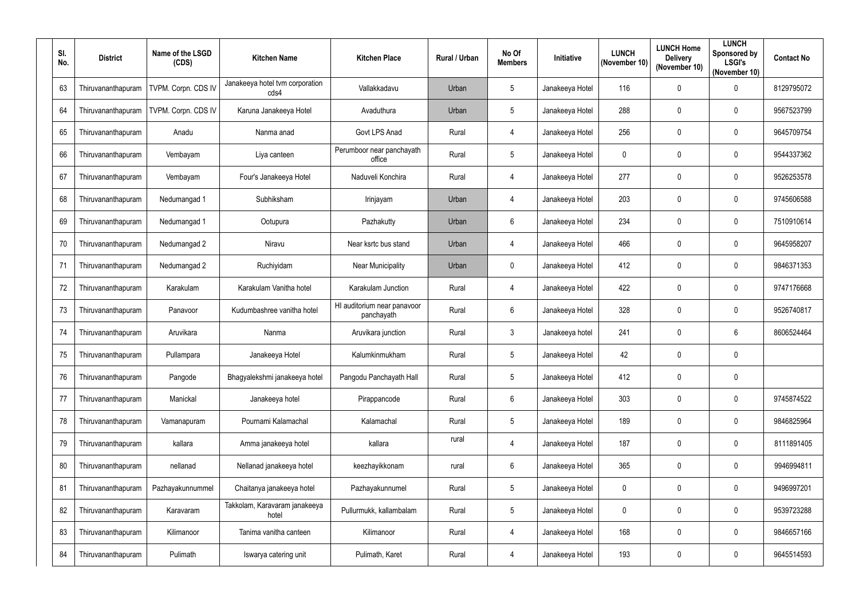| SI.<br>No. | <b>District</b>    | Name of the LSGD<br>(CDS) | <b>Kitchen Name</b>                     | <b>Kitchen Place</b>                      | Rural / Urban | No Of<br><b>Members</b> | Initiative      | <b>LUNCH</b><br>(November 10) | <b>LUNCH Home</b><br><b>Delivery</b><br>(November 10) | <b>LUNCH</b><br>Sponsored by<br><b>LSGI's</b><br>(November 10) | <b>Contact No</b> |
|------------|--------------------|---------------------------|-----------------------------------------|-------------------------------------------|---------------|-------------------------|-----------------|-------------------------------|-------------------------------------------------------|----------------------------------------------------------------|-------------------|
| 63         | Thiruvananthapuram | TVPM. Corpn. CDS IV       | Janakeeya hotel tvm corporation<br>cds4 | Vallakkadavu                              | Urban         | $\overline{5}$          | Janakeeya Hotel | 116                           | $\mathbf 0$                                           | 0                                                              | 8129795072        |
| 64         | Thiruvananthapuram | TVPM. Corpn. CDS IV       | Karuna Janakeeya Hotel                  | Avaduthura                                | Urban         | 5                       | Janakeeya Hotel | 288                           | 0                                                     | $\mathbf 0$                                                    | 9567523799        |
| 65         | Thiruvananthapuram | Anadu                     | Nanma anad                              | Govt LPS Anad                             | Rural         | 4                       | Janakeeya Hotel | 256                           | $\mathbf 0$                                           | $\mathbf 0$                                                    | 9645709754        |
| 66         | Thiruvananthapuram | Vembayam                  | Liya canteen                            | Perumboor near panchayath<br>office       | Rural         | 5                       | Janakeeya Hotel | $\mathbf{0}$                  | $\mathbf{0}$                                          | $\mathbf 0$                                                    | 9544337362        |
| 67         | Thiruvananthapuram | Vembayam                  | Four's Janakeeya Hotel                  | Naduveli Konchira                         | Rural         | 4                       | Janakeeya Hotel | 277                           | $\mathbf{0}$                                          | $\mathbf 0$                                                    | 9526253578        |
| 68         | Thiruvananthapuram | Nedumangad 1              | Subhiksham                              | Irinjayam                                 | Urban         | $\overline{4}$          | Janakeeya Hotel | 203                           | $\mathbf 0$                                           | $\mathbf 0$                                                    | 9745606588        |
| 69         | Thiruvananthapuram | Nedumangad 1              | Ootupura                                | Pazhakutty                                | Urban         | 6                       | Janakeeya Hotel | 234                           | $\mathbf 0$                                           | $\mathbf 0$                                                    | 7510910614        |
| 70         | Thiruvananthapuram | Nedumangad 2              | Niravu                                  | Near ksrtc bus stand                      | Urban         | 4                       | Janakeeya Hotel | 466                           | $\mathbf 0$                                           | 0                                                              | 9645958207        |
| 71         | Thiruvananthapuram | Nedumangad 2              | Ruchiyidam                              | <b>Near Municipality</b>                  | Urban         | $\mathbf 0$             | Janakeeya Hotel | 412                           | 0                                                     | $\mathbf 0$                                                    | 9846371353        |
| 72         | Thiruvananthapuram | Karakulam                 | Karakulam Vanitha hotel                 | Karakulam Junction                        | Rural         | 4                       | Janakeeya Hotel | 422                           | $\mathbf 0$                                           | $\mathbf 0$                                                    | 9747176668        |
| 73         | Thiruvananthapuram | Panavoor                  | Kudumbashree vanitha hotel              | HI auditorium near panavoor<br>panchayath | Rural         | $6\,$                   | Janakeeya Hotel | 328                           | $\mathbf 0$                                           | $\mathbf 0$                                                    | 9526740817        |
| 74         | Thiruvananthapuram | Aruvikara                 | Nanma                                   | Aruvikara junction                        | Rural         | $\mathfrak{Z}$          | Janakeeya hotel | 241                           | 0                                                     | $6\phantom{.}$                                                 | 8606524464        |
| 75         | Thiruvananthapuram | Pullampara                | Janakeeya Hotel                         | Kalumkinmukham                            | Rural         | 5                       | Janakeeya Hotel | 42                            | 0                                                     | 0                                                              |                   |
| 76         | Thiruvananthapuram | Pangode                   | Bhagyalekshmi janakeeya hotel           | Pangodu Panchayath Hall                   | Rural         | $5\phantom{.0}$         | Janakeeya Hotel | 412                           | $\mathbf 0$                                           | 0                                                              |                   |
| 77         | Thiruvananthapuram | Manickal                  | Janakeeya hotel                         | Pirappancode                              | Rural         | $6\,$                   | Janakeeya Hotel | 303                           | $\mathbf 0$                                           | $\pmb{0}$                                                      | 9745874522        |
| 78         | Thiruvananthapuram | Vamanapuram               | Pournami Kalamachal                     | Kalamachal                                | Rural         | $\overline{5}$          | Janakeeya Hotel | 189                           | $\mathbf 0$                                           | 0                                                              | 9846825964        |
| 79         | Thiruvananthapuram | kallara                   | Amma janakeeya hotel                    | kallara                                   | rural         | $\overline{4}$          | Janakeeya Hotel | 187                           | $\mathbf 0$                                           | 0                                                              | 8111891405        |
| 80         | Thiruvananthapuram | nellanad                  | Nellanad janakeeya hotel                | keezhayikkonam                            | rural         | $6\phantom{.}6$         | Janakeeya Hotel | 365                           | $\mathbf 0$                                           | 0                                                              | 9946994811        |
| 81         | Thiruvananthapuram | Pazhayakunnummel          | Chaitanya janakeeya hotel               | Pazhayakunnumel                           | Rural         | $5\phantom{.0}$         | Janakeeya Hotel | $\mathbf 0$                   | $\mathbf 0$                                           | $\pmb{0}$                                                      | 9496997201        |
| 82         | Thiruvananthapuram | Karavaram                 | Takkolam, Karavaram janakeeya<br>hotel  | Pullurmukk, kallambalam                   | Rural         | $\overline{5}$          | Janakeeya Hotel | $\mathbf 0$                   | $\mathbf 0$                                           | 0                                                              | 9539723288        |
| 83         | Thiruvananthapuram | Kilimanoor                | Tanima vanitha canteen                  | Kilimanoor                                | Rural         | $\overline{4}$          | Janakeeya Hotel | 168                           | $\mathbf 0$                                           | 0                                                              | 9846657166        |
| 84         | Thiruvananthapuram | Pulimath                  | Iswarya catering unit                   | Pulimath, Karet                           | Rural         | 4                       | Janakeeya Hotel | 193                           | $\mathbf 0$                                           | 0                                                              | 9645514593        |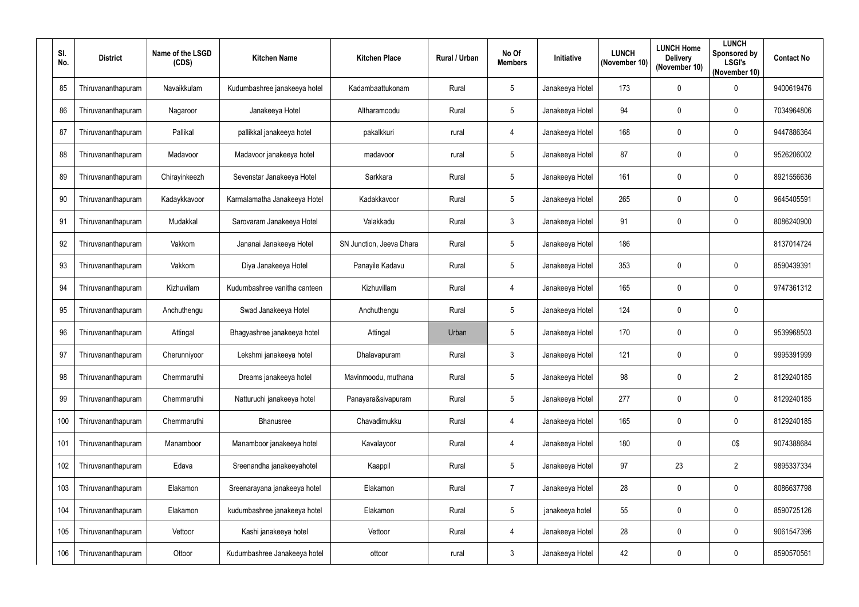| SI.<br>No. | <b>District</b>    | Name of the LSGD<br>(CDS) | <b>Kitchen Name</b>          | <b>Kitchen Place</b>     | <b>Rural / Urban</b> | No Of<br><b>Members</b> | Initiative      | <b>LUNCH</b><br>(November 10) | <b>LUNCH Home</b><br><b>Delivery</b><br>(November 10) | <b>LUNCH</b><br>Sponsored by<br><b>LSGI's</b><br>(November 10) | <b>Contact No</b> |
|------------|--------------------|---------------------------|------------------------------|--------------------------|----------------------|-------------------------|-----------------|-------------------------------|-------------------------------------------------------|----------------------------------------------------------------|-------------------|
| 85         | Thiruvananthapuram | Navaikkulam               | Kudumbashree janakeeya hotel | Kadambaattukonam         | Rural                | 5                       | Janakeeya Hotel | 173                           | $\mathbf 0$                                           | $\pmb{0}$                                                      | 9400619476        |
| 86         | Thiruvananthapuram | Nagaroor                  | Janakeeya Hotel              | Altharamoodu             | Rural                | 5                       | Janakeeya Hotel | 94                            | $\mathbf 0$                                           | $\mathbf 0$                                                    | 7034964806        |
| 87         | Thiruvananthapuram | Pallikal                  | pallikkal janakeeya hotel    | pakalkkuri               | rural                | $\overline{4}$          | Janakeeya Hotel | 168                           | 0                                                     | $\pmb{0}$                                                      | 9447886364        |
| 88         | Thiruvananthapuram | Madavoor                  | Madavoor janakeeya hotel     | madavoor                 | rural                | $\sqrt{5}$              | Janakeeya Hotel | 87                            | $\mathbf 0$                                           | $\mathbf 0$                                                    | 9526206002        |
| 89         | Thiruvananthapuram | Chirayinkeezh             | Sevenstar Janakeeya Hotel    | Sarkkara                 | Rural                | $\overline{5}$          | Janakeeya Hotel | 161                           | $\mathbf 0$                                           | $\mathbf 0$                                                    | 8921556636        |
| 90         | Thiruvananthapuram | Kadaykkavoor              | Karmalamatha Janakeeya Hotel | Kadakkavoor              | Rural                | $5\phantom{.0}$         | Janakeeya Hotel | 265                           | $\mathbf 0$                                           | $\mathbf 0$                                                    | 9645405591        |
| 91         | Thiruvananthapuram | Mudakkal                  | Sarovaram Janakeeya Hotel    | Valakkadu                | Rural                | $\mathbf{3}$            | Janakeeya Hotel | 91                            | $\mathbf 0$                                           | $\mathbf 0$                                                    | 8086240900        |
| 92         | Thiruvananthapuram | Vakkom                    | Jananai Janakeeya Hotel      | SN Junction, Jeeva Dhara | Rural                | $5\phantom{.0}$         | Janakeeya Hotel | 186                           |                                                       |                                                                | 8137014724        |
| 93         | Thiruvananthapuram | Vakkom                    | Diya Janakeeya Hotel         | Panayile Kadavu          | Rural                | 5                       | Janakeeya Hotel | 353                           | $\mathbf 0$                                           | $\mathbf 0$                                                    | 8590439391        |
| 94         | Thiruvananthapuram | Kizhuvilam                | Kudumbashree vanitha canteen | Kizhuvillam              | Rural                | $\overline{4}$          | Janakeeya Hotel | 165                           | 0                                                     | $\mathbf 0$                                                    | 9747361312        |
| 95         | Thiruvananthapuram | Anchuthengu               | Swad Janakeeya Hotel         | Anchuthengu              | Rural                | $\sqrt{5}$              | Janakeeya Hotel | 124                           | $\mathbf 0$                                           | $\pmb{0}$                                                      |                   |
| 96         | Thiruvananthapuram | Attingal                  | Bhagyashree janakeeya hotel  | Attingal                 | Urban                | $\overline{5}$          | Janakeeya Hotel | 170                           | $\mathbf 0$                                           | $\mathbf 0$                                                    | 9539968503        |
| 97         | Thiruvananthapuram | Cherunniyoor              | Lekshmi janakeeya hotel      | Dhalavapuram             | Rural                | 3                       | Janakeeya Hotel | 121                           | $\mathbf 0$                                           | $\mathbf 0$                                                    | 9995391999        |
| 98         | Thiruvananthapuram | Chemmaruthi               | Dreams janakeeya hotel       | Mavinmoodu, muthana      | Rural                | $\sqrt{5}$              | Janakeeya Hotel | 98                            | 0                                                     | $\overline{2}$                                                 | 8129240185        |
| 99         | Thiruvananthapuram | Chemmaruthi               | Natturuchi janakeeya hotel   | Panayara&sivapuram       | Rural                | $5\phantom{.0}$         | Janakeeya Hotel | 277                           | $\mathbf 0$                                           | $\pmb{0}$                                                      | 8129240185        |
| 100        | Thiruvananthapuram | Chemmaruthi               | Bhanusree                    | Chavadimukku             | Rural                | $\overline{4}$          | Janakeeya Hotel | 165                           | $\pmb{0}$                                             | $\pmb{0}$                                                      | 8129240185        |
| 101        | Thiruvananthapuram | Manamboor                 | Manamboor janakeeya hotel    | Kavalayoor               | Rural                | $\overline{4}$          | Janakeeya Hotel | 180                           | 0                                                     | 0\$                                                            | 9074388684        |
| 102        | Thiruvananthapuram | Edava                     | Sreenandha janakeeyahotel    | Kaappil                  | Rural                | $5\phantom{.0}$         | Janakeeya Hotel | 97                            | 23                                                    | $\overline{2}$                                                 | 9895337334        |
| 103        | Thiruvananthapuram | Elakamon                  | Sreenarayana janakeeya hotel | Elakamon                 | Rural                | $\overline{7}$          | Janakeeya Hotel | 28                            | $\mathbf 0$                                           | $\pmb{0}$                                                      | 8086637798        |
| 104        | Thiruvananthapuram | Elakamon                  | kudumbashree janakeeya hotel | Elakamon                 | Rural                | $5\phantom{.0}$         | janakeeya hotel | 55                            | $\mathbf 0$                                           | $\pmb{0}$                                                      | 8590725126        |
| 105        | Thiruvananthapuram | Vettoor                   | Kashi janakeeya hotel        | Vettoor                  | Rural                | $\overline{4}$          | Janakeeya Hotel | 28                            | $\boldsymbol{0}$                                      | $\pmb{0}$                                                      | 9061547396        |
| 106        | Thiruvananthapuram | Ottoor                    | Kudumbashree Janakeeya hotel | ottoor                   | rural                | $\mathfrak{Z}$          | Janakeeya Hotel | 42                            | $\boldsymbol{0}$                                      | $\mathbf 0$                                                    | 8590570561        |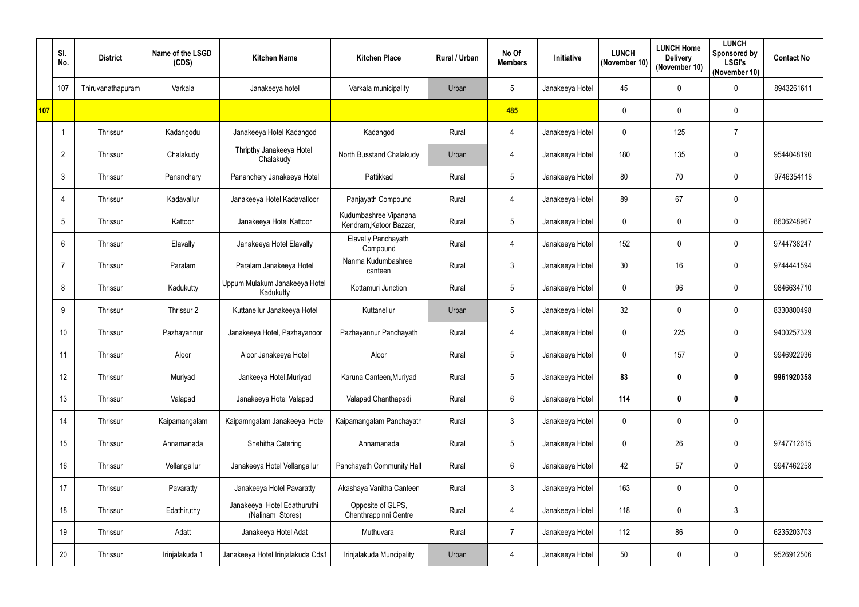|     | SI.<br>No.      | <b>District</b>   | Name of the LSGD<br>(CDS) | <b>Kitchen Name</b>                             | <b>Kitchen Place</b>                             | Rural / Urban | No Of<br><b>Members</b> | Initiative      | <b>LUNCH</b><br>(November 10) | <b>LUNCH Home</b><br><b>Delivery</b><br>(November 10) | <b>LUNCH</b><br>Sponsored by<br><b>LSGI's</b><br>(November 10) | <b>Contact No</b> |
|-----|-----------------|-------------------|---------------------------|-------------------------------------------------|--------------------------------------------------|---------------|-------------------------|-----------------|-------------------------------|-------------------------------------------------------|----------------------------------------------------------------|-------------------|
|     | 107             | Thiruvanathapuram | Varkala                   | Janakeeya hotel                                 | Varkala municipality                             | Urban         | 5                       | Janakeeya Hotel | 45                            | $\mathbf 0$                                           | $\pmb{0}$                                                      | 8943261611        |
| 107 |                 |                   |                           |                                                 |                                                  |               | 485                     |                 | 0                             | $\mathbf 0$                                           | $\pmb{0}$                                                      |                   |
|     | -1              | Thrissur          | Kadangodu                 | Janakeeya Hotel Kadangod                        | Kadangod                                         | Rural         | $\overline{4}$          | Janakeeya Hotel | $\mathbf 0$                   | 125                                                   | $\overline{7}$                                                 |                   |
|     | $\overline{2}$  | Thrissur          | Chalakudy                 | Thripthy Janakeeya Hotel<br>Chalakudy           | North Busstand Chalakudy                         | Urban         | 4                       | Janakeeya Hotel | 180                           | 135                                                   | $\boldsymbol{0}$                                               | 9544048190        |
|     | 3               | Thrissur          | Pananchery                | Pananchery Janakeeya Hotel                      | Pattikkad                                        | Rural         | $5\phantom{.0}$         | Janakeeya Hotel | 80                            | 70                                                    | $\pmb{0}$                                                      | 9746354118        |
|     | 4               | Thrissur          | Kadavallur                | Janakeeya Hotel Kadavalloor                     | Panjayath Compound                               | Rural         | 4                       | Janakeeya Hotel | 89                            | 67                                                    | $\pmb{0}$                                                      |                   |
|     | 5               | Thrissur          | Kattoor                   | Janakeeya Hotel Kattoor                         | Kudumbashree Vipanana<br>Kendram, Katoor Bazzar, | Rural         | $5\phantom{.0}$         | Janakeeya Hotel | 0                             | $\mathbf 0$                                           | $\boldsymbol{0}$                                               | 8606248967        |
|     | 6               | Thrissur          | Elavally                  | Janakeeya Hotel Elavally                        | <b>Elavally Panchayath</b><br>Compound           | Rural         | $\overline{4}$          | Janakeeya Hotel | 152                           | $\boldsymbol{0}$                                      | $\pmb{0}$                                                      | 9744738247        |
|     | 7               | Thrissur          | Paralam                   | Paralam Janakeeya Hotel                         | Nanma Kudumbashree<br>canteen                    | Rural         | $\mathfrak{Z}$          | Janakeeya Hotel | 30 <sup>°</sup>               | 16                                                    | $\boldsymbol{0}$                                               | 9744441594        |
|     | 8               | Thrissur          | Kadukutty                 | Uppum Mulakum Janakeeya Hotel<br>Kadukutty      | Kottamuri Junction                               | Rural         | $5\phantom{.0}$         | Janakeeya Hotel | $\mathbf{0}$                  | 96                                                    | $\pmb{0}$                                                      | 9846634710        |
|     | 9               | Thrissur          | Thrissur 2                | Kuttanellur Janakeeya Hotel                     | Kuttanellur                                      | Urban         | $5\phantom{.0}$         | Janakeeya Hotel | 32                            | $\mathbf 0$                                           | $\boldsymbol{0}$                                               | 8330800498        |
|     | 10 <sup>°</sup> | Thrissur          | Pazhayannur               | Janakeeya Hotel, Pazhayanoor                    | Pazhayannur Panchayath                           | Rural         | 4                       | Janakeeya Hotel | 0                             | 225                                                   | $\boldsymbol{0}$                                               | 9400257329        |
|     | 11              | Thrissur          | Aloor                     | Aloor Janakeeya Hotel                           | Aloor                                            | Rural         | 5                       | Janakeeya Hotel | 0                             | 157                                                   | 0                                                              | 9946922936        |
|     | 12              | Thrissur          | Muriyad                   | Jankeeya Hotel, Muriyad                         | Karuna Canteen, Muriyad                          | Rural         | $5\phantom{.0}$         | Janakeeya Hotel | 83                            | $\boldsymbol{0}$                                      | $\pmb{0}$                                                      | 9961920358        |
|     | 13              | Thrissur          | Valapad                   | Janakeeya Hotel Valapad                         | Valapad Chanthapadi                              | Rural         | $6\phantom{.}$          | Janakeeya Hotel | 114                           | $\boldsymbol{0}$                                      | $\pmb{0}$                                                      |                   |
|     | 14              | Thrissur          | Kaipamangalam             | Kaipamngalam Janakeeya Hotel                    | Kaipamangalam Panchayath                         | Rural         | $\mathfrak{Z}$          | Janakeeya Hotel | $\mathbf 0$                   | $\mathbf 0$                                           | $\pmb{0}$                                                      |                   |
|     | 15              | Thrissur          | Annamanada                | Snehitha Catering                               | Annamanada                                       | Rural         | $5\phantom{.0}$         | Janakeeya Hotel | $\mathbf 0$                   | 26                                                    | $\pmb{0}$                                                      | 9747712615        |
|     | 16 <sup>°</sup> | Thrissur          | Vellangallur              | Janakeeya Hotel Vellangallur                    | Panchayath Community Hall                        | Rural         | $6\overline{6}$         | Janakeeya Hotel | 42                            | 57                                                    | $\mathbf 0$                                                    | 9947462258        |
|     | 17              | Thrissur          | Pavaratty                 | Janakeeya Hotel Pavaratty                       | Akashaya Vanitha Canteen                         | Rural         | $\mathfrak{Z}$          | Janakeeya Hotel | 163                           | $\mathbf 0$                                           | $\pmb{0}$                                                      |                   |
|     | 18              | Thrissur          | Edathiruthy               | Janakeeya Hotel Edathuruthi<br>(Nalinam Stores) | Opposite of GLPS,<br>Chenthrappinni Centre       | Rural         | $\overline{4}$          | Janakeeya Hotel | 118                           | $\mathbf 0$                                           | $\mathfrak{Z}$                                                 |                   |
|     | 19              | Thrissur          | Adatt                     | Janakeeya Hotel Adat                            | Muthuvara                                        | Rural         | $\overline{7}$          | Janakeeya Hotel | 112                           | 86                                                    | $\pmb{0}$                                                      | 6235203703        |
|     | 20              | Thrissur          | Irinjalakuda 1            | Janakeeya Hotel Irinjalakuda Cds1               | Irinjalakuda Muncipality                         | Urban         | 4                       | Janakeeya Hotel | 50                            | $\boldsymbol{0}$                                      | $\pmb{0}$                                                      | 9526912506        |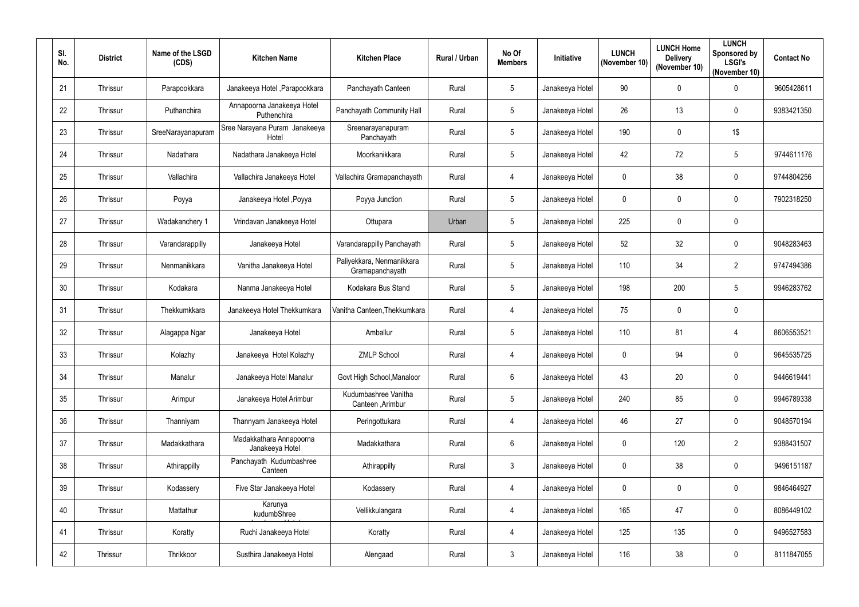| SI.<br>No. | <b>District</b> | Name of the LSGD<br>(CDS) | <b>Kitchen Name</b>                        | <b>Kitchen Place</b>                         | Rural / Urban | No Of<br><b>Members</b> | Initiative      | <b>LUNCH</b><br>(November 10) | <b>LUNCH Home</b><br><b>Delivery</b><br>(November 10) | <b>LUNCH</b><br>Sponsored by<br><b>LSGI's</b><br>(November 10) | <b>Contact No</b> |
|------------|-----------------|---------------------------|--------------------------------------------|----------------------------------------------|---------------|-------------------------|-----------------|-------------------------------|-------------------------------------------------------|----------------------------------------------------------------|-------------------|
| 21         | Thrissur        | Parapookkara              | Janakeeya Hotel , Parapookkara             | Panchayath Canteen                           | Rural         | 5                       | Janakeeya Hotel | 90                            | $\mathbf 0$                                           | $\pmb{0}$                                                      | 9605428611        |
| 22         | Thrissur        | Puthanchira               | Annapoorna Janakeeya Hotel<br>Puthenchira  | Panchayath Community Hall                    | Rural         | 5                       | Janakeeya Hotel | 26                            | 13                                                    | 0                                                              | 9383421350        |
| 23         | Thrissur        | SreeNarayanapuram         | Sree Narayana Puram Janakeeya<br>Hotel     | Sreenarayanapuram<br>Panchayath              | Rural         | $5\phantom{.0}$         | Janakeeya Hotel | 190                           | $\mathbf 0$                                           | 1\$                                                            |                   |
| 24         | Thrissur        | Nadathara                 | Nadathara Janakeeya Hotel                  | Moorkanikkara                                | Rural         | $5\phantom{.0}$         | Janakeeya Hotel | 42                            | 72                                                    | 5                                                              | 9744611176        |
| 25         | Thrissur        | Vallachira                | Vallachira Janakeeya Hotel                 | Vallachira Gramapanchayath                   | Rural         | 4                       | Janakeeya Hotel | $\mathbf{0}$                  | 38                                                    | 0                                                              | 9744804256        |
| 26         | Thrissur        | Poyya                     | Janakeeya Hotel, Poyya                     | Poyya Junction                               | Rural         | $5\phantom{.0}$         | Janakeeya Hotel | $\mathbf 0$                   | $\mathbf 0$                                           | $\mathbf 0$                                                    | 7902318250        |
| 27         | Thrissur        | Wadakanchery 1            | Vrindavan Janakeeya Hotel                  | Ottupara                                     | Urban         | 5 <sup>5</sup>          | Janakeeya Hotel | 225                           | $\mathbf 0$                                           | 0                                                              |                   |
| 28         | Thrissur        | Varandarappilly           | Janakeeya Hotel                            | Varandarappilly Panchayath                   | Rural         | $5\phantom{.0}$         | Janakeeya Hotel | 52                            | 32                                                    | $\pmb{0}$                                                      | 9048283463        |
| 29         | Thrissur        | Nenmanikkara              | Vanitha Janakeeya Hotel                    | Paliyekkara, Nenmanikkara<br>Gramapanchayath | Rural         | $5\phantom{.0}$         | Janakeeya Hotel | 110                           | 34                                                    | $\overline{2}$                                                 | 9747494386        |
| 30         | Thrissur        | Kodakara                  | Nanma Janakeeya Hotel                      | Kodakara Bus Stand                           | Rural         | $5\phantom{.0}$         | Janakeeya Hotel | 198                           | 200                                                   | $\sqrt{5}$                                                     | 9946283762        |
| 31         | Thrissur        | Thekkumkkara              | Janakeeya Hotel Thekkumkara                | Vanitha Canteen, Thekkumkara                 | Rural         | $\overline{4}$          | Janakeeya Hotel | 75                            | $\mathbf 0$                                           | $\pmb{0}$                                                      |                   |
| 32         | Thrissur        | Alagappa Ngar             | Janakeeya Hotel                            | Amballur                                     | Rural         | 5                       | Janakeeya Hotel | 110                           | 81                                                    | 4                                                              | 8606553521        |
| 33         | Thrissur        | Kolazhy                   | Janakeeya Hotel Kolazhy                    | <b>ZMLP School</b>                           | Rural         | 4                       | Janakeeya Hotel | 0                             | 94                                                    | $\mathbf 0$                                                    | 9645535725        |
| 34         | Thrissur        | Manalur                   | Janakeeya Hotel Manalur                    | Govt High School, Manaloor                   | Rural         | $6\overline{6}$         | Janakeeya Hotel | 43                            | 20                                                    | $\pmb{0}$                                                      | 9446619441        |
| 35         | Thrissur        | Arimpur                   | Janakeeya Hotel Arimbur                    | Kudumbashree Vanitha<br>Canteen, Arimbur     | Rural         | $5\phantom{.0}$         | Janakeeya Hotel | 240                           | 85                                                    | $\pmb{0}$                                                      | 9946789338        |
| 36         | Thrissur        | Thanniyam                 | Thannyam Janakeeya Hotel                   | Peringottukara                               | Rural         | $\overline{4}$          | Janakeeya Hotel | 46                            | 27                                                    | $\pmb{0}$                                                      | 9048570194        |
| 37         | Thrissur        | Madakkathara              | Madakkathara Annapoorna<br>Janakeeya Hotel | Madakkathara                                 | Rural         | $6\overline{6}$         | Janakeeya Hotel | $\mathbf 0$                   | 120                                                   | $\overline{2}$                                                 | 9388431507        |
| 38         | Thrissur        | Athirappilly              | Panchayath Kudumbashree<br>Canteen         | Athirappilly                                 | Rural         | $\mathbf{3}$            | Janakeeya Hotel | $\mathbf 0$                   | 38                                                    | $\mathbf 0$                                                    | 9496151187        |
| 39         | Thrissur        | Kodassery                 | Five Star Janakeeya Hotel                  | Kodassery                                    | Rural         | $\overline{4}$          | Janakeeya Hotel | $\mathbf 0$                   | $\pmb{0}$                                             | $\pmb{0}$                                                      | 9846464927        |
| 40         | Thrissur        | Mattathur                 | Karunya<br>kudumbShree                     | Vellikkulangara                              | Rural         | $\overline{4}$          | Janakeeya Hotel | 165                           | 47                                                    | 0                                                              | 8086449102        |
| 41         | Thrissur        | Koratty                   | Ruchi Janakeeya Hotel                      | Koratty                                      | Rural         | $\overline{4}$          | Janakeeya Hotel | 125                           | 135                                                   | $\pmb{0}$                                                      | 9496527583        |
| 42         | Thrissur        | Thrikkoor                 | Susthira Janakeeya Hotel                   | Alengaad                                     | Rural         | $\mathbf{3}$            | Janakeeya Hotel | 116                           | 38                                                    | $\pmb{0}$                                                      | 8111847055        |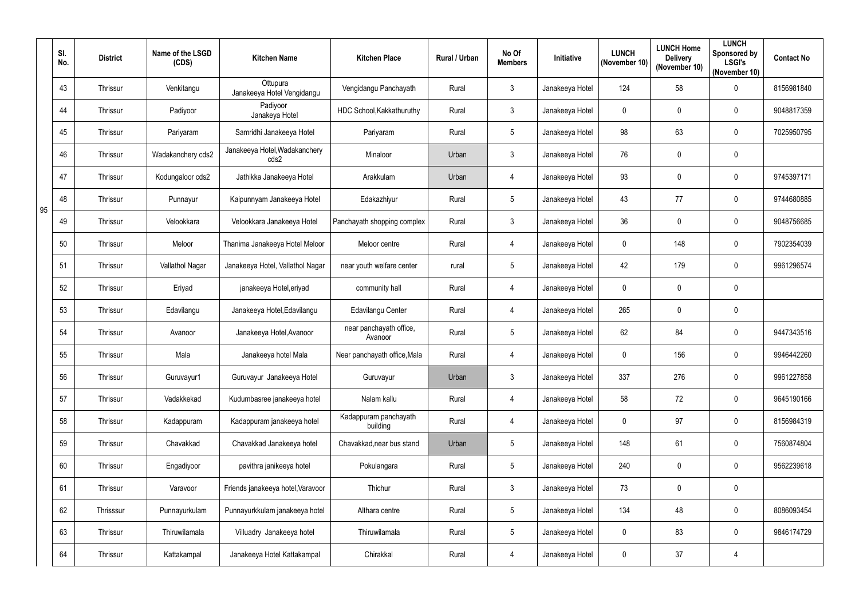|    | SI.<br>No. | <b>District</b> | Name of the LSGD<br>(CDS) | <b>Kitchen Name</b>                    | <b>Kitchen Place</b>               | Rural / Urban | No Of<br><b>Members</b> | Initiative            | <b>LUNCH</b><br>(November 10) | <b>LUNCH Home</b><br><b>Delivery</b><br>(November 10) | <b>LUNCH</b><br>Sponsored by<br><b>LSGI's</b><br>(November 10) | <b>Contact No</b> |
|----|------------|-----------------|---------------------------|----------------------------------------|------------------------------------|---------------|-------------------------|-----------------------|-------------------------------|-------------------------------------------------------|----------------------------------------------------------------|-------------------|
|    | 43         | Thrissur        | Venkitangu                | Ottupura<br>Janakeeya Hotel Vengidangu | Vengidangu Panchayath              | Rural         | $\mathfrak{Z}$          | Janakeeya Hotel       | 124                           | 58                                                    | $\pmb{0}$                                                      | 8156981840        |
|    | 44         | Thrissur        | Padiyoor                  | Padiyoor<br>Janakeya Hotel             | HDC School, Kakkathuruthy          | Rural         | $\mathfrak{Z}$          | Janakeeya Hotel       | $\mathbf 0$                   | $\boldsymbol{0}$                                      | 0                                                              | 9048817359        |
|    | 45         | Thrissur        | Pariyaram                 | Samridhi Janakeeya Hotel               | Pariyaram                          | Rural         | 5                       | Janakeeya Hotel       | 98                            | 63                                                    | $\pmb{0}$                                                      | 7025950795        |
|    | 46         | Thrissur        | Wadakanchery cds2         | Janakeeya Hotel, Wadakanchery<br>cds2  | Minaloor                           | Urban         | $\mathfrak{Z}$          | Janakeeya Hotel       | 76                            | $\mathbf 0$                                           | $\pmb{0}$                                                      |                   |
|    | 47         | Thrissur        | Kodungaloor cds2          | Jathikka Janakeeya Hotel               | Arakkulam                          | Urban         | $\overline{4}$          | 93<br>Janakeeya Hotel |                               | $\mathbf 0$                                           | $\pmb{0}$                                                      | 9745397171        |
| 95 | 48         | Thrissur        | Punnayur                  | Kaipunnyam Janakeeya Hotel             | Edakazhiyur                        | Rural         | 5                       | Janakeeya Hotel       | 43                            | 77                                                    | 0                                                              | 9744680885        |
|    | 49         | Thrissur        | Velookkara                | Velookkara Janakeeya Hotel             | Panchayath shopping complex        | Rural         | $\mathbf{3}$            | Janakeeya Hotel       | 36                            | $\mathbf 0$                                           | $\mathbf 0$                                                    | 9048756685        |
|    | 50         | Thrissur        | Meloor                    | Thanima Janakeeya Hotel Meloor         | Meloor centre                      | Rural         | $\overline{4}$          | Janakeeya Hotel       | $\mathbf 0$                   | 148                                                   | $\pmb{0}$                                                      | 7902354039        |
|    | 51         | Thrissur        | Vallathol Nagar           | Janakeeya Hotel, Vallathol Nagar       | near youth welfare center          | rural         | 5                       | Janakeeya Hotel       | 42                            | 179                                                   | 0                                                              | 9961296574        |
|    | 52         | Thrissur        | Eriyad                    | janakeeya Hotel, eriyad                | community hall                     | Rural         | $\overline{4}$          | Janakeeya Hotel       | $\mathbf 0$                   | $\mathbf 0$                                           | $\pmb{0}$                                                      |                   |
|    | 53         | Thrissur        | Edavilangu                | Janakeeya Hotel, Edavilangu            | Edavilangu Center                  | Rural         | $\overline{4}$          | Janakeeya Hotel       | 265                           | $\mathbf 0$                                           | $\pmb{0}$                                                      |                   |
|    | 54         | Thrissur        | Avanoor                   | Janakeeya Hotel, Avanoor               | near panchayath office,<br>Avanoor | Rural         | 5                       | Janakeeya Hotel       | 62                            | 84                                                    | $\pmb{0}$                                                      | 9447343516        |
|    | 55         | Thrissur        | Mala                      | Janakeeya hotel Mala                   | Near panchayath office, Mala       | Rural         | 4                       | Janakeeya Hotel       | 0                             | 156                                                   | $\mathbf 0$                                                    | 9946442260        |
|    | 56         | Thrissur        | Guruvayur1                | Guruvayur Janakeeya Hotel              | Guruvayur                          | Urban         | $\mathfrak{Z}$          | Janakeeya Hotel       | 337                           | 276                                                   | $\pmb{0}$                                                      | 9961227858        |
|    | 57         | Thrissur        | Vadakkekad                | Kudumbasree janakeeya hotel            | Nalam kallu                        | Rural         | $\overline{4}$          | Janakeeya Hotel       | 58                            | 72                                                    | $\pmb{0}$                                                      | 9645190166        |
|    | 58         | Thrissur        | Kadappuram                | Kadappuram janakeeya hotel             | Kadappuram panchayath<br>building  | Rural         | $\overline{4}$          | Janakeeya Hotel       | $\mathbf 0$                   | 97                                                    | $\pmb{0}$                                                      | 8156984319        |
|    | 59         | Thrissur        | Chavakkad                 | Chavakkad Janakeeya hotel              | Chavakkad, near bus stand          | Urban         | 5                       | Janakeeya Hotel       | 148                           | 61                                                    | $\pmb{0}$                                                      | 7560874804        |
|    | 60         | Thrissur        | Engadiyoor                | pavithra janikeeya hotel               | Pokulangara                        | Rural         | $5\phantom{.0}$         | Janakeeya Hotel       | 240                           | $\mathbf 0$                                           | $\mathbf 0$                                                    | 9562239618        |
|    | 61         | Thrissur        | Varavoor                  | Friends janakeeya hotel, Varavoor      | Thichur                            | Rural         | $\mathbf{3}$            | Janakeeya Hotel       | 73                            | $\pmb{0}$                                             | $\pmb{0}$                                                      |                   |
|    | 62         | Thrisssur       | Punnayurkulam             | Punnayurkkulam janakeeya hotel         | Althara centre                     | Rural         | 5                       | Janakeeya Hotel       | 134                           | 48                                                    | $\pmb{0}$                                                      | 8086093454        |
|    | 63         | Thrissur        | Thiruwilamala             | Villuadry Janakeeya hotel              | Thiruwilamala                      | Rural         | 5                       | Janakeeya Hotel       | $\mathbf{0}$                  | 83                                                    | $\pmb{0}$                                                      | 9846174729        |
|    | 64         | Thrissur        | Kattakampal               | Janakeeya Hotel Kattakampal            | Chirakkal                          | Rural         | $\overline{4}$          | Janakeeya Hotel       | $\mathbf 0$                   | 37                                                    | 4                                                              |                   |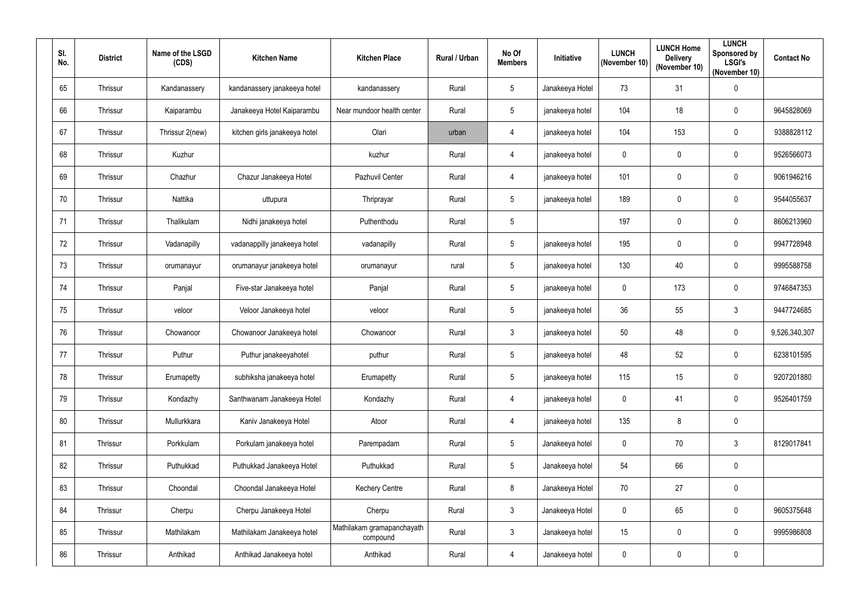| SI.<br>No. | <b>District</b> | Name of the LSGD<br>(CDS) | <b>Kitchen Name</b>           | <b>Kitchen Place</b>                   | Rural / Urban | No Of<br><b>Members</b> | Initiative      | <b>LUNCH</b><br>(November 10) | <b>LUNCH Home</b><br><b>Delivery</b><br>(November 10) | <b>LUNCH</b><br>Sponsored by<br><b>LSGI's</b><br>(November 10) | <b>Contact No</b> |
|------------|-----------------|---------------------------|-------------------------------|----------------------------------------|---------------|-------------------------|-----------------|-------------------------------|-------------------------------------------------------|----------------------------------------------------------------|-------------------|
| 65         | Thrissur        | Kandanassery              | kandanassery janakeeya hotel  | kandanassery                           | Rural         | $5\phantom{.0}$         | Janakeeya Hotel | 73                            | 31                                                    | $\pmb{0}$                                                      |                   |
| 66         | Thrissur        | Kaiparambu                | Janakeeya Hotel Kaiparambu    | Near mundoor health center             | Rural         | $5\phantom{.0}$         | janakeeya hotel | 104                           | 18                                                    | 0                                                              | 9645828069        |
| 67         | Thrissur        | Thrissur 2(new)           | kitchen girls janakeeya hotel | Olari                                  | urban         | $\overline{4}$          | janakeeya hotel | 104                           | 153                                                   | $\pmb{0}$                                                      | 9388828112        |
| 68         | Thrissur        | Kuzhur                    |                               | kuzhur                                 | Rural         | $\overline{4}$          | janakeeya hotel | $\mathbf 0$                   | $\mathbf 0$                                           | $\pmb{0}$                                                      | 9526566073        |
| 69         | Thrissur        | Chazhur                   | Chazur Janakeeya Hotel        | Pazhuvil Center                        | Rural         | $\overline{4}$          | janakeeya hotel | 101                           | $\mathbf 0$                                           | $\pmb{0}$                                                      | 9061946216        |
| 70         | Thrissur        | Nattika                   | uttupura                      | Thriprayar                             | Rural         | $5\phantom{.0}$         | janakeeya hotel | 189                           | $\pmb{0}$                                             | 0                                                              | 9544055637        |
| 71         | Thrissur        | Thalikulam                | Nidhi janakeeya hotel         | Puthenthodu                            | Rural         | $5\phantom{.0}$         |                 | 197                           | $\mathbf 0$                                           | 0                                                              | 8606213960        |
| 72         | Thrissur        | Vadanapilly               | vadanappilly janakeeya hotel  | vadanapilly                            | Rural         | $5\phantom{.0}$         | janakeeya hotel | 195                           | $\pmb{0}$                                             | $\pmb{0}$                                                      | 9947728948        |
| 73         | Thrissur        | orumanayur                | orumanayur janakeeya hotel    | orumanayur                             | rural         | 5                       | janakeeya hotel | 130                           | 40                                                    | 0                                                              | 9995588758        |
| 74         | Thrissur        | Panjal                    | Five-star Janakeeya hotel     | Panjal                                 | Rural         | $5\phantom{.0}$         | janakeeya hotel | $\mathbf 0$                   | 173                                                   | $\pmb{0}$                                                      | 9746847353        |
| 75         | Thrissur        | veloor                    | Veloor Janakeeya hotel        | veloor                                 | Rural         | $5\phantom{.0}$         | janakeeya hotel | 36                            | 55                                                    | 3                                                              | 9447724685        |
| 76         | Thrissur        | Chowanoor                 | Chowanoor Janakeeya hotel     | Chowanoor                              | Rural         | $\mathbf{3}$            | janakeeya hotel | 50                            | 48                                                    | $\pmb{0}$                                                      | 9,526,340,307     |
| 77         | Thrissur        | Puthur                    | Puthur janakeeyahotel         | puthur                                 | Rural         | 5                       | janakeeya hotel | 48                            | 52                                                    | 0                                                              | 6238101595        |
| 78         | Thrissur        | Erumapetty                | subhiksha janakeeya hotel     | Erumapetty                             | Rural         | $5\phantom{.0}$         | janakeeya hotel | 115                           | 15 <sub>15</sub>                                      | $\pmb{0}$                                                      | 9207201880        |
| 79         | Thrissur        | Kondazhy                  | Santhwanam Janakeeya Hotel    | Kondazhy                               | Rural         | $\overline{4}$          | janakeeya hotel | $\mathbf 0$                   | 41                                                    | $\pmb{0}$                                                      | 9526401759        |
| 80         | Thrissur        | Mullurkkara               | Kaniv Janakeeya Hotel         | Atoor                                  | Rural         | $\overline{4}$          | janakeeya hotel | 135                           | $\bf 8$                                               | $\pmb{0}$                                                      |                   |
| 81         | Thrissur        | Porkkulam                 | Porkulam janakeeya hotel      | Parempadam                             | Rural         | $5\phantom{.0}$         | Janakeeya hotel | $\mathbf{0}$                  | 70                                                    | $\mathbf{3}$                                                   | 8129017841        |
| 82         | Thrissur        | Puthukkad                 | Puthukkad Janakeeya Hotel     | Puthukkad                              | Rural         | $5\phantom{.0}$         | Janakeeya hotel | 54                            | 66                                                    | $\mathbf 0$                                                    |                   |
| 83         | Thrissur        | Choondal                  | Choondal Janakeeya Hotel      | <b>Kechery Centre</b>                  | Rural         | 8                       | Janakeeya Hotel | 70                            | 27                                                    | $\pmb{0}$                                                      |                   |
| 84         | Thrissur        | Cherpu                    | Cherpu Janakeeya Hotel        | Cherpu                                 | Rural         | $\mathbf{3}$            | Janakeeya Hotel | $\mathbf 0$                   | 65                                                    | $\mathbf 0$                                                    | 9605375648        |
| 85         | Thrissur        | Mathilakam                | Mathilakam Janakeeya hotel    | Mathilakam gramapanchayath<br>compound | Rural         | $\mathbf{3}$            | Janakeeya hotel | 15                            | $\mathbf 0$                                           | $\mathbf 0$                                                    | 9995986808        |
| 86         | Thrissur        | Anthikad                  | Anthikad Janakeeya hotel      | Anthikad                               | Rural         | $\overline{4}$          | Janakeeya hotel | $\mathbf 0$                   | $\pmb{0}$                                             | $\pmb{0}$                                                      |                   |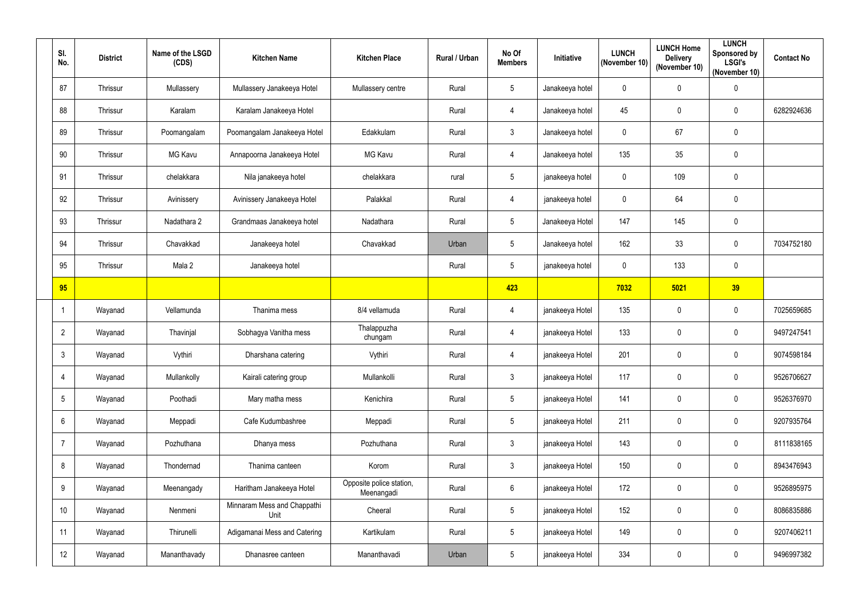| SI.<br>No.      | <b>District</b> | Name of the LSGD<br>(CDS) | <b>Kitchen Name</b>                 | <b>Kitchen Place</b>                   | Rural / Urban | No Of<br><b>Members</b> | Initiative      | <b>LUNCH</b><br>(November 10) | <b>LUNCH Home</b><br><b>Delivery</b><br>(November 10) | <b>LUNCH</b><br>Sponsored by<br><b>LSGI's</b><br>(November 10) | <b>Contact No</b> |
|-----------------|-----------------|---------------------------|-------------------------------------|----------------------------------------|---------------|-------------------------|-----------------|-------------------------------|-------------------------------------------------------|----------------------------------------------------------------|-------------------|
| 87              | Thrissur        | Mullassery                | Mullassery Janakeeya Hotel          | Mullassery centre                      | Rural         | 5                       | Janakeeya hotel | $\overline{0}$                | $\mathbf 0$                                           | $\pmb{0}$                                                      |                   |
| 88              | Thrissur        | Karalam                   | Karalam Janakeeya Hotel             |                                        | Rural         | 4                       | Janakeeya hotel | 45                            | $\mathbf 0$                                           | 0                                                              | 6282924636        |
| 89              | Thrissur        | Poomangalam               | Poomangalam Janakeeya Hotel         | Edakkulam                              | Rural         | $\mathbf{3}$            | Janakeeya hotel | $\mathbf 0$                   | 67                                                    | $\pmb{0}$                                                      |                   |
| 90              | Thrissur        | MG Kavu                   | Annapoorna Janakeeya Hotel          | <b>MG Kavu</b>                         | Rural         | $\overline{4}$          | Janakeeya hotel | 135                           | 35                                                    | $\pmb{0}$                                                      |                   |
| 91              | Thrissur        | chelakkara                | Nila janakeeya hotel                | chelakkara                             | rural         | 5                       | janakeeya hotel | $\mathbf 0$                   | 109                                                   | $\pmb{0}$                                                      |                   |
| 92              | Thrissur        | Avinissery                | Avinissery Janakeeya Hotel          | Palakkal                               | Rural         | $\overline{4}$          | janakeeya hotel | $\mathbf 0$                   | 64                                                    | 0                                                              |                   |
| 93              | Thrissur        | Nadathara 2               | Grandmaas Janakeeya hotel           | Nadathara                              | Rural         | $5\phantom{.0}$         | Janakeeya Hotel | 147                           | 145                                                   | $\pmb{0}$                                                      |                   |
| 94              | Thrissur        | Chavakkad                 | Janakeeya hotel                     | Chavakkad                              | Urban         | 5                       | Janakeeya hotel | 162                           | 33                                                    | $\pmb{0}$                                                      | 7034752180        |
| 95              | Thrissur        | Mala 2                    | Janakeeya hotel                     |                                        | Rural         | 5                       | janakeeya hotel | $\mathbf 0$                   | 133                                                   | $\pmb{0}$                                                      |                   |
| 95              |                 |                           |                                     |                                        |               | 423                     |                 | 7032                          | 5021                                                  | 39                                                             |                   |
|                 | Wayanad         | Vellamunda                | Thanima mess                        | 8/4 vellamuda                          | Rural         | $\overline{4}$          | janakeeya Hotel | 135                           | $\mathbf 0$                                           | $\pmb{0}$                                                      | 7025659685        |
| $\overline{2}$  | Wayanad         | Thavinjal                 | Sobhagya Vanitha mess               | Thalappuzha<br>chungam                 | Rural         | 4                       | janakeeya Hotel | 133                           | $\mathbf 0$                                           | $\pmb{0}$                                                      | 9497247541        |
| 3               | Wayanad         | Vythiri                   | Dharshana catering                  | Vythiri                                | Rural         | 4                       | janakeeya Hotel | 201                           | $\mathbf{0}$                                          | 0                                                              | 9074598184        |
| $\overline{4}$  | Wayanad         | Mullankolly               | Kairali catering group              | Mullankolli                            | Rural         | $\mathfrak{Z}$          | janakeeya Hotel | 117                           | $\mathbf 0$                                           | $\pmb{0}$                                                      | 9526706627        |
| $5\phantom{.0}$ | Wayanad         | Poothadi                  | Mary matha mess                     | Kenichira                              | Rural         | 5                       | janakeeya Hotel | 141                           | $\pmb{0}$                                             | $\pmb{0}$                                                      | 9526376970        |
| $6\overline{6}$ | Wayanad         | Meppadi                   | Cafe Kudumbashree                   | Meppadi                                | Rural         | 5                       | janakeeya Hotel | 211                           | $\pmb{0}$                                             | $\pmb{0}$                                                      | 9207935764        |
| $\overline{7}$  | Wayanad         | Pozhuthana                | Dhanya mess                         | Pozhuthana                             | Rural         | $\mathbf{3}$            | janakeeya Hotel | 143                           | $\mathbf 0$                                           | $\mathbf 0$                                                    | 8111838165        |
| 8               | Wayanad         | Thondernad                | Thanima canteen                     | Korom                                  | Rural         | $\mathbf{3}$            | janakeeya Hotel | 150                           | $\mathbf 0$                                           | $\mathbf 0$                                                    | 8943476943        |
| 9               | Wayanad         | Meenangady                | Haritham Janakeeya Hotel            | Opposite police station,<br>Meenangadi | Rural         | $6\,$                   | janakeeya Hotel | 172                           | $\pmb{0}$                                             | $\pmb{0}$                                                      | 9526895975        |
| 10              | Wayanad         | Nenmeni                   | Minnaram Mess and Chappathi<br>Unit | Cheeral                                | Rural         | 5                       | janakeeya Hotel | 152                           | $\pmb{0}$                                             | $\mathbf 0$                                                    | 8086835886        |
| 11              | Wayanad         | Thirunelli                | Adigamanai Mess and Catering        | Kartikulam                             | Rural         | $5\phantom{.0}$         | janakeeya Hotel | 149                           | $\mathbf 0$                                           | $\pmb{0}$                                                      | 9207406211        |
| 12              | Wayanad         | Mananthavady              | Dhanasree canteen                   | Mananthavadi                           | Urban         | 5                       | janakeeya Hotel | 334                           | $\pmb{0}$                                             | $\pmb{0}$                                                      | 9496997382        |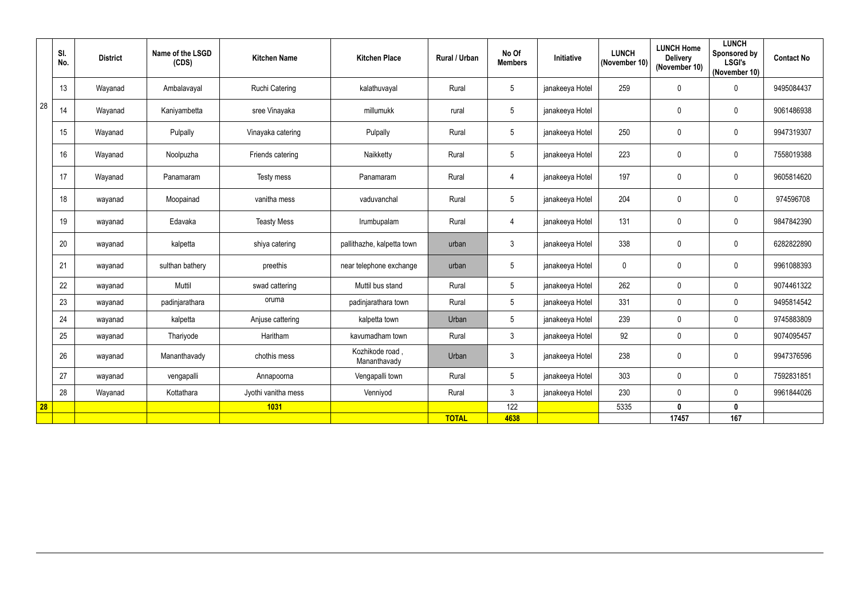|    | SI.<br>No. | <b>District</b> | Name of the LSGD<br>(CDS) | <b>Kitchen Name</b> | <b>Kitchen Place</b>            | <b>Rural / Urban</b> | No Of<br><b>Members</b> | Initiative      | <b>LUNCH</b><br>(November 10) | <b>LUNCH Home</b><br><b>Delivery</b><br>(November 10) | <b>LUNCH</b><br>Sponsored by<br><b>LSGI's</b><br>(November 10) | <b>Contact No</b> |
|----|------------|-----------------|---------------------------|---------------------|---------------------------------|----------------------|-------------------------|-----------------|-------------------------------|-------------------------------------------------------|----------------------------------------------------------------|-------------------|
|    | 13         | Wayanad         | Ambalavayal               | Ruchi Catering      | kalathuvayal                    | Rural                | $5\phantom{.0}$         | janakeeya Hotel | 259                           | $\mathbf 0$                                           | $\mathbf 0$                                                    | 9495084437        |
| 28 | 14         | Wayanad         | Kaniyambetta              | sree Vinayaka       | millumukk                       | rural                | $5\phantom{.0}$         | janakeeya Hotel |                               | $\mathbf 0$                                           | $\pmb{0}$                                                      | 9061486938        |
|    | 15         | Wayanad         | Pulpally                  | Vinayaka catering   | Pulpally                        | Rural                | $5\phantom{.0}$         | janakeeya Hotel | 250                           | $\pmb{0}$                                             | $\pmb{0}$                                                      | 9947319307        |
|    | 16         | Wayanad         | Noolpuzha                 | Friends catering    | Naikketty                       | Rural                | $5\phantom{.0}$         | janakeeya Hotel | 223                           | $\mathbf 0$                                           | $\pmb{0}$                                                      | 7558019388        |
|    | 17         | Wayanad         | Panamaram                 | Testy mess          | Panamaram                       | Rural                | $\overline{4}$          | janakeeya Hotel | 197                           | $\mathbf 0$                                           | $\pmb{0}$                                                      | 9605814620        |
|    | 18         | wayanad         | Moopainad                 | vanitha mess        | vaduvanchal                     | Rural                | $5\phantom{.0}$         | janakeeya Hotel | 204                           | $\mathbf 0$                                           | $\pmb{0}$                                                      | 974596708         |
|    | 19         | wayanad         | Edavaka                   | <b>Teasty Mess</b>  | Irumbupalam                     | Rural                | $\overline{4}$          | janakeeya Hotel | 131                           | $\mathbf 0$                                           | $\pmb{0}$                                                      | 9847842390        |
|    | 20         | wayanad         | kalpetta                  | shiya catering      | pallithazhe, kalpetta town      | urban                | $\mathbf{3}$            | janakeeya Hotel | 338                           | $\mathbf 0$                                           | $\pmb{0}$                                                      | 6282822890        |
|    | 21         | wayanad         | sulthan bathery           | preethis            | near telephone exchange         | urban                | $5\phantom{.0}$         | janakeeya Hotel | $\mathbf 0$                   | $\mathbf 0$                                           | $\pmb{0}$                                                      | 9961088393        |
|    | 22         | wayanad         | Muttil                    | swad cattering      | Muttil bus stand                | Rural                | $5\phantom{.0}$         | janakeeya Hotel | 262                           | $\mathbf 0$                                           | $\pmb{0}$                                                      | 9074461322        |
|    | 23         | wayanad         | padinjarathara            | oruma               | padinjarathara town             | Rural                | $5\phantom{.0}$         | janakeeya Hotel | 331                           | $\mathbf 0$                                           | $\mathbf 0$                                                    | 9495814542        |
|    | 24         | wayanad         | kalpetta                  | Anjuse cattering    | kalpetta town                   | Urban                | 5                       | janakeeya Hotel | 239                           | $\mathbf 0$                                           | $\mathbf 0$                                                    | 9745883809        |
|    | 25         | wayanad         | Thariyode                 | Haritham            | kavumadham town                 | Rural                | $\mathbf{3}$            | janakeeya Hotel | 92                            | $\overline{0}$                                        | $\pmb{0}$                                                      | 9074095457        |
|    | 26         | wayanad         | Mananthavady              | chothis mess        | Kozhikode road,<br>Mananthavady | Urban                | 3                       | janakeeya Hotel | 238                           | $\mathbf 0$                                           | $\mathbf 0$                                                    | 9947376596        |
|    | 27         | wayanad         | vengapalli                | Annapoorna          | Vengapalli town                 | Rural                | $5\overline{)}$         | janakeeya Hotel | 303                           | $\mathbf 0$                                           | $\mathbf 0$                                                    | 7592831851        |
|    | 28         | Wayanad         | Kottathara                | Jyothi vanitha mess | Venniyod                        | Rural                | 3                       | janakeeya Hotel | 230                           | $\mathbf 0$                                           | $\mathbf 0$                                                    | 9961844026        |
| 28 |            |                 |                           | 1031                |                                 |                      | 122                     |                 | 5335                          | $\mathbf 0$                                           | $\mathbf 0$                                                    |                   |
|    |            |                 |                           |                     |                                 | <b>TOTAL</b>         | 4638                    |                 |                               | 17457                                                 | 167                                                            |                   |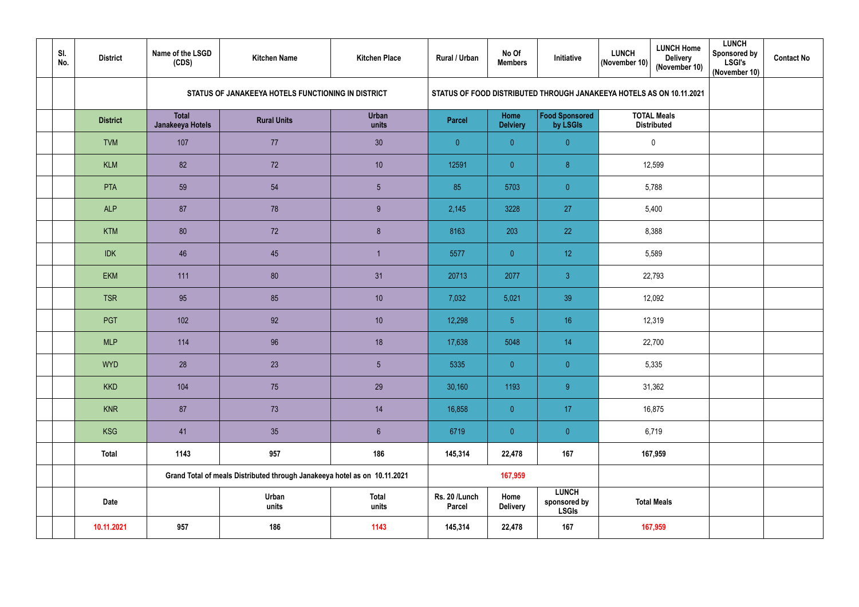| SI.<br>No. | <b>District</b> | Name of the LSGD<br>(CDS)        | <b>Kitchen Name</b>                                                       | <b>Kitchen Place</b>  | <b>Rural / Urban</b>           | No Of<br><b>Members</b> | Initiative                                                           | <b>LUNCH</b><br>(November 10) | <b>LUNCH Home</b><br><b>Delivery</b><br>(November 10) | <b>LUNCH</b><br><b>Sponsored by</b><br><b>LSGI's</b><br>(November 10) | <b>Contact No</b> |
|------------|-----------------|----------------------------------|---------------------------------------------------------------------------|-----------------------|--------------------------------|-------------------------|----------------------------------------------------------------------|-------------------------------|-------------------------------------------------------|-----------------------------------------------------------------------|-------------------|
|            |                 |                                  | STATUS OF JANAKEEYA HOTELS FUNCTIONING IN DISTRICT                        |                       |                                |                         | STATUS OF FOOD DISTRIBUTED THROUGH JANAKEEYA HOTELS AS ON 10.11.2021 |                               |                                                       |                                                                       |                   |
|            | <b>District</b> | <b>Total</b><br>Janakeeya Hotels | <b>Rural Units</b>                                                        | <b>Urban</b><br>units | <b>Parcel</b>                  | Home<br><b>Delviery</b> | <b>Food Sponsored</b><br>by LSGIs                                    |                               | <b>TOTAL Meals</b><br><b>Distributed</b>              |                                                                       |                   |
|            | <b>TVM</b>      | 107                              | 77                                                                        | 30 <sup>°</sup>       | $\overline{0}$                 | $\overline{0}$          | $\overline{0}$                                                       | $\overline{0}$                |                                                       |                                                                       |                   |
|            | <b>KLM</b>      | 82                               | 72                                                                        | 10 <sup>°</sup>       | 12591                          | $\overline{0}$          | $\bf 8$                                                              |                               | 12,599                                                |                                                                       |                   |
|            | <b>PTA</b>      | 59                               | 54                                                                        | $5\phantom{.0}$       | 85                             | 5703                    | $\overline{0}$                                                       |                               | 5,788                                                 |                                                                       |                   |
|            | <b>ALP</b>      | 87                               | 78                                                                        | 9                     | 2,145                          | 3228                    | 27                                                                   |                               | 5,400                                                 |                                                                       |                   |
|            | <b>KTM</b>      | 80                               | 72                                                                        | $\delta$              | 8163                           | 203                     | 22                                                                   |                               | 8,388                                                 |                                                                       |                   |
|            | <b>IDK</b>      | 46                               | 45                                                                        | $\overline{1}$        | 5577                           | $\overline{0}$          | 12 <sup>°</sup>                                                      | 5,589                         |                                                       |                                                                       |                   |
|            | <b>EKM</b>      | 111                              | 80                                                                        | 31                    | 20713                          | 2077                    | $\mathfrak{Z}$                                                       |                               | 22,793                                                |                                                                       |                   |
|            | <b>TSR</b>      | 95                               | 85                                                                        | 10 <sup>°</sup>       | 7,032                          | 5,021                   | 39                                                                   |                               | 12,092                                                |                                                                       |                   |
|            | PGT             | 102                              | 92                                                                        | 10 <sup>°</sup>       | 12,298                         | 5 <sub>5</sub>          | 16                                                                   |                               | 12,319                                                |                                                                       |                   |
|            | <b>MLP</b>      | 114                              | 96                                                                        | 18                    | 17,638                         | 5048                    | 14                                                                   |                               | 22,700                                                |                                                                       |                   |
|            | <b>WYD</b>      | 28                               | 23                                                                        | $5\phantom{.0}$       | 5335                           | $\overline{0}$          | $\overline{0}$                                                       |                               | 5,335                                                 |                                                                       |                   |
|            | <b>KKD</b>      | 104                              | 75                                                                        | 29                    | 30,160                         | 1193                    | 9                                                                    |                               | 31,362                                                |                                                                       |                   |
|            | <b>KNR</b>      | 87                               | 73                                                                        | 14                    | 16,858                         | $\overline{0}$          | 17 <sub>1</sub>                                                      |                               | 16,875                                                |                                                                       |                   |
|            | <b>KSG</b>      | 41                               | 35                                                                        | $\sqrt{6}$            | 6719                           | $\overline{0}$          | $\pmb{0}$                                                            |                               | 6,719                                                 |                                                                       |                   |
|            | <b>Total</b>    | 1143                             | 957                                                                       | 186                   | 145,314                        | 22,478                  | 167                                                                  |                               | 167,959                                               |                                                                       |                   |
|            |                 |                                  | Grand Total of meals Distributed through Janakeeya hotel as on 10.11.2021 |                       |                                | 167,959                 |                                                                      |                               |                                                       |                                                                       |                   |
|            | Date            |                                  | Urban<br>units                                                            | <b>Total</b><br>units | Rs. 20 /Lunch<br><b>Parcel</b> | Home<br><b>Delivery</b> | <b>LUNCH</b><br>sponsored by<br><b>LSGIs</b>                         |                               | <b>Total Meals</b>                                    |                                                                       |                   |
|            | 10.11.2021      | 957                              | 186                                                                       | 1143                  | 145,314                        | 22,478                  | 167                                                                  |                               | 167,959                                               |                                                                       |                   |